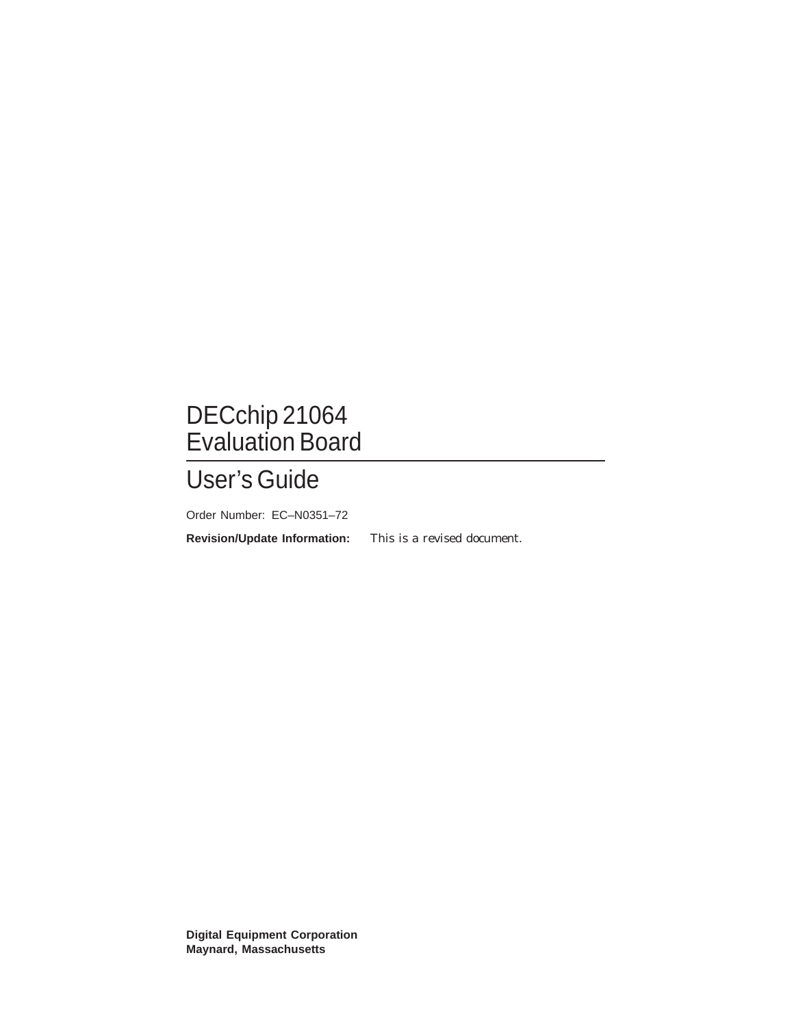# DECchip 21064 Evaluation Board

# User's Guide

Order Number: EC–N0351–72

**Revision/Update Information:** This is a revised document.

**Digital Equipment Corporation Maynard, Massachusetts**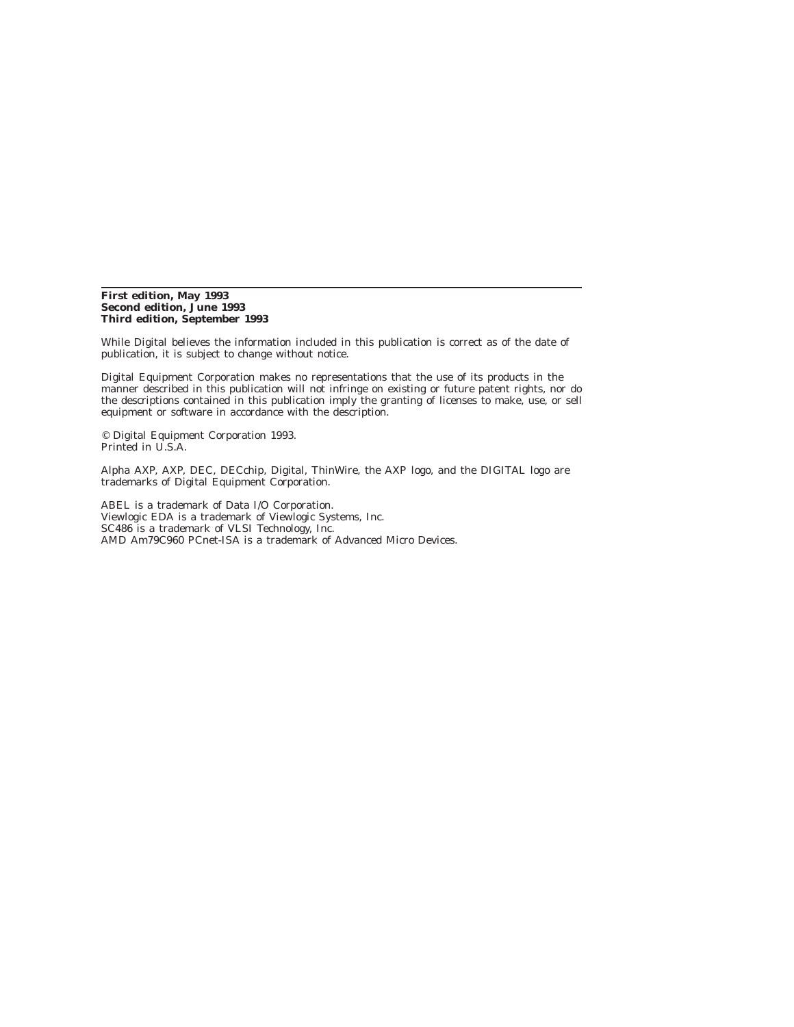#### **First edition, May 1993 Second edition, June 1993 Third edition, September 1993**

While Digital believes the information included in this publication is correct as of the date of publication, it is subject to change without notice.

Digital Equipment Corporation makes no representations that the use of its products in the manner described in this publication will not infringe on existing or future patent rights, nor do the descriptions contained in this publication imply the granting of licenses to make, use, or sell equipment or software in accordance with the description.

© Digital Equipment Corporation 1993. Printed in U.S.A.

Alpha AXP, AXP, DEC, DECchip, Digital, ThinWire, the AXP logo, and the DIGITAL logo are trademarks of Digital Equipment Corporation.

ABEL is a trademark of Data I/O Corporation. Viewlogic EDA is a trademark of Viewlogic Systems, Inc. SC486 is a trademark of VLSI Technology, Inc. AMD Am79C960 PCnet-ISA is a trademark of Advanced Micro Devices.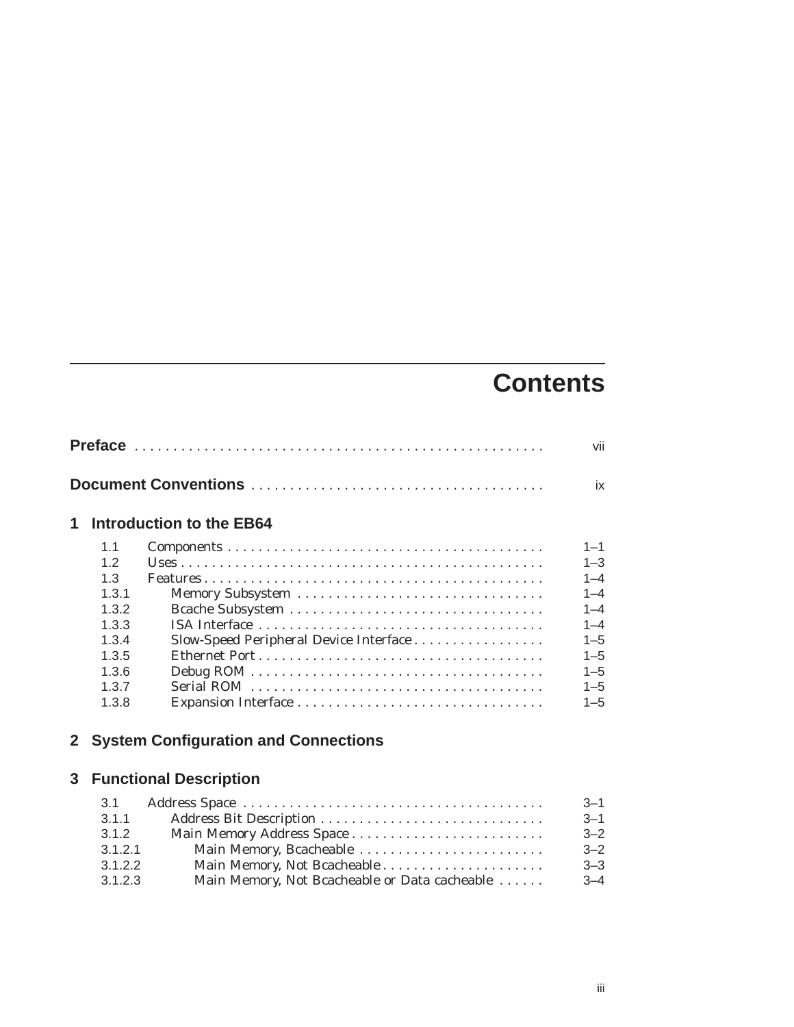# **Contents**

| 1            |       | <b>Introduction to the EB64</b>                                                |         |
|--------------|-------|--------------------------------------------------------------------------------|---------|
|              | 1.1   |                                                                                | $1 - 1$ |
|              | 1.2   |                                                                                | $1 - 3$ |
|              | 1.3   |                                                                                | $1 - 4$ |
|              | 1.3.1 |                                                                                | $1 - 4$ |
|              | 1.3.2 |                                                                                | $1 - 4$ |
|              | 1.3.3 |                                                                                | $1 - 4$ |
|              | 1.3.4 | Slow-Speed Peripheral Device Interface                                         | $1 - 5$ |
|              | 1.3.5 |                                                                                | $1 - 5$ |
|              | 1.3.6 |                                                                                | $1 - 5$ |
|              | 1.3.7 |                                                                                | $1 - 5$ |
|              | 1.3.8 |                                                                                | $1 - 5$ |
| $\mathbf{2}$ |       | <b>System Configuration and Connections</b><br><b>3</b> Functional Description |         |

| 3.1     |                                               | $-3 - 1$     |
|---------|-----------------------------------------------|--------------|
| 3.1.1   |                                               | $-3 - 1$     |
| 3.1.2   |                                               | $-2^{\circ}$ |
| 3.1.2.1 | Main Memory, Bcacheable                       | $-2^{\circ}$ |
| 3.1.2.2 |                                               | $3 - 3$      |
| 3.1.2.3 | Main Memory, Not Bcacheable or Data cacheable | $3 - 4$      |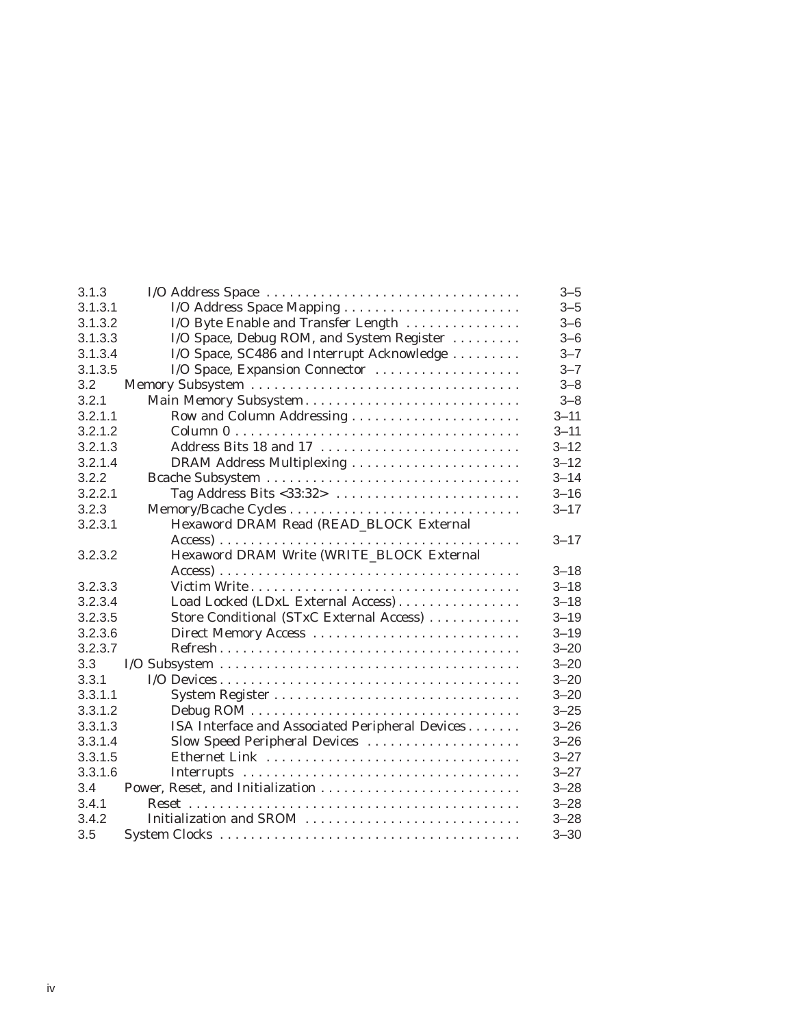| 3.1.3   | I/O Address Space                               | $3 - 5$  |
|---------|-------------------------------------------------|----------|
| 3.1.3.1 | I/O Address Space Mapping                       | $3 - 5$  |
| 3.1.3.2 | I/O Byte Enable and Transfer Length             | $3 - 6$  |
| 3.1.3.3 | I/O Space, Debug ROM, and System Register       | $3 - 6$  |
| 3.1.3.4 | I/O Space, SC486 and Interrupt Acknowledge      | $3 - 7$  |
| 3.1.3.5 | I/O Space, Expansion Connector                  | $3 - 7$  |
| 3.2     |                                                 | $3 - 8$  |
| 3.2.1   | Main Memory Subsystem                           | $3 - 8$  |
| 3.2.1.1 |                                                 | $3 - 11$ |
| 3.2.1.2 |                                                 | $3 - 11$ |
| 3.2.1.3 | Address Bits 18 and 17                          | $3 - 12$ |
| 3.2.1.4 |                                                 | $3 - 12$ |
| 3.2.2   |                                                 | $3 - 14$ |
| 3.2.2.1 |                                                 | $3 - 16$ |
| 3.2.3   |                                                 | $3 - 17$ |
| 3.2.3.1 | Hexaword DRAM Read (READ_BLOCK External         |          |
|         |                                                 | $3 - 17$ |
| 3.2.3.2 | Hexaword DRAM Write (WRITE BLOCK External       |          |
|         |                                                 | $3 - 18$ |
| 3.2.3.3 |                                                 | $3 - 18$ |
| 3.2.3.4 | Load Locked (LDxL External Access)              | $3 - 18$ |
| 3.2.3.5 | Store Conditional (STxC External Access)        | $3 - 19$ |
| 3.2.3.6 |                                                 | $3 - 19$ |
| 3.2.3.7 |                                                 | $3 - 20$ |
| 3.3     |                                                 | $3 - 20$ |
| 3.3.1   |                                                 | $3 - 20$ |
| 3.3.1.1 |                                                 | $3 - 20$ |
| 3.3.1.2 |                                                 | $3 - 25$ |
| 3.3.1.3 | ISA Interface and Associated Peripheral Devices | $3 - 26$ |
| 3.3.1.4 | Slow Speed Peripheral Devices                   | $3 - 26$ |
| 3.3.1.5 |                                                 | $3 - 27$ |
| 3.3.1.6 |                                                 | $3 - 27$ |
| 3.4     |                                                 | $3 - 28$ |
| 3.4.1   |                                                 | $3 - 28$ |
| 3.4.2   | Initialization and SROM                         | $3 - 28$ |
| 3.5     |                                                 | $3 - 30$ |
|         |                                                 |          |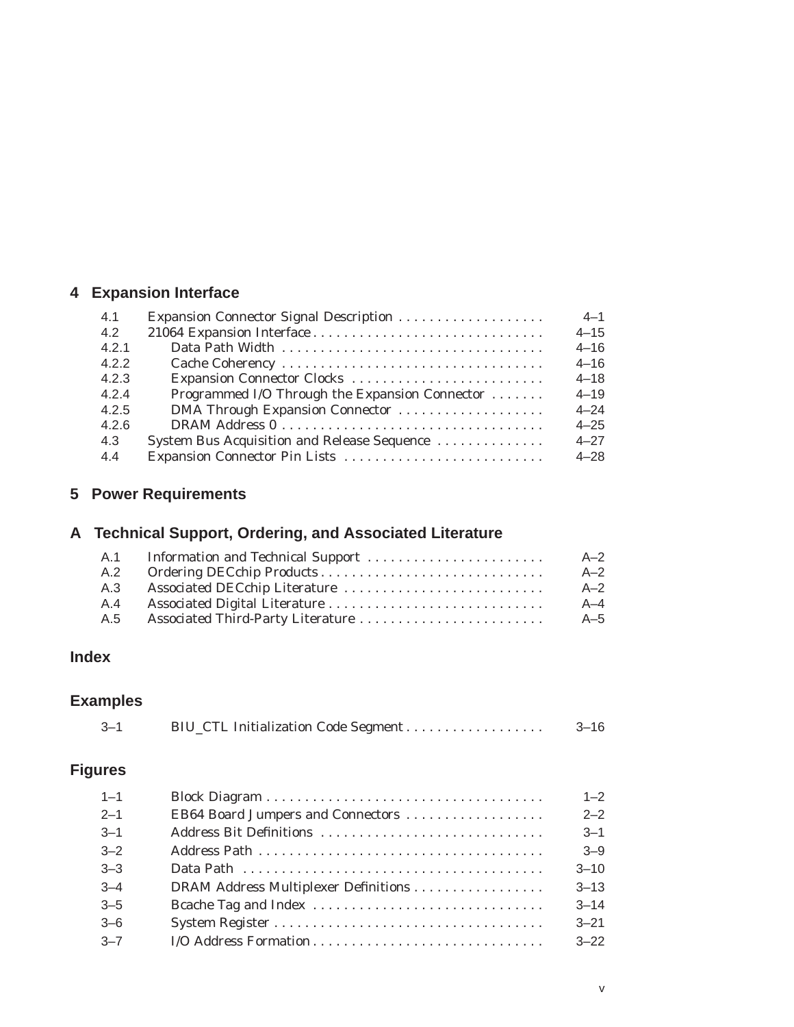# **4 Expansion Interface**

| Expansion Connector Signal Description         | $4 - 1$  |
|------------------------------------------------|----------|
|                                                | $4 - 15$ |
|                                                | $4 - 16$ |
|                                                | $4 - 16$ |
| Expansion Connector Clocks                     | $4 - 18$ |
| Programmed I/O Through the Expansion Connector | $4 - 19$ |
| DMA Through Expansion Connector                | $4 - 24$ |
|                                                | $4 - 25$ |
| System Bus Acquisition and Release Sequence    | $4 - 27$ |
|                                                | $4 - 28$ |
|                                                |          |

# **5 Power Requirements**

# **A Technical Support, Ordering, and Associated Literature**

| $A-2$   |
|---------|
| $A-2$   |
| $A-2$   |
| $A - 4$ |
| $A-5$   |
|         |

# **Index**

# **Examples**

| $-3-1$ | $3 - 16$ |
|--------|----------|
|        |          |

# **Figures**

| $1 - 1$ |                                   | $1 - 2$  |
|---------|-----------------------------------|----------|
| $2 - 1$ | EB64 Board Jumpers and Connectors | $2 - 2$  |
| $3 - 1$ |                                   | $3 - 1$  |
| $3 - 2$ |                                   | $3 - 9$  |
| $3 - 3$ |                                   | $3 - 10$ |
| $3 - 4$ |                                   | $3 - 13$ |
| $3 - 5$ |                                   | $3 - 14$ |
| $3 - 6$ |                                   | $3 - 21$ |
| $3 - 7$ | I/O Address Formation             | $3 - 22$ |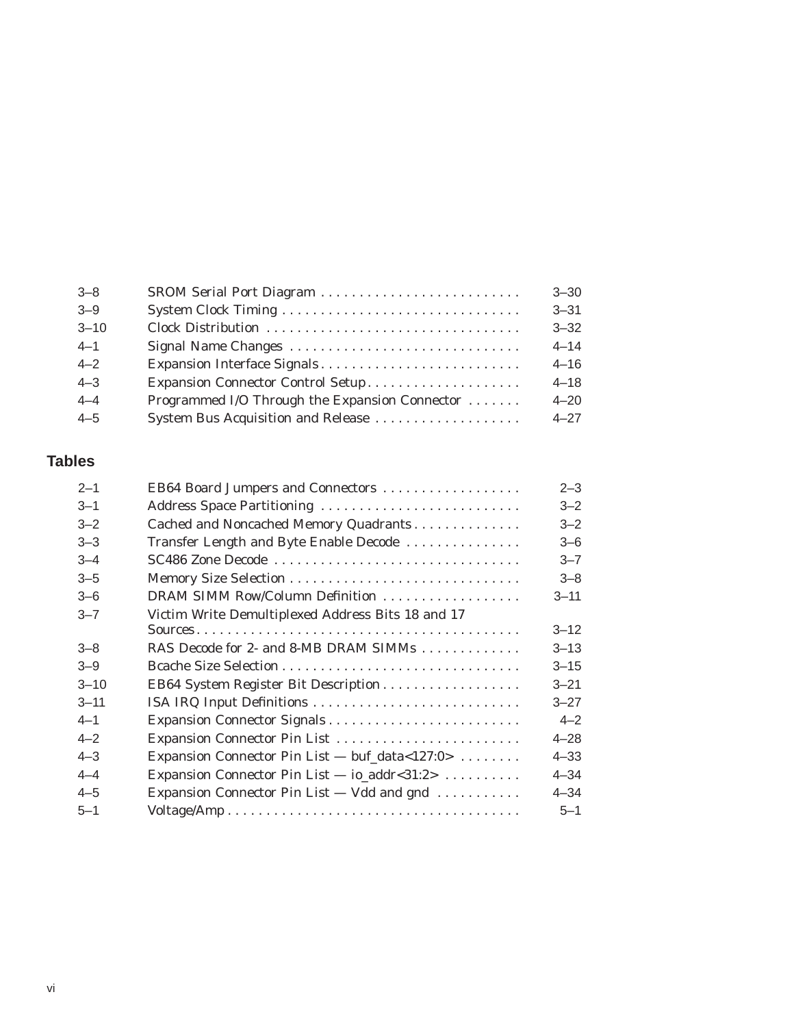| $3 - 8$  | SROM Serial Port Diagram                       | $3 - 30$ |
|----------|------------------------------------------------|----------|
| $3 - 9$  |                                                | $3 - 31$ |
| $3 - 10$ |                                                | $3 - 32$ |
| $4 - 1$  |                                                | $4 - 14$ |
| $4 - 2$  | Expansion Interface Signals                    | $4 - 16$ |
| $4 - 3$  | Expansion Connector Control Setup              | $4 - 18$ |
| $4 - 4$  | Programmed I/O Through the Expansion Connector | $4 - 20$ |
| $4 - 5$  | System Bus Acquisition and Release             | $4 - 27$ |

# **Tables**

| $2 - 1$  | EB64 Board Jumpers and Connectors                 | $2 - 3$  |
|----------|---------------------------------------------------|----------|
| $3 - 1$  | Address Space Partitioning                        | $3 - 2$  |
| $3 - 2$  | Cached and Noncached Memory Quadrants             | $3 - 2$  |
| $3 - 3$  | Transfer Length and Byte Enable Decode            | $3 - 6$  |
| $3 - 4$  | SC486 Zone Decode                                 | $3 - 7$  |
| $3 - 5$  |                                                   | $3 - 8$  |
| $3 - 6$  | DRAM SIMM Row/Column Definition                   | $3 - 11$ |
| $3 - 7$  | Victim Write Demultiplexed Address Bits 18 and 17 |          |
|          |                                                   | $3 - 12$ |
| $3 - 8$  | RAS Decode for 2- and 8-MB DRAM SIMMs             | $3 - 13$ |
| $3 - 9$  |                                                   | $3 - 15$ |
| $3 - 10$ | EB64 System Register Bit Description              | $3 - 21$ |
| $3 - 11$ | ISA IRQ Input Definitions                         | $3 - 27$ |
| $4 - 1$  |                                                   | $4 - 2$  |
| $4 - 2$  |                                                   | $4 - 28$ |
| $4 - 3$  | Expansion Connector Pin List — buf_data<127:0>    | $4 - 33$ |
| $4 - 4$  | Expansion Connector Pin List $-$ io_addr<31:2>    | $4 - 34$ |
| $4 - 5$  | Expansion Connector Pin List — Vdd and gnd        | $4 - 34$ |
| $5 - 1$  |                                                   | $5 - 1$  |
|          |                                                   |          |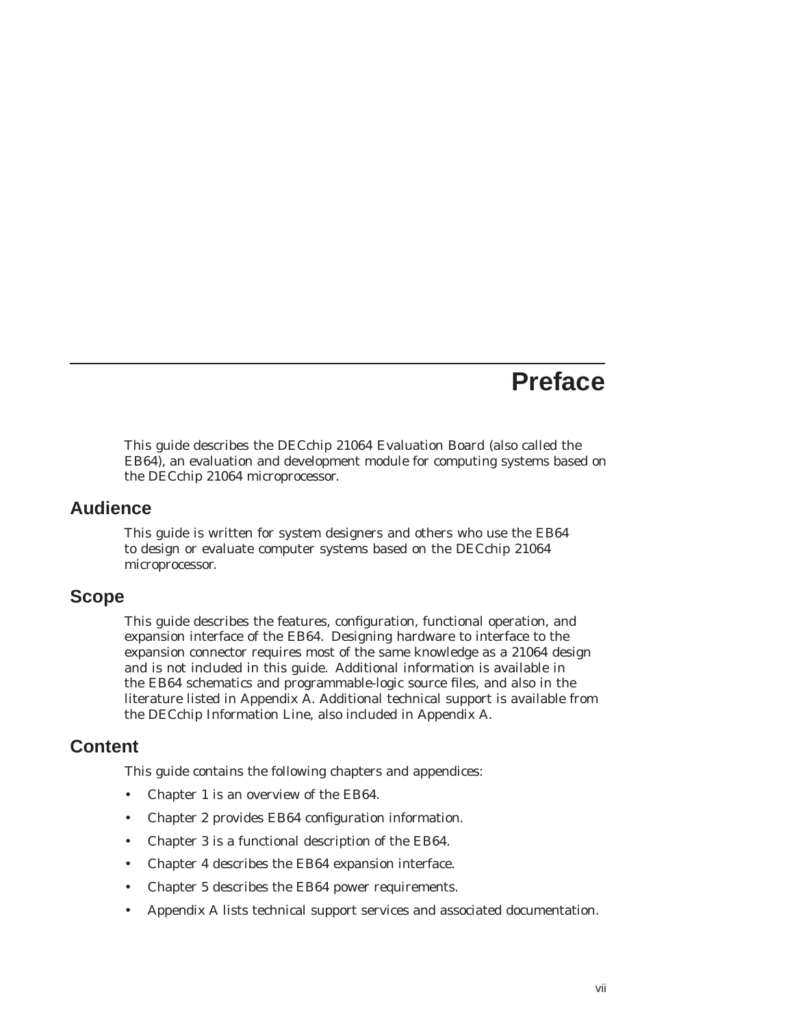# **Preface**

This guide describes the DECchip 21064 Evaluation Board (also called the EB64), an evaluation and development module for computing systems based on the DECchip 21064 microprocessor.

# **Audience**

This guide is written for system designers and others who use the EB64 to design or evaluate computer systems based on the DECchip 21064 microprocessor.

# **Scope**

This guide describes the features, configuration, functional operation, and expansion interface of the EB64. Designing hardware to interface to the expansion connector requires most of the same knowledge as a 21064 design and is not included in this guide. Additional information is available in the EB64 schematics and programmable-logic source files, and also in the literature listed in Appendix A. Additional technical support is available from the DECchip Information Line, also included in Appendix A.

# **Content**

This guide contains the following chapters and appendices:

- Chapter 1 is an overview of the EB64.
- Chapter 2 provides EB64 configuration information.
- Chapter 3 is a functional description of the EB64.
- Chapter 4 describes the EB64 expansion interface.
- Chapter 5 describes the EB64 power requirements.
- Appendix A lists technical support services and associated documentation.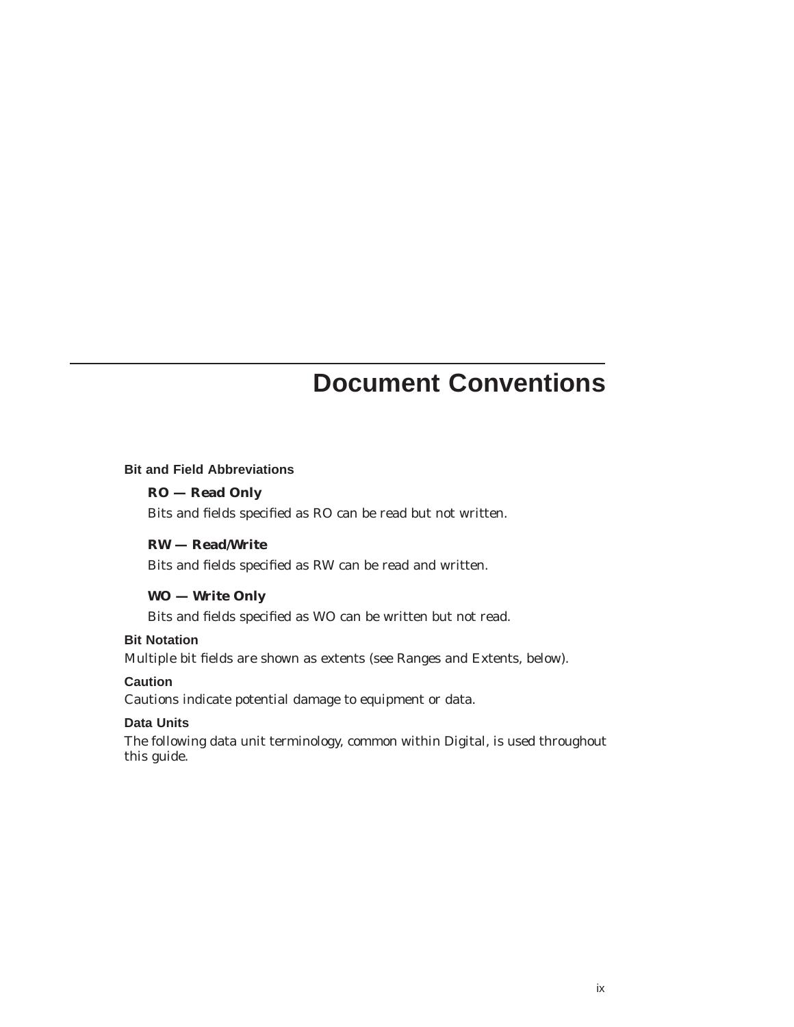# **Document Conventions**

#### **Bit and Field Abbreviations**

# **RO — Read Only**

Bits and fields specified as RO can be read but not written.

## **RW — Read/Write**

Bits and fields specified as RW can be read and written.

# **WO — Write Only**

Bits and fields specified as WO can be written but not read.

# **Bit Notation**

Multiple bit fields are shown as extents (see Ranges and Extents, below).

# **Caution**

Cautions indicate potential damage to equipment or data.

# **Data Units**

The following data unit terminology, common within Digital, is used throughout this guide.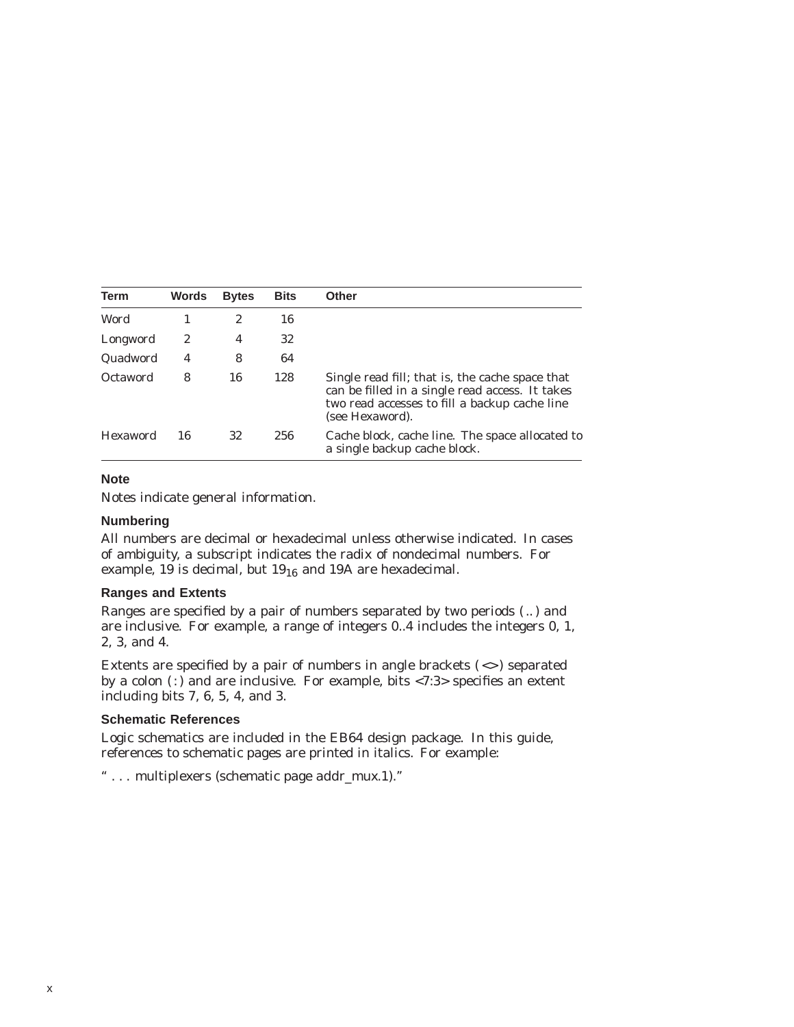| <b>Term</b> | Words | <b>Bytes</b> | <b>Bits</b> | <b>Other</b>                                                                                                                                                           |
|-------------|-------|--------------|-------------|------------------------------------------------------------------------------------------------------------------------------------------------------------------------|
| Word        |       | 2            | 16          |                                                                                                                                                                        |
| Longword    | 2     | 4            | 32          |                                                                                                                                                                        |
| Quadword    | 4     | 8            | 64          |                                                                                                                                                                        |
| Octaword    | 8     | 16           | 128         | Single read fill; that is, the cache space that<br>can be filled in a single read access. It takes<br>two read accesses to fill a backup cache line<br>(see Hexaword). |
| Hexaword    | 16    | 32           | 256         | Cache block, cache line. The space allocated to<br>a single backup cache block.                                                                                        |

#### **Note**

Notes indicate general information.

#### **Numbering**

All numbers are decimal or hexadecimal unless otherwise indicated. In cases of ambiguity, a subscript indicates the radix of nondecimal numbers. For example, 19 is decimal, but  $19_{16}$  and 19A are hexadecimal.

#### **Ranges and Extents**

Ranges are specified by a pair of numbers separated by two periods ( .. ) and are inclusive. For example, a range of integers 0..4 includes the integers 0, 1, 2, 3, and 4.

Extents are specified by a pair of numbers in angle brackets  $(\le)$  separated by a colon  $($ :) and are inclusive. For example, bits <7:3> specifies an extent including bits 7, 6, 5, 4, and 3.

#### **Schematic References**

Logic schematics are included in the EB64 design package. In this guide, references to schematic pages are printed in italics. For example:

'' . . . multiplexers (schematic page *addr\_mux.1*).''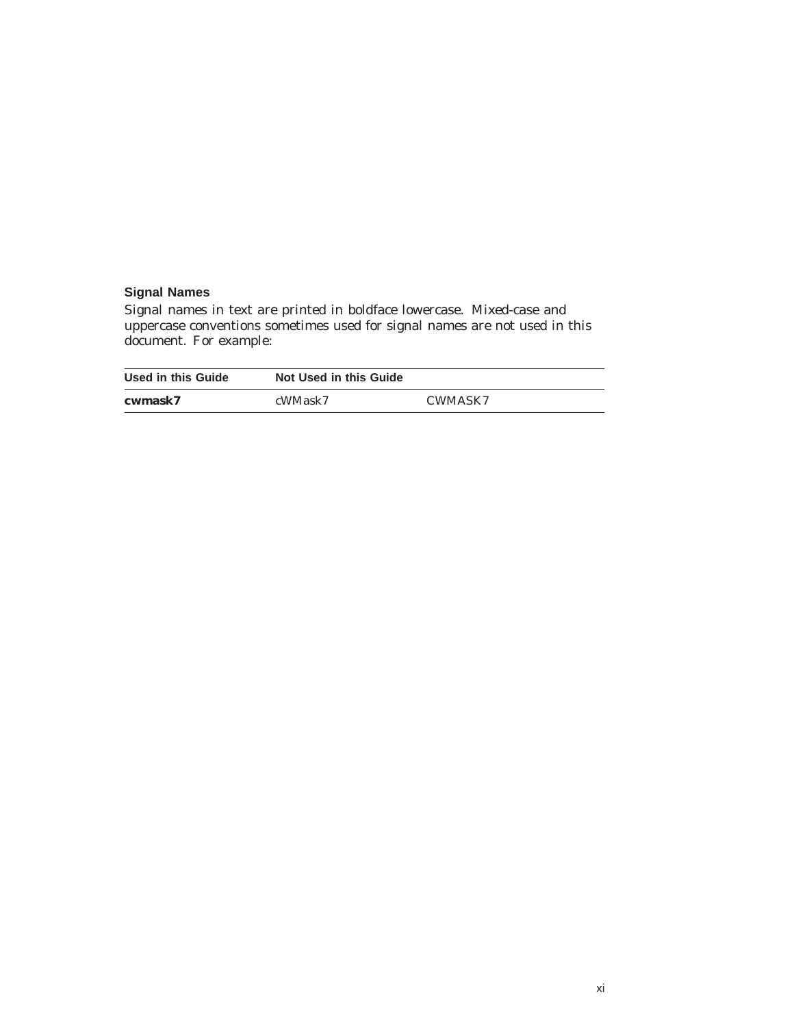## **Signal Names**

Signal names in text are printed in boldface lowercase. Mixed-case and uppercase conventions sometimes used for signal names are not used in this document. For example:

| Used in this Guide | <b>Not Used in this Guide</b> |         |
|--------------------|-------------------------------|---------|
| cwmask7            | cWMask7                       | CWMASK7 |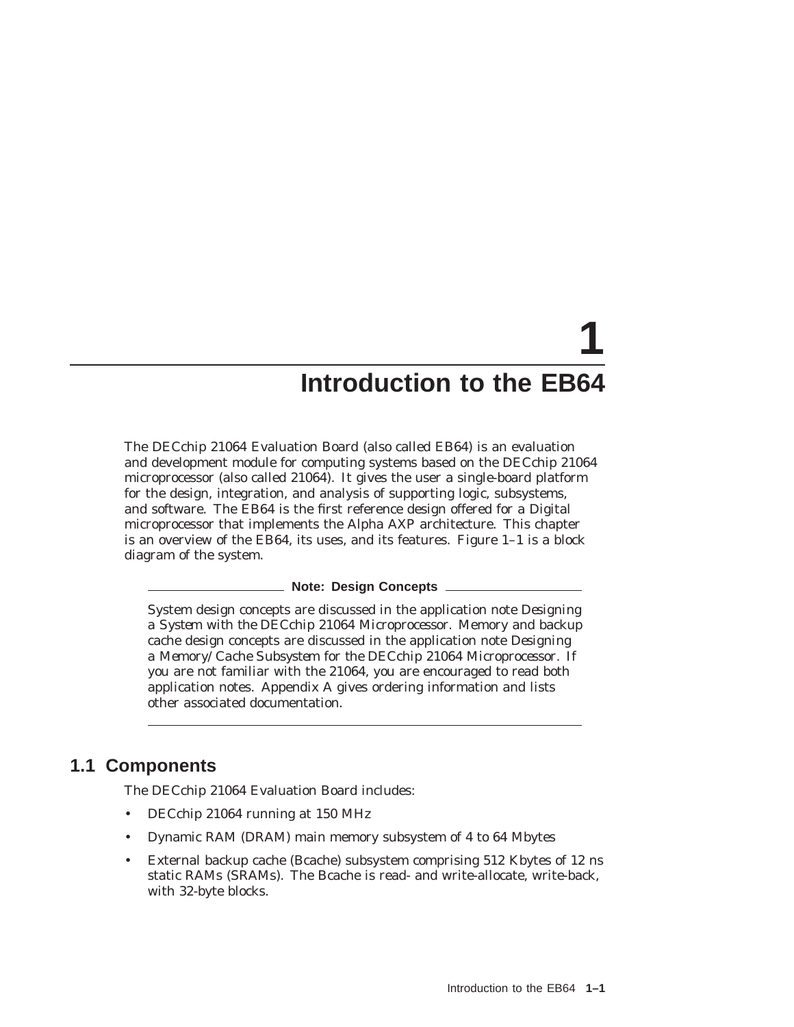# **1 Introduction to the EB64**

The DECchip 21064 Evaluation Board (also called EB64) is an evaluation and development module for computing systems based on the DECchip 21064 microprocessor (also called 21064). It gives the user a single-board platform for the design, integration, and analysis of supporting logic, subsystems, and software. The EB64 is the first reference design offered for a Digital microprocessor that implements the Alpha AXP architecture. This chapter is an overview of the EB64, its uses, and its features. Figure 1–1 is a block diagram of the system.

#### **Note: Design Concepts**

System design concepts are discussed in the application note *Designing a System with the DECchip 21064 Microprocessor.* Memory and backup cache design concepts are discussed in the application note *Designing a Memory/Cache Subsystem for the DECchip 21064 Microprocessor*. If you are not familiar with the 21064, you are encouraged to read both application notes. Appendix A gives ordering information and lists other associated documentation.

# **1.1 Components**

The DECchip 21064 Evaluation Board includes:

- DECchip 21064 running at 150 MHz
- Dynamic RAM (DRAM) main memory subsystem of 4 to 64 Mbytes
- External backup cache (Bcache) subsystem comprising 512 Kbytes of 12 ns static RAMs (SRAMs). The Bcache is read- and write-allocate, write-back, with 32-byte blocks.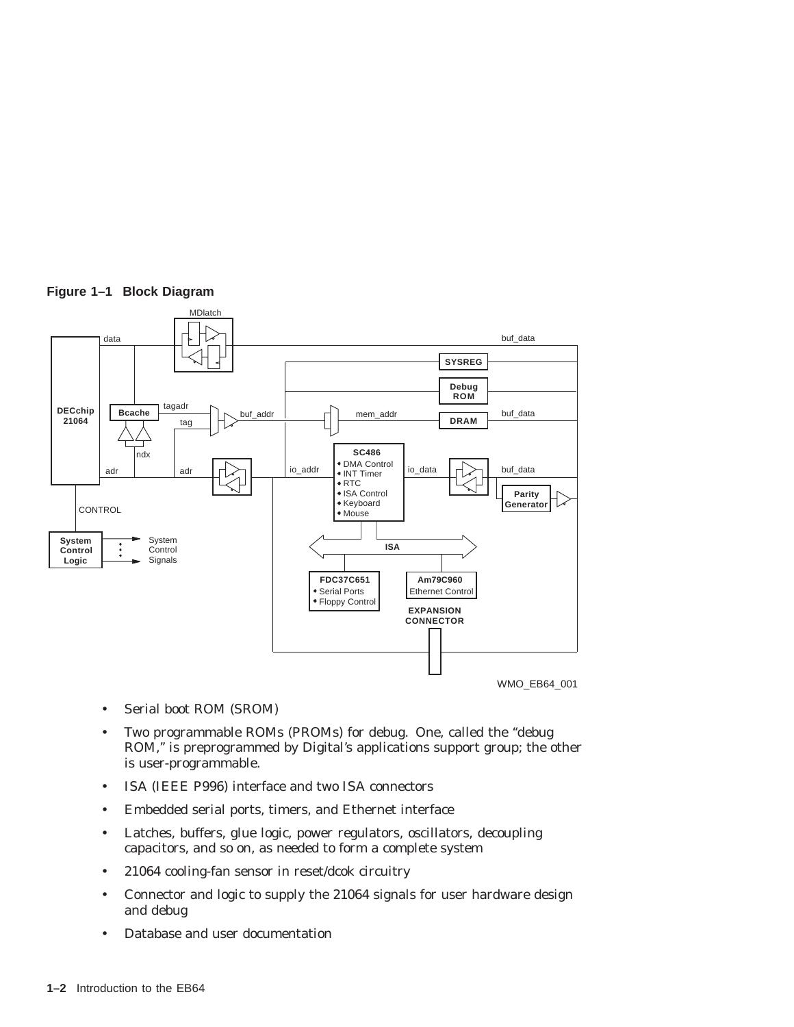

# **Figure 1–1 Block Diagram**

- Serial boot ROM (SROM)
- Two programmable ROMs (PROMs) for debug. One, called the ''debug ROM,'' is preprogrammed by Digital's applications support group; the other is user-programmable.
- ISA (IEEE P996) interface and two ISA connectors
- Embedded serial ports, timers, and Ethernet interface
- Latches, buffers, glue logic, power regulators, oscillators, decoupling capacitors, and so on, as needed to form a complete system
- 21064 cooling-fan sensor in reset/dcok circuitry
- Connector and logic to supply the 21064 signals for user hardware design and debug
- Database and user documentation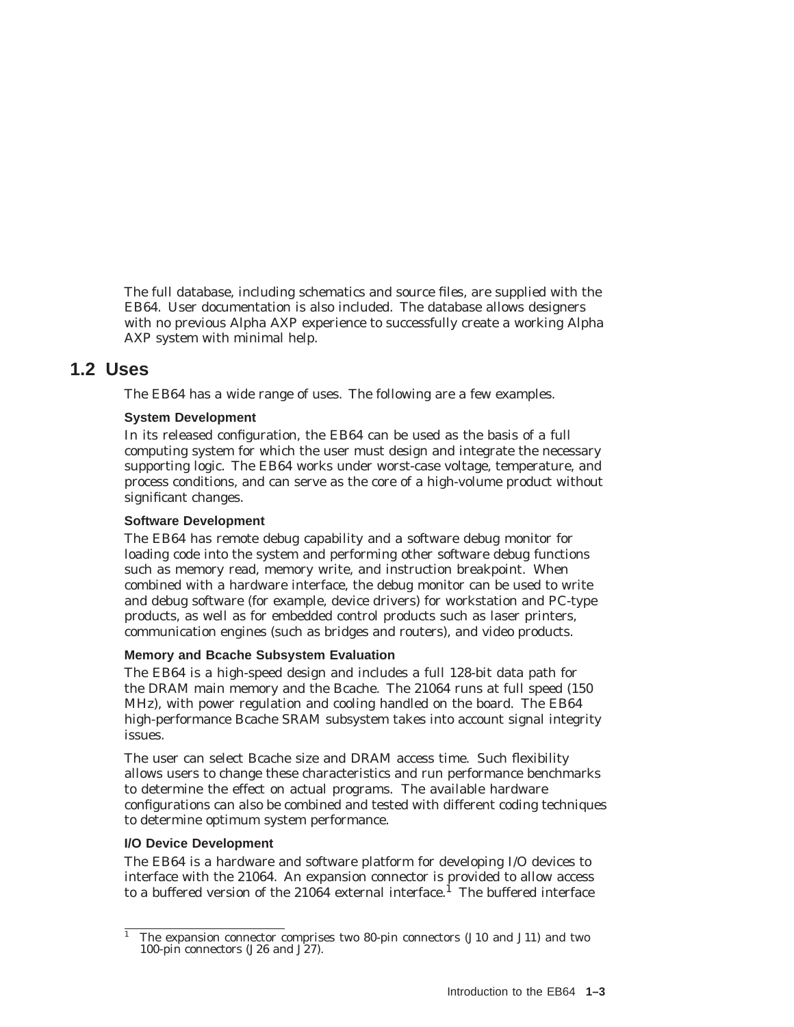The full database, including schematics and source files, are supplied with the EB64. User documentation is also included. The database allows designers with no previous Alpha AXP experience to successfully create a working Alpha AXP system with minimal help.

# **1.2 Uses**

The EB64 has a wide range of uses. The following are a few examples.

# **System Development**

In its released configuration, the EB64 can be used as the basis of a full computing system for which the user must design and integrate the necessary supporting logic. The EB64 works under worst-case voltage, temperature, and process conditions, and can serve as the core of a high-volume product without significant changes.

#### **Software Development**

The EB64 has remote debug capability and a software debug monitor for loading code into the system and performing other software debug functions such as memory read, memory write, and instruction breakpoint. When combined with a hardware interface, the debug monitor can be used to write and debug software (for example, device drivers) for workstation and PC-type products, as well as for embedded control products such as laser printers, communication engines (such as bridges and routers), and video products.

#### **Memory and Bcache Subsystem Evaluation**

The EB64 is a high-speed design and includes a full 128-bit data path for the DRAM main memory and the Bcache. The 21064 runs at full speed (150 MHz), with power regulation and cooling handled on the board. The EB64 high-performance Bcache SRAM subsystem takes into account signal integrity issues.

The user can select Bcache size and DRAM access time. Such flexibility allows users to change these characteristics and run performance benchmarks to determine the effect on actual programs. The available hardware configurations can also be combined and tested with different coding techniques to determine optimum system performance.

#### **I/O Device Development**

The EB64 is a hardware and software platform for developing I/O devices to interface with the 21064. An expansion connector is provided to allow access to a buffered version of the  $21064$  external interface.<sup>1</sup> The buffered interface

<sup>1</sup> The expansion connector comprises two 80-pin connectors (J10 and J11) and two 100-pin connectors (J26 and J27).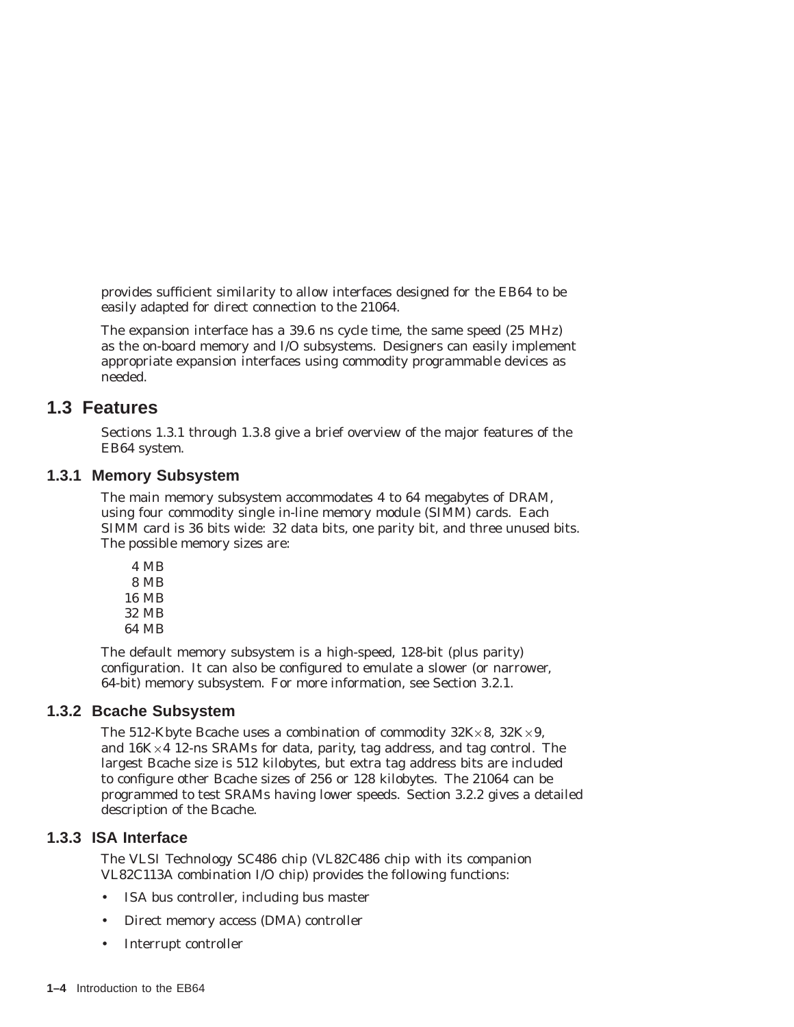provides sufficient similarity to allow interfaces designed for the EB64 to be easily adapted for direct connection to the 21064.

The expansion interface has a 39.6 ns cycle time, the same speed (25 MHz) as the on-board memory and I/O subsystems. Designers can easily implement appropriate expansion interfaces using commodity programmable devices as needed.

# **1.3 Features**

Sections 1.3.1 through 1.3.8 give a brief overview of the major features of the EB64 system.

# **1.3.1 Memory Subsystem**

The main memory subsystem accommodates 4 to 64 megabytes of DRAM, using four commodity single in-line memory module (SIMM) cards. Each SIMM card is 36 bits wide: 32 data bits, one parity bit, and three unused bits. The possible memory sizes are:

4 MB 8 MB 16 MB 32 MB 64 MB

The default memory subsystem is a high-speed, 128-bit (plus parity) configuration. It can also be configured to emulate a slower (or narrower, 64-bit) memory subsystem. For more information, see Section 3.2.1.

# **1.3.2 Bcache Subsystem**

The 512-Kbyte Bcache uses a combination of commodity  $32K \times 8$ ,  $32K \times 9$ , and 16K×4 12-ns SRAMs for data, parity, tag address, and tag control. The largest Bcache size is 512 kilobytes, but extra tag address bits are included to configure other Bcache sizes of 256 or 128 kilobytes. The 21064 can be programmed to test SRAMs having lower speeds. Section 3.2.2 gives a detailed description of the Bcache.

# **1.3.3 ISA Interface**

The VLSI Technology SC486 chip (VL82C486 chip with its companion VL82C113A combination I/O chip) provides the following functions:

- ISA bus controller, including bus master
- Direct memory access (DMA) controller
- Interrupt controller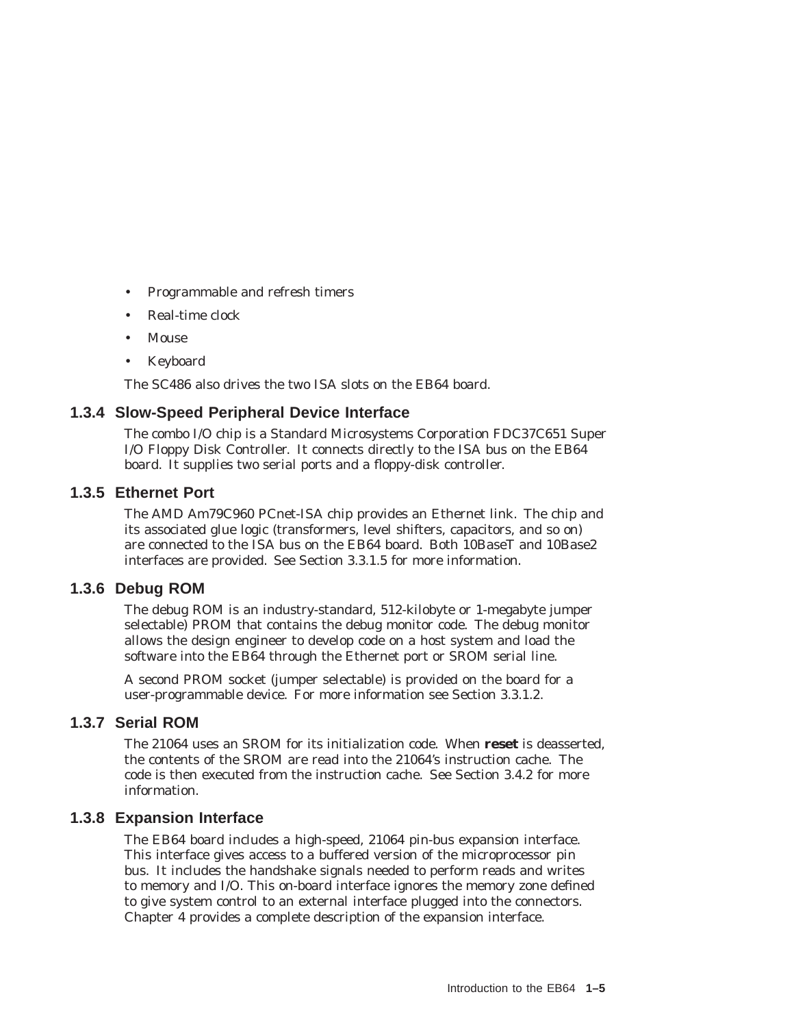- Programmable and refresh timers
- Real-time clock
- Mouse
- Keyboard

The SC486 also drives the two ISA slots on the EB64 board.

# **1.3.4 Slow-Speed Peripheral Device Interface**

The combo I/O chip is a Standard Microsystems Corporation FDC37C651 Super I/O Floppy Disk Controller. It connects directly to the ISA bus on the EB64 board. It supplies two serial ports and a floppy-disk controller.

# **1.3.5 Ethernet Port**

The AMD Am79C960 PCnet-ISA chip provides an Ethernet link. The chip and its associated glue logic (transformers, level shifters, capacitors, and so on) are connected to the ISA bus on the EB64 board. Both 10BaseT and 10Base2 interfaces are provided. See Section 3.3.1.5 for more information.

# **1.3.6 Debug ROM**

The debug ROM is an industry-standard, 512-kilobyte or 1-megabyte jumper selectable) PROM that contains the debug monitor code. The debug monitor allows the design engineer to develop code on a host system and load the software into the EB64 through the Ethernet port or SROM serial line.

A second PROM socket (jumper selectable) is provided on the board for a user-programmable device. For more information see Section 3.3.1.2.

# **1.3.7 Serial ROM**

The 21064 uses an SROM for its initialization code. When **reset** is deasserted, the contents of the SROM are read into the 21064's instruction cache. The code is then executed from the instruction cache. See Section 3.4.2 for more information.

# **1.3.8 Expansion Interface**

The EB64 board includes a high-speed, 21064 pin-bus expansion interface. This interface gives access to a buffered version of the microprocessor pin bus. It includes the handshake signals needed to perform reads and writes to memory and I/O. This on-board interface ignores the memory zone defined to give system control to an external interface plugged into the connectors. Chapter 4 provides a complete description of the expansion interface.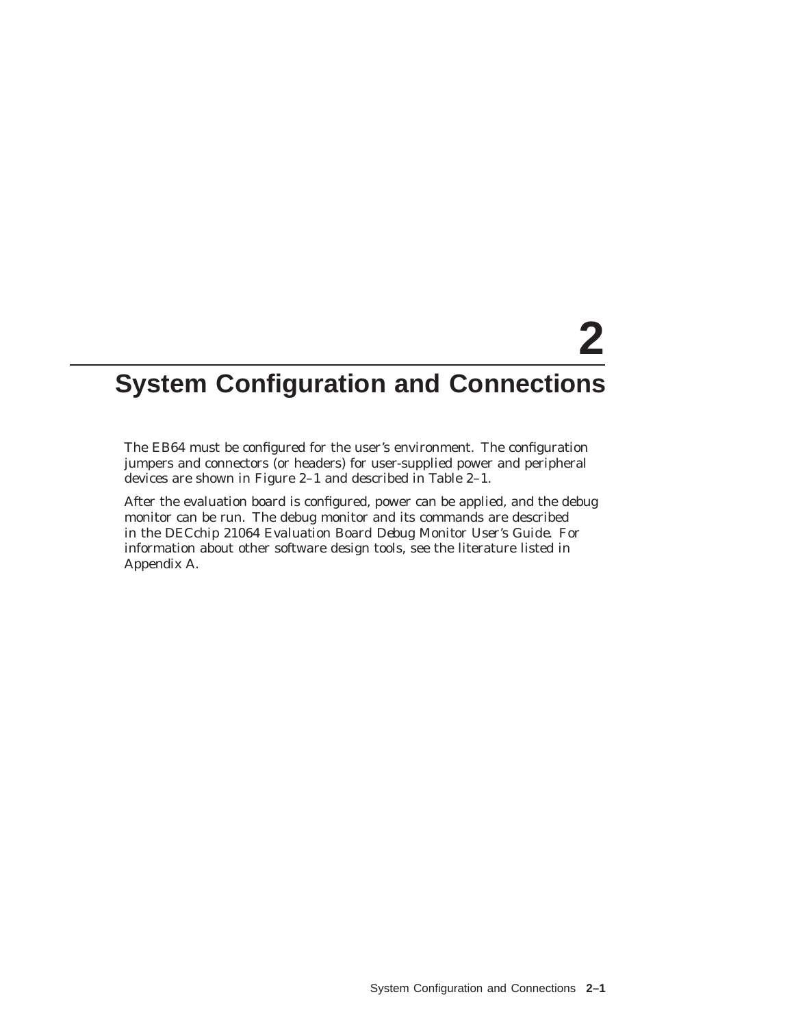# **2**

# **System Configuration and Connections**

The EB64 must be configured for the user's environment. The configuration jumpers and connectors (or headers) for user-supplied power and peripheral devices are shown in Figure 2–1 and described in Table 2–1.

After the evaluation board is configured, power can be applied, and the debug monitor can be run. The debug monitor and its commands are described in the *DECchip 21064 Evaluation Board Debug Monitor User's Guide*. For information about other software design tools, see the literature listed in Appendix A.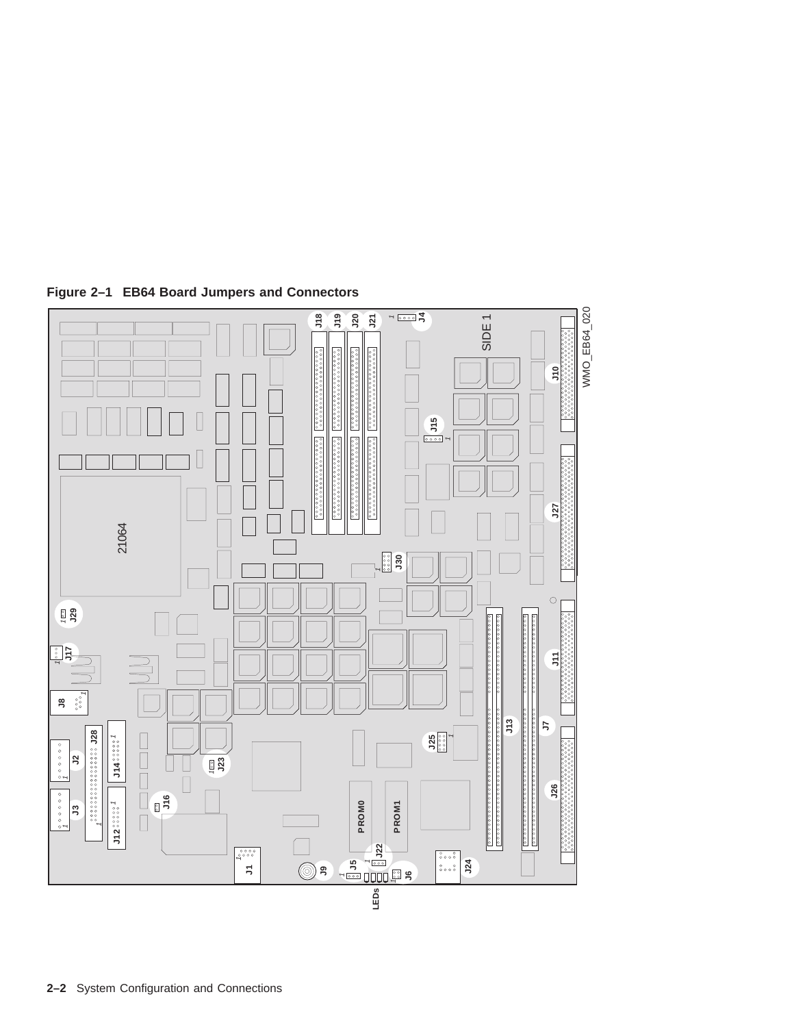

**Figure 2–1 EB64 Board Jumpers and Connectors**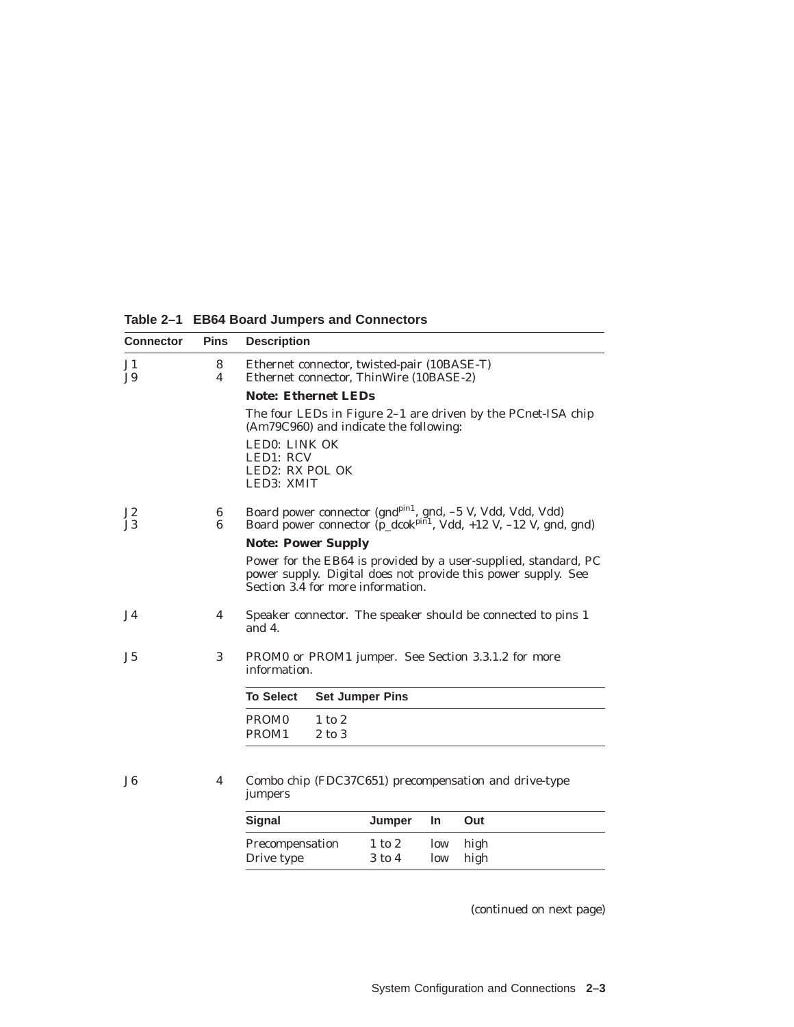**Table 2–1 EB64 Board Jumpers and Connectors**

| <b>Connector</b> | <b>Pins</b>    | <b>Description</b>                                                                                                                                                    |  |  |  |  |
|------------------|----------------|-----------------------------------------------------------------------------------------------------------------------------------------------------------------------|--|--|--|--|
| J1<br>J9         | 8<br>4         | Ethernet connector, twisted-pair (10BASE-T)<br>Ethernet connector, ThinWire (10BASE-2)                                                                                |  |  |  |  |
|                  |                | <b>Note: Ethernet LEDs</b>                                                                                                                                            |  |  |  |  |
|                  |                | The four LEDs in Figure 2-1 are driven by the PCnet-ISA chip<br>(Am79C960) and indicate the following:                                                                |  |  |  |  |
|                  |                | LED0: LINK OK<br>LED1: RCV<br>LED2: RX POL OK<br>LED3: XMIT                                                                                                           |  |  |  |  |
| J2<br>J3         | 6<br>6         | Board power connector (gnd <sup>pin1</sup> , gnd, -5 V, Vdd, Vdd, Vdd)<br>Board power connector $(p_d \cosh^{pi/1})$ , Vdd, +12 V, -12 V, gnd, gnd)                   |  |  |  |  |
|                  |                | <b>Note: Power Supply</b>                                                                                                                                             |  |  |  |  |
|                  |                | Power for the EB64 is provided by a user-supplied, standard, PC<br>power supply. Digital does not provide this power supply. See<br>Section 3.4 for more information. |  |  |  |  |
| <b>J4</b>        | 4              | Speaker connector. The speaker should be connected to pins 1<br>and $4$ .                                                                                             |  |  |  |  |
| J <sub>5</sub>   | 3              | PROM0 or PROM1 jumper. See Section 3.3.1.2 for more<br>information.                                                                                                   |  |  |  |  |
|                  |                | <b>To Select</b><br><b>Set Jumper Pins</b>                                                                                                                            |  |  |  |  |
|                  |                | PROM <sub>0</sub><br>$1$ to $2$                                                                                                                                       |  |  |  |  |
|                  |                | PROM <sub>1</sub><br>$2$ to $3$                                                                                                                                       |  |  |  |  |
|                  |                |                                                                                                                                                                       |  |  |  |  |
| J <sub>6</sub>   | $\overline{4}$ | Combo chip (FDC37C651) precompensation and drive-type<br>jumpers                                                                                                      |  |  |  |  |
|                  |                | <b>Signal</b><br>Jumper<br>In.<br>Out                                                                                                                                 |  |  |  |  |
|                  |                | $1$ to $2$<br>high<br>Precompensation<br>low                                                                                                                          |  |  |  |  |

Drive type 3 to 4 low high

(continued on next page)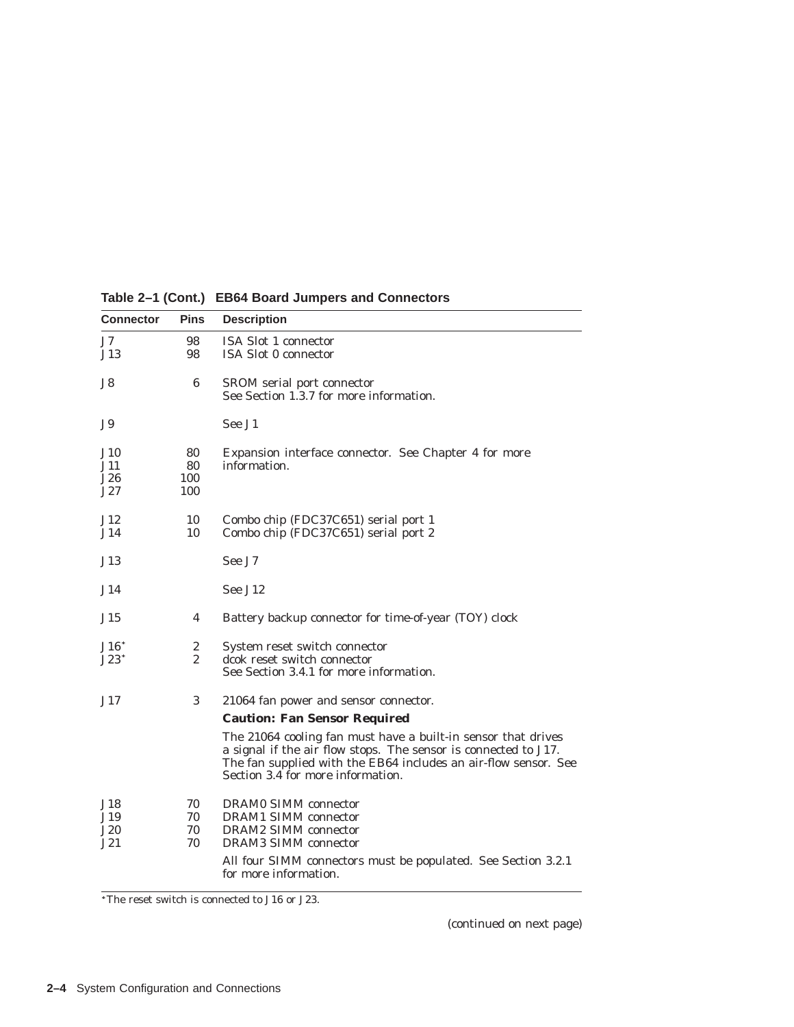| <b>Connector</b>          | <b>Pins</b>            | <b>Description</b>                                                                                                                                                                                                                                                                                                              |
|---------------------------|------------------------|---------------------------------------------------------------------------------------------------------------------------------------------------------------------------------------------------------------------------------------------------------------------------------------------------------------------------------|
| J7.<br>J13                | 98<br>98               | <b>ISA Slot 1 connector</b><br><b>ISA Slot 0 connector</b>                                                                                                                                                                                                                                                                      |
| J8                        | 6                      | SROM serial port connector<br>See Section 1.3.7 for more information.                                                                                                                                                                                                                                                           |
| J9.                       |                        | See J1                                                                                                                                                                                                                                                                                                                          |
| J10<br>J11.<br>J26<br>J27 | 80<br>80<br>100<br>100 | Expansion interface connector. See Chapter 4 for more<br>information.                                                                                                                                                                                                                                                           |
| J12<br>J14                | 10<br>10               | Combo chip (FDC37C651) serial port 1<br>Combo chip (FDC37C651) serial port 2                                                                                                                                                                                                                                                    |
| J13                       |                        | See J7                                                                                                                                                                                                                                                                                                                          |
| J14                       |                        | See J12                                                                                                                                                                                                                                                                                                                         |
| J15                       | 4                      | Battery backup connector for time-of-year (TOY) clock                                                                                                                                                                                                                                                                           |
| $J16*$<br>$J23^*$         | 2<br>$\overline{2}$    | System reset switch connector<br>dcok reset switch connector<br>See Section 3.4.1 for more information.                                                                                                                                                                                                                         |
| J17                       | 3                      | 21064 fan power and sensor connector.<br><b>Caution: Fan Sensor Required</b><br>The 21064 cooling fan <i>must</i> have a built-in sensor that drives<br>a signal if the air flow stops. The sensor is connected to J17.<br>The fan supplied with the EB64 includes an air-flow sensor. See<br>Section 3.4 for more information. |
| J18<br>J19<br>J20<br>J21  | 70<br>70<br>70<br>70   | <b>DRAM0 SIMM</b> connector<br><b>DRAM1 SIMM connector</b><br><b>DRAM2 SIMM connector</b><br><b>DRAM3 SIMM connector</b><br>All four SIMM connectors must be populated. See Section 3.2.1<br>for more information.                                                                                                              |

**Table 2–1 (Cont.) EB64 Board Jumpers and Connectors**

The reset switch is connected to J16 or J23.

(continued on next page)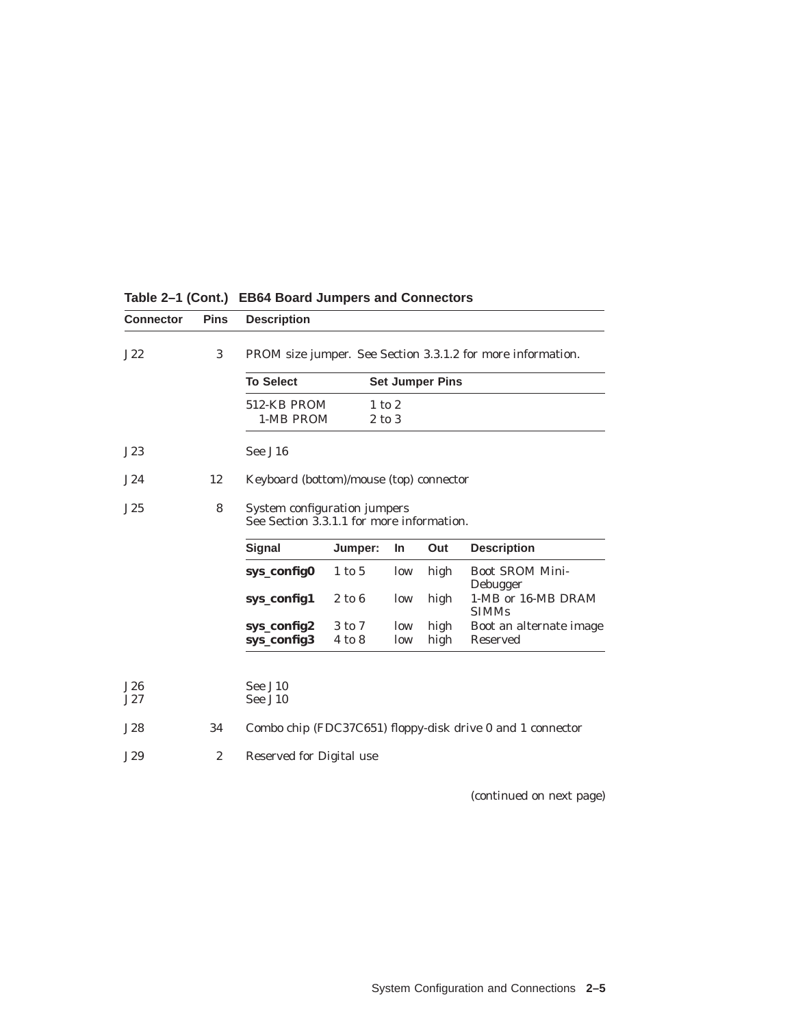| <b>Connector</b> | <b>Pins</b>  | <b>Description</b>                                                        |                                                             |            |                        |                                                            |  |
|------------------|--------------|---------------------------------------------------------------------------|-------------------------------------------------------------|------------|------------------------|------------------------------------------------------------|--|
| J22              | 3            |                                                                           | PROM size jumper. See Section 3.3.1.2 for more information. |            |                        |                                                            |  |
|                  |              | <b>To Select</b>                                                          |                                                             |            | <b>Set Jumper Pins</b> |                                                            |  |
|                  |              | 512-KB PROM                                                               |                                                             | $1$ to $2$ |                        |                                                            |  |
|                  |              | 1-MB PROM                                                                 |                                                             | $2$ to $3$ |                        |                                                            |  |
| J23              |              | See J16                                                                   |                                                             |            |                        |                                                            |  |
| J24              | 12           | Keyboard (bottom)/mouse (top) connector                                   |                                                             |            |                        |                                                            |  |
| J25              | 8            | System configuration jumpers<br>See Section 3.3.1.1 for more information. |                                                             |            |                        |                                                            |  |
|                  |              | <b>Signal</b>                                                             | Jumper:                                                     | <b>In</b>  | Out                    | <b>Description</b>                                         |  |
|                  |              | sys_config0                                                               | $1$ to $5$                                                  | low        | high                   | <b>Boot SROM Mini-</b><br>Debugger                         |  |
|                  |              | sys_config1                                                               | $2$ to $6$                                                  | low        | high                   | 1-MB or 16-MB DRAM<br><b>SIMMs</b>                         |  |
|                  |              | sys_config2                                                               | 3 to 7                                                      | low        | high                   | Boot an alternate image                                    |  |
|                  |              | sys_config3                                                               | 4 to 8                                                      | low        | high                   | <b>Reserved</b>                                            |  |
|                  |              |                                                                           |                                                             |            |                        |                                                            |  |
| J26<br>J27       |              | See J10<br>See J10                                                        |                                                             |            |                        |                                                            |  |
| J28              | 34           |                                                                           |                                                             |            |                        | Combo chip (FDC37C651) floppy-disk drive 0 and 1 connector |  |
|                  |              |                                                                           |                                                             |            |                        |                                                            |  |
| J29              | $\mathbf{2}$ | <b>Reserved for Digital use</b>                                           |                                                             |            |                        |                                                            |  |

# **Table 2–1 (Cont.) EB64 Board Jumpers and Connectors**

(continued on next page)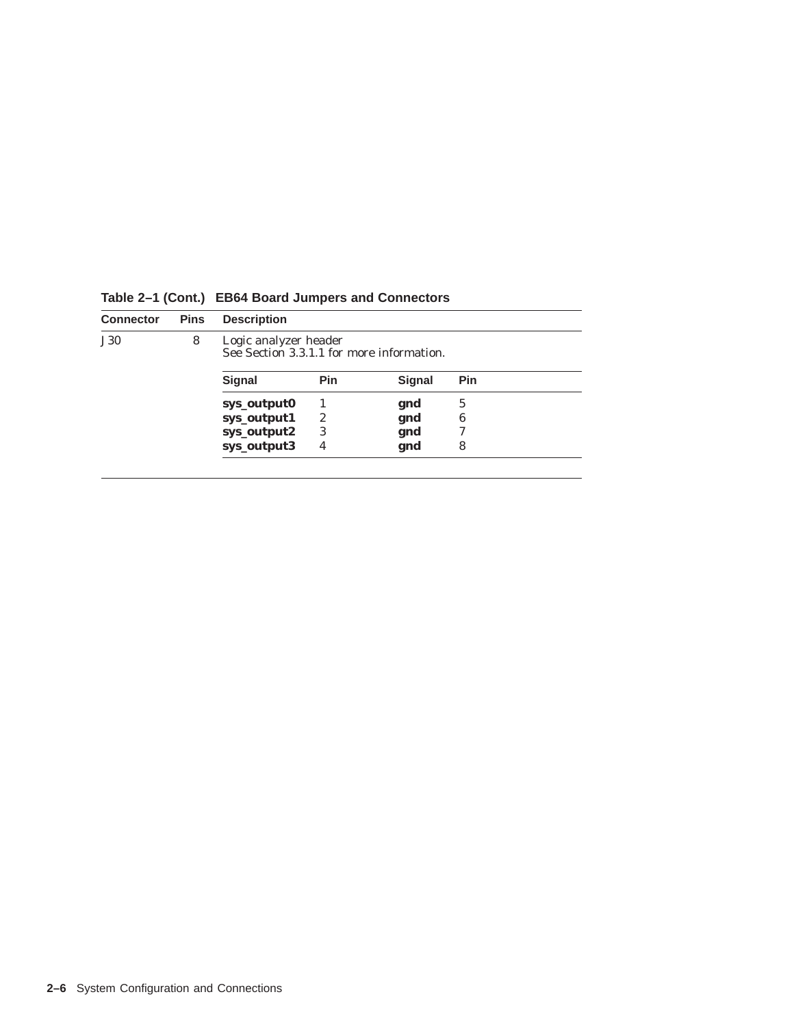| <b>Connector</b> | <b>Pins</b> | <b>Description</b>                                                 |     |        |     |  |  |
|------------------|-------------|--------------------------------------------------------------------|-----|--------|-----|--|--|
| <b>J30</b>       | 8           | Logic analyzer header<br>See Section 3.3.1.1 for more information. |     |        |     |  |  |
|                  |             | Signal                                                             | Pin | Signal | Pin |  |  |
|                  |             | sys_output0                                                        |     | gnd    | 5   |  |  |
|                  |             | sys_output1                                                        | 2   | gnd    | 6   |  |  |
|                  |             | sys_output2                                                        | 3   | gnd    |     |  |  |
|                  |             | sys_output3                                                        | 4   | gnd    | 8   |  |  |
|                  |             |                                                                    |     |        |     |  |  |

**Table 2–1 (Cont.) EB64 Board Jumpers and Connectors**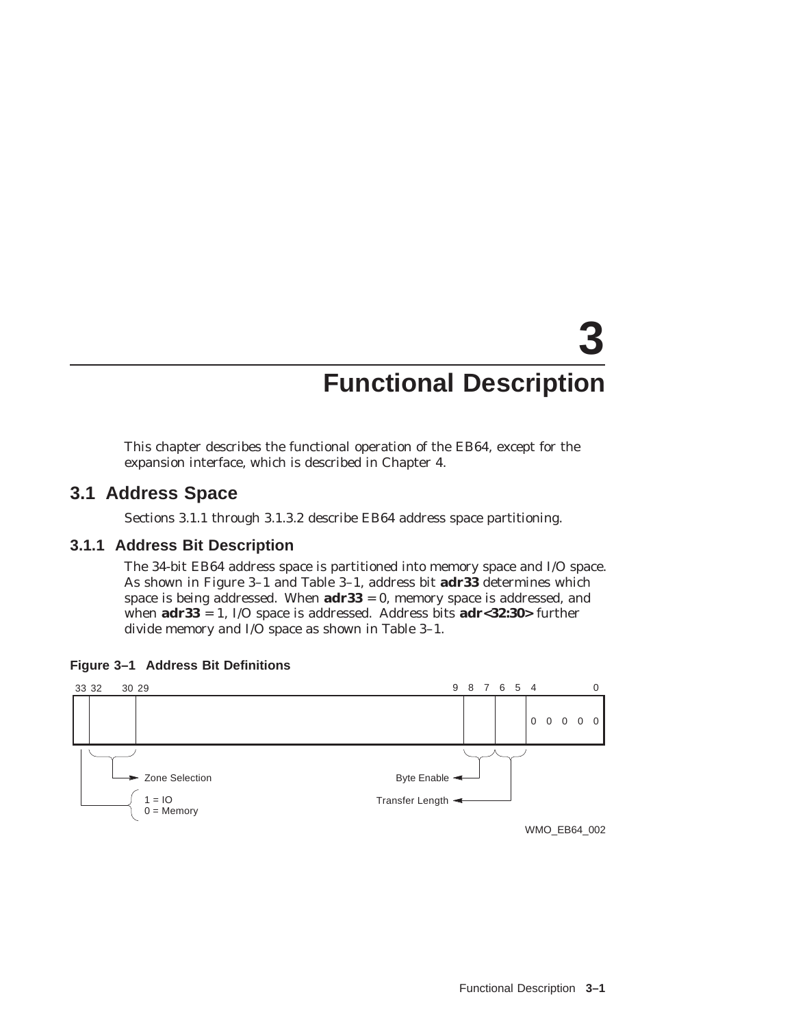# **3 Functional Description**

This chapter describes the functional operation of the EB64, except for the expansion interface, which is described in Chapter 4.

# **3.1 Address Space**

Sections 3.1.1 through 3.1.3.2 describe EB64 address space partitioning.

# **3.1.1 Address Bit Description**

The 34-bit EB64 address space is partitioned into memory space and I/O space. As shown in Figure 3–1 and Table 3–1, address bit **adr33** determines which space is being addressed. When **adr33** = 0, memory space is addressed, and when **adr33** = 1, I/O space is addressed. Address bits **adr<32:30>** further divide memory and I/O space as shown in Table 3–1.





WMO\_EB64\_002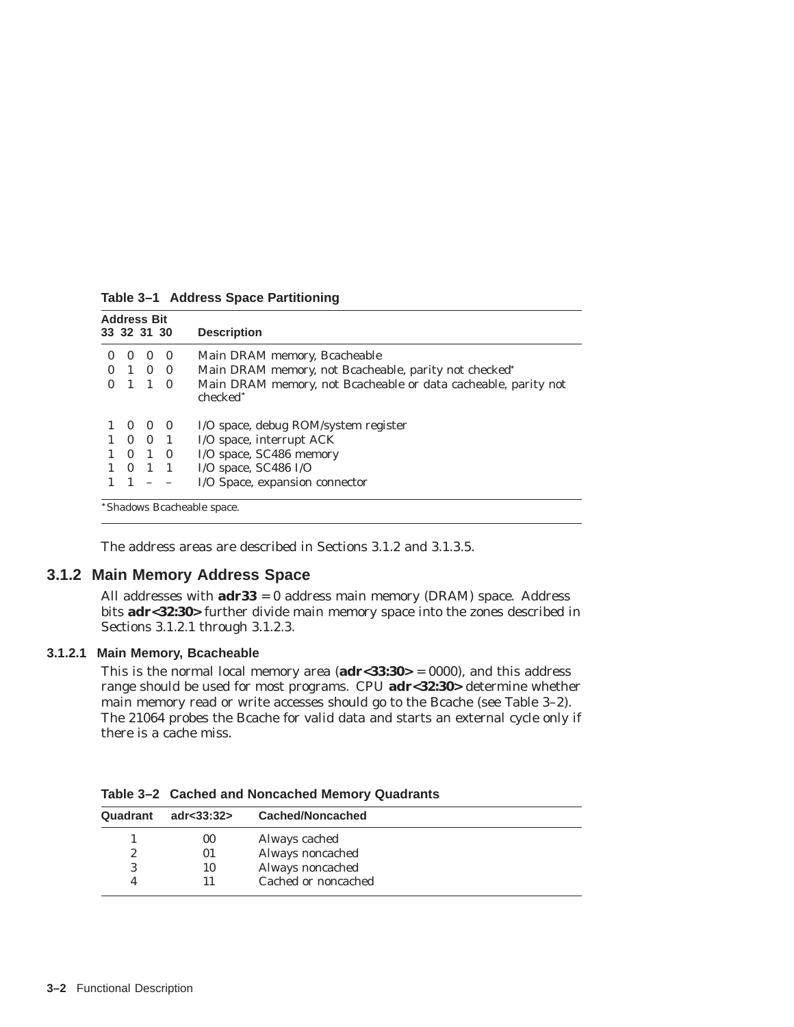|              | <b>Address Bit</b><br>33 32 31 30 |             | <b>Description</b>                                                                     |
|--------------|-----------------------------------|-------------|----------------------------------------------------------------------------------------|
| $\theta$     | $\theta$                          | $\theta$    | Main DRAM memory, Bcacheable                                                           |
| $\mathbf{1}$ |                                   | $0 \quad 0$ | Main DRAM memory, not Bcacheable, parity not checked*                                  |
|              |                                   | $1\quad 0$  | Main DRAM memory, not Bcacheable or data cacheable, parity not<br>checked <sup>*</sup> |
|              | $0\quad 0\quad 0$                 |             | I/O space, debug ROM/system register                                                   |
|              | $1 \t0 \t0 \t1$                   |             | I/O space, interrupt ACK                                                               |
| $\Omega$     |                                   | $1\quad 0$  | I/O space, SC486 memory                                                                |
| $\bf{0}$     |                                   | $1\quad1$   | I/O space, $SC486$ I/O                                                                 |
|              |                                   |             | I/O Space, expansion connector                                                         |

**Table 3–1 Address Space Partitioning**

Shadows Bcacheable space.

The address areas are described in Sections 3.1.2 and 3.1.3.5.

## **3.1.2 Main Memory Address Space**

All addresses with **adr33** = 0 address main memory (DRAM) space. Address bits **adr<32:30>** further divide main memory space into the zones described in Sections 3.1.2.1 through 3.1.2.3.

#### **3.1.2.1 Main Memory, Bcacheable**

This is the normal local memory area (**adr<33:30>** = 0000), and this address range should be used for most programs. CPU **adr<32:30>** determine whether main memory read or write accesses should go to the Bcache (see Table 3–2). The 21064 probes the Bcache for valid data and starts an external cycle only if there is a cache miss.

**Table 3–2 Cached and Noncached Memory Quadrants**

| Quadrant | adr $<$ 33:32 $>$ | Cached/Noncached    |
|----------|-------------------|---------------------|
|          | 00                | Always cached       |
| 2        | 01                | Always noncached    |
|          | 10                | Always noncached    |
|          |                   | Cached or noncached |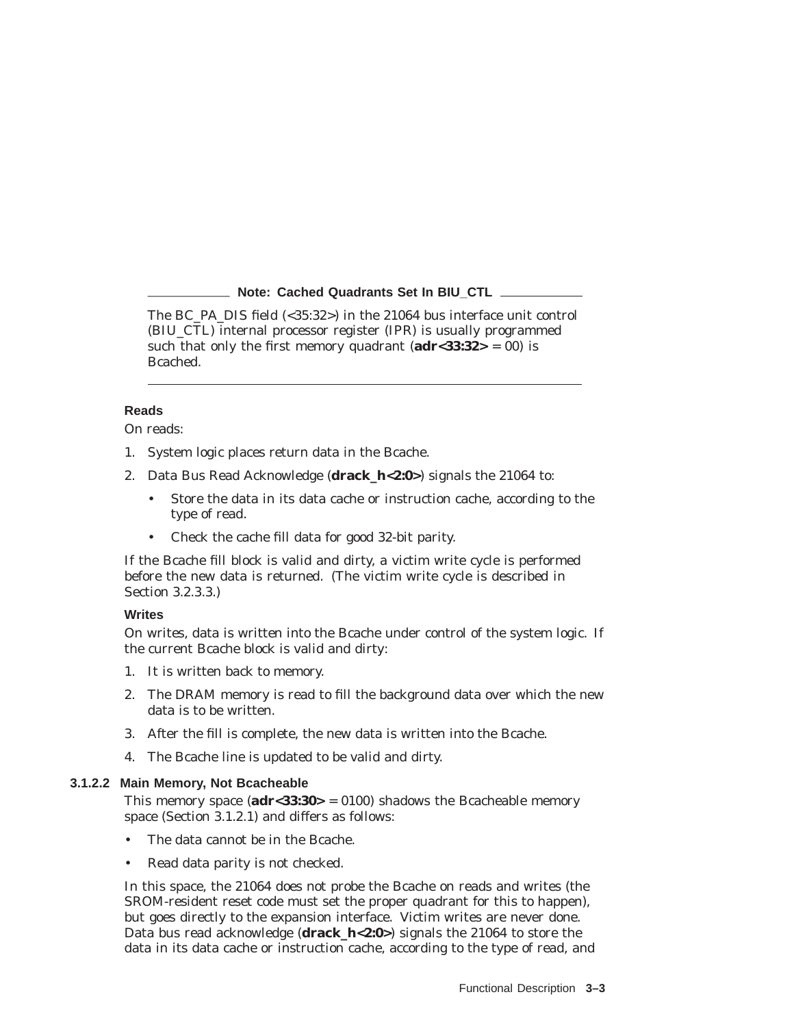#### **Note: Cached Quadrants Set In BIU\_CTL**

The BC\_PA\_DIS field (<35:32>) in the 21064 bus interface unit control (BIU\_CTL) internal processor register (IPR) is usually programmed such that only the first memory quadrant  $(adr < 33:32> = 00)$  is Bcached.

#### **Reads**

On reads:

- 1. System logic places return data in the Bcache.
- 2. Data Bus Read Acknowledge (**drack\_h<2:0>**) signals the 21064 to:
	- Store the data in its data cache or instruction cache, according to the type of read.
	- Check the cache fill data for good 32-bit parity.

If the Bcache fill block is valid and dirty, a victim write cycle is performed before the new data is returned. (The victim write cycle is described in Section 3.2.3.3.)

#### **Writes**

On writes, data is written into the Bcache under control of the system logic. If the current Bcache block is valid and dirty:

- 1. It is written back to memory.
- 2. The DRAM memory is read to fill the background data over which the new data is to be written.
- 3. After the fill is complete, the new data is written into the Bcache.
- 4. The Bcache line is updated to be valid and dirty.

#### **3.1.2.2 Main Memory, Not Bcacheable**

This memory space (**adr<33:30>** = 0100) shadows the Bcacheable memory space (Section 3.1.2.1) and differs as follows:

- The data cannot be in the Bcache.
- Read data parity is not checked.

In this space, the 21064 does not probe the Bcache on reads and writes (the SROM-resident reset code must set the proper quadrant for this to happen), but goes directly to the expansion interface. Victim writes are never done. Data bus read acknowledge (**drack\_h<2:0>**) signals the 21064 to store the data in its data cache or instruction cache, according to the type of read, and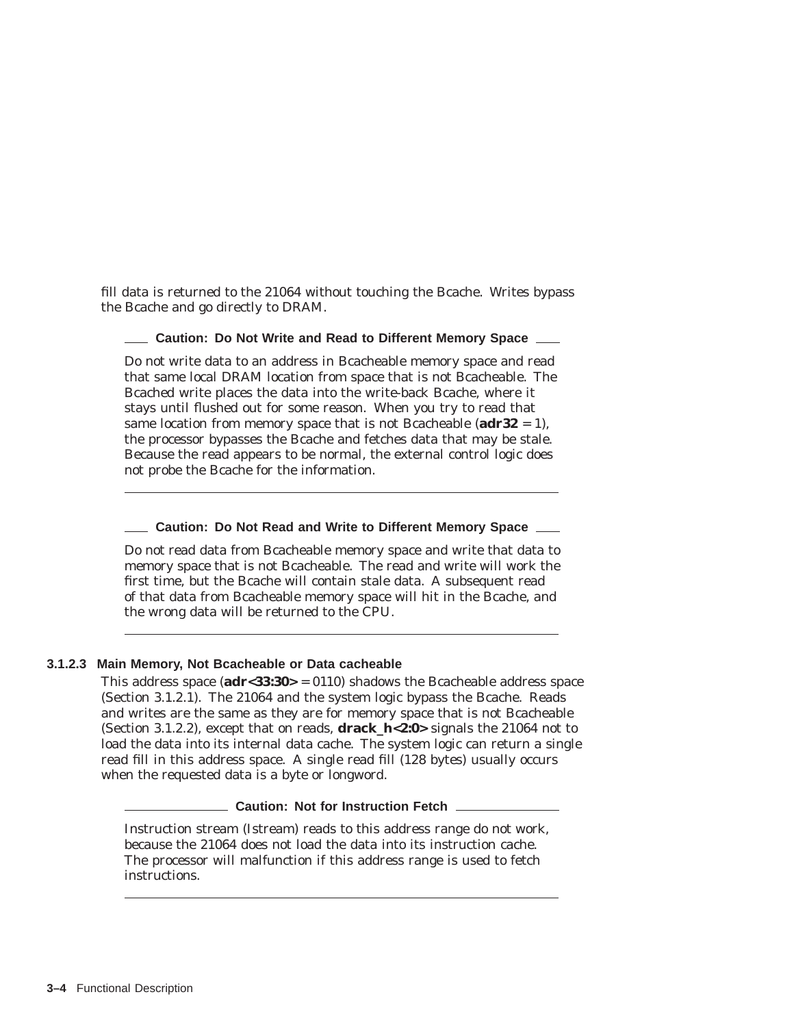fill data is returned to the 21064 without touching the Bcache. Writes bypass the Bcache and go directly to DRAM.

#### **Caution: Do Not Write and Read to Different Memory Space**

Do *not* write data to an address in Bcacheable memory space and read that same local DRAM location from space that is not Bcacheable. The Bcached write places the data into the write-back Bcache, where it stays until flushed out for some reason. When you try to read that same location from memory space that is not Bcacheable (**adr32** = 1), the processor bypasses the Bcache and fetches data that may be stale. Because the read appears to be normal, the external control logic does not probe the Bcache for the information.

#### **Caution: Do Not Read and Write to Different Memory Space**

Do *not* read data from Bcacheable memory space and write that data to memory space that is not Bcacheable. The read and write will work the first time, but the Bcache will contain stale data. A subsequent read of that data from Bcacheable memory space will hit in the Bcache, and the wrong data will be returned to the CPU.

#### **3.1.2.3 Main Memory, Not Bcacheable or Data cacheable**

This address space (**adr<33:30>** = 0110) shadows the Bcacheable address space (Section 3.1.2.1). The 21064 and the system logic bypass the Bcache. Reads and writes are the same as they are for memory space that is not Bcacheable (Section 3.1.2.2), except that on reads, **drack\_h<2:0>** signals the 21064 not to load the data into its internal data cache. The system logic can return a single read fill in this address space. A single read fill (128 bytes) usually occurs when the requested data is a byte or longword.

**Caution: Not for Instruction Fetch**

Instruction stream (Istream) reads to this address range do *not* work, because the 21064 does not load the data into its instruction cache. The processor will malfunction if this address range is used to fetch instructions.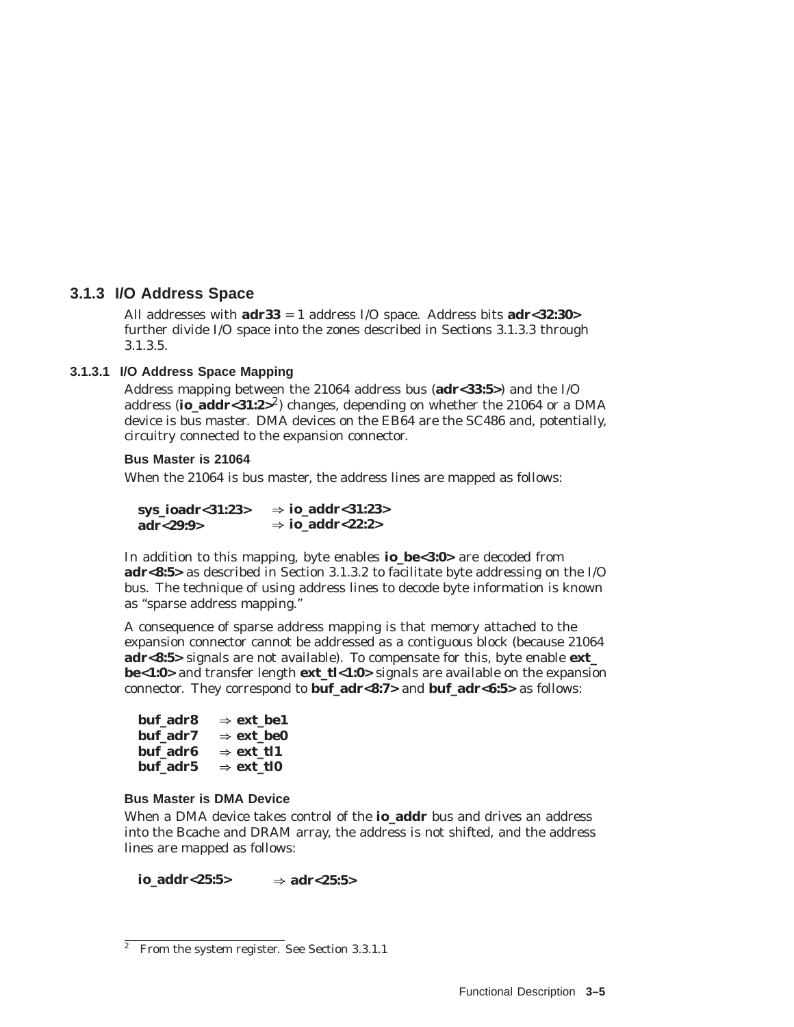# **3.1.3 I/O Address Space**

All addresses with **adr33** = 1 address I/O space. Address bits **adr<32:30>** further divide I/O space into the zones described in Sections 3.1.3.3 through 3.1.3.5.

# **3.1.3.1 I/O Address Space Mapping**

Address mapping between the 21064 address bus (**adr<33:5>**) and the I/O address (**io\_addr<31:2>**2) changes, depending on whether the 21064 or a DMA device is bus master. DMA devices on the EB64 are the SC486 and, potentially, circuitry connected to the expansion connector.

### **Bus Master is 21064**

When the 21064 is bus master, the address lines are mapped as follows:

**sys\_ioadr<31:23> adr<29:9>** ) **io\_addr<31:23>** ) **io\_addr<22:2>**

In addition to this mapping, byte enables **io\_be<3:0>** are decoded from **adr<8:5>** as described in Section 3.1.3.2 to facilitate byte addressing on the I/O bus. The technique of using address lines to decode byte information is known as ''sparse address mapping.''

A consequence of sparse address mapping is that memory attached to the expansion connector cannot be addressed as a contiguous block (because 21064 **adr<8:5>** signals are not available). To compensate for this, byte enable **ext\_ be<1:0>** and transfer length **ext\_tl<1:0>** signals are available on the expansion connector. They correspond to **buf\_adr<8:7>** and **buf\_adr<6:5>** as follows:

| buf adr8 | $\Rightarrow$ ext be1 |
|----------|-----------------------|
| buf adr7 | $\Rightarrow$ ext be0 |
| buf adr6 | $\Rightarrow$ ext tl1 |
| buf adr5 | $\Rightarrow$ ext tl0 |

# **Bus Master is DMA Device**

When a DMA device takes control of the **io\_addr** bus and drives an address into the Bcache and DRAM array, the address is not shifted, and the address lines are mapped as follows:

 $\mathbf{i} \mathbf{o}$ \_addr<25:5> $\Rightarrow$  adr<25:5>

 $\overline{a}$  From the system register. See Section 3.3.1.1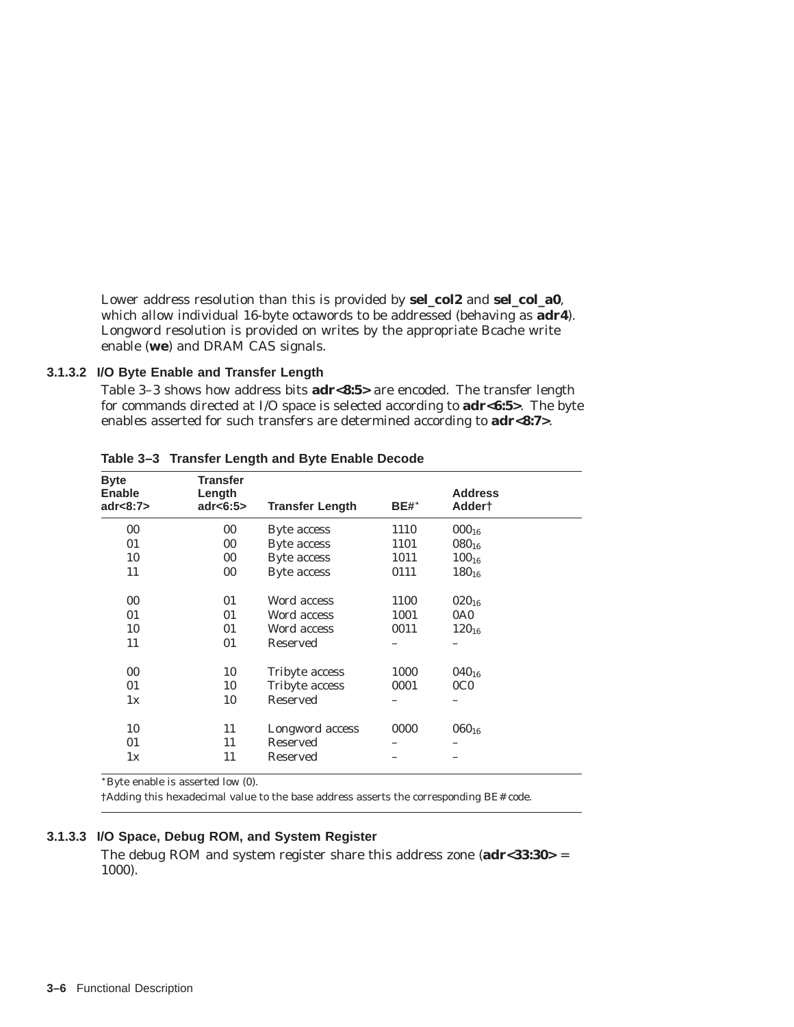Lower address resolution than this is provided by **sel\_col2** and **sel\_col\_a0**, which allow individual 16-byte octawords to be addressed (behaving as **adr4**). Longword resolution is provided on writes by the appropriate Bcache write enable (**we**) and DRAM CAS signals.

## **3.1.3.2 I/O Byte Enable and Transfer Length**

Table 3–3 shows how address bits **adr<8:5>** are encoded. The transfer length for commands directed at I/O space is selected according to **adr<6:5>**. The byte enables asserted for such transfers are determined according to **adr<8:7>**.

| <b>Byte</b><br><b>Enable</b><br>adr $<8:7>$ | <b>Transfer</b><br>Length<br>adr $<6:5>$ | <b>Transfer Length</b> | <b>BE#*</b> | <b>Address</b><br>Adder† |  |
|---------------------------------------------|------------------------------------------|------------------------|-------------|--------------------------|--|
|                                             |                                          |                        |             |                          |  |
| $00\,$                                      | 00                                       | Byte access            | 1110        | $000_{16}$               |  |
| 01                                          | 00                                       | Byte access            | 1101        | $080_{16}$               |  |
| 10                                          | 00                                       | Byte access            | 1011        | $100_{16}$               |  |
| 11                                          | 00                                       | Byte access            | 0111        | $180_{16}$               |  |
| 00                                          | 01                                       | Word access            | 1100        | $020_{16}$               |  |
| 01                                          | 01                                       | Word access            | 1001        | 0A0                      |  |
| 10                                          | 01                                       | Word access            | 0011        | $120_{16}$               |  |
| 11                                          | 01                                       | Reserved               |             |                          |  |
| $00\,$                                      | 10                                       | Tribyte access         | 1000        | $040_{16}$               |  |
| 01                                          | 10                                       | Tribyte access         | 0001        | 0 <sub>CO</sub>          |  |
| 1x                                          | 10                                       | <b>Reserved</b>        |             |                          |  |
| 10                                          | 11                                       | Longword access        | 0000        | $060_{16}$               |  |
| 01                                          | 11                                       | <b>Reserved</b>        |             |                          |  |
| 1x                                          | 11                                       | Reserved               |             |                          |  |

**Table 3–3 Transfer Length and Byte Enable Decode**

Byte enable is asserted low (0).

†Adding this hexadecimal value to the base address asserts the corresponding BE# code.

#### **3.1.3.3 I/O Space, Debug ROM, and System Register**

The debug ROM and system register share this address zone (**adr<33:30>** = 1000).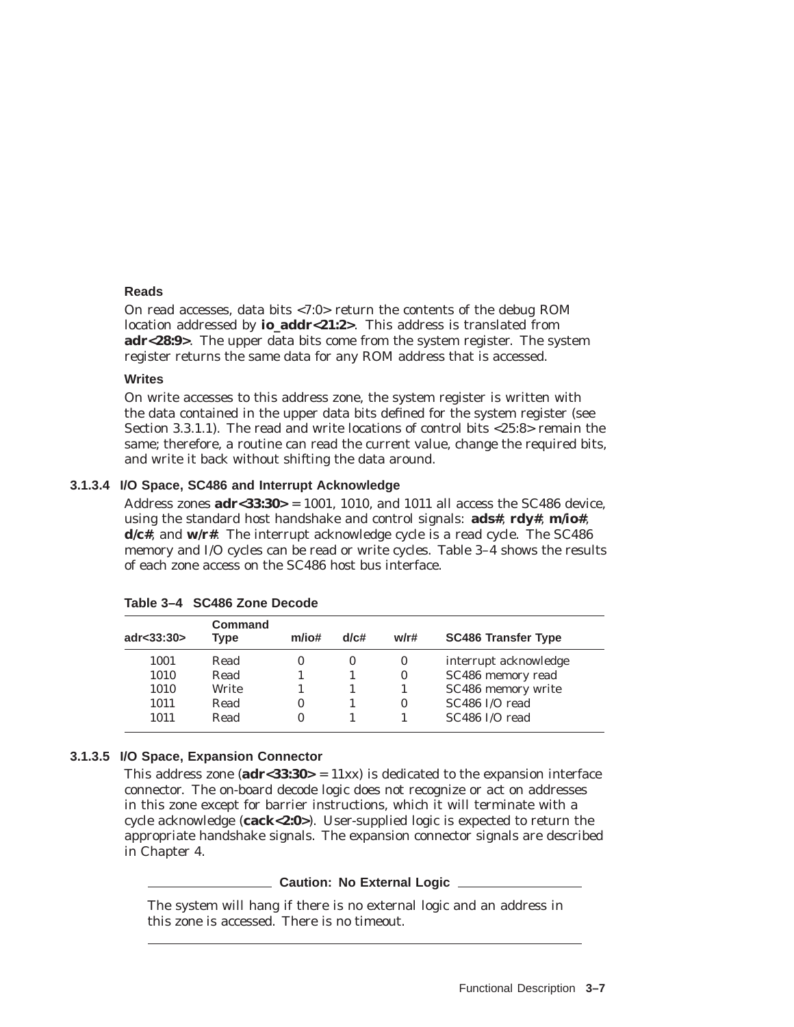### **Reads**

On read accesses, data bits <7:0> return the contents of the debug ROM location addressed by **io\_addr<21:2>**. This address is translated from **adr<28:9>**. The upper data bits come from the system register. The system register returns the same data for any ROM address that is accessed.

#### **Writes**

On write accesses to this address zone, the system register is written with the data contained in the upper data bits defined for the system register (see Section 3.3.1.1). The read and write locations of control bits <25:8> remain the same; therefore, a routine can read the current value, change the required bits, and write it back without shifting the data around.

#### **3.1.3.4 I/O Space, SC486 and Interrupt Acknowledge**

Address zones **adr<33:30>** = 1001, 1010, and 1011 all access the SC486 device, using the standard host handshake and control signals: **ads#**, **rdy#**, **m/io#**, **d/c#**, and **w/r#**. The interrupt acknowledge cycle is a read cycle. The SC486 memory and I/O cycles can be read or write cycles. Table 3–4 shows the results of each zone access on the SC486 host bus interface.

| adr<33:30> | Command<br><b>Type</b> | m/io#    | d/c#     | w/r# | <b>SC486 Transfer Type</b> |
|------------|------------------------|----------|----------|------|----------------------------|
| 1001       | Read                   | 0        | $\theta$ | 0    | interrupt acknowledge      |
| 1010       | Read                   |          |          | 0    | SC486 memory read          |
| 1010       | Write                  |          |          |      | SC486 memory write         |
| 1011       | Read                   | $\bf{0}$ |          | 0    | SC486 I/O read             |
| 1011       | Read                   | $\bf{0}$ |          |      | SC486 I/O read             |

**Table 3–4 SC486 Zone Decode**

# **3.1.3.5 I/O Space, Expansion Connector**

This address zone (**adr<33:30>** = 11xx) is dedicated to the expansion interface connector. The on-board decode logic does not recognize or act on addresses in this zone except for barrier instructions, which it will terminate with a cycle acknowledge (**cack<2:0>**). User-supplied logic is expected to return the appropriate handshake signals. The expansion connector signals are described in Chapter 4.

# **Caution: No External Logic**

The system will hang if there is no external logic and an address in this zone is accessed. There is no timeout.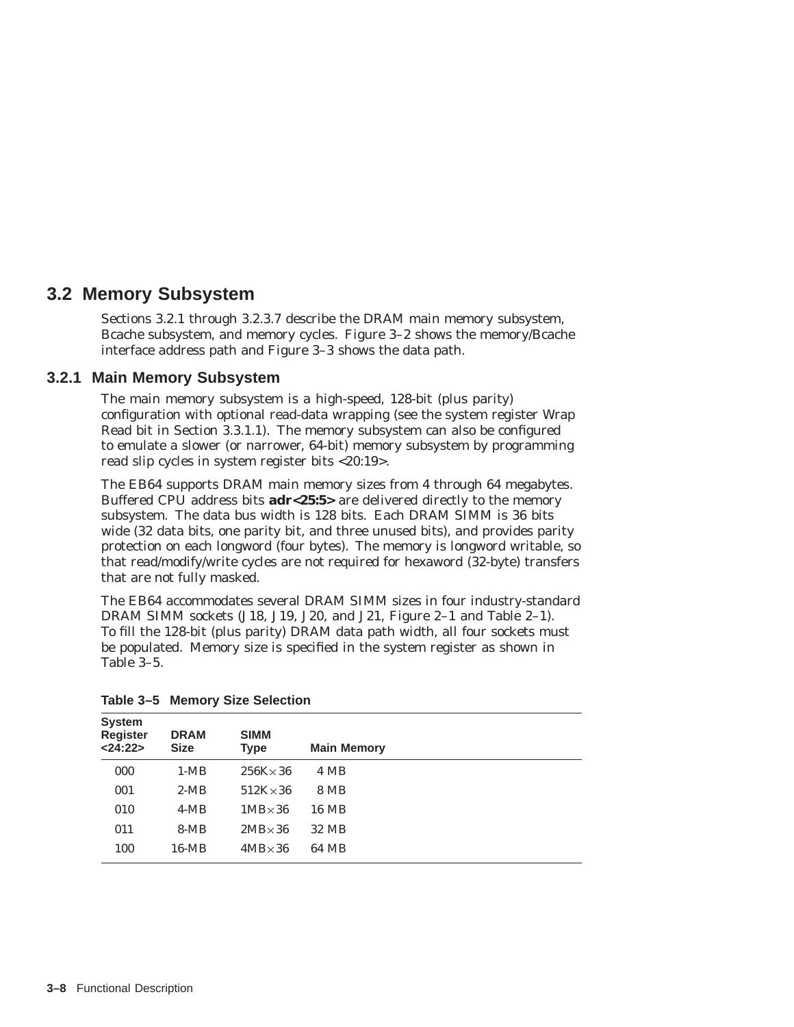# **3.2 Memory Subsystem**

Sections 3.2.1 through 3.2.3.7 describe the DRAM main memory subsystem, Bcache subsystem, and memory cycles. Figure 3–2 shows the memory/Bcache interface address path and Figure 3–3 shows the data path.

# **3.2.1 Main Memory Subsystem**

The main memory subsystem is a high-speed, 128-bit (plus parity) configuration with optional read-data wrapping (see the system register Wrap Read bit in Section 3.3.1.1). The memory subsystem can also be configured to emulate a slower (or narrower, 64-bit) memory subsystem by programming read slip cycles in system register bits <20:19>.

The EB64 supports DRAM main memory sizes from 4 through 64 megabytes. Buffered CPU address bits **adr<25:5>** are delivered directly to the memory subsystem. The data bus width is 128 bits. Each DRAM SIMM is 36 bits wide (32 data bits, one parity bit, and three unused bits), and provides parity protection on each longword (four bytes). The memory is longword writable, so that read/modify/write cycles are *not* required for hexaword (32-byte) transfers that are not fully masked.

The EB64 accommodates several DRAM SIMM sizes in four industry-standard DRAM SIMM sockets (J18, J19, J20, and J21, Figure 2–1 and Table 2–1). To fill the 128-bit (plus parity) DRAM data path width, all four sockets must be populated. Memory size is specified in the system register as shown in Table 3–5.

| <b>System</b><br><b>Register</b><br>< 24:22> | <b>DRAM</b><br><b>Size</b> | <b>SIMM</b><br><b>Type</b> | <b>Main Memory</b> |  |
|----------------------------------------------|----------------------------|----------------------------|--------------------|--|
| 000                                          | $1-MB$                     | $256K \times 36$           | 4 MB               |  |
| 001                                          | $2-MB$                     | $512K \times 36$           | 8 MB               |  |
| 010                                          | $4-MB$                     | $1MB \times 36$            | 16 MB              |  |
| 011                                          | $8-MB$                     | $2MB \times 36$            | 32 MB              |  |
| 100                                          | $16-MB$                    | $4MB \times 36$            | 64 MB              |  |

**Table 3–5 Memory Size Selection**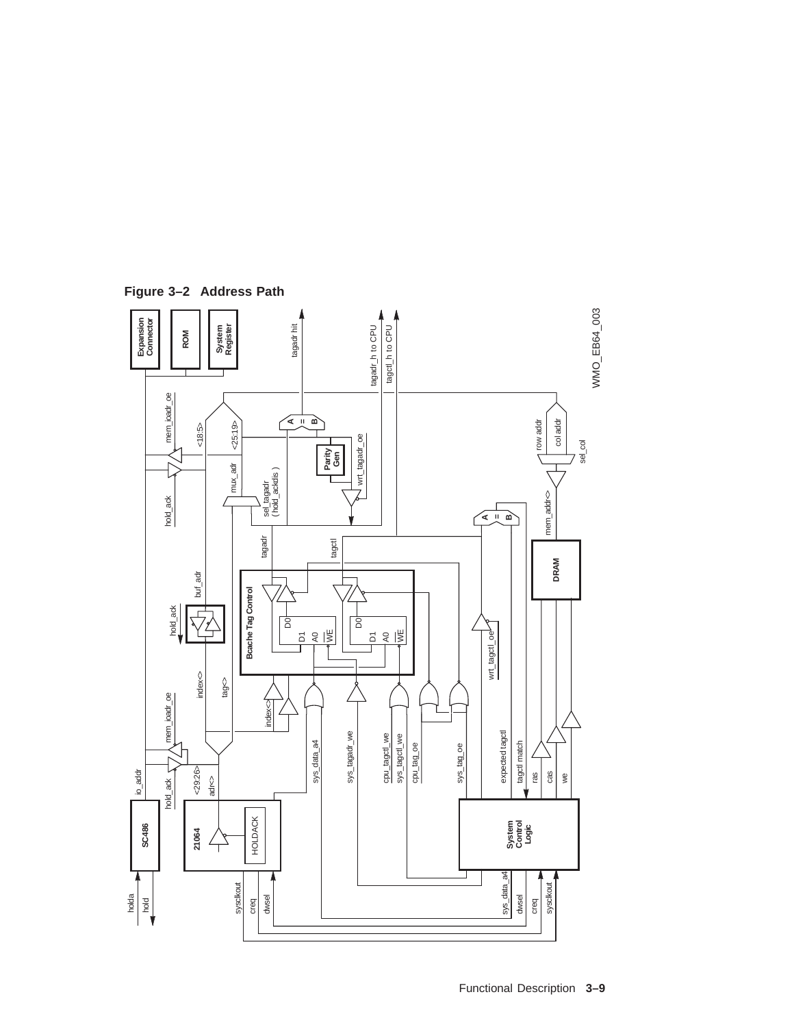

**Figure 3–2 Address Path**

Functional Description **3–9**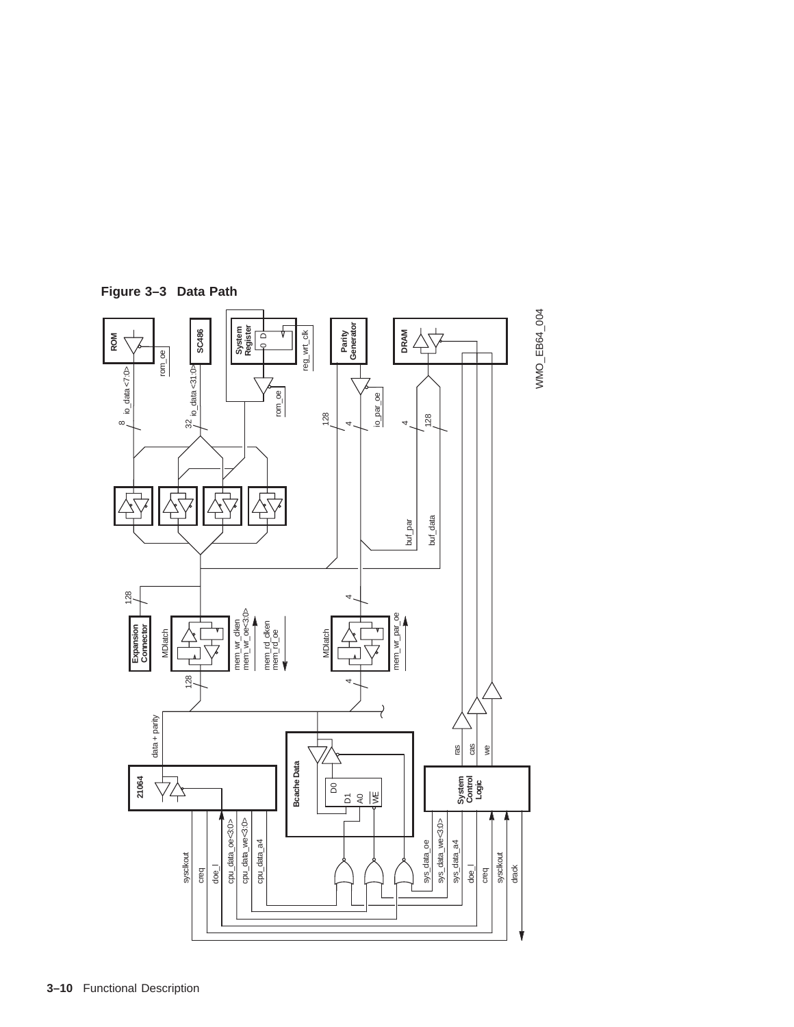

**Figure 3–3 Data Path**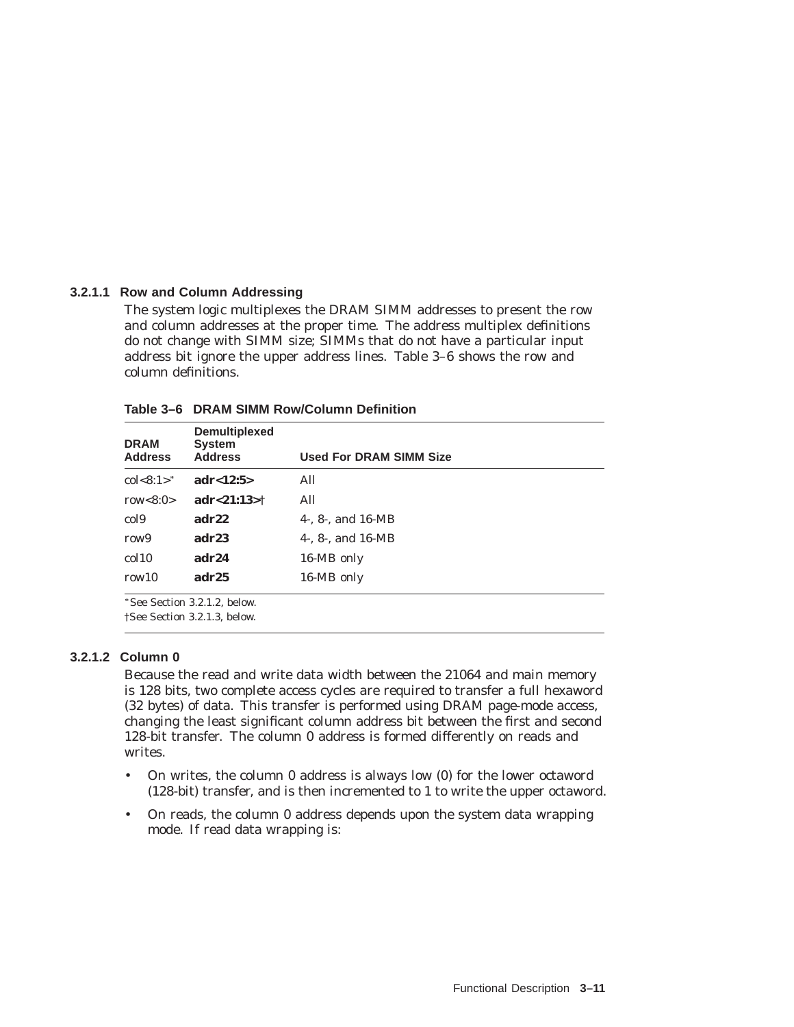#### **3.2.1.1 Row and Column Addressing**

The system logic multiplexes the DRAM SIMM addresses to present the row and column addresses at the proper time. The address multiplex definitions do not change with SIMM size; SIMMs that do not have a particular input address bit ignore the upper address lines. Table 3–6 shows the row and column definitions.

| <b>DRAM</b><br><b>Address</b> | <b>Demultiplexed</b><br><b>System</b><br><b>Address</b> | <b>Used For DRAM SIMM Size</b> |
|-------------------------------|---------------------------------------------------------|--------------------------------|
| $col < 8:1 >^*$               | adr < 12:5>                                             | All                            |
| row $<8:0>$                   | adr < 21:13>†                                           | All                            |
| col <sub>9</sub>              | adr22                                                   | 4-. $8$ -. and $16-MB$         |
| row <sub>9</sub>              | adr23                                                   | 4-. $8$ -. and $16-MB$         |
| $\text{col}10$                | adr24                                                   | 16-MB only                     |
| row10                         | adr25                                                   | 16-MB only                     |

**Table 3–6 DRAM SIMM Row/Column Definition**

†See Section 3.2.1.3, below.

# **3.2.1.2 Column 0**

Because the read and write data width between the 21064 and main memory is 128 bits, two complete access cycles are required to transfer a full hexaword (32 bytes) of data. This transfer is performed using DRAM page-mode access, changing the least significant column address bit between the first and second 128-bit transfer. The column 0 address is formed differently on reads and writes.

- On writes, the column 0 address is always low (0) for the lower octaword (128-bit) transfer, and is then incremented to 1 to write the upper octaword.
- On reads, the column 0 address depends upon the system data wrapping mode. If read data wrapping is: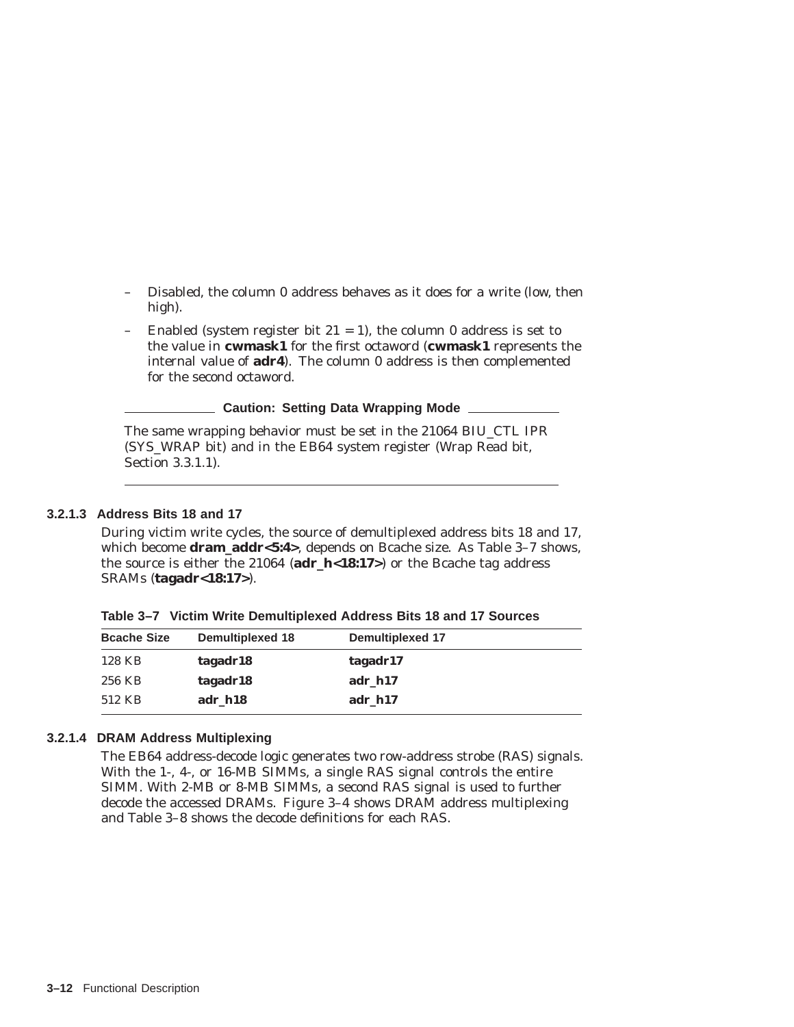- Disabled, the column 0 address behaves as it does for a write (low, then high).
- Enabled (system register bit  $21 = 1$ ), the column 0 address is set to the value in **cwmask1** for the first octaword (**cwmask1** represents the internal value of **adr4**). The column 0 address is then complemented for the second octaword.

**Caution: Setting Data Wrapping Mode**

The same wrapping behavior must be set in the 21064 BIU\_CTL IPR (SYS\_WRAP bit) and in the EB64 system register (Wrap Read bit, Section 3.3.1.1).

#### **3.2.1.3 Address Bits 18 and 17**

During victim write cycles, the source of demultiplexed address bits 18 and 17, which become **dram\_addr<5:4>**, depends on Bcache size. As Table 3–7 shows, the source is either the 21064 (**adr\_h<18:17>**) or the Bcache tag address SRAMs (**tagadr<18:17>**).

| Table 3-7 Victim Write Demultiplexed Address Bits 18 and 17 Sources |  |
|---------------------------------------------------------------------|--|
|---------------------------------------------------------------------|--|

| <b>Bcache Size</b> | <b>Demultiplexed 18</b> | <b>Demultiplexed 17</b> |  |
|--------------------|-------------------------|-------------------------|--|
| 128 KB             | tagadr18                | tagadr17                |  |
| 256 KB             | tagadr18                | adr h17                 |  |
| 512 KB             | adr h18                 | adr h17                 |  |

#### **3.2.1.4 DRAM Address Multiplexing**

The EB64 address-decode logic generates two row-address strobe (RAS) signals. With the 1-, 4-, or 16-MB SIMMs, a single RAS signal controls the entire SIMM. With 2-MB or 8-MB SIMMs, a second RAS signal is used to further decode the accessed DRAMs. Figure 3–4 shows DRAM address multiplexing and Table 3–8 shows the decode definitions for each RAS.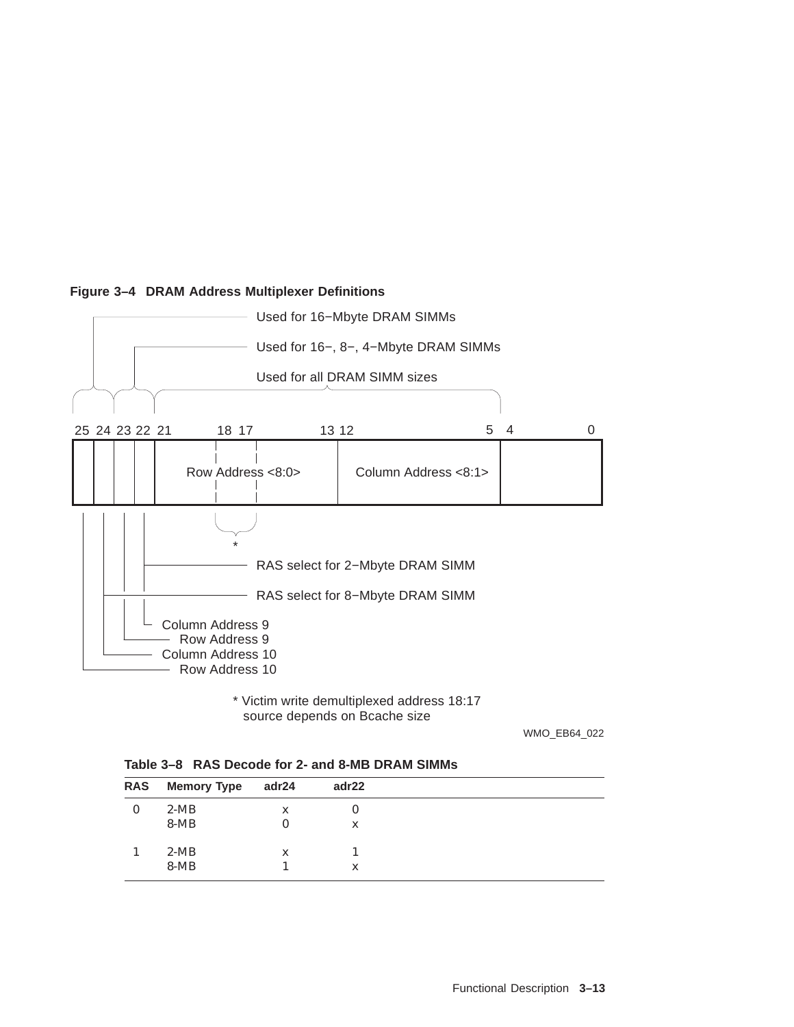

# **Figure 3–4 DRAM Address Multiplexer Definitions**

source depends on Bcache size \* Victim write demultiplexed address 18:17

WMO\_EB64\_022

| Table 3-8 RAS Decode for 2- and 8-MB DRAM SIMMs |  |
|-------------------------------------------------|--|
|                                                 |  |

| <b>RAS</b> | <b>Memory Type</b> | adr24 | adr22 |  |
|------------|--------------------|-------|-------|--|
| 0          | $2-MB$             | X     | υ     |  |
|            | $8-MB$             |       | X     |  |
|            | $2-MB$             | X     |       |  |
|            | $8-MB$             |       | X     |  |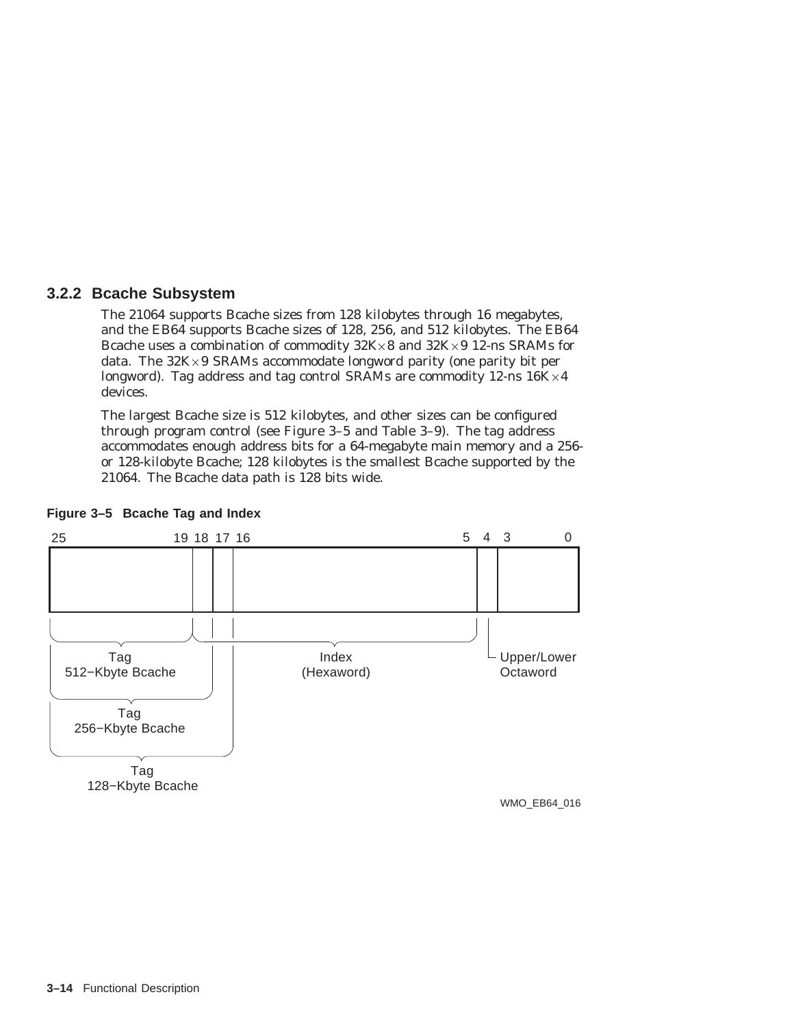# **3.2.2 Bcache Subsystem**

The 21064 supports Bcache sizes from 128 kilobytes through 16 megabytes, and the EB64 supports Bcache sizes of 128, 256, and 512 kilobytes. The EB64 Bcache uses a combination of commodity 32K×8 and 32K×9 12-ns SRAMs for data. The 32K×9 SRAMs accommodate longword parity (one parity bit per longword). Tag address and tag control SRAMs are commodity 12-ns  $16K\times4$ devices.

The largest Bcache size is 512 kilobytes, and other sizes can be configured through program control (see Figure 3–5 and Table 3–9). The tag address accommodates enough address bits for a 64-megabyte main memory and a 256 or 128-kilobyte Bcache; 128 kilobytes is the smallest Bcache supported by the 21064. The Bcache data path is 128 bits wide.



## **Figure 3–5 Bcache Tag and Index**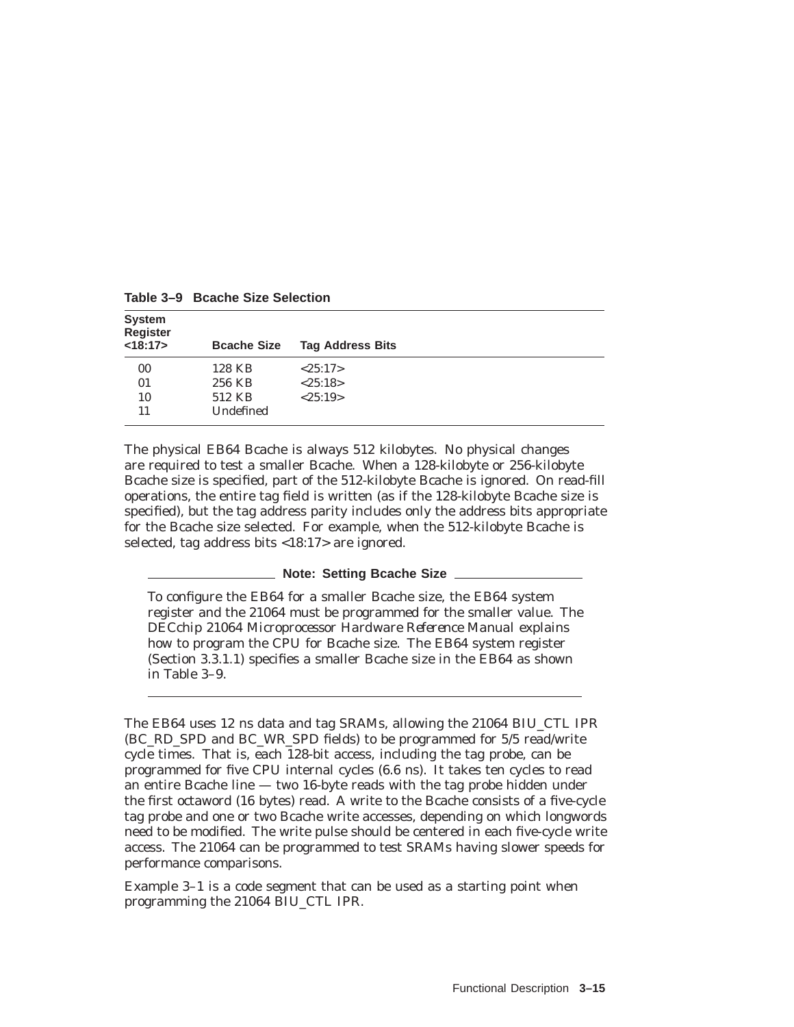| <b>System</b><br><b>Register</b> |                    |                         |
|----------------------------------|--------------------|-------------------------|
| <18:17>                          | <b>Bcache Size</b> | <b>Tag Address Bits</b> |
| 00                               | 128 KB             | <25:17>                 |
| 01                               | 256 KB             | <25:18>                 |
| 10                               | 512 KB             | <25:19>                 |
| 11                               | Undefined          |                         |

**Table 3–9 Bcache Size Selection**

The physical EB64 Bcache is always 512 kilobytes. No physical changes are required to test a smaller Bcache. When a 128-kilobyte or 256-kilobyte Bcache size is specified, part of the 512-kilobyte Bcache is ignored. On read-fill operations, the entire tag field is written (as if the 128-kilobyte Bcache size is specified), but the tag address parity includes only the address bits appropriate for the Bcache size selected. For example, when the 512-kilobyte Bcache is selected, tag address bits <18:17> are ignored.

#### **Note: Setting Bcache Size**

To configure the EB64 for a smaller Bcache size, the EB64 system register and the 21064 must be programmed for the smaller value. The *DECchip 21064 Microprocessor Hardware Reference Manual* explains how to program the CPU for Bcache size. The EB64 system register (Section 3.3.1.1) specifies a smaller Bcache size in the EB64 as shown in Table 3–9.

The EB64 uses 12 ns data and tag SRAMs, allowing the 21064 BIU\_CTL IPR (BC\_RD\_SPD and BC\_WR\_SPD fields) to be programmed for 5/5 read/write cycle times. That is, each 128-bit access, including the tag probe, can be programmed for five CPU internal cycles (6.6 ns). It takes ten cycles to read an entire Bcache line — two 16-byte reads with the tag probe hidden under the first octaword (16 bytes) read. A write to the Bcache consists of a five-cycle tag probe and one or two Bcache write accesses, depending on which longwords need to be modified. The write pulse should be centered in each five-cycle write access. The 21064 can be programmed to test SRAMs having slower speeds for performance comparisons.

Example 3–1 is a code segment that can be used as a starting point when programming the 21064 BIU\_CTL IPR.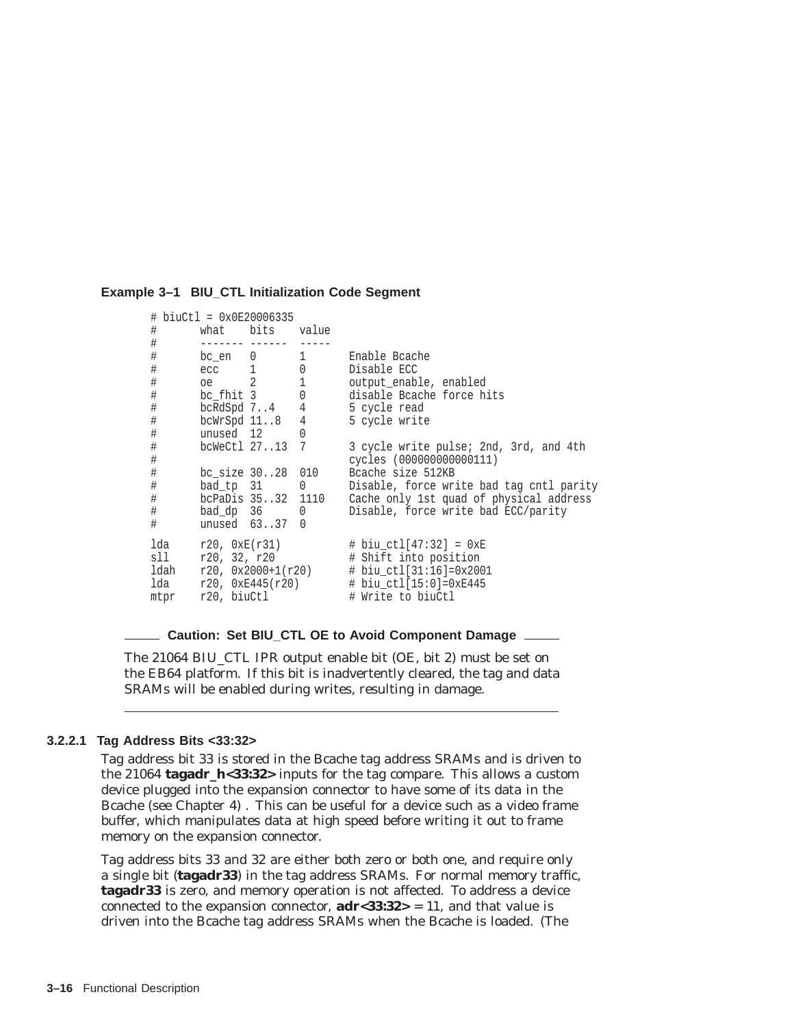#### **Example 3–1 BIU\_CTL Initialization Code Segment**

```
# biuCtl = 0x0E20006335
# what bits value<br># ---------------------
# ------- ------ -----
# bc_en 0 1 Enable Bcache
# ecc 1 0 Disable ECC
# oe 2 1 output_enable, enabled
# bc_fhit 3 0 disable Bcache force hits
# bcRdSpd 7..4 4 5 cycle read
# bcWrSpd 11..8 4 5 cycle write
# unused 12 0
# bcWeCtl 27..13 7 3 cycle write pulse; 2nd, 3rd, and 4th
# cycles (000000000000111)
# bc_size 30..28 010 Bcache size 512KB
# bad_tp 31 0 Disable, force write bad tag cntl parity
# bcPaDis 35..32 1110 Cache only 1st quad of physical address
# bad_dp 36 0 Disable, force write bad ECC/parity
# unused 63..37 0
lda r20, 0xE(r31) # biu_ctl[47:32] = 0xE<br>sll r20, 32, r20 # Shift into position
sll r20, 32, r20 # Shift into position
1dah r20, 0x2000+1(r20) # biu_ctl[31:16]=0x2001<br>1da r20, 0xE445(r20) # biu_ctl[15:0]=0xE445
      r20, 0xE445(r20) # biu_ctl[15:0]=0xE445<br>r20, biuctl # Write to biuCtl
mtpr r20, biuCtl # Write to biuCtl
```
#### **Caution: Set BIU\_CTL OE to Avoid Component Damage**

The 21064 BIU\_CTL IPR output enable bit (OE, bit 2) *must* be set on the EB64 platform. If this bit is inadvertently cleared, the tag and data SRAMs will be enabled during writes, resulting in damage.

#### **3.2.2.1 Tag Address Bits <33:32>**

Tag address bit 33 is stored in the Bcache tag address SRAMs and is driven to the 21064 **tagadr\_h<33:32>** inputs for the tag compare. This allows a custom device plugged into the expansion connector to have some of its data in the Bcache (see Chapter 4) . This can be useful for a device such as a video frame buffer, which manipulates data at high speed before writing it out to frame memory on the expansion connector.

Tag address bits 33 and 32 are either both zero or both one, and require only a single bit (**tagadr33**) in the tag address SRAMs. For normal memory traffic, **tagadr33** is zero, and memory operation is not affected. To address a device connected to the expansion connector,  $\text{adr} < 33:32> = 11$ , and that value is driven into the Bcache tag address SRAMs when the Bcache is loaded. (The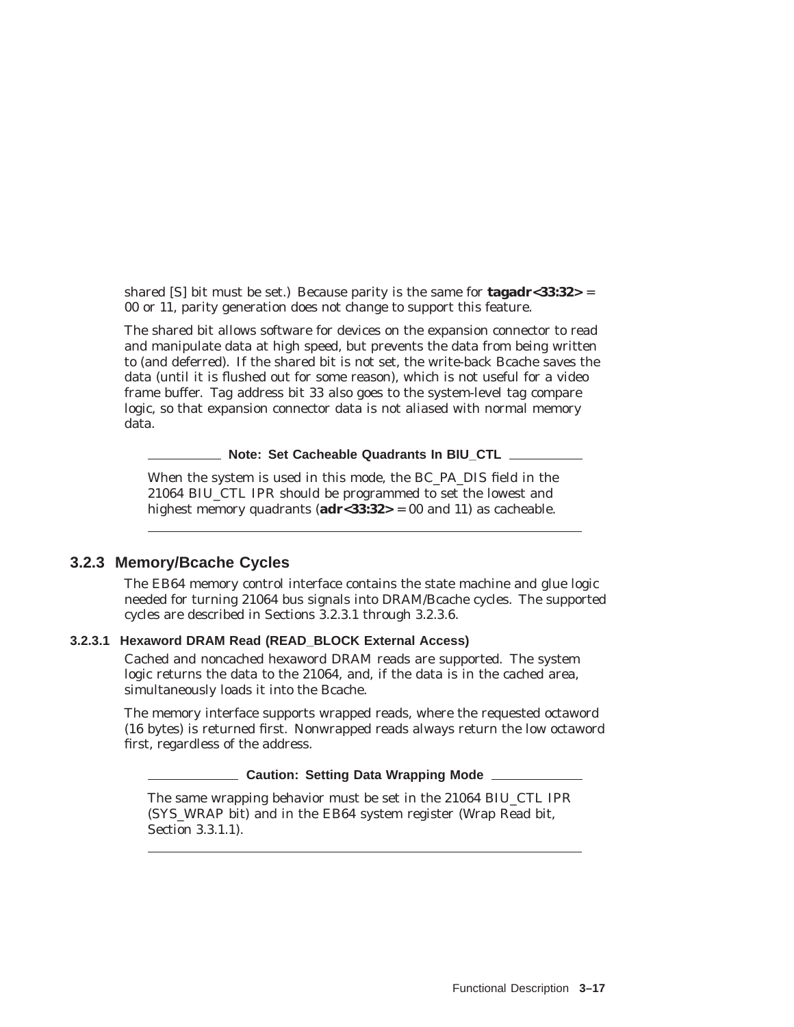shared [S] bit must be set.) Because parity is the same for **tagadr<33:32>** = 00 or 11, parity generation does not change to support this feature.

The shared bit allows software for devices on the expansion connector to read and manipulate data at high speed, but prevents the data from being written to (and deferred). If the shared bit is not set, the write-back Bcache saves the data (until it is flushed out for some reason), which is not useful for a video frame buffer. Tag address bit 33 also goes to the system-level tag compare logic, so that expansion connector data is not aliased with normal memory data.

**Note: Set Cacheable Quadrants In BIU CTL** 

When the system is used in this mode, the BC\_PA\_DIS field in the 21064 BIU\_CTL IPR should be programmed to set the lowest and highest memory quadrants (**adr<33:32>** = 00 and 11) as cacheable.

#### **3.2.3 Memory/Bcache Cycles**

The EB64 memory control interface contains the state machine and glue logic needed for turning 21064 bus signals into DRAM/Bcache cycles. The supported cycles are described in Sections 3.2.3.1 through 3.2.3.6.

## **3.2.3.1 Hexaword DRAM Read (READ\_BLOCK External Access)**

Cached and noncached hexaword DRAM reads are supported. The system logic returns the data to the 21064, and, if the data is in the cached area, simultaneously loads it into the Bcache.

The memory interface supports wrapped reads, where the requested octaword (16 bytes) is returned first. Nonwrapped reads always return the low octaword first, regardless of the address.

#### **Caution: Setting Data Wrapping Mode**

The same wrapping behavior must be set in the 21064 BIU\_CTL IPR (SYS\_WRAP bit) and in the EB64 system register (Wrap Read bit, Section 3.3.1.1).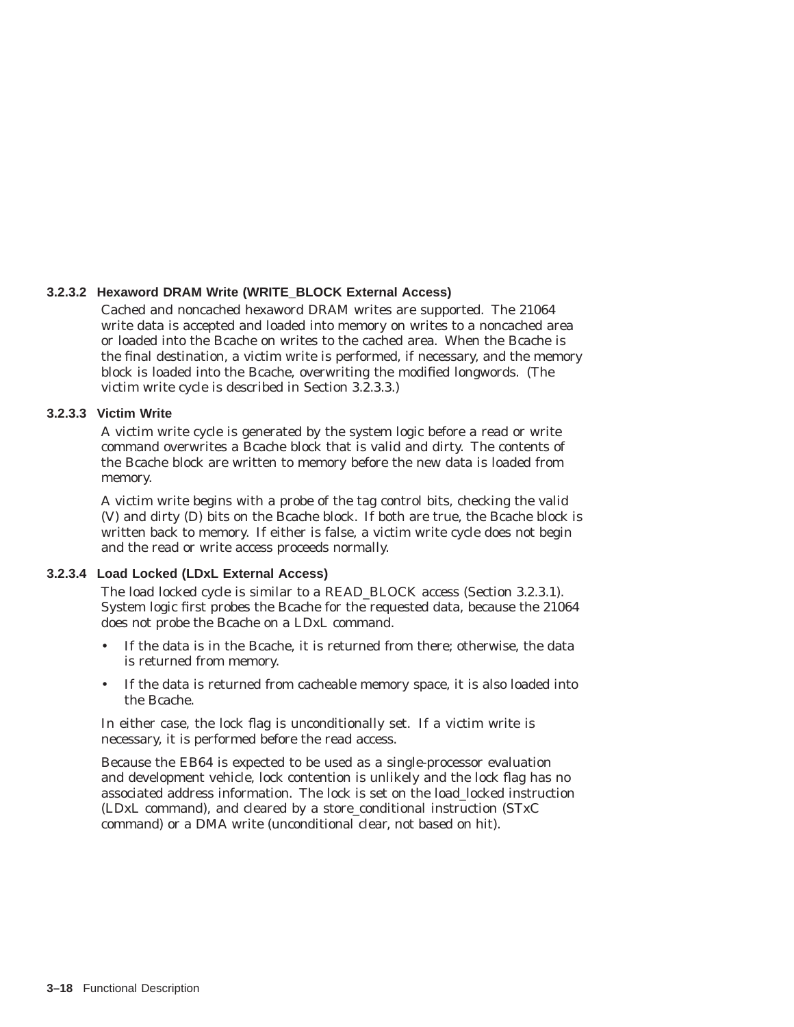#### **3.2.3.2 Hexaword DRAM Write (WRITE\_BLOCK External Access)**

Cached and noncached hexaword DRAM writes are supported. The 21064 write data is accepted and loaded into memory on writes to a noncached area or loaded into the Bcache on writes to the cached area. When the Bcache is the final destination, a victim write is performed, if necessary, and the memory block is loaded into the Bcache, overwriting the modified longwords. (The victim write cycle is described in Section 3.2.3.3.)

#### **3.2.3.3 Victim Write**

A victim write cycle is generated by the system logic before a read or write command overwrites a Bcache block that is valid and dirty. The contents of the Bcache block are written to memory before the new data is loaded from memory.

A victim write begins with a probe of the tag control bits, checking the valid (V) and dirty (D) bits on the Bcache block. If both are true, the Bcache block is written back to memory. If either is false, a victim write cycle does not begin and the read or write access proceeds normally.

# **3.2.3.4 Load Locked (LDxL External Access)**

The load locked cycle is similar to a READ\_BLOCK access (Section 3.2.3.1). System logic first probes the Bcache for the requested data, because the 21064 does not probe the Bcache on a LDxL command.

- If the data is in the Bcache, it is returned from there; otherwise, the data is returned from memory.
- If the data is returned from cacheable memory space, it is also loaded into the Bcache.

In either case, the lock flag is unconditionally set. If a victim write is necessary, it is performed before the read access.

Because the EB64 is expected to be used as a single-processor evaluation and development vehicle, lock contention is unlikely and the lock flag has no associated address information. The lock is set on the load\_locked instruction (LDxL command), and cleared by a store\_conditional instruction (STxC command) or a DMA write (unconditional clear, not based on hit).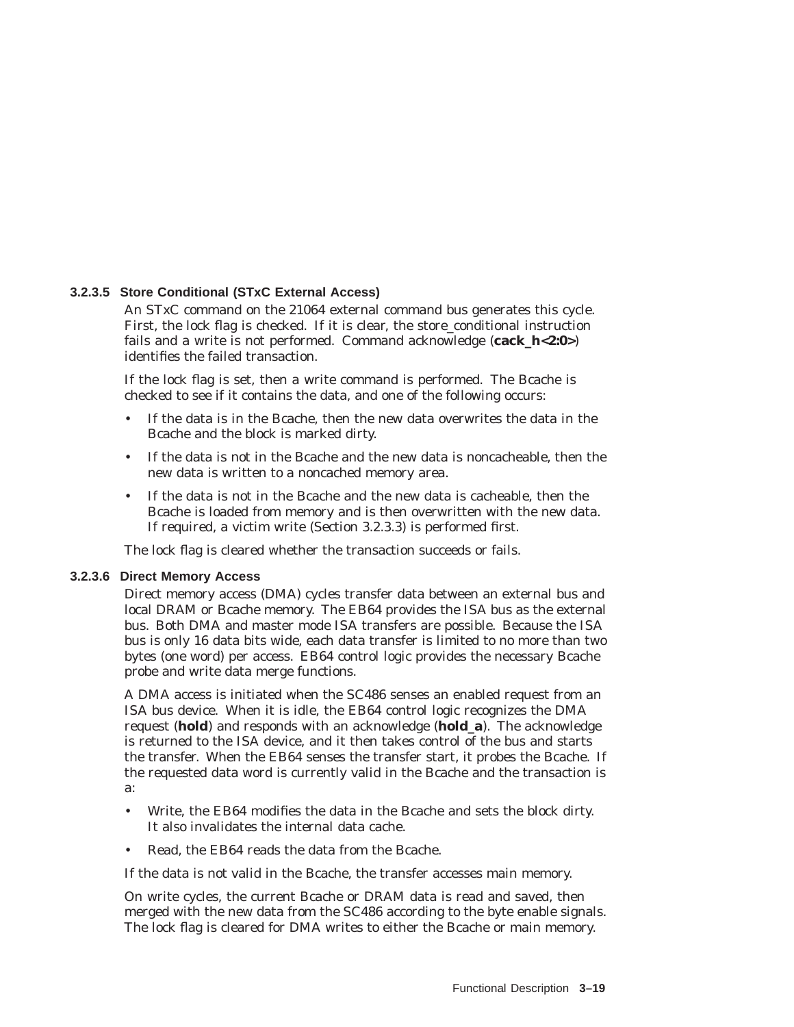#### **3.2.3.5 Store Conditional (STxC External Access)**

An STxC command on the 21064 external command bus generates this cycle. First, the lock flag is checked. If it is clear, the store\_conditional instruction fails and a write is not performed. Command acknowledge (**cack\_h<2:0>**) identifies the failed transaction.

If the lock flag is set, then a write command is performed. The Bcache is checked to see if it contains the data, and one of the following occurs:

- If the data is in the Bcache, then the new data overwrites the data in the Bcache and the block is marked dirty.
- If the data is not in the Bcache and the new data is noncacheable, then the new data is written to a noncached memory area.
- If the data is not in the Bcache and the new data is cacheable, then the Bcache is loaded from memory and is then overwritten with the new data. If required, a victim write (Section 3.2.3.3) is performed first.

The lock flag is cleared whether the transaction succeeds or fails.

#### **3.2.3.6 Direct Memory Access**

Direct memory access (DMA) cycles transfer data between an external bus and local DRAM or Bcache memory. The EB64 provides the ISA bus as the external bus. Both DMA and master mode ISA transfers are possible. Because the ISA bus is only 16 data bits wide, each data transfer is limited to no more than two bytes (one word) per access. EB64 control logic provides the necessary Bcache probe and write data merge functions.

A DMA access is initiated when the SC486 senses an enabled request from an ISA bus device. When it is idle, the EB64 control logic recognizes the DMA request (**hold**) and responds with an acknowledge (**hold\_a**). The acknowledge is returned to the ISA device, and it then takes control of the bus and starts the transfer. When the EB64 senses the transfer start, it probes the Bcache. If the requested data word is currently valid in the Bcache and the transaction is a:

- Write, the EB64 modifies the data in the Bcache and sets the block dirty. It also invalidates the internal data cache.
- Read, the EB64 reads the data from the Bcache.

If the data is not valid in the Bcache, the transfer accesses main memory.

On write cycles, the current Bcache or DRAM data is read and saved, then merged with the new data from the SC486 according to the byte enable signals. The lock flag is cleared for DMA writes to either the Bcache or main memory.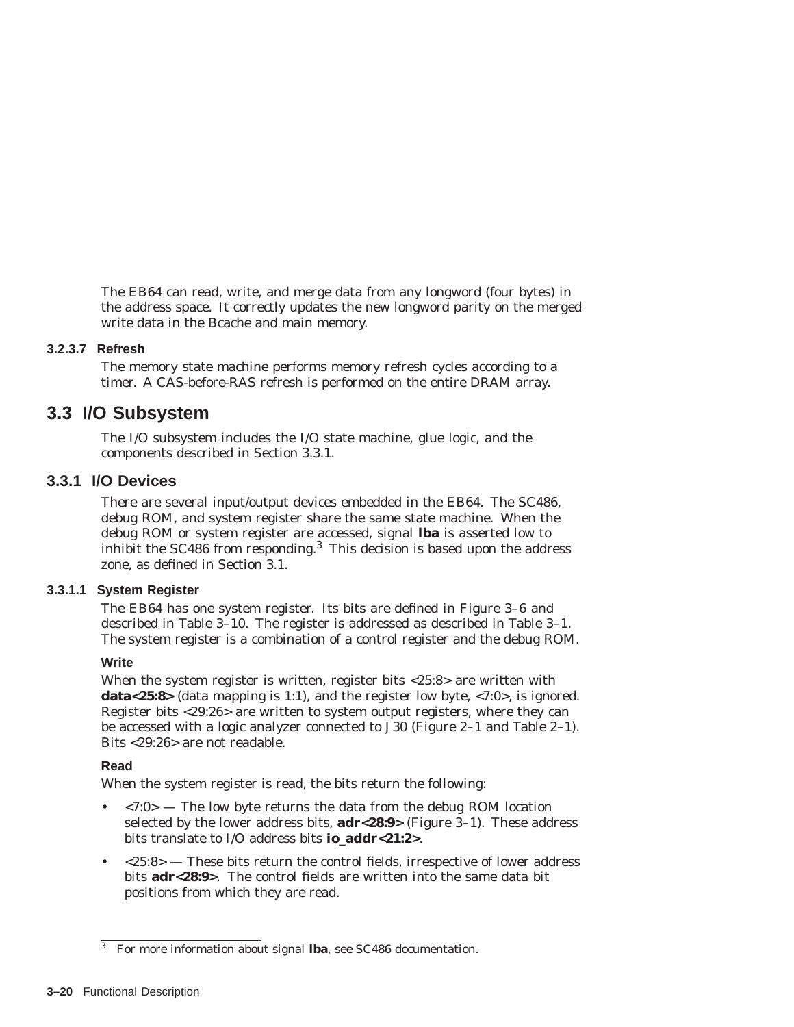The EB64 can read, write, and merge data from any longword (four bytes) in the address space. It correctly updates the new longword parity on the merged write data in the Bcache and main memory.

#### **3.2.3.7 Refresh**

The memory state machine performs memory refresh cycles according to a timer. A CAS-before-RAS refresh is performed on the entire DRAM array.

# **3.3 I/O Subsystem**

The I/O subsystem includes the I/O state machine, glue logic, and the components described in Section 3.3.1.

# **3.3.1 I/O Devices**

There are several input/output devices embedded in the EB64. The SC486, debug ROM, and system register share the same state machine. When the debug ROM or system register are accessed, signal **lba** is asserted low to inhibit the  $SC486$  from responding.<sup>3</sup> This decision is based upon the address zone, as defined in Section 3.1.

#### **3.3.1.1 System Register**

The EB64 has one system register. Its bits are defined in Figure 3–6 and described in Table 3–10. The register is addressed as described in Table 3–1. The system register is a combination of a control register and the debug ROM.

#### **Write**

When the system register is written, register bits <25:8> are written with **data<25:8>** (data mapping is 1:1), and the register low byte, <7:0>, is ignored. Register bits <29:26> are written to system output registers, where they can be accessed with a logic analyzer connected to J30 (Figure 2–1 and Table 2–1). Bits <29:26> are not readable.

#### **Read**

When the system register is read, the bits return the following:

- $\langle 7:0 \rangle$  The low byte returns the data from the debug ROM location selected by the lower address bits, **adr<28:9>** (Figure 3–1). These address bits translate to I/O address bits **io\_addr<21:2>**.
- $\langle 25:8 \rangle$  These bits return the control fields, irrespective of lower address bits **adr<28:9>**. The control fields are written into the same data bit positions from which they are read.

<sup>3</sup> For more information about signal **lba**, see SC486 documentation.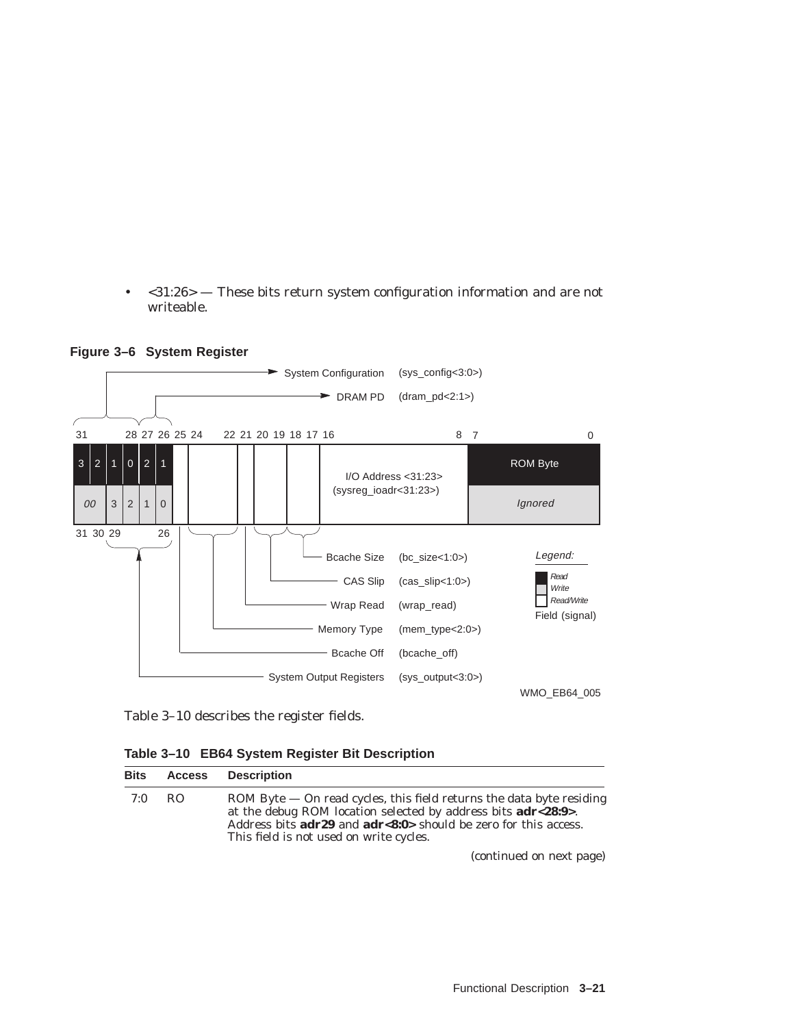• <31:26> — These bits return system configuration information and are not writeable.



**Figure 3–6 System Register**

Table 3–10 describes the register fields.

| Table 3-10 EB64 System Register Bit Description |
|-------------------------------------------------|
|-------------------------------------------------|

| Bits | Access | Description                                                                                                                                                                                                                                                                                    |
|------|--------|------------------------------------------------------------------------------------------------------------------------------------------------------------------------------------------------------------------------------------------------------------------------------------------------|
| 7:0  | RO.    | ROM Byte $-$ On read cycles, this field returns the data byte residing<br>at the debug ROM location selected by address bits <b>adr&lt;28:9</b> >.<br>Address bits $\text{adr29}$ and $\text{adr}$ < $\text{8:0}$ > should be zero for this access.<br>This field is not used on write cycles. |
|      |        | (continued on nort nage)                                                                                                                                                                                                                                                                       |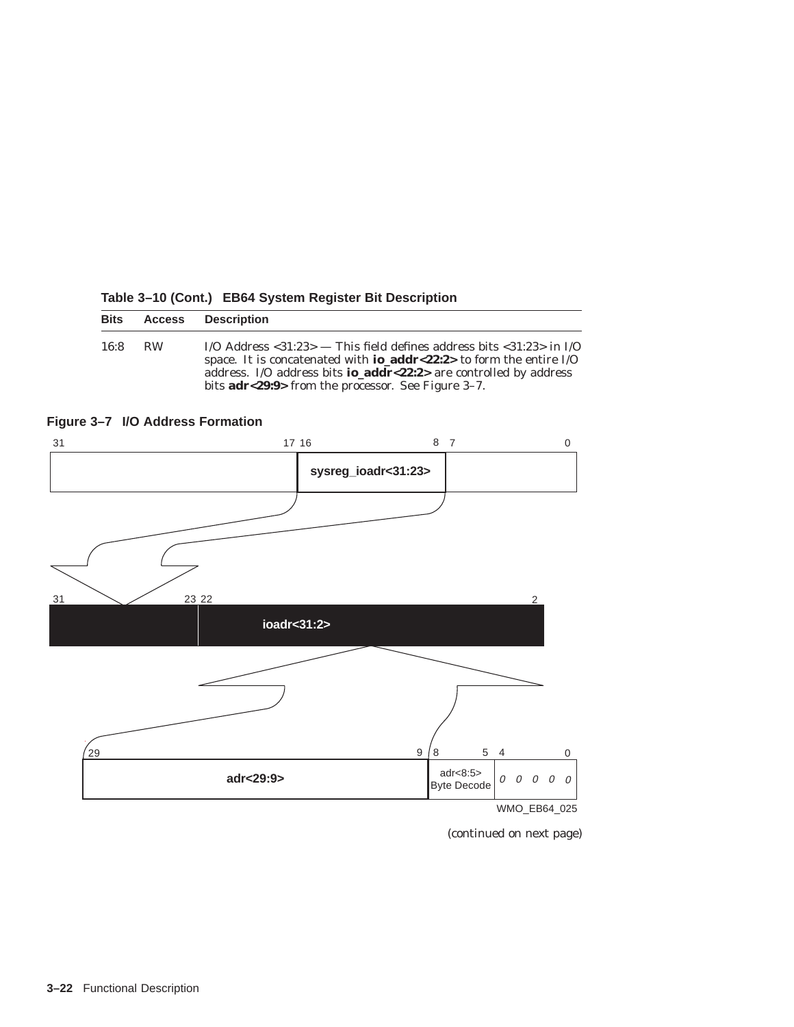| <b>Bits</b> | <b>Access</b> | <b>Description</b>                                                                                                                                                                                                                                                                                                               |
|-------------|---------------|----------------------------------------------------------------------------------------------------------------------------------------------------------------------------------------------------------------------------------------------------------------------------------------------------------------------------------|
| 16:8        | <b>RW</b>     | I/O Address $\langle 31:23 \rangle$ — This field defines address bits $\langle 31:23 \rangle$ in I/O<br>space. It is concatenated with <b>io_addr</b> <22:2> to form the entire $I/O$<br>address. I/O address bits <b>io_addr</b> <22:2> are controlled by address<br>bits <b>adr</b> <29:9> from the processor. See Figure 3–7. |

**Table 3–10 (Cont.) EB64 System Register Bit Description**





<sup>(</sup>continued on next page)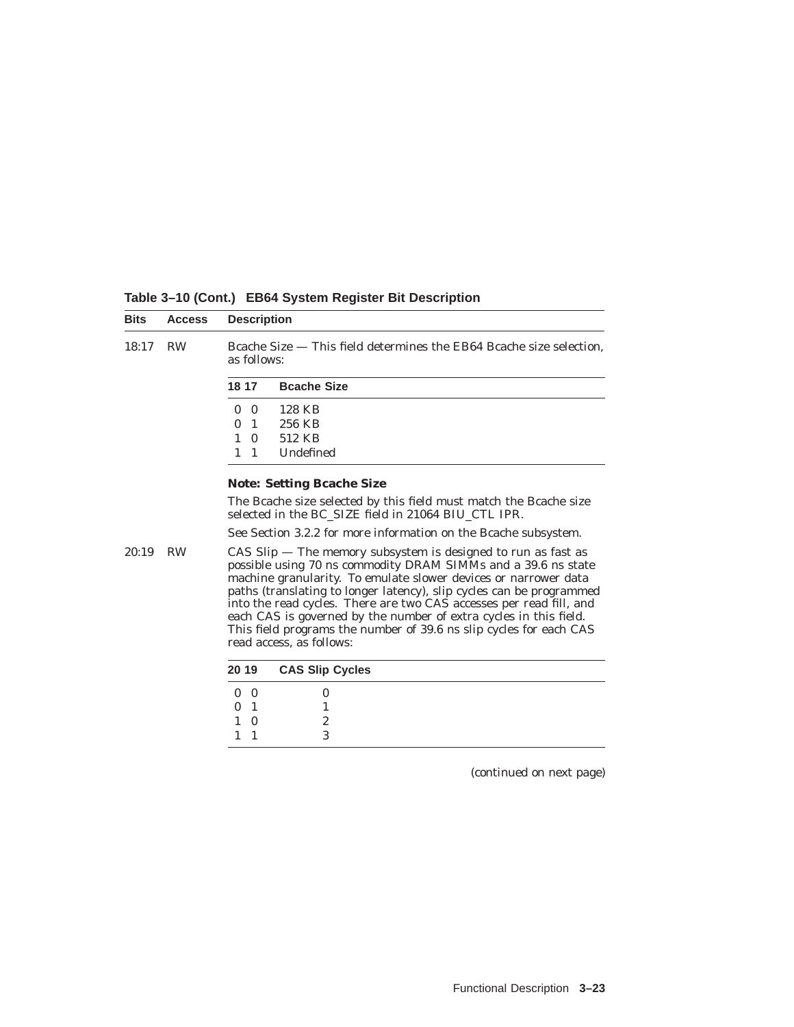| <b>Bits</b>                      | <b>Access</b> | <b>Description</b>                                                                                                                                                                                                                                                                                                                                                                                                                                                                                                          |
|----------------------------------|---------------|-----------------------------------------------------------------------------------------------------------------------------------------------------------------------------------------------------------------------------------------------------------------------------------------------------------------------------------------------------------------------------------------------------------------------------------------------------------------------------------------------------------------------------|
| 18:17                            | <b>RW</b>     | Bcache Size $-$ This field determines the EB64 Bcache size selection,<br>as follows:                                                                                                                                                                                                                                                                                                                                                                                                                                        |
|                                  |               | 18 17<br><b>Bcache Size</b>                                                                                                                                                                                                                                                                                                                                                                                                                                                                                                 |
|                                  |               | 128 KB<br>$\mathbf{0}$<br>$\mathbf{0}$                                                                                                                                                                                                                                                                                                                                                                                                                                                                                      |
|                                  |               | 256 KB<br>$\Omega$<br>-1                                                                                                                                                                                                                                                                                                                                                                                                                                                                                                    |
|                                  |               | 512 KB<br>$\mathbf{1}$<br>$\Omega$                                                                                                                                                                                                                                                                                                                                                                                                                                                                                          |
|                                  |               | Undefined<br>$1 \quad 1$                                                                                                                                                                                                                                                                                                                                                                                                                                                                                                    |
| <b>Note: Setting Beache Size</b> |               |                                                                                                                                                                                                                                                                                                                                                                                                                                                                                                                             |
|                                  |               | The Bcache size selected by this field must match the Bcache size<br>selected in the BC SIZE field in 21064 BIU CTL IPR.                                                                                                                                                                                                                                                                                                                                                                                                    |
|                                  |               | See Section 3.2.2 for more information on the Beache subsystem.                                                                                                                                                                                                                                                                                                                                                                                                                                                             |
| 20:19                            | <b>RW</b>     | $CAS$ Slip $-$ The memory subsystem is designed to run as fast as<br>possible using 70 ns commodity DRAM SIMMs and a 39.6 ns state<br>machine granularity. To emulate slower devices or narrower data<br>paths (translating to longer latency), slip cycles can be programmed<br>into the read cycles. There are two CAS accesses per read fill, and<br>each CAS is governed by the number of extra cycles in this field.<br>This field programs the number of 39.6 ns slip cycles for each CAS<br>read access, as follows: |
|                                  |               | 20 19<br><b>CAS Slip Cycles</b>                                                                                                                                                                                                                                                                                                                                                                                                                                                                                             |
|                                  |               | $\bf{0}$<br>$\bf{0}$<br>$\theta$                                                                                                                                                                                                                                                                                                                                                                                                                                                                                            |
|                                  |               | $\mathbf{0}$<br>-1<br>1                                                                                                                                                                                                                                                                                                                                                                                                                                                                                                     |
|                                  |               | 2<br>$\mathbf{1}$<br>$\Omega$                                                                                                                                                                                                                                                                                                                                                                                                                                                                                               |
|                                  |               | 3<br>1<br>1                                                                                                                                                                                                                                                                                                                                                                                                                                                                                                                 |

**Table 3–10 (Cont.) EB64 System Register Bit Description**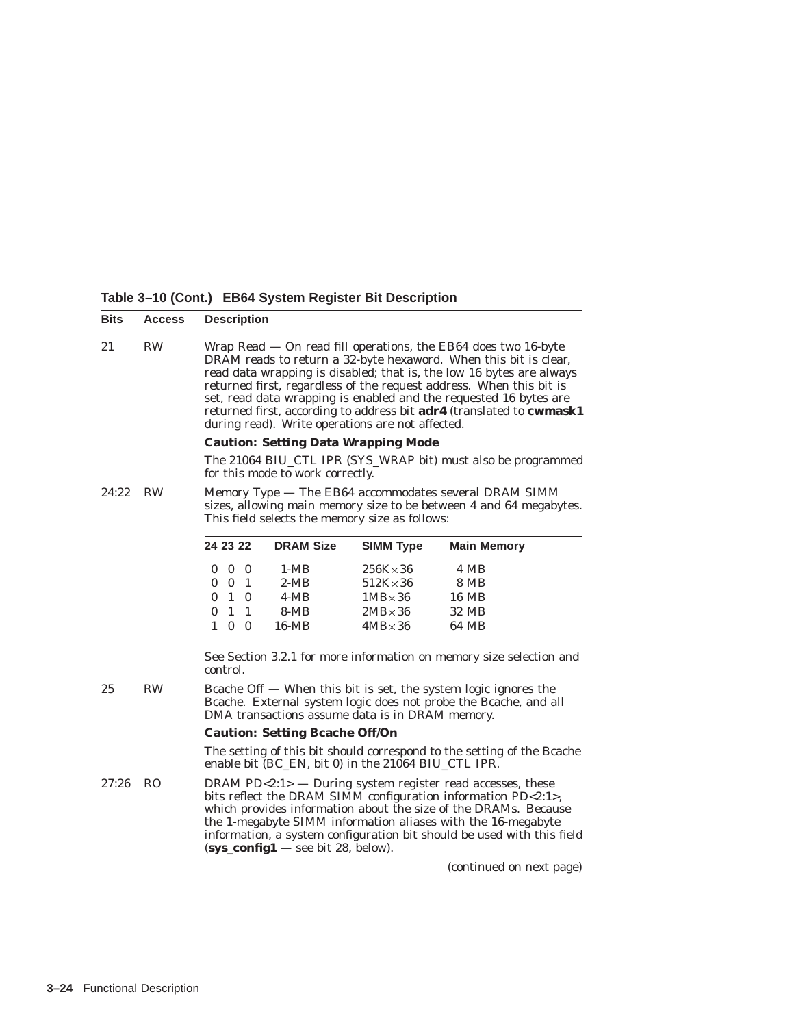**Table 3–10 (Cont.) EB64 System Register Bit Description**

| <b>Bits</b> | <b>Access</b> |                                                                                                                                                                               |                                                                                                                                                                                          | <b>Description</b> |                                                     |                  |                                                                                                                                                                                                                                                                                                                                                                                                                                |
|-------------|---------------|-------------------------------------------------------------------------------------------------------------------------------------------------------------------------------|------------------------------------------------------------------------------------------------------------------------------------------------------------------------------------------|--------------------|-----------------------------------------------------|------------------|--------------------------------------------------------------------------------------------------------------------------------------------------------------------------------------------------------------------------------------------------------------------------------------------------------------------------------------------------------------------------------------------------------------------------------|
| 21          | <b>RW</b>     |                                                                                                                                                                               |                                                                                                                                                                                          |                    | during read). Write operations are not affected.    |                  | Wrap Read - On read fill operations, the EB64 does two 16-byte<br>DRAM reads to return a 32-byte hexaword. When this bit is clear,<br>read data wrapping is disabled; that is, the low 16 bytes are always<br>returned first, regardless of the request address. When this bit is<br>set, read data wrapping is enabled and the requested 16 bytes are<br>returned first, according to address bit adr4 (translated to cwmask1 |
|             |               |                                                                                                                                                                               |                                                                                                                                                                                          |                    | <b>Caution: Setting Data Wrapping Mode</b>          |                  |                                                                                                                                                                                                                                                                                                                                                                                                                                |
|             |               |                                                                                                                                                                               |                                                                                                                                                                                          |                    | for this mode to work correctly.                    |                  | The 21064 BIU_CTL IPR (SYS_WRAP bit) must also be programmed                                                                                                                                                                                                                                                                                                                                                                   |
| 24:22       | <b>RW</b>     | Memory Type — The EB64 accommodates several DRAM SIMM<br>sizes, allowing main memory size to be between 4 and 64 megabytes.<br>This field selects the memory size as follows: |                                                                                                                                                                                          |                    |                                                     |                  |                                                                                                                                                                                                                                                                                                                                                                                                                                |
|             |               | 24 23 22                                                                                                                                                                      |                                                                                                                                                                                          |                    | <b>DRAM Size</b>                                    | <b>SIMM Type</b> | <b>Main Memory</b>                                                                                                                                                                                                                                                                                                                                                                                                             |
|             |               |                                                                                                                                                                               | $0\quad 0\quad 0$                                                                                                                                                                        |                    | $1-MB$                                              | $256K{\times}36$ | 4 MB                                                                                                                                                                                                                                                                                                                                                                                                                           |
|             |               | $\bf{0}$                                                                                                                                                                      |                                                                                                                                                                                          | 0 <sub>1</sub>     | $2-MB$                                              | $512K{\times}36$ | 8 MB                                                                                                                                                                                                                                                                                                                                                                                                                           |
|             |               | 0                                                                                                                                                                             |                                                                                                                                                                                          | 1 0                | $4-MB$                                              | $1MB \times 36$  | <b>16 MB</b>                                                                                                                                                                                                                                                                                                                                                                                                                   |
|             |               | $\Omega$                                                                                                                                                                      | $\overline{1}$                                                                                                                                                                           | 1                  | $8-MB$                                              | $2MB \times 36$  | 32 MB                                                                                                                                                                                                                                                                                                                                                                                                                          |
|             |               | $\mathbf{1}$                                                                                                                                                                  |                                                                                                                                                                                          | 0 <sub>0</sub>     | 16-MB                                               | $4MB \times 36$  | 64 MB                                                                                                                                                                                                                                                                                                                                                                                                                          |
|             |               | control.                                                                                                                                                                      |                                                                                                                                                                                          |                    |                                                     |                  | See Section 3.2.1 for more information on memory size selection and                                                                                                                                                                                                                                                                                                                                                            |
| 25          | <b>RW</b>     |                                                                                                                                                                               | Bcache Off $-$ When this bit is set, the system logic ignores the<br>Bcache. External system logic does not probe the Bcache, and all<br>DMA transactions assume data is in DRAM memory. |                    |                                                     |                  |                                                                                                                                                                                                                                                                                                                                                                                                                                |
|             |               | <b>Caution: Setting Bcache Off/On</b>                                                                                                                                         |                                                                                                                                                                                          |                    |                                                     |                  |                                                                                                                                                                                                                                                                                                                                                                                                                                |
|             |               |                                                                                                                                                                               |                                                                                                                                                                                          |                    | enable bit (BC_EN, bit 0) in the 21064 BIU_CTL IPR. |                  | The setting of this bit should correspond to the setting of the Bcache                                                                                                                                                                                                                                                                                                                                                         |
| 27:26       | - RO          |                                                                                                                                                                               |                                                                                                                                                                                          |                    | $(sys\_config1 - see bit 28, below).$               |                  | DRAM PD<2:1> $-$ During system register read accesses, these<br>bits reflect the DRAM SIMM configuration information PD<2:1>,<br>which provides information about the size of the DRAMs. Because<br>the 1-megabyte SIMM information aliases with the 16-megabyte<br>information, a system configuration bit should be used with this field                                                                                     |
|             |               |                                                                                                                                                                               |                                                                                                                                                                                          |                    |                                                     |                  | (continued on next page)                                                                                                                                                                                                                                                                                                                                                                                                       |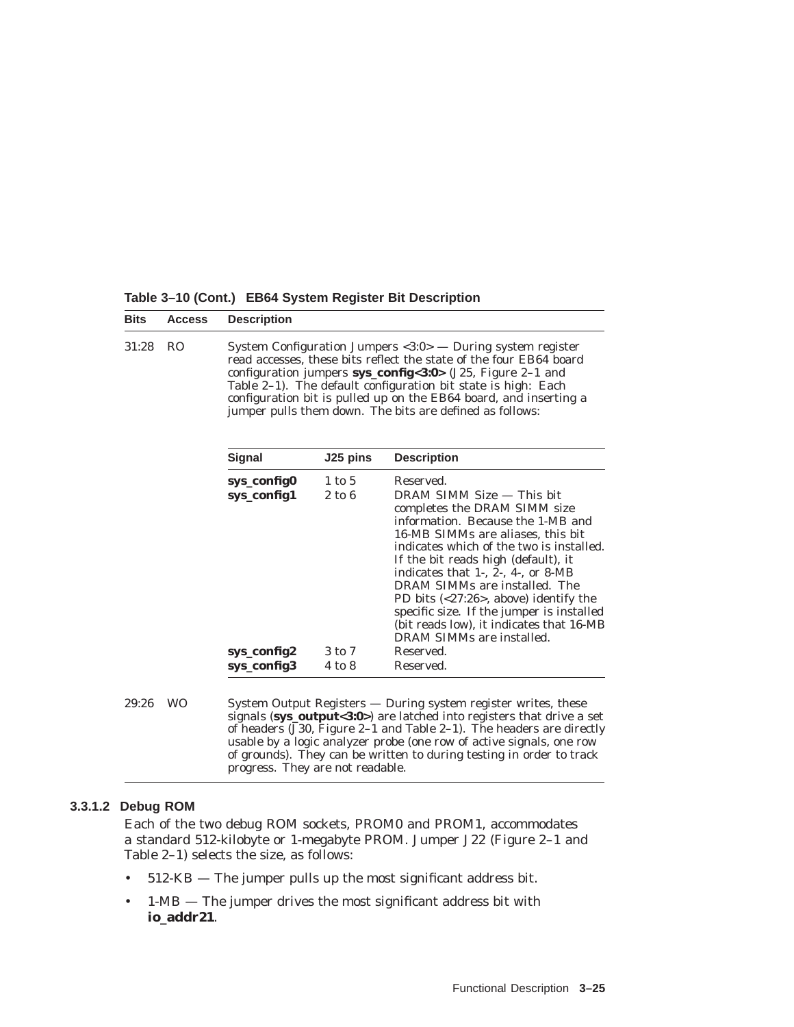**Table 3–10 (Cont.) EB64 System Register Bit Description**

**sys\_config2** 3 to 7

| <b>Bits</b> | <b>Access</b>  | <b>Description</b>                                                                                                                                                                                                                                                                                                                                                                                                     |                      |                                                                                                                                                                                                                                     |  |  |
|-------------|----------------|------------------------------------------------------------------------------------------------------------------------------------------------------------------------------------------------------------------------------------------------------------------------------------------------------------------------------------------------------------------------------------------------------------------------|----------------------|-------------------------------------------------------------------------------------------------------------------------------------------------------------------------------------------------------------------------------------|--|--|
| 31:28       | R <sub>O</sub> | System Configuration Jumpers $\langle 3:0 \rangle$ — During system register<br>read accesses, these bits reflect the state of the four EB64 board<br>configuration jumpers $sys_{config} < 3:0$ (J25, Figure 2-1 and<br>Table 2-1). The default configuration bit state is high: Each<br>configuration bit is pulled up on the EB64 board, and inserting a<br>jumper pulls them down. The bits are defined as follows: |                      |                                                                                                                                                                                                                                     |  |  |
|             |                | <b>Signal</b>                                                                                                                                                                                                                                                                                                                                                                                                          | J25 pins             | <b>Description</b>                                                                                                                                                                                                                  |  |  |
|             |                | sys_config0<br>sys_config1                                                                                                                                                                                                                                                                                                                                                                                             | $1$ to $5$<br>2 to 6 | Reserved.<br>DRAM SIMM Size — This bit<br>completes the DRAM SIMM size<br>information. Because the 1-MB and<br>16-MB SIMMs are aliases, this bit<br>indicates which of the two is installed.<br>If the bit reads high (default), it |  |  |

|       |           | sys_config3                      | 4 to 8 | Reserved.                                                      |                                                                                                                                                                                                                                                                                                 |
|-------|-----------|----------------------------------|--------|----------------------------------------------------------------|-------------------------------------------------------------------------------------------------------------------------------------------------------------------------------------------------------------------------------------------------------------------------------------------------|
| 29:26 | <b>WO</b> | progress. They are not readable. |        | System Output Registers — During system register writes, these | signals (sys_output<3:0>) are latched into registers that drive a set<br>of headers $(J30,$ Figure 2–1 and Table 2–1). The headers are directly<br>usable by a logic analyzer probe (one row of active signals, one row<br>of grounds). They can be written to during testing in order to track |

#### **3.3.1.2 Debug ROM**

Each of the two debug ROM sockets, PROM0 and PROM1, accommodates a standard 512-kilobyte or 1-megabyte PROM. Jumper J22 (Figure 2–1 and Table 2–1) selects the size, as follows:

- 512-KB The jumper pulls up the most significant address bit.
- 1-MB The jumper drives the most significant address bit with **io\_addr21**.

indicates that  $1-$ ,  $2-$ ,  $4-$ , or  $8-MB$ DRAM SIMMs are installed. The PD bits (<27:26>, above) identify the specific size. If the jumper is installed (bit reads low), it indicates that 16-MB

DRAM SIMMs are installed.<br>Reserved.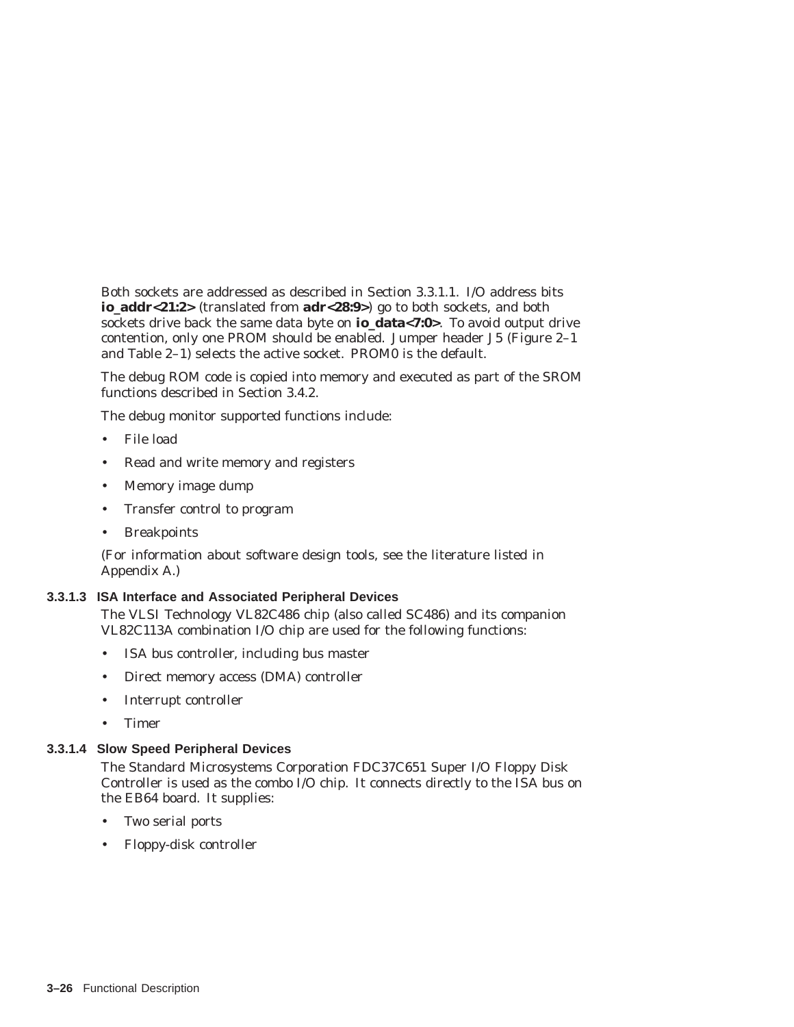Both sockets are addressed as described in Section 3.3.1.1. I/O address bits **io\_addr<21:2>** (translated from **adr<28:9>**) go to both sockets, and both sockets drive back the same data byte on **io\_data<7:0>**. To avoid output drive contention, only one PROM should be enabled. Jumper header J5 (Figure 2–1 and Table 2–1) selects the active socket. PROM0 is the default.

The debug ROM code is copied into memory and executed as part of the SROM functions described in Section 3.4.2.

The debug monitor supported functions include:

- File load
- Read and write memory and registers
- Memory image dump
- Transfer control to program
- Breakpoints

(For information about software design tools, see the literature listed in Appendix A.)

#### **3.3.1.3 ISA Interface and Associated Peripheral Devices**

The VLSI Technology VL82C486 chip (also called SC486) and its companion VL82C113A combination I/O chip are used for the following functions:

- ISA bus controller, including bus master
- Direct memory access (DMA) controller
- Interrupt controller
- Timer

#### **3.3.1.4 Slow Speed Peripheral Devices**

The Standard Microsystems Corporation FDC37C651 Super I/O Floppy Disk Controller is used as the combo I/O chip. It connects directly to the ISA bus on the EB64 board. It supplies:

- Two serial ports
- Floppy-disk controller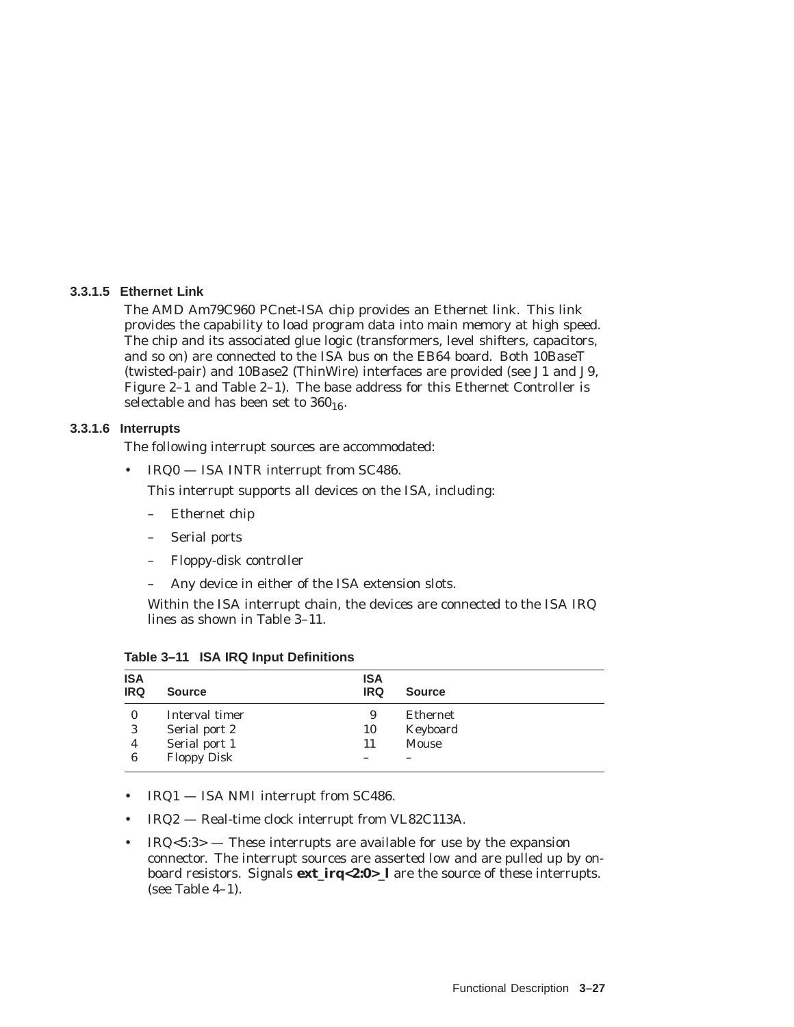#### **3.3.1.5 Ethernet Link**

The AMD Am79C960 PCnet-ISA chip provides an Ethernet link. This link provides the capability to load program data into main memory at high speed. The chip and its associated glue logic (transformers, level shifters, capacitors, and so on) are connected to the ISA bus on the EB64 board. Both 10BaseT (twisted-pair) and 10Base2 (ThinWire) interfaces are provided (see J1 and J9, Figure 2–1 and Table 2–1). The base address for this Ethernet Controller is selectable and has been set to  $360_{16}$ .

#### **3.3.1.6 Interrupts**

The following interrupt sources are accommodated:

• IRQ0 — ISA INTR interrupt from SC486.

This interrupt supports all devices on the ISA, including:

- Ethernet chip
- Serial ports
- Floppy-disk controller
- Any device in either of the ISA extension slots.

Within the ISA interrupt chain, the devices are connected to the ISA IRQ lines as shown in Table 3–11.

| <b>ISA</b><br><b>IRQ</b> | <b>Source</b>      | <b>ISA</b><br><b>IRQ</b> | <b>Source</b> |  |
|--------------------------|--------------------|--------------------------|---------------|--|
| $\mathbf{0}$             | Interval timer     | 9                        | Ethernet      |  |
| 3                        | Serial port 2      | 10                       | Keyboard      |  |
| 4                        | Serial port 1      | 11                       | Mouse         |  |
| 6                        | <b>Floppy Disk</b> |                          |               |  |

**Table 3–11 ISA IRQ Input Definitions**

- IRQ1 ISA NMI interrupt from SC486.
- IRQ2 Real-time clock interrupt from VL82C113A.
- $IRQ<sub>5:3</sub>$  These interrupts are available for use by the expansion connector. The interrupt sources are asserted *low* and are pulled up by onboard resistors. Signals **ext\_irq<2:0>\_l** are the source of these interrupts. (see Table 4–1).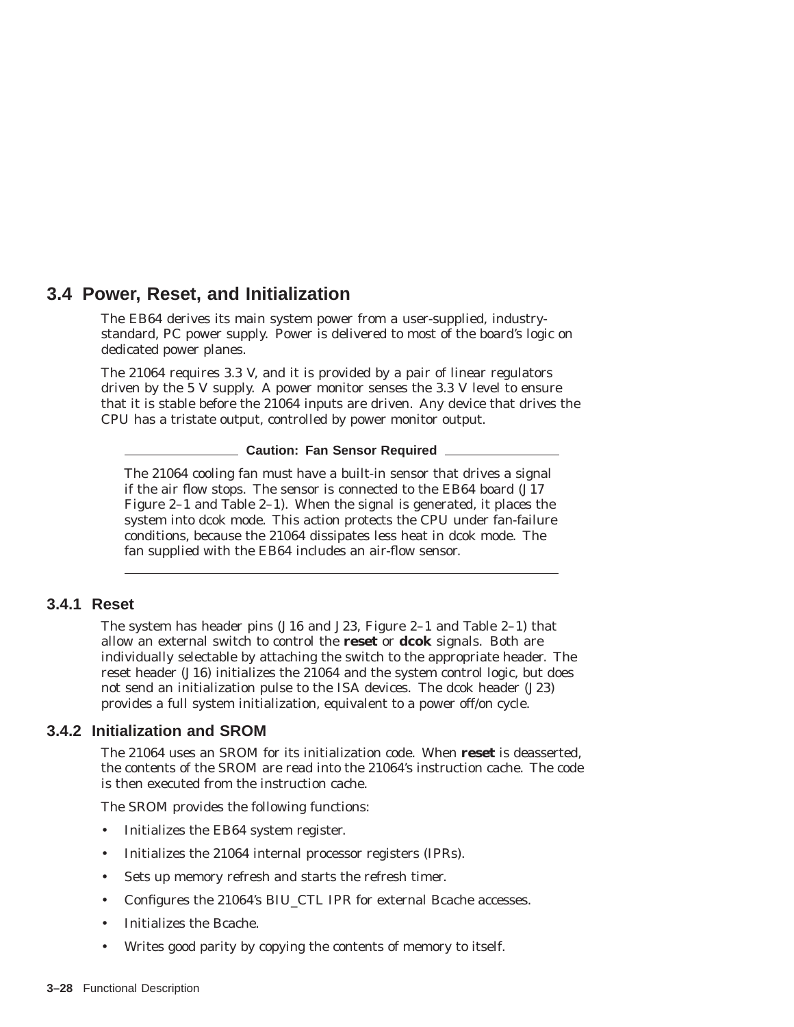# **3.4 Power, Reset, and Initialization**

The EB64 derives its main system power from a user-supplied, industrystandard, PC power supply. Power is delivered to most of the board's logic on dedicated power planes.

The 21064 requires 3.3 V, and it is provided by a pair of linear regulators driven by the 5 V supply. A power monitor senses the 3.3 V level to ensure that it is stable before the 21064 inputs are driven. Any device that drives the CPU has a tristate output, controlled by power monitor output.

**Caution: Fan Sensor Required**

The 21064 cooling fan *must* have a built-in sensor that drives a signal if the air flow stops. The sensor is connected to the EB64 board (J17 Figure 2–1 and Table 2–1). When the signal is generated, it places the system into dcok mode. This action protects the CPU under fan-failure conditions, because the 21064 dissipates less heat in dcok mode. The fan supplied with the EB64 includes an air-flow sensor.

# **3.4.1 Reset**

The system has header pins (J16 and J23, Figure 2–1 and Table 2–1) that allow an external switch to control the **reset** or **dcok** signals. Both are individually selectable by attaching the switch to the appropriate header. The reset header (J16) initializes the 21064 and the system control logic, but does not send an initialization pulse to the ISA devices. The dcok header (J23) provides a full system initialization, equivalent to a power off/on cycle.

# **3.4.2 Initialization and SROM**

The 21064 uses an SROM for its initialization code. When **reset** is deasserted, the contents of the SROM are read into the 21064's instruction cache. The code is then executed from the instruction cache.

The SROM provides the following functions:

- Initializes the EB64 system register.
- Initializes the 21064 internal processor registers (IPRs).
- Sets up memory refresh and starts the refresh timer.
- Configures the 21064's BIU\_CTL IPR for external Bcache accesses.
- Initializes the Bcache.
- Writes good parity by copying the contents of memory to itself.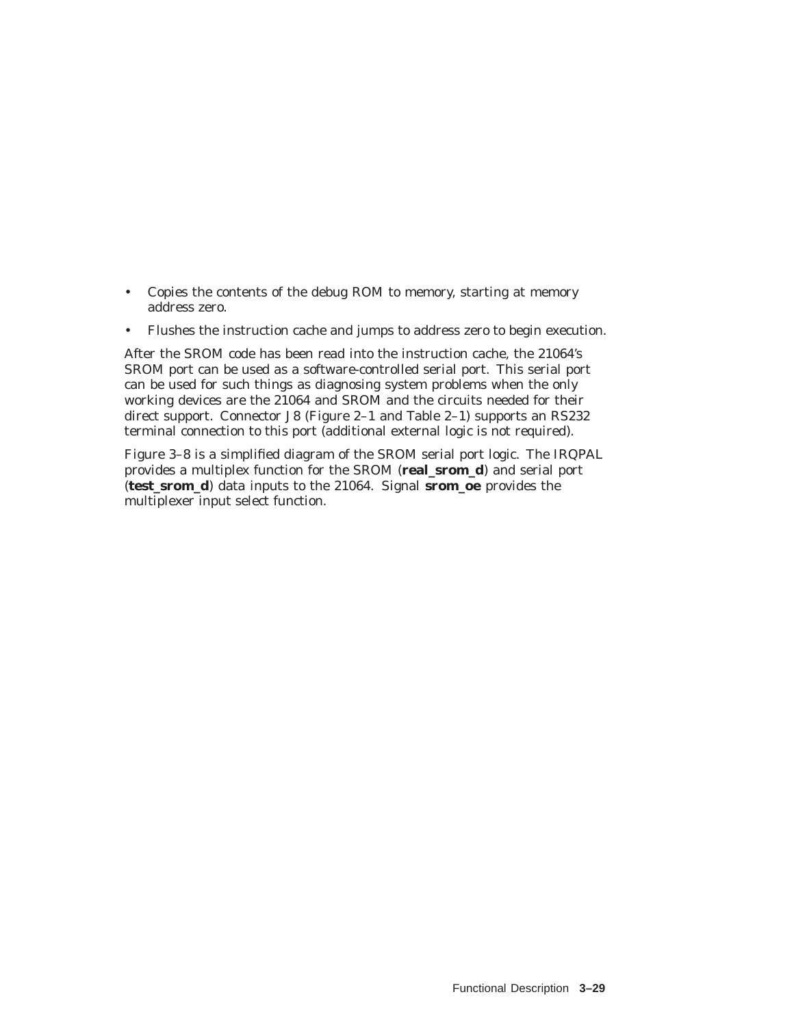- Copies the contents of the debug ROM to memory, starting at memory address zero.
- Flushes the instruction cache and jumps to address zero to begin execution.

After the SROM code has been read into the instruction cache, the 21064's SROM port can be used as a software-controlled serial port. This serial port can be used for such things as diagnosing system problems when the only working devices are the 21064 and SROM and the circuits needed for their direct support. Connector J8 (Figure 2–1 and Table 2–1) supports an RS232 terminal connection to this port (additional external logic is not required).

Figure 3–8 is a simplified diagram of the SROM serial port logic. The IRQPAL provides a multiplex function for the SROM (**real\_srom\_d**) and serial port (**test\_srom\_d**) data inputs to the 21064. Signal **srom\_oe** provides the multiplexer input select function.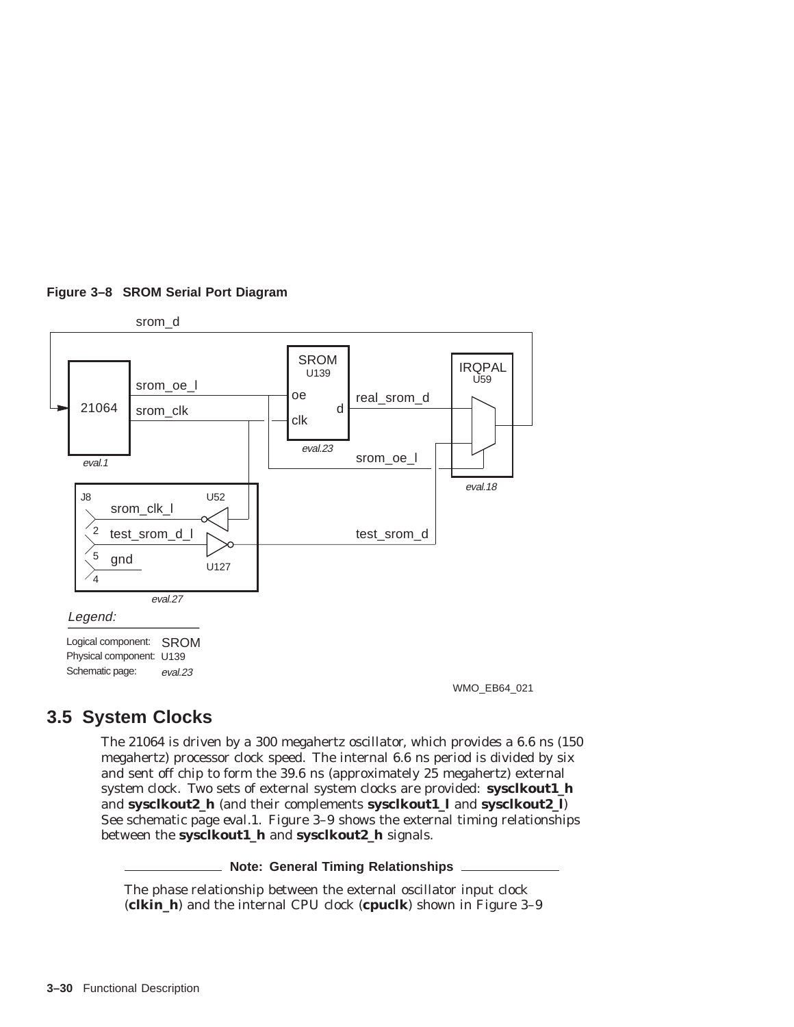#### **Figure 3–8 SROM Serial Port Diagram**



# **3.5 System Clocks**

The 21064 is driven by a 300 megahertz oscillator, which provides a 6.6 ns (150 megahertz) processor clock speed. The internal 6.6 ns period is divided by six and sent off chip to form the 39.6 ns (approximately 25 megahertz) external system clock. Two sets of external system clocks are provided: **sysclkout1\_h** and **sysclkout2\_h** (and their complements **sysclkout1\_l** and **sysclkout2\_l**) See schematic page *eval.1*. Figure 3–9 shows the external timing relationships between the **sysclkout1\_h** and **sysclkout2\_h** signals.

**Note: General Timing Relationships**

The *phase* relationship between the external oscillator input clock (**clkin\_h**) and the internal CPU clock (**cpuclk**) shown in Figure 3–9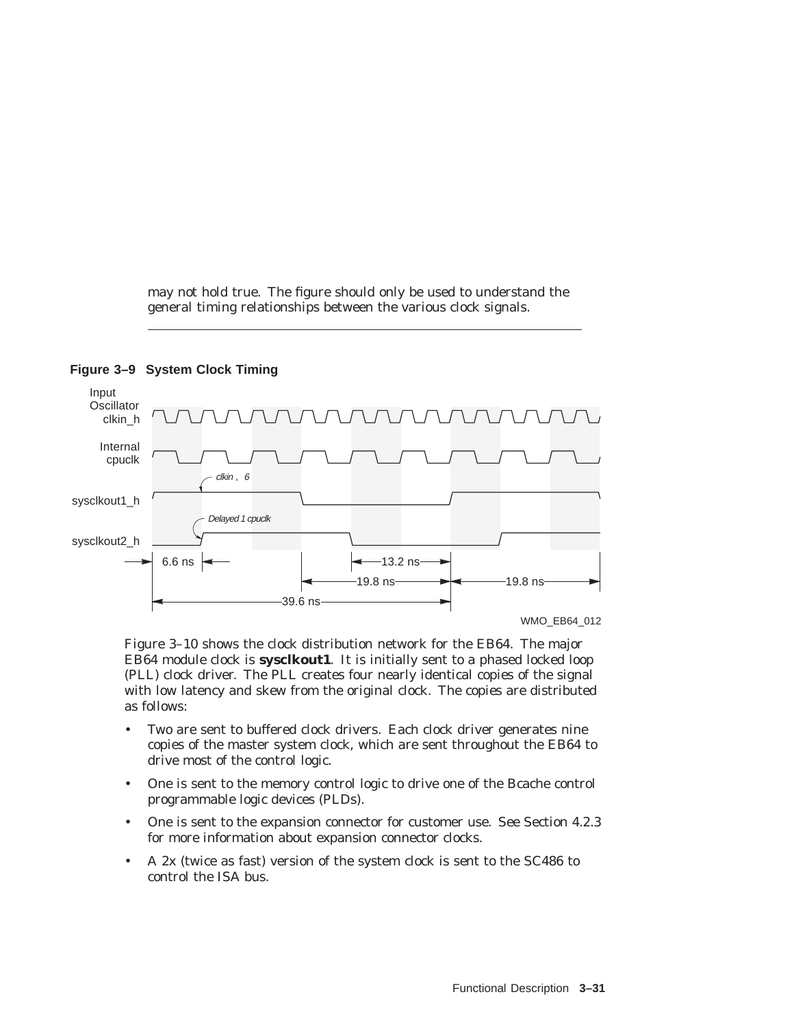may not hold true. The figure should only be used to understand the general timing relationships between the various clock signals.





Figure 3–10 shows the clock distribution network for the EB64. The major EB64 module clock is **sysclkout1**. It is initially sent to a phased locked loop (PLL) clock driver. The PLL creates four nearly identical copies of the signal with low latency and skew from the original clock. The copies are distributed as follows:

- Two are sent to buffered clock drivers. Each clock driver generates nine copies of the master system clock, which are sent throughout the EB64 to drive most of the control logic.
- One is sent to the memory control logic to drive one of the Bcache control programmable logic devices (PLDs).
- One is sent to the expansion connector for customer use. See Section 4.2.3 for more information about expansion connector clocks.
- A 2x (twice as fast) version of the system clock is sent to the SC486 to control the ISA bus.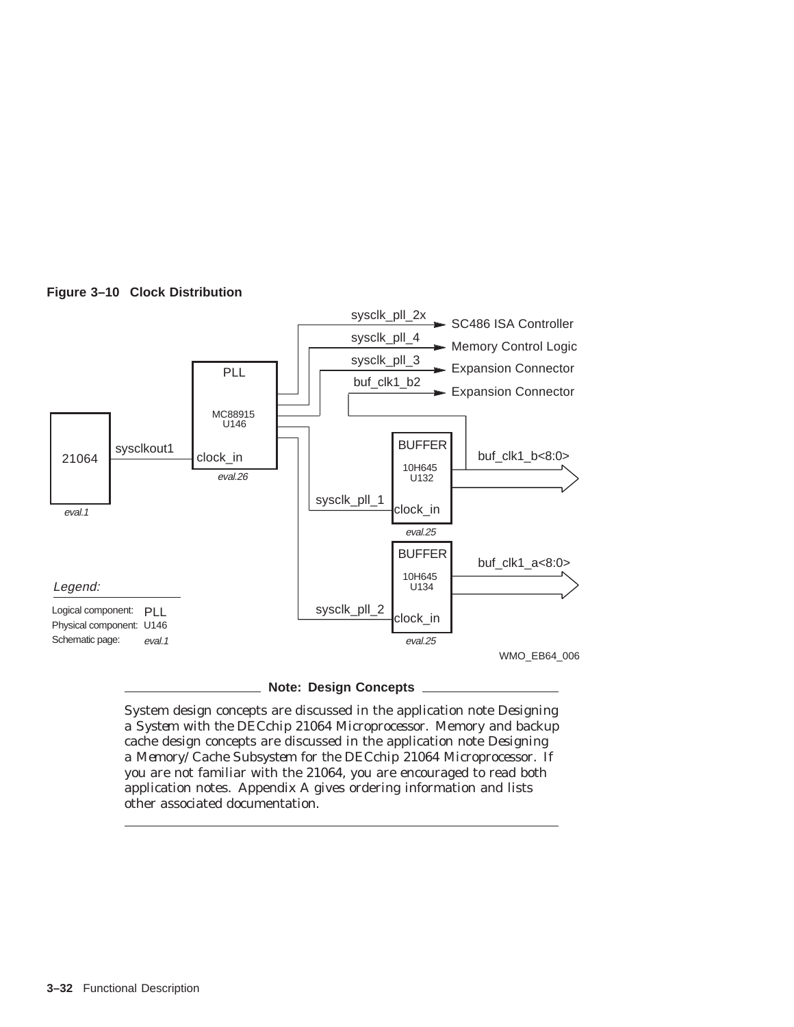

# **Figure 3–10 Clock Distribution**

**Note: Design Concepts**

System design concepts are discussed in the application note *Designing a System with the DECchip 21064 Microprocessor.* Memory and backup cache design concepts are discussed in the application note *Designing a Memory/Cache Subsystem for the DECchip 21064 Microprocessor*. If you are not familiar with the 21064, you are encouraged to read both application notes. Appendix A gives ordering information and lists other associated documentation.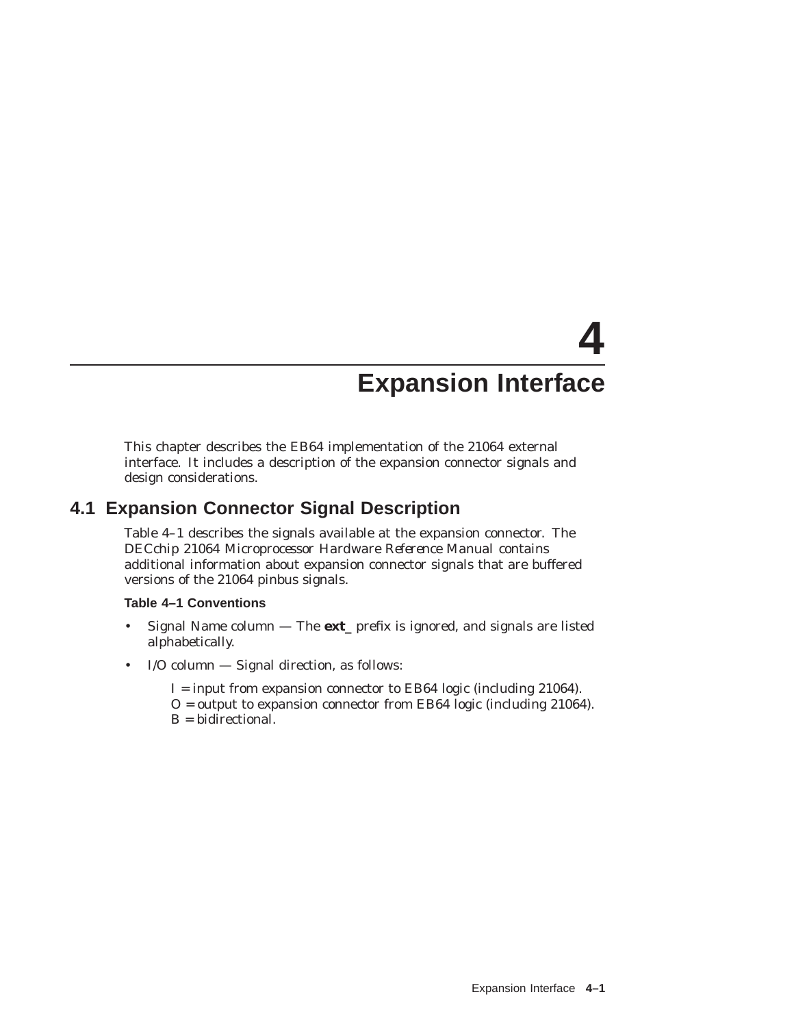# **4 Expansion Interface**

This chapter describes the EB64 implementation of the 21064 external interface. It includes a description of the expansion connector signals and design considerations.

# **4.1 Expansion Connector Signal Description**

Table 4–1 describes the signals available at the expansion connector. The *DECchip 21064 Microprocessor Hardware Reference Manual* contains additional information about expansion connector signals that are buffered versions of the 21064 pinbus signals.

#### **Table 4–1 Conventions**

- Signal Name column The **ext\_** prefix is ignored, and signals are listed alphabetically.
- I/O column Signal direction, as follows:
	- I = input from expansion connector to EB64 logic (including 21064).
	- O = output to expansion connector from EB64 logic (including 21064). B = bidirectional.
	-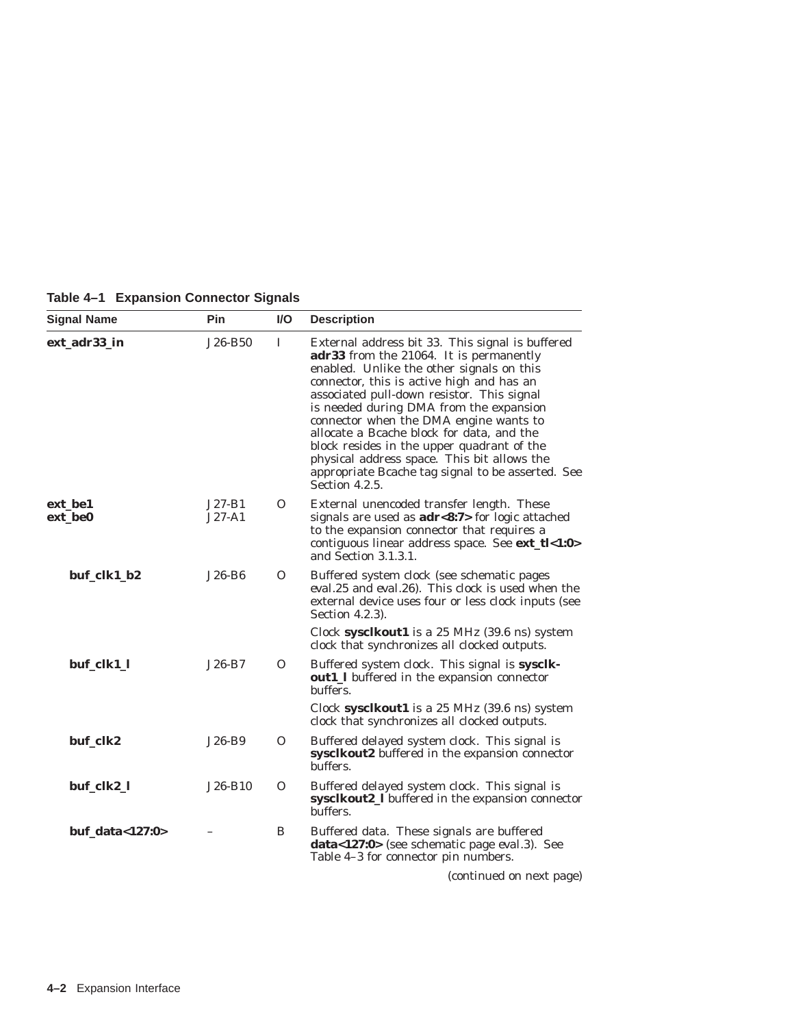|  | Table 4-1 Expansion Connector Signals |
|--|---------------------------------------|
|--|---------------------------------------|

| <b>Signal Name</b> | <b>Pin</b>           | <b>VO</b> | <b>Description</b>                                                                                                                                                                                                                                                                                                                                                                                                                                                                                                                               |
|--------------------|----------------------|-----------|--------------------------------------------------------------------------------------------------------------------------------------------------------------------------------------------------------------------------------------------------------------------------------------------------------------------------------------------------------------------------------------------------------------------------------------------------------------------------------------------------------------------------------------------------|
|                    |                      |           |                                                                                                                                                                                                                                                                                                                                                                                                                                                                                                                                                  |
| ext_adr33_in       | $J26-B50$            | $\bf{I}$  | External address bit 33. This signal is buffered<br>adr33 from the 21064. It is permanently<br>enabled. Unlike the other signals on this<br>connector, this is active <i>high</i> and has an<br>associated pull-down resistor. This signal<br>is needed during DMA from the expansion<br>connector when the DMA engine wants to<br>allocate a Bcache block for data, and the<br>block resides in the upper quadrant of the<br>physical address space. This bit allows the<br>appropriate Bcache tag signal to be asserted. See<br>Section 4.2.5. |
| ext be1<br>ext be0 | $J27-B1$<br>$J27-A1$ | 0         | External unencoded transfer length. These<br>signals are used as $adr<8:7>$ for logic attached                                                                                                                                                                                                                                                                                                                                                                                                                                                   |
|                    |                      |           | to the expansion connector that requires a<br>contiguous linear address space. See ext_tl<1:0><br>and Section 3.1.3.1.                                                                                                                                                                                                                                                                                                                                                                                                                           |
| buf_clk1_b2        | J26-B6               | 0         | Buffered system clock (see schematic pages<br>eval.25 and eval.26). This clock is used when the<br>external device uses four or less clock inputs (see<br>Section 4.2.3).                                                                                                                                                                                                                                                                                                                                                                        |
|                    |                      |           | Clock sysclkout1 is a 25 MHz (39.6 ns) system<br>clock that synchronizes all clocked outputs.                                                                                                                                                                                                                                                                                                                                                                                                                                                    |
| buf_clk1_l         | $J26-B7$             | 0         | Buffered system clock. This signal is sysclk-<br>out1_l buffered in the expansion connector<br>buffers.                                                                                                                                                                                                                                                                                                                                                                                                                                          |
|                    |                      |           | Clock sysclkout1 is a 25 MHz (39.6 ns) system<br>clock that synchronizes all clocked outputs.                                                                                                                                                                                                                                                                                                                                                                                                                                                    |
| buf_clk2           | J26-B9               | 0         | Buffered delayed system clock. This signal is<br>sysclkout2 buffered in the expansion connector<br>buffers.                                                                                                                                                                                                                                                                                                                                                                                                                                      |
| buf_clk2_l         | J26-B10              | Ω         | Buffered delayed system clock. This signal is<br>sysclkout2_I buffered in the expansion connector<br>buffers.                                                                                                                                                                                                                                                                                                                                                                                                                                    |
| buf_data<127:0>    |                      | B         | Buffered data. These signals are buffered<br>data<127:0> (see schematic page eval.3). See<br>Table 4-3 for connector pin numbers.                                                                                                                                                                                                                                                                                                                                                                                                                |
|                    |                      |           | (continued on next page)                                                                                                                                                                                                                                                                                                                                                                                                                                                                                                                         |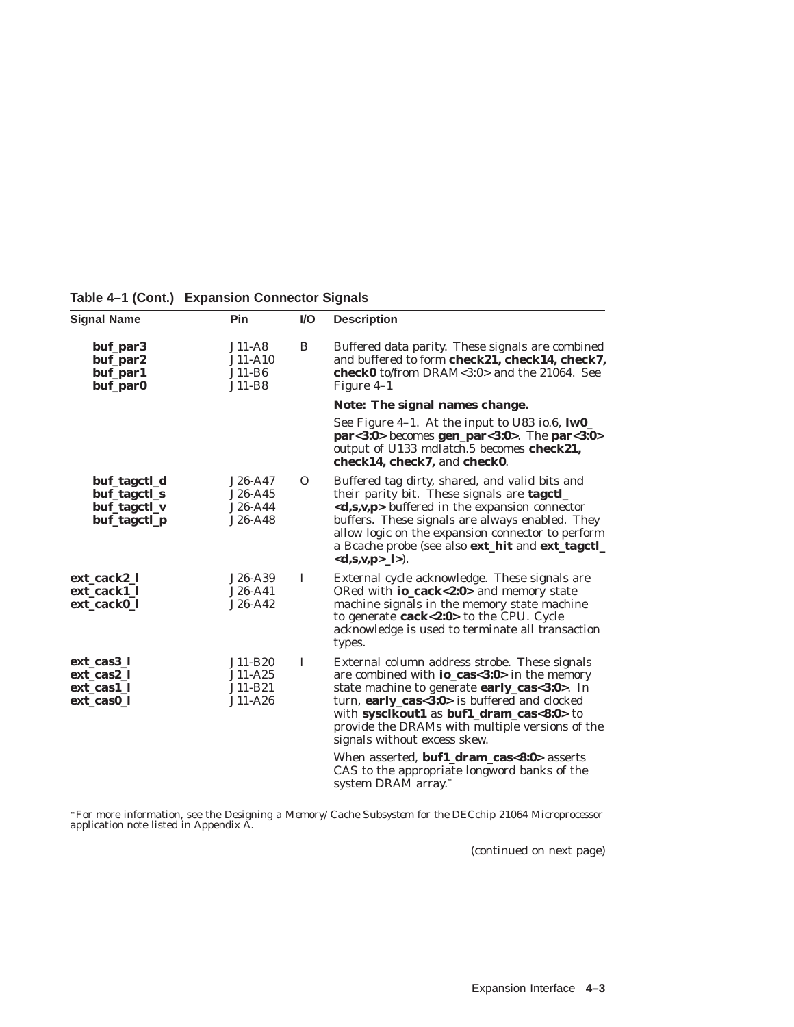| <b>Signal Name</b>                                           | Pin                                            | <b>VO</b> | <b>Description</b>                                                                                                                                                                                                                                                                                                                                                                                                                                                        |
|--------------------------------------------------------------|------------------------------------------------|-----------|---------------------------------------------------------------------------------------------------------------------------------------------------------------------------------------------------------------------------------------------------------------------------------------------------------------------------------------------------------------------------------------------------------------------------------------------------------------------------|
| buf_par3<br>buf_par2<br>buf_par1<br>buf_par0                 | $J11-A8$<br>J11-A10<br>$J11-B6$<br>J11-B8      | B         | Buffered data parity. These signals are combined<br>and buffered to form check21, check14, check7,<br><b>check0</b> to/from DRAM<3:0> and the 21064. See<br>Figure 4–1                                                                                                                                                                                                                                                                                                    |
|                                                              |                                                |           | Note: The signal names change.                                                                                                                                                                                                                                                                                                                                                                                                                                            |
|                                                              |                                                |           | See Figure 4-1. At the input to U83 io.6, IwO_<br>$par < 3:0$ becomes gen_par < $3:0$ >. The par < $3:0$ ><br>output of U133 mdlatch.5 becomes check21,<br>check14, check7, and check0.                                                                                                                                                                                                                                                                                   |
| buf_tagctl_d<br>buf_tagctl_s<br>buf_tagctl_v<br>buf_tagctl_p | $J26-A47$<br>$J26-A45$<br>J26-A44<br>$J26-A48$ | $\Omega$  | Buffered tag dirty, shared, and valid bits and<br>their parity bit. These signals are tagetl_<br>$\langle d,s,v,p \rangle$ buffered in the expansion connector<br>buffers. These signals are always enabled. They<br>allow logic on the expansion connector to perform<br>a Bcache probe (see also ext_hit and ext_tagctl_<br>$<d,s,v,p$ $\geq$ $ $ $>$ ).                                                                                                                |
| ext_cack2_l<br>ext cack1 l<br>ext cack0 l                    | J26-A39<br>$J26-A41$<br>$J26-A42$              | 1         | External cycle acknowledge. These signals are<br>ORed with <b>io_cack&lt;2:0&gt;</b> and memory state<br>machine signals in the memory state machine<br>to generate cack<2:0> to the CPU. Cycle<br>acknowledge is used to terminate all transaction<br>types.                                                                                                                                                                                                             |
| ext_cas3_l<br>ext cas2 l<br>ext_cas1_l<br>ext_cas0_l         | J11-B20<br>J11-A25<br>J11-B21<br>$J11-A26$     | 1         | External column address strobe. These signals<br>are combined with <b>io_cas&lt;3:0&gt;</b> in the memory<br>state machine to generate early_cas<3:0>. In<br>turn, early_cas<3:0> is buffered and clocked<br>with sysclkout1 as buf1_dram_cas<8:0> to<br>provide the DRAMs with multiple versions of the<br>signals without excess skew.<br>When asserted, <b>buf1_dram_cas&lt;8:0&gt;</b> asserts<br>CAS to the appropriate longword banks of the<br>system DRAM array.* |

**Table 4–1 (Cont.) Expansion Connector Signals**

For more information, see the *Designing a Memory/Cache Subsystem for the DECchip 21064 Microprocessor* application note listed in Appendix A.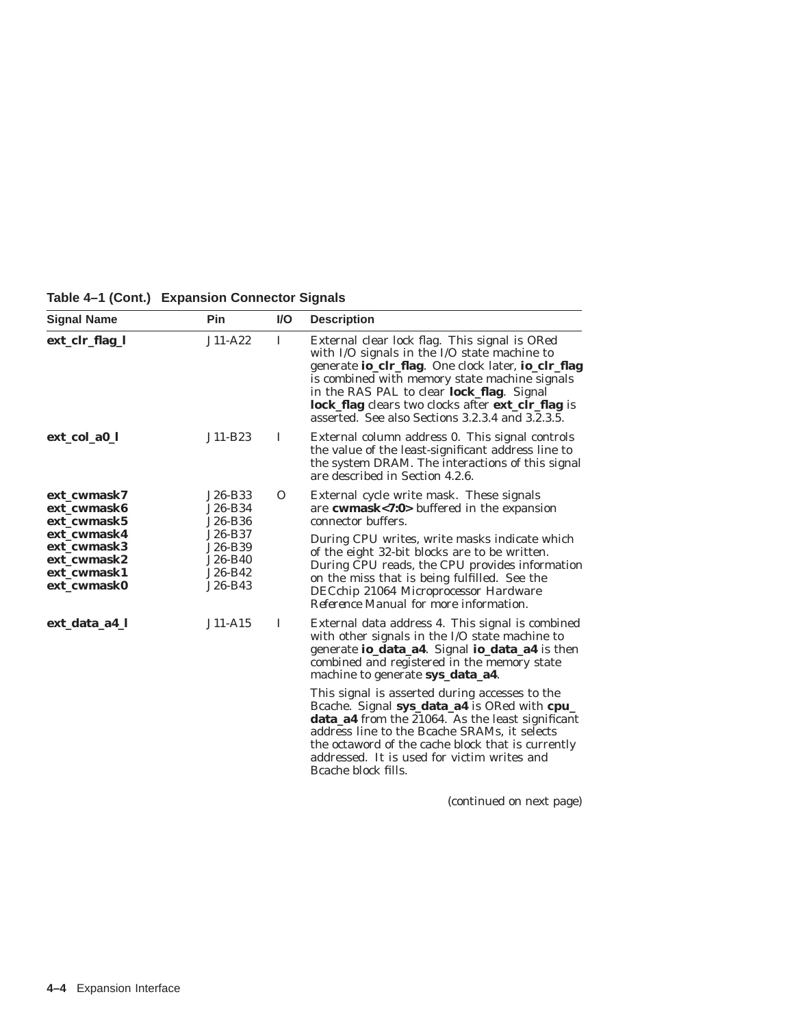**Table 4–1 (Cont.) Expansion Connector Signals**

| <b>Signal Name</b>                                                      | Pin                                                 | <b>VO</b> | <b>Description</b>                                                                                                                                                                                                                                                                                                                                                                      |
|-------------------------------------------------------------------------|-----------------------------------------------------|-----------|-----------------------------------------------------------------------------------------------------------------------------------------------------------------------------------------------------------------------------------------------------------------------------------------------------------------------------------------------------------------------------------------|
| ext_clr_flag_l                                                          | $J11-A22$                                           | Ι.        | External clear lock flag. This signal is ORed<br>with I/O signals in the I/O state machine to<br>generate <b>io_clr_flag</b> . One clock later, <b>io_clr_flag</b><br>is combined with memory state machine signals<br>in the RAS PAL to clear lock_flag. Signal<br><b>lock_flag</b> clears two clocks after <b>ext_clr_flag</b> is<br>asserted. See also Sections 3.2.3.4 and 3.2.3.5. |
| ext_col_a0_l                                                            | J11-B23                                             | 1         | External column address 0. This signal controls<br>the value of the least-significant address line to<br>the system DRAM. The interactions of this signal<br>are described in Section 4.2.6.                                                                                                                                                                                            |
| ext cwmask7<br>ext cwmask6<br>ext cwmask5                               | J26-B33<br>J26-B34<br>J26-B36                       | $\Omega$  | External cycle write mask. These signals<br>are cwmask<7:0> buffered in the expansion<br>connector buffers.                                                                                                                                                                                                                                                                             |
| ext cwmask4<br>ext cwmask3<br>ext cwmask2<br>ext cwmask1<br>ext cwmask0 | J26-B37<br>J26-B39<br>J26-B40<br>J26-B42<br>J26-B43 |           | During CPU writes, write masks indicate which<br>of the eight 32-bit blocks are to be written.<br>During CPU reads, the CPU provides information<br>on the miss that is being fulfilled. See the<br>DECchip 21064 Microprocessor Hardware<br><i>Reference Manual</i> for more information.                                                                                              |
| ext_data_a4_l                                                           | $J11-A15$                                           | 1         | External data address 4. This signal is combined<br>with other signals in the I/O state machine to<br>generate io_data_a4. Signal io_data_a4 is then<br>combined and registered in the memory state<br>machine to generate sys_data_a4.                                                                                                                                                 |
|                                                                         |                                                     |           | This signal is asserted during accesses to the<br>Bcache. Signal sys_data_a4 is ORed with cpu_<br><b>data_a4</b> from the 21064. As the least significant<br>address line to the Bcache SRAMs, it selects<br>the octaword of the cache block that is currently<br>addressed. It is used for victim writes and<br>Beache block fills.                                                    |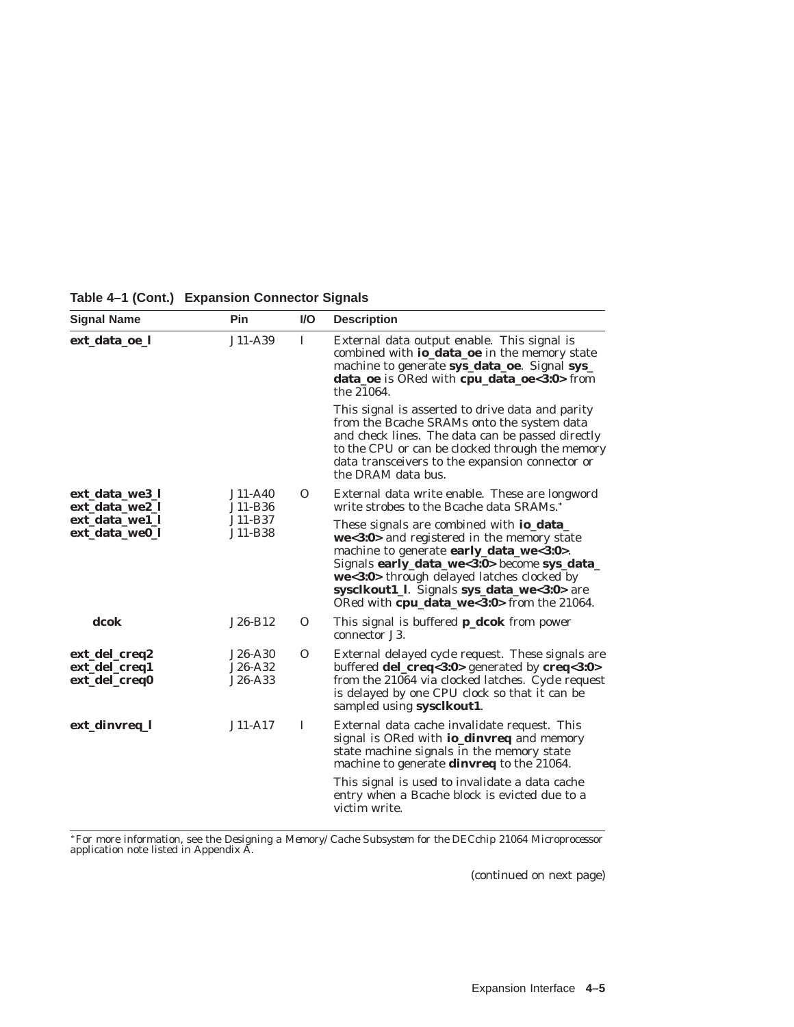| <b>Signal Name</b>                              | Pin                           | <b>VO</b> | <b>Description</b>                                                                                                                                                                                                                                                                                                                |
|-------------------------------------------------|-------------------------------|-----------|-----------------------------------------------------------------------------------------------------------------------------------------------------------------------------------------------------------------------------------------------------------------------------------------------------------------------------------|
| ext data oe l                                   | J11-A39                       | L         | External data output enable. This signal is<br>combined with io_data_oe in the memory state<br>machine to generate sys_data_oe. Signal sys_<br>data_oe is ORed with cpu_data_oe<3:0> from<br>the 21064.                                                                                                                           |
|                                                 |                               |           | This signal is asserted to drive data and parity<br>from the Bcache SRAMs onto the system data<br>and check lines. The data can be passed directly<br>to the CPU or can be clocked through the memory<br>data transceivers to the expansion connector or<br>the DRAM data bus.                                                    |
| ext_data_we3_l<br>ext_data_we2_l                | J11-A40<br>J11-B36            | $\Omega$  | External data write enable. These are longword<br>write strobes to the Bcache data SRAMs.*                                                                                                                                                                                                                                        |
| ext data well<br>ext_data_we0_l                 | J11-B37<br>J11-B38            |           | These signals are combined with <b>io_data_</b><br>we<3:0> and registered in the memory state<br>machine to generate early_data_we<3:0>.<br>Signals early_data_we<3:0> become sys_data_<br>we<3:0> through delayed latches clocked by<br>sysclkout1_l. Signals sys_data_we<3:0> are<br>ORed with cpu_data_we<3:0> from the 21064. |
| dcok                                            | $J26-B12$                     | $\Omega$  | This signal is buffered <b>p_dcok</b> from power<br>connector J3.                                                                                                                                                                                                                                                                 |
| ext_del_creq2<br>ext_del_creq1<br>ext_del_creq0 | J26-A30<br>J26-A32<br>J26-A33 | $\Omega$  | External delayed cycle request. These signals are<br>buffered del_creq<3:0> generated by creq<3:0><br>from the 21064 via clocked latches. Cycle request<br>is delayed by one CPU clock so that it can be<br>sampled using sysclkout1.                                                                                             |
| ext_dinvreq_l                                   | $J11-A17$                     | I         | External data cache invalidate request. This<br>signal is ORed with <b>io_dinvreq</b> and memory<br>state machine signals in the memory state<br>machine to generate dinvreq to the 21064.<br>This signal is used to invalidate a data cache<br>entry when a Bcache block is evicted due to a<br>victim write.                    |

**Table 4–1 (Cont.) Expansion Connector Signals**

For more information, see the *Designing a Memory/Cache Subsystem for the DECchip 21064 Microprocessor* application note listed in Appendix A.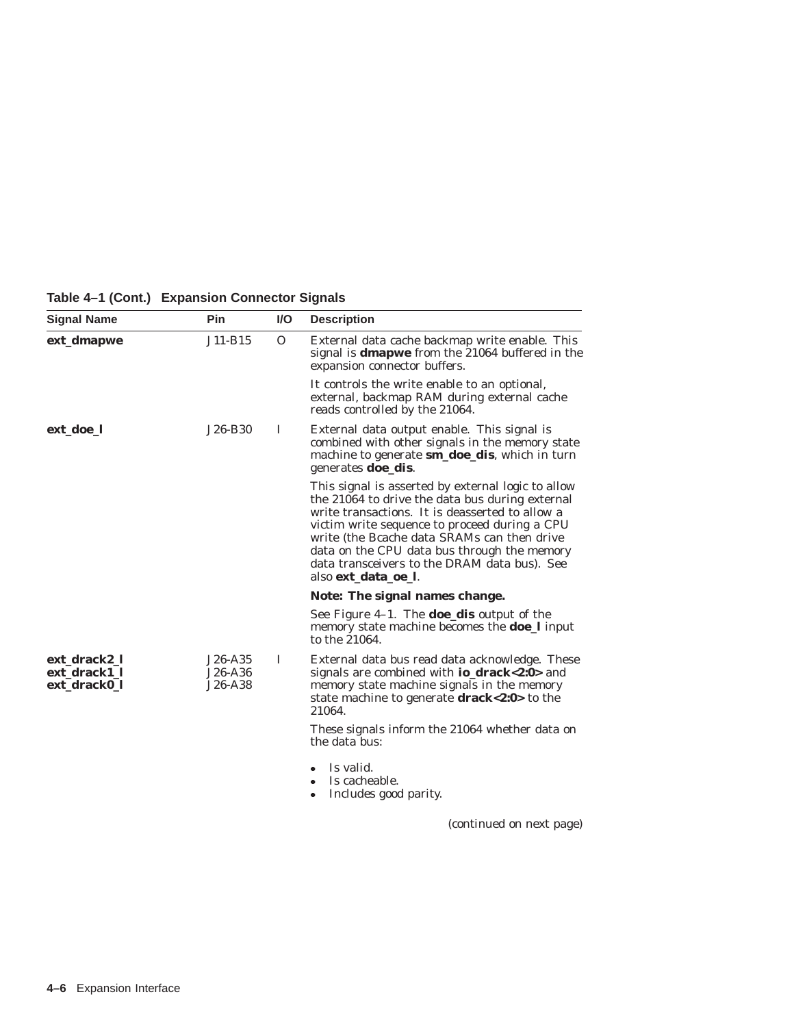**Table 4–1 (Cont.) Expansion Connector Signals**

| <b>Signal Name</b>                           | Pin                             | I/O          | <b>Description</b>                                                                                                                                                                                                                                                                                                                                                             |
|----------------------------------------------|---------------------------------|--------------|--------------------------------------------------------------------------------------------------------------------------------------------------------------------------------------------------------------------------------------------------------------------------------------------------------------------------------------------------------------------------------|
| ext_dmapwe                                   | J11-B15                         | $\mathbf{O}$ | External data cache backmap write enable. This<br>signal is <b>dmapwe</b> from the 21064 buffered in the<br>expansion connector buffers.                                                                                                                                                                                                                                       |
|                                              |                                 |              | It controls the write enable to an optional,<br>external, backmap RAM during external cache<br>reads controlled by the 21064.                                                                                                                                                                                                                                                  |
| ext_doe_l                                    | J26-B30                         | I            | External data output enable. This signal is<br>combined with other signals in the memory state<br>machine to generate <b>sm_doe_dis</b> , which in turn<br>generates <b>doe_dis</b> .                                                                                                                                                                                          |
|                                              |                                 |              | This signal is asserted by external logic to allow<br>the 21064 to drive the data bus during external<br>write transactions. It is deasserted to allow a<br>victim write sequence to proceed during a CPU<br>write (the Bcache data SRAMs can then drive<br>data on the CPU data bus through the memory<br>data transceivers to the DRAM data bus). See<br>also ext_data_oe_l. |
|                                              |                                 |              | Note: The signal names change.                                                                                                                                                                                                                                                                                                                                                 |
|                                              |                                 |              | See Figure $4-1$ . The <b>doe_dis</b> output of the<br>memory state machine becomes the <b>doe_l</b> input<br>to the 21064.                                                                                                                                                                                                                                                    |
| ext_drack2_l<br>ext_drack1_l<br>ext drack0 l | $J26-A35$<br>J26-A36<br>J26-A38 | T            | External data bus read data acknowledge. These<br>signals are combined with <b>io_drack&lt;2:0</b> > and<br>memory state machine signals in the memory<br>state machine to generate drack<2:0> to the<br>21064.                                                                                                                                                                |
|                                              |                                 |              | These signals inform the 21064 whether data on<br>the data bus:                                                                                                                                                                                                                                                                                                                |
|                                              |                                 |              | Is valid.<br>Is cacheable.<br>۰<br>Includes good parity.<br>۰                                                                                                                                                                                                                                                                                                                  |
|                                              |                                 |              | (continued on next page)                                                                                                                                                                                                                                                                                                                                                       |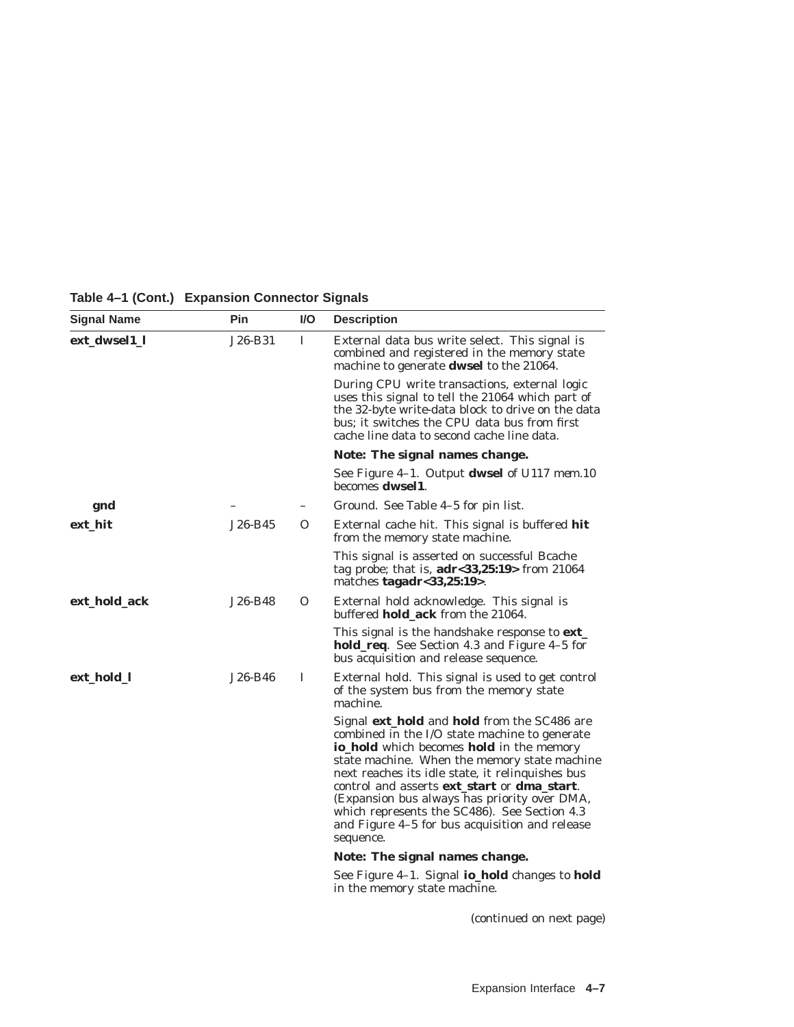| <b>Signal Name</b> | Pin     | VO.      | <b>Description</b>                                                                                                                                                                                                                                                                                                                                                                                                                                                                                    |
|--------------------|---------|----------|-------------------------------------------------------------------------------------------------------------------------------------------------------------------------------------------------------------------------------------------------------------------------------------------------------------------------------------------------------------------------------------------------------------------------------------------------------------------------------------------------------|
| ext_dwsel1_l       | J26-B31 | 1        | External data bus write select. This signal is<br>combined and registered in the memory state<br>machine to generate <b>dwsel</b> to the 21064.                                                                                                                                                                                                                                                                                                                                                       |
|                    |         |          | During CPU write transactions, external logic<br>uses this signal to tell the 21064 which part of<br>the 32-byte write-data block to drive on the data<br>bus; it switches the CPU data bus from first<br>cache line data to second cache line data.                                                                                                                                                                                                                                                  |
|                    |         |          | Note: The signal names change.                                                                                                                                                                                                                                                                                                                                                                                                                                                                        |
|                    |         |          | See Figure 4-1. Output dwsel of U117 mem.10<br>becomes <b>dwsel1</b> .                                                                                                                                                                                                                                                                                                                                                                                                                                |
| gnd                |         |          | Ground. See Table 4–5 for pin list.                                                                                                                                                                                                                                                                                                                                                                                                                                                                   |
| ext_hit            | J26-B45 | $\Omega$ | External cache hit. This signal is buffered hit<br>from the memory state machine.                                                                                                                                                                                                                                                                                                                                                                                                                     |
|                    |         |          | This signal is asserted on successful Bcache<br>tag probe; that is, $adr < 33,25:19$ from 21064<br>matches tagadr< $33,25:19$ .                                                                                                                                                                                                                                                                                                                                                                       |
| ext_hold_ack       | J26-B48 | O        | External hold acknowledge. This signal is<br>buffered hold_ack from the 21064.                                                                                                                                                                                                                                                                                                                                                                                                                        |
|                    |         |          | This signal is the handshake response to <b>ext</b><br><b>hold_req.</b> See Section 4.3 and Figure 4–5 for<br>bus acquisition and release sequence.                                                                                                                                                                                                                                                                                                                                                   |
| ext_hold_l         | J26-B46 | I        | External hold. This signal is used to get control<br>of the system bus from the memory state<br>machine.                                                                                                                                                                                                                                                                                                                                                                                              |
|                    |         |          | Signal <b>ext_hold</b> and <b>hold</b> from the SC486 are<br>combined in the I/O state machine to generate<br><b>io_hold</b> which becomes <b>hold</b> in the memory<br>state machine. When the memory state machine<br>next reaches its idle state, it relinquishes bus<br>control and asserts <b>ext_start</b> or <b>dma_start</b> .<br>(Expansion bus always has priority over DMA,<br>which represents the SC486). See Section 4.3<br>and Figure 4–5 for bus acquisition and release<br>sequence. |
|                    |         |          | Note: The signal names change.                                                                                                                                                                                                                                                                                                                                                                                                                                                                        |
|                    |         |          | See Figure 4-1. Signal io_hold changes to hold<br>in the memory state machine.                                                                                                                                                                                                                                                                                                                                                                                                                        |

**Table 4–1 (Cont.) Expansion Connector Signals**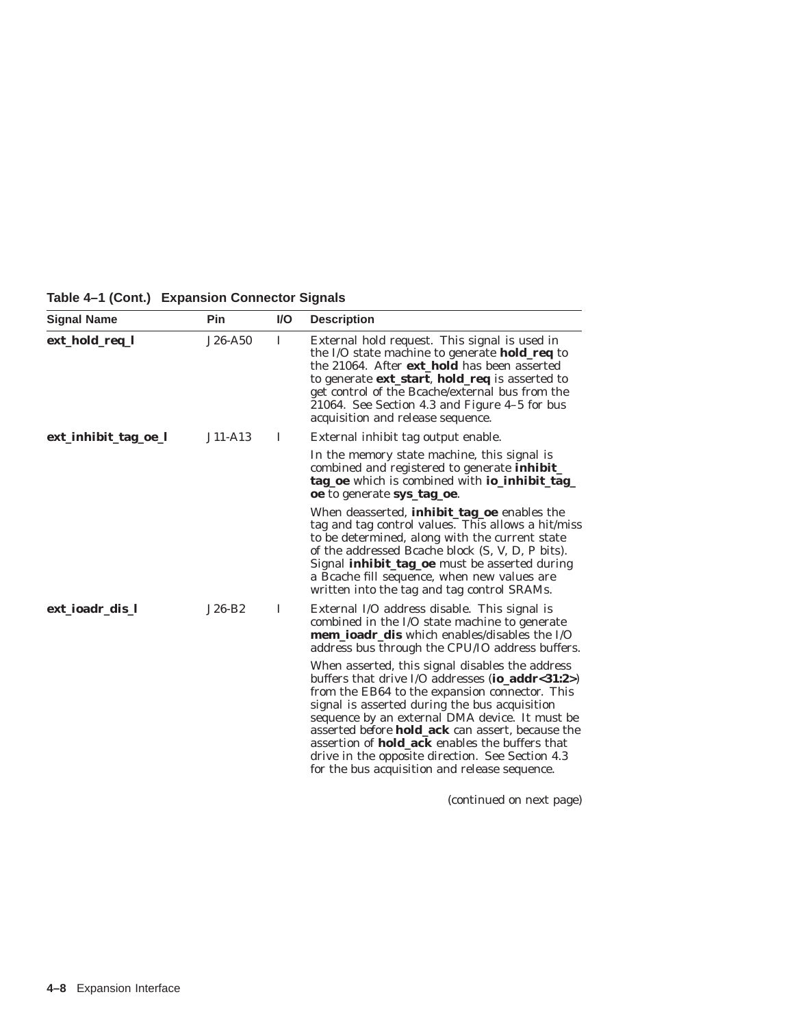**Table 4–1 (Cont.) Expansion Connector Signals**

| <b>Signal Name</b>   | Pin       | <b>VO</b> | <b>Description</b>                                                                                                                                                                                                                                                                                                                                                                                                                                                                       |
|----------------------|-----------|-----------|------------------------------------------------------------------------------------------------------------------------------------------------------------------------------------------------------------------------------------------------------------------------------------------------------------------------------------------------------------------------------------------------------------------------------------------------------------------------------------------|
| ext_hold_req_l       | $J26-A50$ | T         | External hold request. This signal is used in<br>the I/O state machine to generate <b>hold_req</b> to<br>the 21064. After <b>ext_hold</b> has been asserted<br>to generate ext_start, hold_req is asserted to<br>get control of the Bcache/external bus from the<br>21064. See Section 4.3 and Figure 4-5 for bus<br>acquisition and release sequence.                                                                                                                                   |
| ext_inhibit_tag_oe_l | $J11-A13$ | I         | External inhibit tag output enable.                                                                                                                                                                                                                                                                                                                                                                                                                                                      |
|                      |           |           | In the memory state machine, this signal is<br>combined and registered to generate <i>inhibit_</i><br>tag_oe which is combined with io_inhibit_tag_<br>oe to generate sys_tag_oe.                                                                                                                                                                                                                                                                                                        |
|                      |           |           | When deasserted, <i>inhibit_tag_oe</i> enables the<br>tag and tag control values. This allows a hit/miss<br>to be determined, along with the current state<br>of the addressed Bcache block (S, V, D, P bits).<br>Signal <b>inhibit_tag_oe</b> must be asserted during<br>a Bcache fill sequence, when new values are<br>written into the tag and tag control SRAMs.                                                                                                                     |
| ext_ioadr_dis_l      | $J26-B2$  | T         | External I/O address disable. This signal is<br>combined in the I/O state machine to generate<br><b>mem_ioadr_dis</b> which enables/disables the I/O<br>address bus through the CPU/IO address buffers.                                                                                                                                                                                                                                                                                  |
|                      |           |           | When asserted, this signal disables the address<br>buffers that drive I/O addresses (io_addr<31:2>)<br>from the EB64 to the expansion connector. This<br>signal is asserted during the bus acquisition<br>sequence by an external DMA device. It must be<br>asserted <i>before</i> <b>hold_ack</b> can assert, because the<br>assertion of <b>hold_ack</b> enables the buffers that<br>drive in the opposite direction. See Section 4.3<br>for the bus acquisition and release sequence. |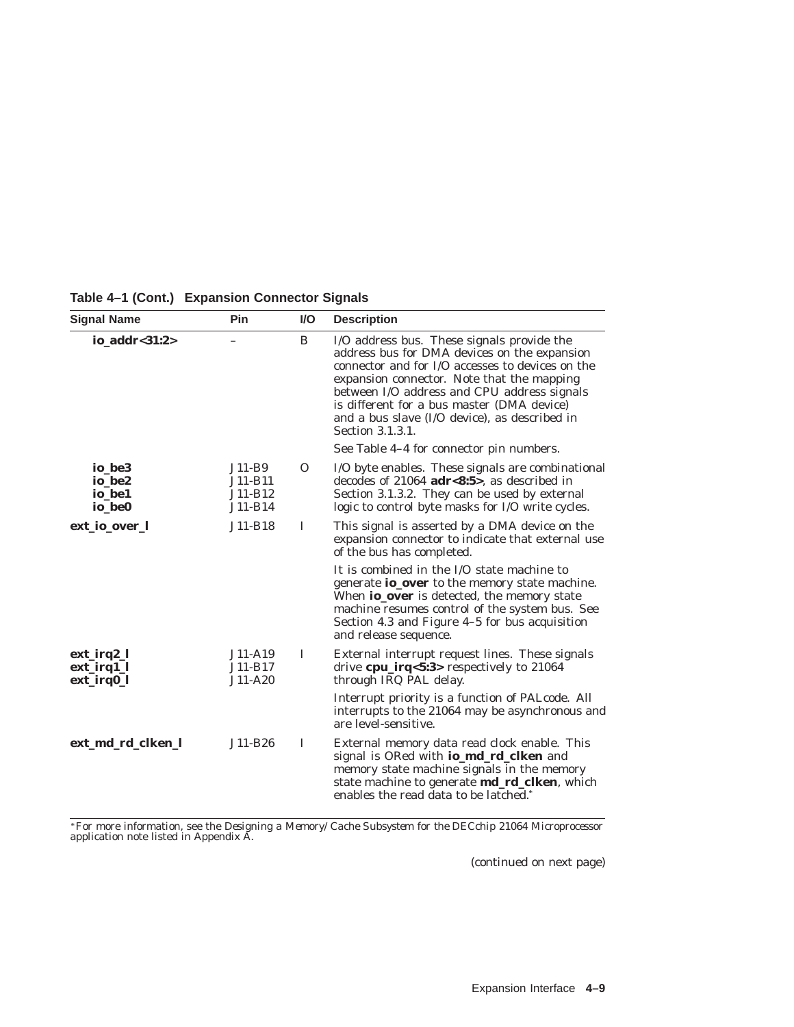| <b>Signal Name</b>                               | Pin                                         | $UO$         | <b>Description</b>                                                                                                                                                                                                                                                                                                                                             |
|--------------------------------------------------|---------------------------------------------|--------------|----------------------------------------------------------------------------------------------------------------------------------------------------------------------------------------------------------------------------------------------------------------------------------------------------------------------------------------------------------------|
| io_addr<31:2>                                    |                                             | B            | I/O address bus. These signals provide the<br>address bus for DMA devices on the expansion<br>connector and for I/O accesses to devices on the<br>expansion connector. Note that the mapping<br>between I/O address and CPU address signals<br>is different for a bus master (DMA device)<br>and a bus slave (I/O device), as described in<br>Section 3.1.3.1. |
|                                                  |                                             |              | See Table 4-4 for connector pin numbers.                                                                                                                                                                                                                                                                                                                       |
| io be <sub>3</sub><br>io_be2<br>io_be1<br>io be0 | $J11-B9$<br>J11-B11<br>J11-B12<br>$J11-B14$ | $\Omega$     | I/O byte enables. These signals are combinational<br>decodes of $21064$ adr<8:5>, as described in<br>Section 3.1.3.2. They can be used by external<br>logic to control byte masks for I/O write cycles.                                                                                                                                                        |
| ext_io_over_l                                    | J11-B18                                     | I            | This signal is asserted by a DMA device on the<br>expansion connector to indicate that external use<br>of the bus has completed.                                                                                                                                                                                                                               |
|                                                  |                                             |              | It is combined in the I/O state machine to<br>generate io_over to the memory state machine.<br>When <b>io_over</b> is detected, the memory state<br>machine resumes control of the system bus. See<br>Section 4.3 and Figure 4-5 for bus acquisition<br>and release sequence.                                                                                  |
| ext_irq2_l<br>ext_irq1_l<br>ext_irq0_l           | $J11-A19$<br>J11-B17<br>$J11-A20$           | L            | External interrupt request lines. These signals<br>drive cpu_irq<5:3> respectively to 21064<br>through IRQ PAL delay.                                                                                                                                                                                                                                          |
|                                                  |                                             |              | Interrupt priority is a function of PALcode. All<br>interrupts to the 21064 may be asynchronous and<br>are level-sensitive.                                                                                                                                                                                                                                    |
| ext_md_rd_clken_l                                | $J11-B26$                                   | $\mathbf{I}$ | External memory data read clock enable. This<br>signal is ORed with io_md_rd_clken and<br>memory state machine signals in the memory<br>state machine to generate md_rd_clken, which<br>enables the read data to be latched.*                                                                                                                                  |

**Table 4–1 (Cont.) Expansion Connector Signals**

For more information, see the *Designing a Memory/Cache Subsystem for the DECchip 21064 Microprocessor* application note listed in Appendix A.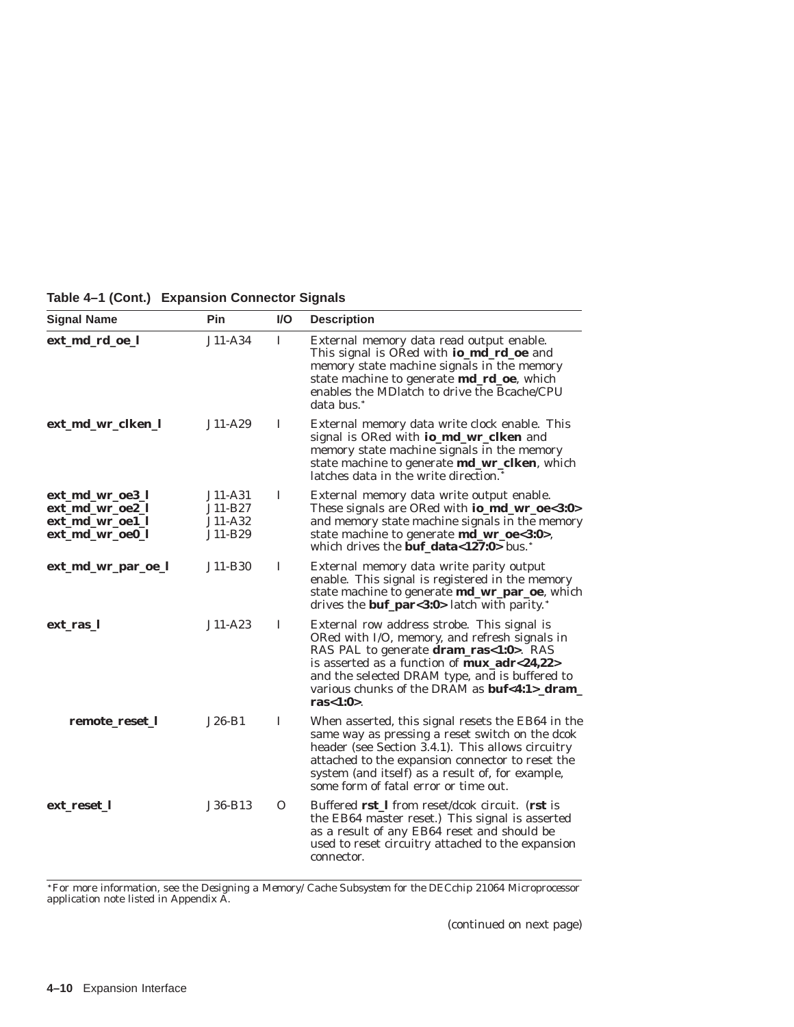| <b>Signal Name</b>                                                       | Pin                                      | $UO$         | <b>Description</b>                                                                                                                                                                                                                                                                                                                                   |
|--------------------------------------------------------------------------|------------------------------------------|--------------|------------------------------------------------------------------------------------------------------------------------------------------------------------------------------------------------------------------------------------------------------------------------------------------------------------------------------------------------------|
| ext_md_rd_oe_l                                                           | $J11-A34$                                | $\mathbf{I}$ | External memory data read output enable.<br>This signal is ORed with <b>io_md_rd_oe</b> and<br>memory state machine signals in the memory<br>state machine to generate md_rd_oe, which<br>enables the MD atch to drive the B cache/CPU<br>data bus. <sup>*</sup>                                                                                     |
| ext_md_wr_clken_l                                                        | J11-A29                                  | 1            | External memory data write clock enable. This<br>signal is ORed with <b>io_md_wr_clken</b> and<br>memory state machine signals in the memory<br>state machine to generate md_wr_clken, which<br>latches data in the write direction. <sup>*</sup>                                                                                                    |
| ext_md_wr_oe3_l<br>ext_md_wr_oe2_l<br>ext_md_wr_oe1_l<br>ext_md_wr_oe0_l | J11-A31<br>J11-B27<br>J11-A32<br>J11-B29 | 1            | External memory data write output enable.<br>These signals are ORed with io_md_wr_oe<3:0><br>and memory state machine signals in the memory<br>state machine to generate md_wr_oe<3:0>,<br>which drives the <b>buf data</b> <127:0> bus.*                                                                                                            |
| ext_md_wr_par_oe_l                                                       | J11-B30                                  | I            | External memory data write parity output<br>enable. This signal is registered in the memory<br>state machine to generate <b>md_wr_par_oe</b> , which<br>drives the <b>buf_par</b> < $3:0$ > latch with parity.*                                                                                                                                      |
| ext_ras_l                                                                | $J11 - A23$                              | $\mathbf{I}$ | External row address strobe. This signal is<br>ORed with I/O, memory, and refresh signals in<br>RAS PAL to generate <b>dram_ras</b> <1:0>. RAS<br>is asserted as a function of $\text{mux}\_\text{adr} < 24,22>$<br>and the selected DRAM type, and is buffered to<br>various chunks of the DRAM as <b>buf&lt;4:1&gt;_dram_</b><br>ras $<$ 1:0 $>$ . |
| remote_reset_l                                                           | J26-B1                                   | I            | When asserted, this signal resets the EB64 in the<br>same way as pressing a reset switch on the dcok<br>header (see Section 3.4.1). This allows circuitry<br>attached to the expansion connector to reset the<br>system (and itself) as a result of, for example,<br>some form of fatal error or time out.                                           |
| ext_reset_l                                                              | J36-B13                                  | 0            | Buffered rst_I from reset/dcok circuit. (rst is<br>the EB64 master reset.) This signal is asserted<br>as a result of any EB64 reset and should be<br>used to reset circuitry attached to the expansion<br>connector.                                                                                                                                 |

**Table 4–1 (Cont.) Expansion Connector Signals**

For more information, see the *Designing a Memory/Cache Subsystem for the DECchip 21064 Microprocessor* application note listed in Appendix A.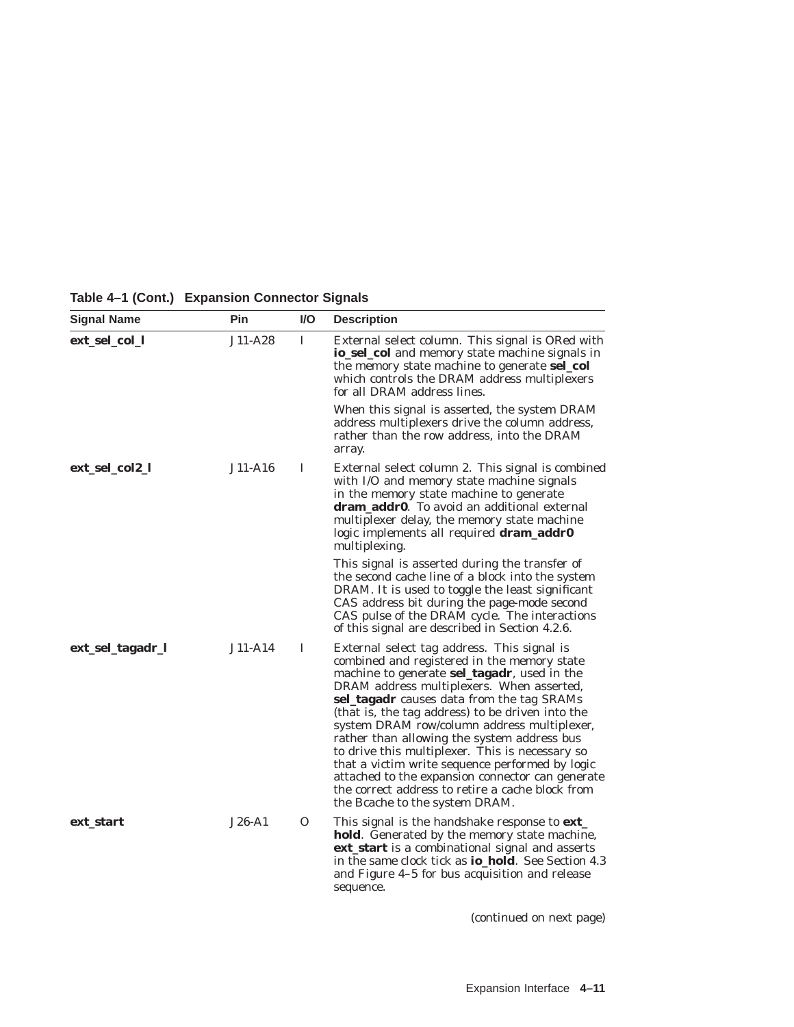| <b>Signal Name</b> | Pin      | $UO$     | <b>Description</b>                                                                                                                                                                                                                                                                                                                                                                                                                                                                                                                                                                                                                    |
|--------------------|----------|----------|---------------------------------------------------------------------------------------------------------------------------------------------------------------------------------------------------------------------------------------------------------------------------------------------------------------------------------------------------------------------------------------------------------------------------------------------------------------------------------------------------------------------------------------------------------------------------------------------------------------------------------------|
| ext_sel_col_l      | J11-A28  | 1        | External select column. This signal is ORed with<br>io_sel_col and memory state machine signals in<br>the memory state machine to generate <b>sel_col</b><br>which controls the DRAM address multiplexers<br>for all DRAM address lines.                                                                                                                                                                                                                                                                                                                                                                                              |
|                    |          |          | When this signal is asserted, the system DRAM<br>address multiplexers drive the column address,<br>rather than the row address, into the DRAM<br>array.                                                                                                                                                                                                                                                                                                                                                                                                                                                                               |
| ext_sel_col2_l     | J11-A16  | I        | External select column 2. This signal is combined<br>with I/O and memory state machine signals<br>in the memory state machine to generate<br>dram_addr0. To avoid an additional external<br>multiplexer delay, the memory state machine<br>logic implements all required dram_addr0<br>multiplexing.                                                                                                                                                                                                                                                                                                                                  |
|                    |          |          | This signal is asserted during the transfer of<br>the second cache line of a block into the system<br>DRAM. It is used to toggle the least significant<br>CAS address bit during the page-mode second<br>CAS pulse of the DRAM cycle. The interactions<br>of this signal are described in Section 4.2.6.                                                                                                                                                                                                                                                                                                                              |
| ext_sel_tagadr_l   | J11-A14  | L        | External select tag address. This signal is<br>combined and registered in the memory state<br>machine to generate sel_tagadr, used in the<br>DRAM address multiplexers. When asserted,<br>sel_tagadr causes data from the tag SRAMs<br>(that is, the tag address) to be driven into the<br>system DRAM row/column address multiplexer,<br>rather than allowing the system address bus<br>to drive this multiplexer. This is necessary so<br>that a victim write sequence performed by logic<br>attached to the expansion connector can generate<br>the correct address to retire a cache block from<br>the Bcache to the system DRAM. |
| ext start          | $J26-A1$ | $\Omega$ | This signal is the handshake response to ext<br>hold. Generated by the memory state machine,<br>ext_start is a combinational signal and asserts<br>in the same clock tick as <b>io_hold</b> . See Section 4.3<br>and Figure 4-5 for bus acquisition and release<br>sequence.                                                                                                                                                                                                                                                                                                                                                          |

**Table 4–1 (Cont.) Expansion Connector Signals**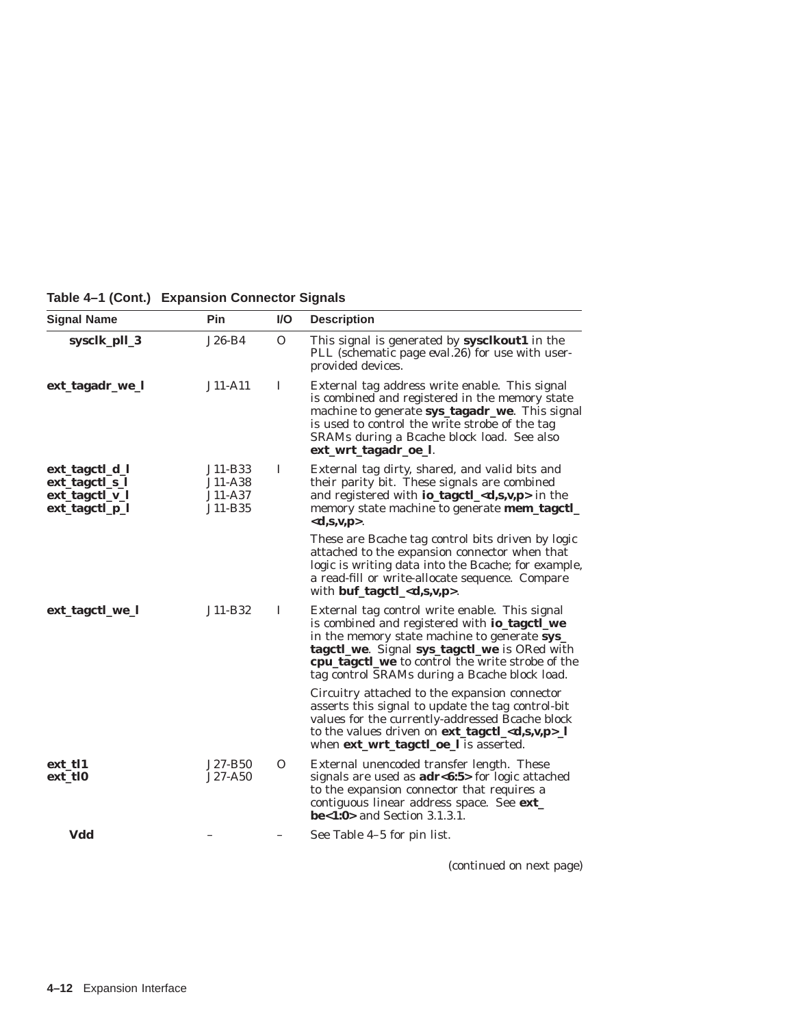**Table 4–1 (Cont.) Expansion Connector Signals**

| <b>Signal Name</b>                                 | Pin                           | $UO$     | <b>Description</b>                                                                                                                                                                                                                                                                                  |
|----------------------------------------------------|-------------------------------|----------|-----------------------------------------------------------------------------------------------------------------------------------------------------------------------------------------------------------------------------------------------------------------------------------------------------|
| sysclk_pll_3                                       | $J26-B4$                      | $\Omega$ | This signal is generated by sysclkout1 in the<br>PLL (schematic page eval.26) for use with user-<br>provided devices.                                                                                                                                                                               |
| ext_tagadr_we_l                                    | $J11-A11$                     | I        | External tag address write enable. This signal<br>is combined and registered in the memory state<br>machine to generate sys_tagadr_we. This signal<br>is used to control the write strobe of the tag<br>SRAMs during a Bcache block load. See also<br>ext_wrt_tagadr_oe_l.                          |
| ext_tagctl_d_l<br>ext_tagctl_s_l<br>ext_tagctl_v_l | J11-B33<br>J11-A38<br>J11-A37 | I        | External tag dirty, shared, and valid bits and<br>their parity bit. These signals are combined<br>and registered with <b>io_tagctl_<d,s,v,p< b="">&gt; in the</d,s,v,p<></b>                                                                                                                        |
| ext_tagctl_p_l                                     | J11-B35                       |          | memory state machine to generate <b>mem_tagctl_</b><br>$<d,s,v,p>.$                                                                                                                                                                                                                                 |
|                                                    |                               |          | These are Bcache tag control bits driven by logic<br>attached to the expansion connector when that<br>logic is writing data into the Bcache; for example,<br>a read-fill or write-allocate sequence. Compare<br>with buf_tagctl_ <d,s,v,p>.</d,s,v,p>                                               |
| ext_tagctl_we_l                                    | J11-B32                       | 1        | External tag control write enable. This signal<br>is combined and registered with io_tagctl_we<br>in the memory state machine to generate sys_<br>tagctl_we. Signal sys_tagctl_we is ORed with<br>cpu_tagctl_we to control the write strobe of the<br>tag control SRAMs during a Bcache block load. |
|                                                    |                               |          | Circuitry attached to the expansion connector<br>asserts this signal to update the tag control-bit<br>values for the currently-addressed Bcache block<br>to the values driven on ext_tagctl_ <d,s,v,p>_l<br/>when ext_wrt_tagctl_oe_l is asserted.</d,s,v,p>                                        |
| ext tl1<br>ext_tl0                                 | J27-B50<br>$J27 - A50$        | $\Omega$ | External unencoded transfer length. These<br>signals are used as <b>adr&lt;6:5&gt;</b> for logic attached<br>to the expansion connector that requires a<br>contiguous linear address space. See ext_<br><b>be</b> <1:0> and Section $3.1.3.1$ .                                                     |
| Vdd                                                |                               |          | See Table 4–5 for pin list.                                                                                                                                                                                                                                                                         |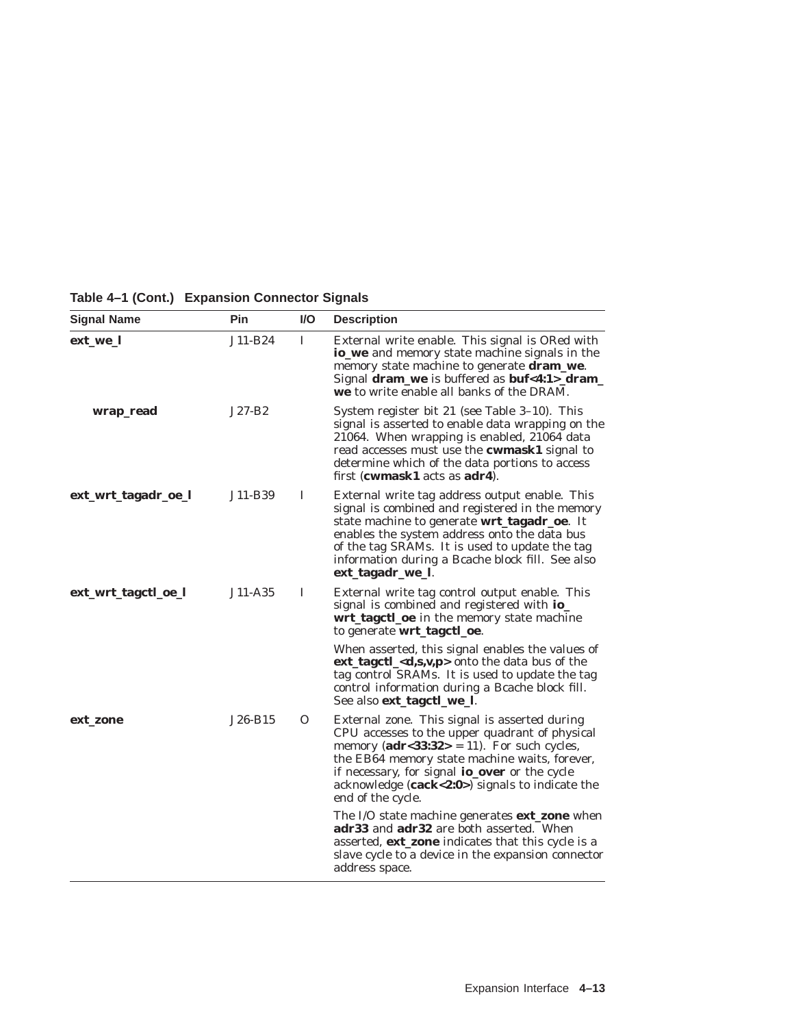| <b>Signal Name</b>  | Pin      | I/O | <b>Description</b>                                                                                                                                                                                                                                                                                                                   |
|---------------------|----------|-----|--------------------------------------------------------------------------------------------------------------------------------------------------------------------------------------------------------------------------------------------------------------------------------------------------------------------------------------|
| ext_we_l            | J11-B24  | L   | External write enable. This signal is ORed with<br><b>io_we</b> and memory state machine signals in the<br>memory state machine to generate <b>dram_we</b> .<br>Signal dram_we is buffered as buf<4:1>_dram_<br><b>we</b> to write enable all banks of the DRAM.                                                                     |
| wrap_read           | $J27-B2$ |     | System register bit 21 (see Table 3–10). This<br>signal is asserted to enable data wrapping on the<br>21064. When wrapping is enabled, 21064 data<br>read accesses must use the <b>cwmask1</b> signal to<br>determine which of the data portions to access<br>first (cwmask1 acts as $adr4$ ).                                       |
| ext_wrt_tagadr_oe_l | J11-B39  | I   | External write tag address output enable. This<br>signal is combined and registered in the memory<br>state machine to generate <b>wrt_tagadr_oe</b> . It<br>enables the system address onto the data bus<br>of the tag SRAMs. It is used to update the tag<br>information during a Bcache block fill. See also<br>ext_tagadr_we_l.   |
| ext_wrt_tagctl_oe_l | J11-A35  | I   | External write tag control output enable. This<br>signal is combined and registered with io_<br>wrt_tagctl_oe in the memory state machine<br>to generate wrt_tagctl_oe.                                                                                                                                                              |
|                     |          |     | When asserted, this signal enables the values of<br>ext_tagctl_ <d,s,v,p> onto the data bus of the<br/>tag control SRAMs. It is used to update the tag<br/>control information during a Bcache block fill.<br/>See also ext_tagctl_we_l.</d,s,v,p>                                                                                   |
| ext_zone            | J26-B15  | O   | External zone. This signal is asserted during<br>CPU accesses to the upper quadrant of physical<br>memory ( $\text{adr}$ <33:32> = 11). For such cycles,<br>the EB64 memory state machine waits, forever,<br>if necessary, for signal io_over or the cycle<br>acknowledge $(cack<2:0>)$ signals to indicate the<br>end of the cycle. |
|                     |          |     | The I/O state machine generates <b>ext_zone</b> when<br>adr33 and adr32 are both asserted. When<br>asserted, ext_zone indicates that this cycle is a<br>slave cycle to a device in the expansion connector<br>address space.                                                                                                         |

**Table 4–1 (Cont.) Expansion Connector Signals**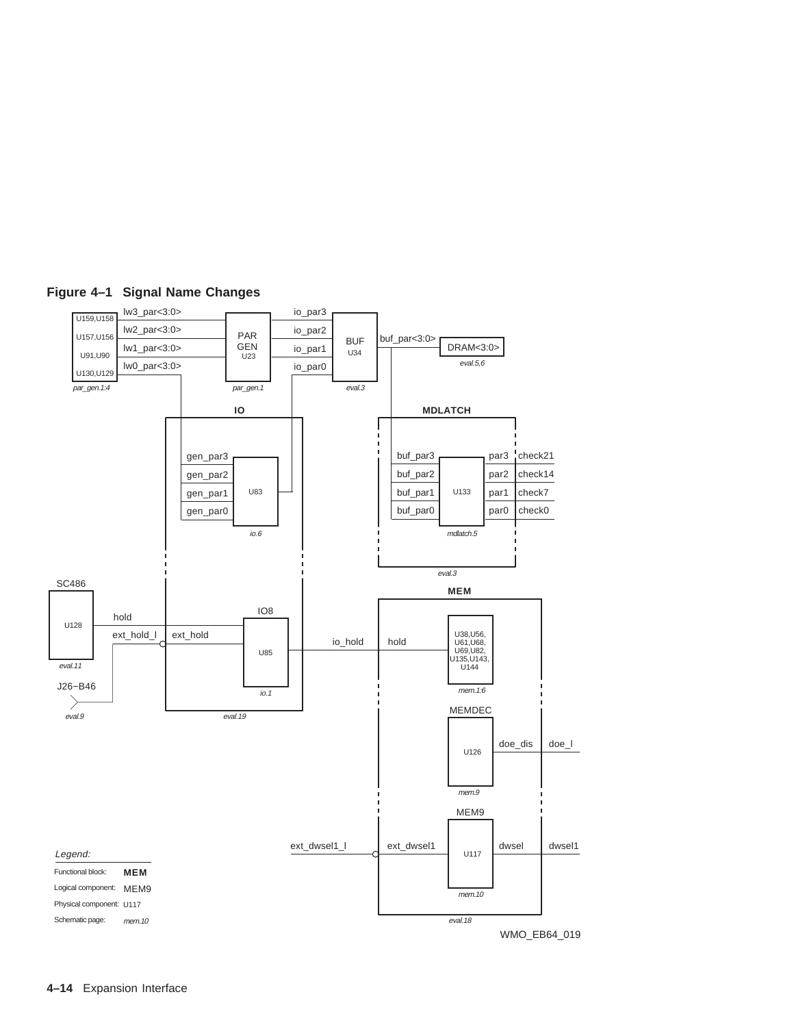

# **Figure 4–1 Signal Name Changes**

**4–14** Expansion Interface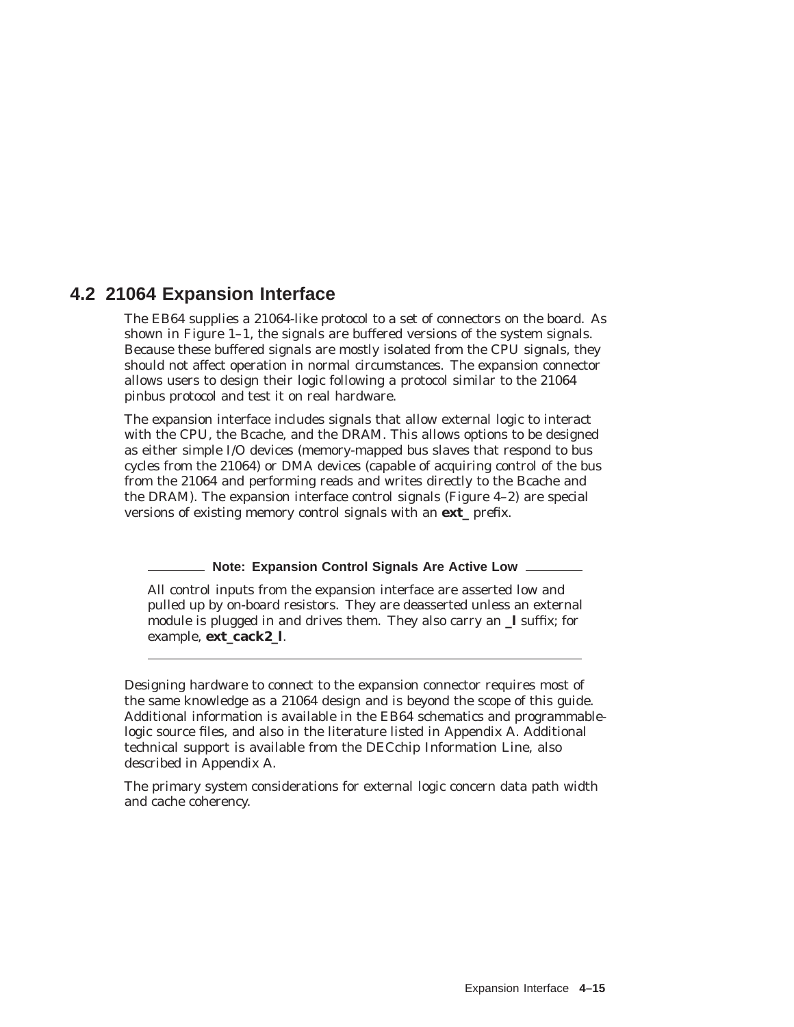# **4.2 21064 Expansion Interface**

The EB64 supplies a 21064-like protocol to a set of connectors on the board. As shown in Figure 1–1, the signals are buffered versions of the system signals. Because these buffered signals are mostly isolated from the CPU signals, they should not affect operation in normal circumstances. The expansion connector allows users to design their logic following a protocol similar to the 21064 pinbus protocol and test it on real hardware.

The expansion interface includes signals that allow external logic to interact with the CPU, the Bcache, and the DRAM. This allows options to be designed as either simple I/O devices (memory-mapped bus slaves that respond to bus cycles from the 21064) or DMA devices (capable of acquiring control of the bus from the 21064 and performing reads and writes directly to the Bcache and the DRAM). The expansion interface *control* signals (Figure 4–2) are special versions of existing memory control signals with an **ext\_** prefix.

#### **Note: Expansion Control Signals Are Active Low**

All *control* inputs *from* the expansion interface are asserted *low* and pulled up by on-board resistors. They are deasserted unless an external module is plugged in and drives them. They also carry an **\_l** suffix; for example, **ext\_cack2\_l**.

Designing hardware to connect to the expansion connector requires most of the same knowledge as a 21064 design and is beyond the scope of this guide. Additional information is available in the EB64 schematics and programmablelogic source files, and also in the literature listed in Appendix A. Additional technical support is available from the DECchip Information Line, also described in Appendix A.

The primary system considerations for external logic concern data path width and cache coherency.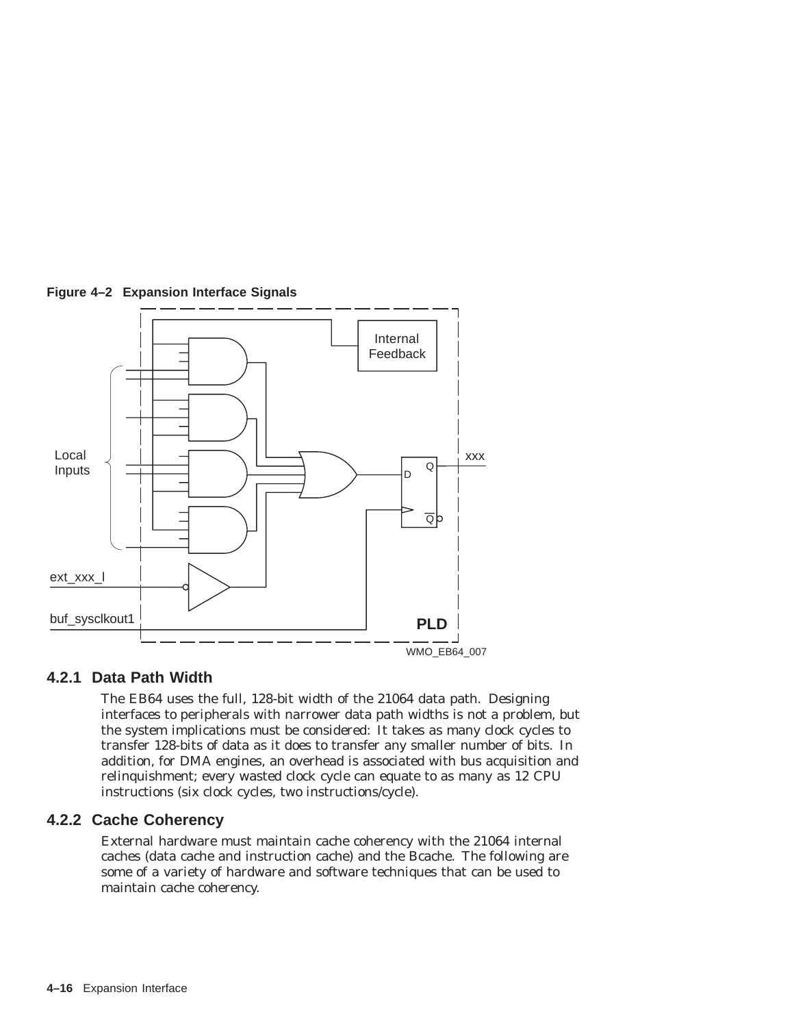

# **Figure 4–2 Expansion Interface Signals**

# **4.2.1 Data Path Width**

The EB64 uses the full, 128-bit width of the 21064 data path. Designing interfaces to peripherals with narrower data path widths is not a problem, but the system implications must be considered: It takes as many clock cycles to transfer 128-bits of data as it does to transfer any smaller number of bits. In addition, for DMA engines, an overhead is associated with bus acquisition and relinquishment; every wasted clock cycle can equate to as many as 12 CPU instructions (six clock cycles, two instructions/cycle).

# **4.2.2 Cache Coherency**

External hardware must maintain cache coherency with the 21064 internal caches (data cache and instruction cache) and the Bcache. The following are some of a variety of hardware and software techniques that can be used to maintain cache coherency.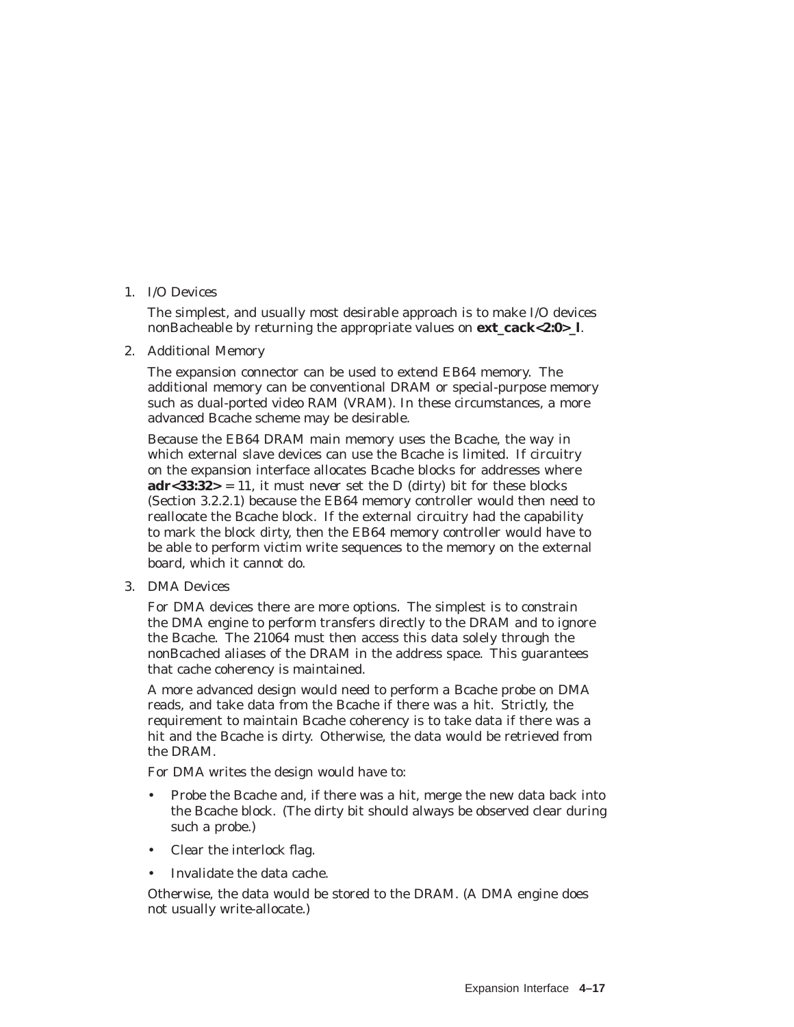### 1. I/O Devices

The simplest, and usually most desirable approach is to make I/O devices nonBacheable by returning the appropriate values on **ext\_cack<2:0>\_l**.

2. Additional Memory

The expansion connector can be used to extend EB64 memory. The additional memory can be conventional DRAM or special-purpose memory such as dual-ported video RAM (VRAM). In these circumstances, a more advanced Bcache scheme may be desirable.

Because the EB64 DRAM main memory uses the Bcache, the way in which external slave devices can use the Bcache is limited. If circuitry on the expansion interface allocates Bcache blocks for addresses where  $\textbf{adr}$ <33:32> = 11, it must *never* set the D (dirty) bit for these blocks (Section 3.2.2.1) because the EB64 memory controller would then need to reallocate the Bcache block. If the external circuitry had the capability to mark the block dirty, then the EB64 memory controller would have to be able to perform victim write sequences to the memory on the external board, which it cannot do.

3. DMA Devices

For DMA devices there are more options. The simplest is to constrain the DMA engine to perform transfers directly to the DRAM and to ignore the Bcache. The 21064 must then access this data solely through the nonBcached aliases of the DRAM in the address space. This guarantees that cache coherency is maintained.

A more advanced design would need to perform a Bcache probe on DMA reads, and take data from the Bcache if there was a hit. Strictly, the requirement to maintain Bcache coherency is to take data if there was a hit and the Bcache is dirty. Otherwise, the data would be retrieved from the DRAM.

For DMA writes the design would have to:

- Probe the Bcache and, if there was a hit, merge the new data back into the Bcache block. (The dirty bit should always be observed clear during such a probe.)
- Clear the interlock flag.
- Invalidate the data cache.

Otherwise, the data would be stored to the DRAM. (A DMA engine does not usually write-allocate.)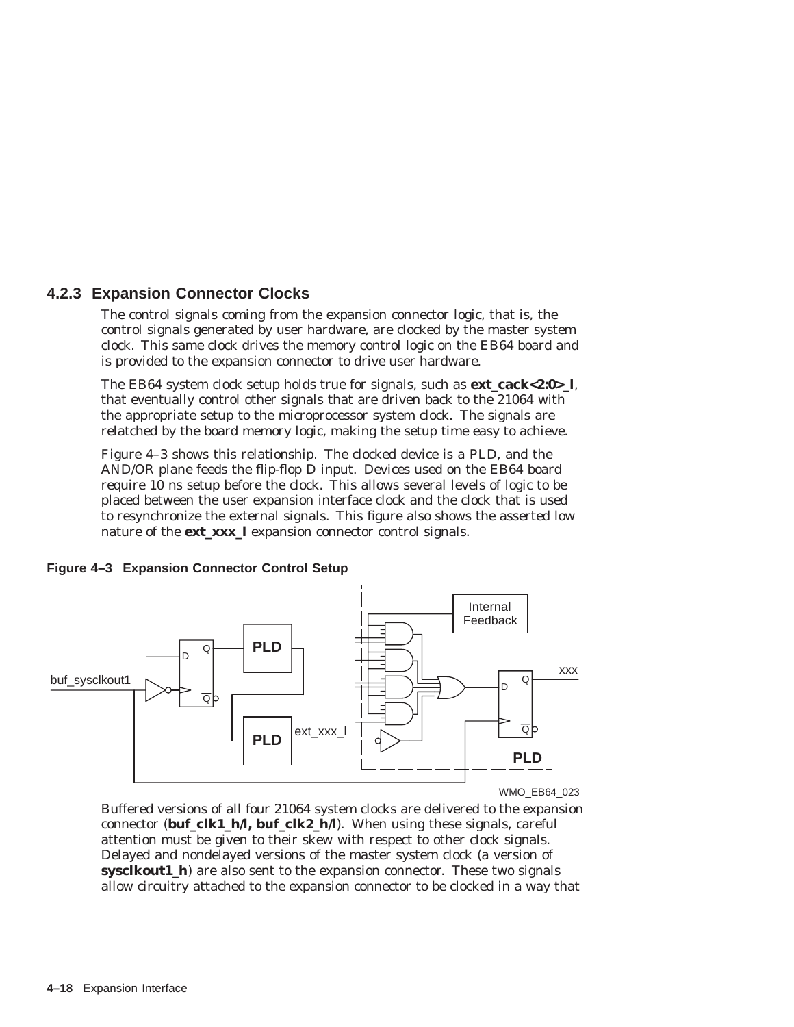### **4.2.3 Expansion Connector Clocks**

The control signals coming from the expansion connector logic, that is, the control signals generated by user hardware, are clocked by the master system clock. This same clock drives the memory control logic on the EB64 board and is provided to the expansion connector to drive user hardware.

The EB64 system clock setup holds true for signals, such as **ext\_cack<2:0>\_l**, that eventually control other signals that are driven back to the 21064 with the appropriate setup to the microprocessor system clock. The signals are relatched by the board memory logic, making the setup time easy to achieve.

Figure 4–3 shows this relationship. The clocked device is a PLD, and the AND/OR plane feeds the flip-flop D input. Devices used on the EB64 board require 10 ns setup before the clock. This allows several levels of logic to be placed between the user expansion interface clock and the clock that is used to resynchronize the external signals. This figure also shows the asserted low nature of the **ext\_xxx\_l** expansion connector control signals.



#### **Figure 4–3 Expansion Connector Control Setup**

WMO\_EB64\_023

Buffered versions of all four 21064 system clocks are delivered to the expansion connector (**buf** clk1 h/l, buf clk2 h/l). When using these signals, careful attention must be given to their skew with respect to other clock signals. Delayed and nondelayed versions of the master system clock (a version of **sysclkout1\_h**) are also sent to the expansion connector. These two signals allow circuitry attached to the expansion connector to be clocked in a way that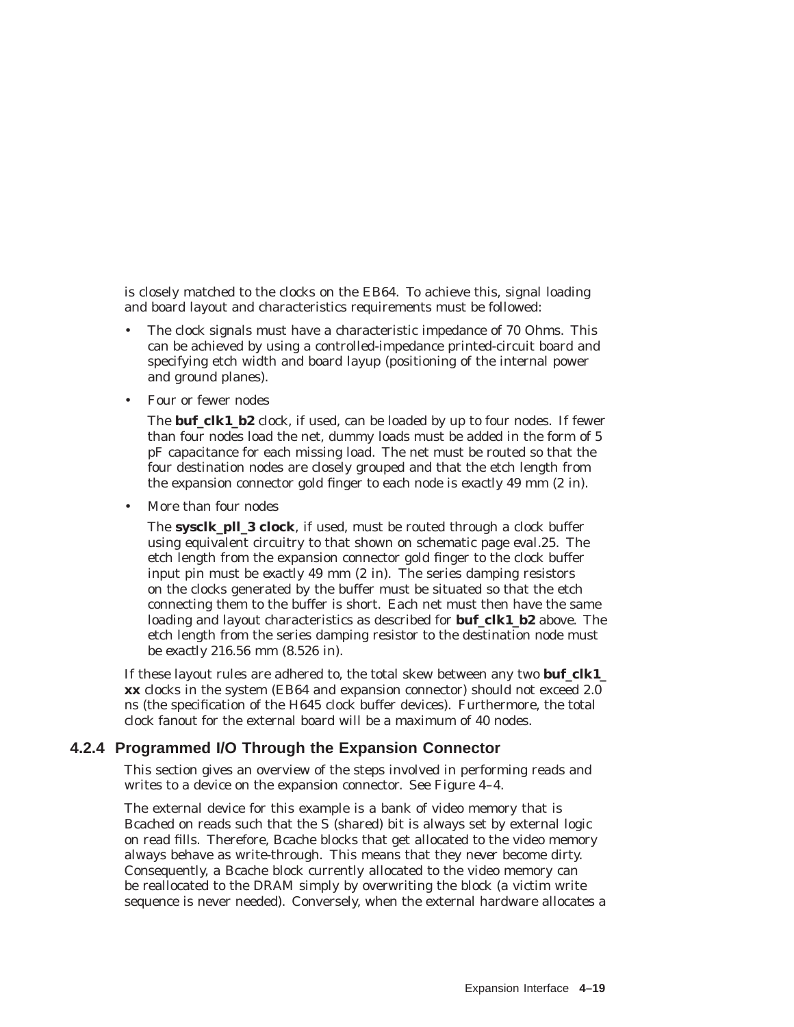is closely matched to the clocks on the EB64. To achieve this, signal loading and board layout and characteristics requirements must be followed:

- The clock signals must have a characteristic impedance of 70 Ohms. This can be achieved by using a controlled-impedance printed-circuit board and specifying etch width and board layup (positioning of the internal power and ground planes).
- Four or fewer nodes

The **buf\_clk1\_b2** clock, if used, can be loaded by up to four nodes. If fewer than four nodes load the net, dummy loads must be added in the form of 5 pF capacitance for each missing load. The net must be routed so that the four destination nodes are closely grouped and that the etch length from the expansion connector gold finger to each node is *exactly* 49 mm (2 in).

• More than four nodes

The **sysclk\_pll\_3 clock**, if used, must be routed through a clock buffer using equivalent circuitry to that shown on schematic page *eval.25*. The etch length from the expansion connector gold finger to the clock buffer input pin must be *exactly* 49 mm (2 in). The series damping resistors on the clocks generated by the buffer must be situated so that the etch connecting them to the buffer is short. Each net must then have the same loading and layout characteristics as described for **buf\_clk1\_b2** above. The etch length from the series damping resistor to the destination node must be *exactly* 216.56 mm (8.526 in).

If these layout rules are adhered to, the total skew between any two **buf\_clk1\_ xx** clocks in the system (EB64 and expansion connector) should not exceed 2.0 ns (the specification of the H645 clock buffer devices). Furthermore, the total clock fanout for the external board will be a maximum of 40 nodes.

### **4.2.4 Programmed I/O Through the Expansion Connector**

This section gives an overview of the steps involved in performing reads and writes to a device on the expansion connector. See Figure 4-4.

The external device for this example is a bank of video memory that is Bcached on reads such that the S (shared) bit is always set by external logic on read fills. Therefore, Bcache blocks that get allocated to the video memory always behave as write-through. This means that they *never* become dirty. Consequently, a Bcache block currently allocated to the video memory can be reallocated to the DRAM simply by overwriting the block (a victim write sequence is never needed). Conversely, when the external hardware allocates a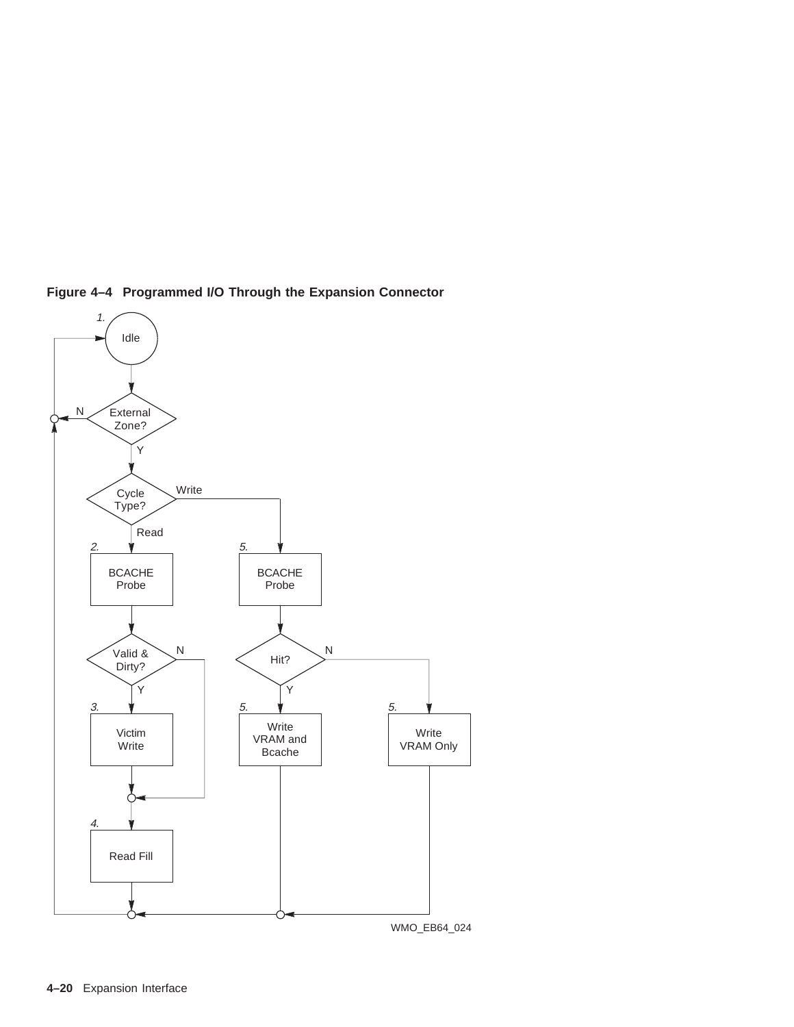

**Figure 4–4 Programmed I/O Through the Expansion Connector**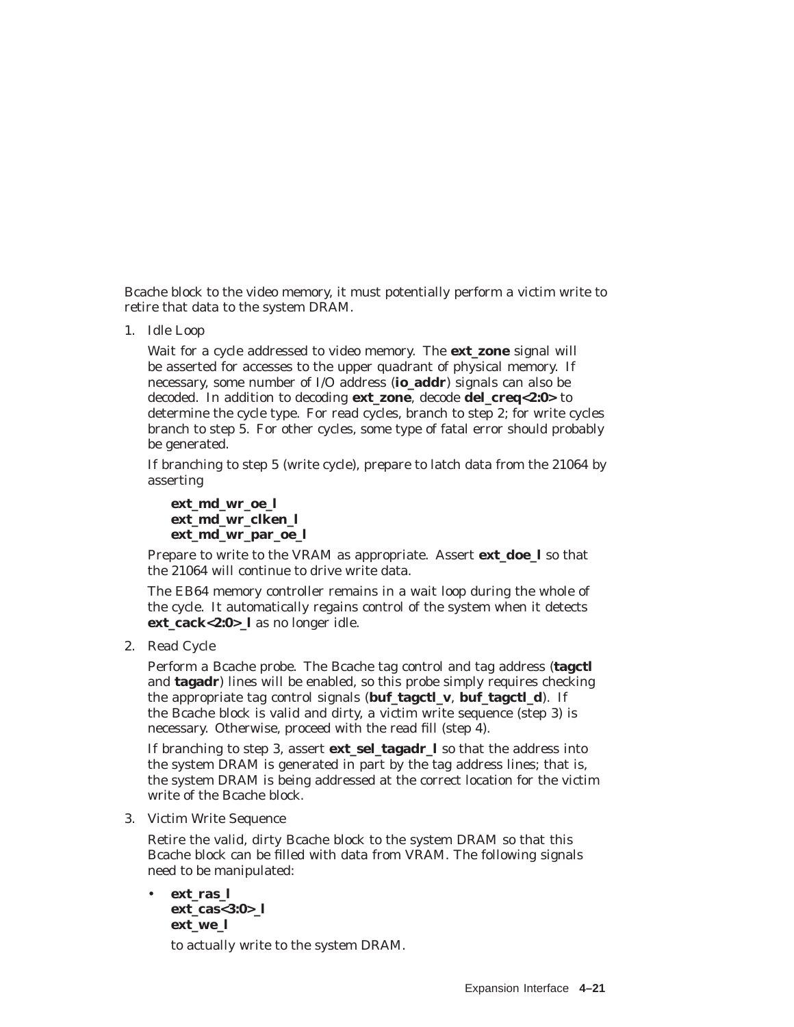Bcache block to the video memory, it must potentially perform a victim write to retire that data to the system DRAM.

1. Idle Loop

Wait for a cycle addressed to video memory. The **ext\_zone** signal will be asserted for accesses to the upper quadrant of physical memory. If necessary, some number of I/O address (**io\_addr**) signals can also be decoded. In addition to decoding **ext\_zone**, decode **del\_creq<2:0>** to determine the cycle type. For read cycles, branch to step 2; for write cycles branch to step 5. For other cycles, some type of fatal error should probably be generated.

If branching to step 5 (write cycle), prepare to latch data from the 21064 by asserting

**ext\_md\_wr\_oe\_l ext\_md\_wr\_clken\_l ext\_md\_wr\_par\_oe\_l**

Prepare to write to the VRAM as appropriate. Assert **ext\_doe\_l** so that the 21064 will continue to drive write data.

The EB64 memory controller remains in a wait loop during the whole of the cycle. It automatically regains control of the system when it detects **ext\_cack<2:0>\_l** as no longer idle.

2. Read Cycle

Perform a Bcache probe. The Bcache tag control and tag address (**tagctl** and **tagadr**) lines will be enabled, so this probe simply requires checking the appropriate tag control signals (**buf\_tagctl\_v**, **buf\_tagctl\_d**). If the Bcache block is valid and dirty, a victim write sequence (step 3) is necessary. Otherwise, proceed with the read fill (step 4).

If branching to step 3, assert **ext\_sel\_tagadr\_l** so that the address into the system DRAM is generated in part by the tag address lines; that is, the system DRAM is being addressed at the correct location for the victim write of the Bcache block.

3. Victim Write Sequence

Retire the valid, dirty Bcache block to the system DRAM so that this Bcache block can be filled with data from VRAM. The following signals need to be manipulated:

• **ext\_ras\_l ext\_cas<3:0>\_l ext\_we\_l**

to actually write to the system DRAM.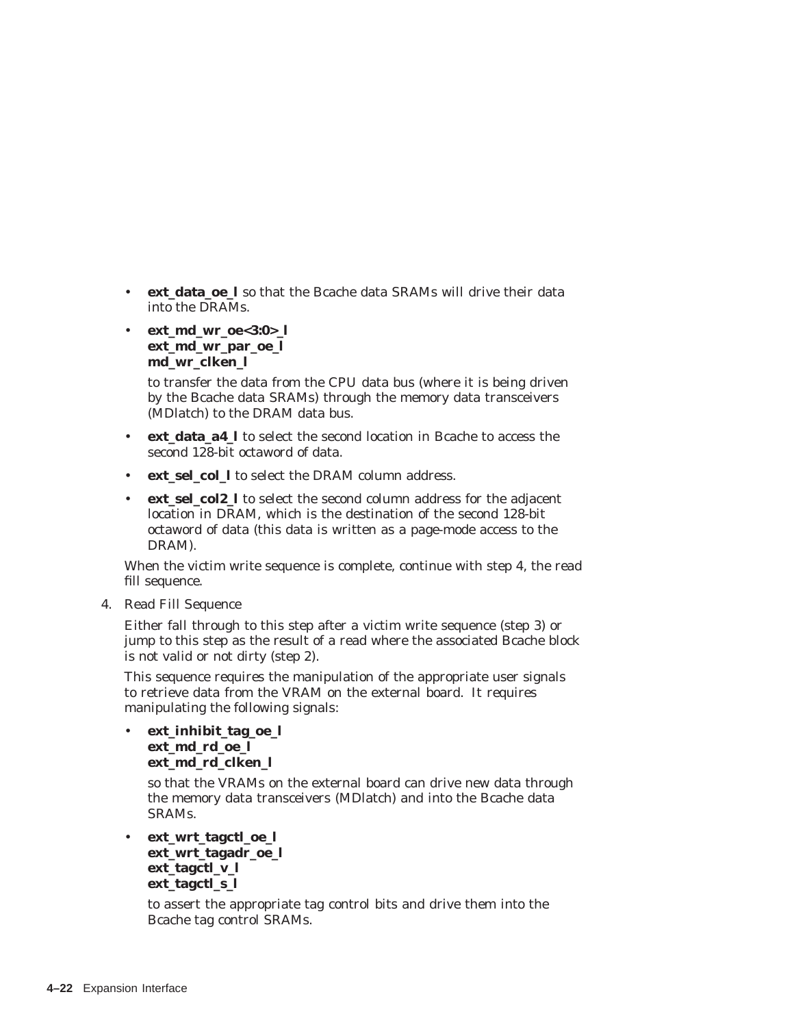- **ext\_data\_oe\_l** so that the Bcache data SRAMs will drive their data into the DRAMs.
- **ext\_md\_wr\_oe<3:0>\_l ext\_md\_wr\_par\_oe\_l md\_wr\_clken\_l**

to transfer the data from the CPU data bus (where it is being driven by the Bcache data SRAMs) through the memory data transceivers (MDlatch) to the DRAM data bus.

- **ext data a4 1** to select the second location in Bcache to access the second 128-bit octaword of data.
- **ext\_sel\_col\_l** to select the DRAM column address.
- **ext\_sel\_col2\_l** to select the second column address for the adjacent location in DRAM, which is the destination of the second 128-bit octaword of data (this data is written as a page-mode access to the DRAM).

When the victim write sequence is complete, continue with step 4, the read fill sequence.

4. Read Fill Sequence

Either fall through to this step after a victim write sequence (step 3) or jump to this step as the result of a read where the associated Bcache block is not valid or not dirty (step 2).

This sequence requires the manipulation of the appropriate user signals to retrieve data from the VRAM on the external board. It requires manipulating the following signals:

• **ext\_inhibit\_tag\_oe\_l ext\_md\_rd\_oe\_l ext\_md\_rd\_clken\_l**

> so that the VRAMs on the external board can drive new data through the memory data transceivers (MDlatch) and into the Bcache data SRAMs.

```
• ext_wrt_tagctl_oe_l
ext_wrt_tagadr_oe_l
ext_tagctl_v_l
ext_tagctl_s_l
```
to assert the appropriate tag control bits and drive them into the Bcache tag control SRAMs.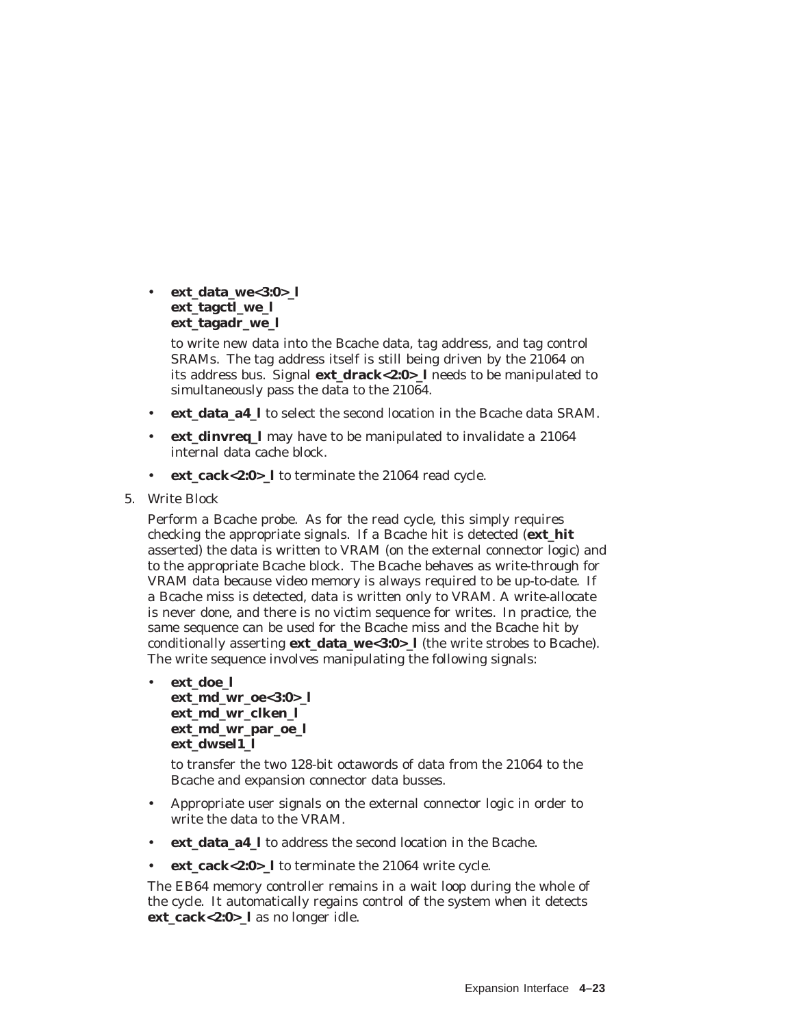• **ext\_data\_we<3:0>\_l ext\_tagctl\_we\_l ext\_tagadr\_we\_l**

> to write new data into the Bcache data, tag address, and tag control SRAMs. The tag address itself is still being driven by the 21064 on its address bus. Signal **ext\_drack<2:0>\_l** needs to be manipulated to simultaneously pass the data to the 21064.

- **ext\_data\_a4\_l** to select the second location in the Bcache data SRAM.
- **ext\_dinvreq\_l** may have to be manipulated to invalidate a 21064 internal data cache block.
- **ext\_cack<2:0>\_l** to terminate the 21064 read cycle.
- 5. Write Block

Perform a Bcache probe. As for the read cycle, this simply requires checking the appropriate signals. If a Bcache hit is detected (**ext\_hit** asserted) the data is written to VRAM (on the external connector logic) and to the appropriate Bcache block. The Bcache behaves as write-through for VRAM data because video memory is always required to be up-to-date. If a Bcache miss is detected, data is written only to VRAM. A write-allocate is never done, and there is no victim sequence for writes. In practice, the same sequence can be used for the Bcache miss and the Bcache hit by conditionally asserting **ext data we<3:0>** l (the write strobes to Bcache). The write sequence involves manipulating the following signals:

• **ext\_doe\_l ext\_md\_wr\_oe<3:0>\_l ext\_md\_wr\_clken\_l ext\_md\_wr\_par\_oe\_l ext\_dwsel1\_l**

> to transfer the two 128-bit octawords of data from the 21064 to the Bcache and expansion connector data busses.

- Appropriate user signals on the external connector logic in order to write the data to the VRAM.
- **ext\_data\_a4\_l** to address the second location in the Bcache.
- **ext\_cack<2:0>\_l** to terminate the 21064 write cycle.

The EB64 memory controller remains in a wait loop during the whole of the cycle. It automatically regains control of the system when it detects **ext\_cack<2:0>\_l** as no longer idle.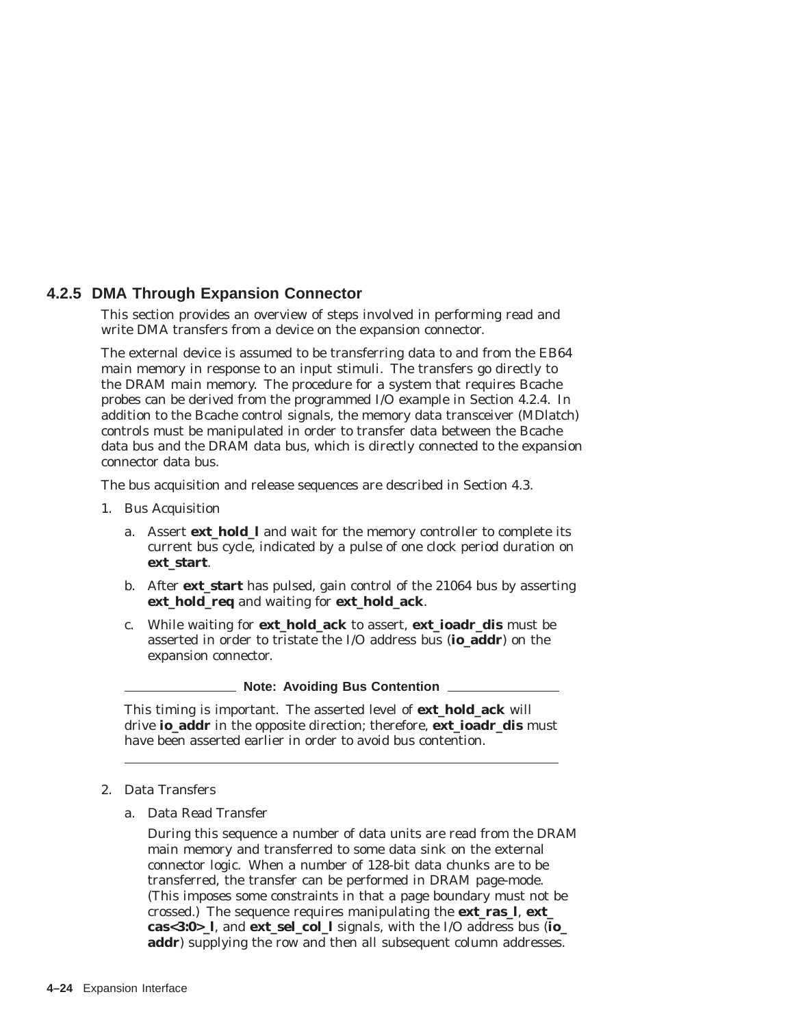### **4.2.5 DMA Through Expansion Connector**

This section provides an overview of steps involved in performing read and write DMA transfers from a device on the expansion connector.

The external device is assumed to be transferring data to and from the EB64 main memory in response to an input stimuli. The transfers go directly to the DRAM main memory. The procedure for a system that requires Bcache probes can be derived from the programmed I/O example in Section 4.2.4. In addition to the Bcache control signals, the memory data transceiver (MDlatch) controls must be manipulated in order to transfer data between the Bcache data bus and the DRAM data bus, which is directly connected to the expansion connector data bus.

The bus acquisition and release sequences are described in Section 4.3.

- 1. Bus Acquisition
	- a. Assert **ext hold 1** and wait for the memory controller to complete its current bus cycle, indicated by a pulse of one clock period duration on **ext\_start**.
	- b. After **ext\_start** has pulsed, gain control of the 21064 bus by asserting **ext\_hold\_req** and waiting for **ext\_hold\_ack**.
	- c. While waiting for **ext\_hold\_ack** to assert, **ext\_ioadr\_dis** must be asserted in order to tristate the I/O address bus (**io\_addr**) on the expansion connector.

#### **Note: Avoiding Bus Contention**

This timing is important. The asserted level of **ext\_hold\_ack** will drive **io\_addr** in the opposite direction; therefore, **ext\_ioadr\_dis** must have been asserted earlier in order to avoid bus contention.

#### 2. Data Transfers

a. Data Read Transfer

During this sequence a number of data units are read from the DRAM main memory and transferred to some data sink on the external connector logic. When a number of 128-bit data chunks are to be transferred, the transfer can be performed in DRAM page-mode. (This imposes some constraints in that a page boundary must not be crossed.) The sequence requires manipulating the **ext\_ras\_l**, **ext\_ cas<3:0>\_l**, and **ext\_sel\_col\_l** signals, with the I/O address bus (**io\_** addr) supplying the row and then all subsequent column addresses.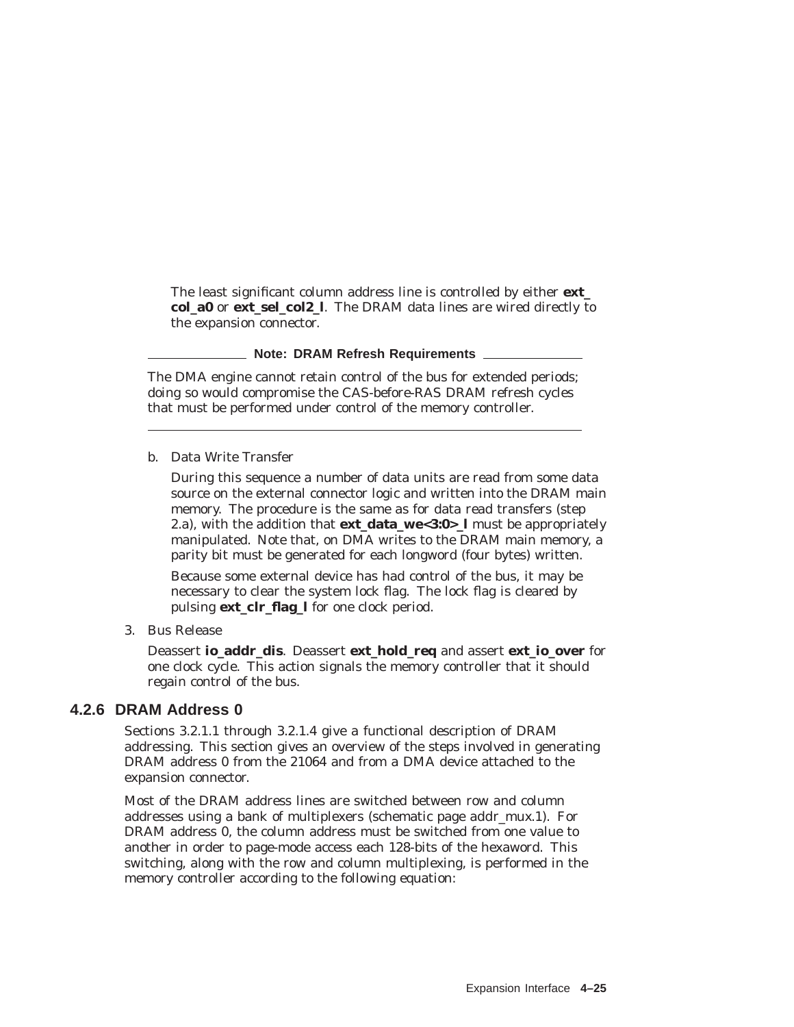The least significant column address line is controlled by either **ext\_ col\_a0** or **ext\_sel\_col2\_l**. The DRAM data lines are wired directly to the expansion connector.

### **Note: DRAM Refresh Requirements**

The DMA engine cannot retain control of the bus for extended periods; doing so would compromise the CAS-before-RAS DRAM refresh cycles that must be performed under control of the memory controller.

b. Data Write Transfer

During this sequence a number of data units are read from some data source on the external connector logic and written into the DRAM main memory. The procedure is the same as for data read transfers (step 2.a), with the addition that **ext\_data\_we<3:0>\_l** must be appropriately manipulated. Note that, on DMA writes to the DRAM main memory, a parity bit must be generated for each longword (four bytes) written.

Because some external device has had control of the bus, it may be necessary to clear the system lock flag. The lock flag is cleared by pulsing **ext\_clr\_flag\_l** for one clock period.

3. Bus Release

Deassert **io\_addr\_dis**. Deassert **ext\_hold\_req** and assert **ext\_io\_over** for one clock cycle. This action signals the memory controller that it should regain control of the bus.

### **4.2.6 DRAM Address 0**

Sections 3.2.1.1 through 3.2.1.4 give a functional description of DRAM addressing. This section gives an overview of the steps involved in generating DRAM address 0 from the 21064 and from a DMA device attached to the expansion connector.

Most of the DRAM address lines are switched between row and column addresses using a bank of multiplexers (schematic page *addr\_mux.1*). For DRAM address 0, the column address must be switched from one value to another in order to page-mode access each 128-bits of the hexaword. This switching, along with the row and column multiplexing, is performed in the memory controller according to the following equation: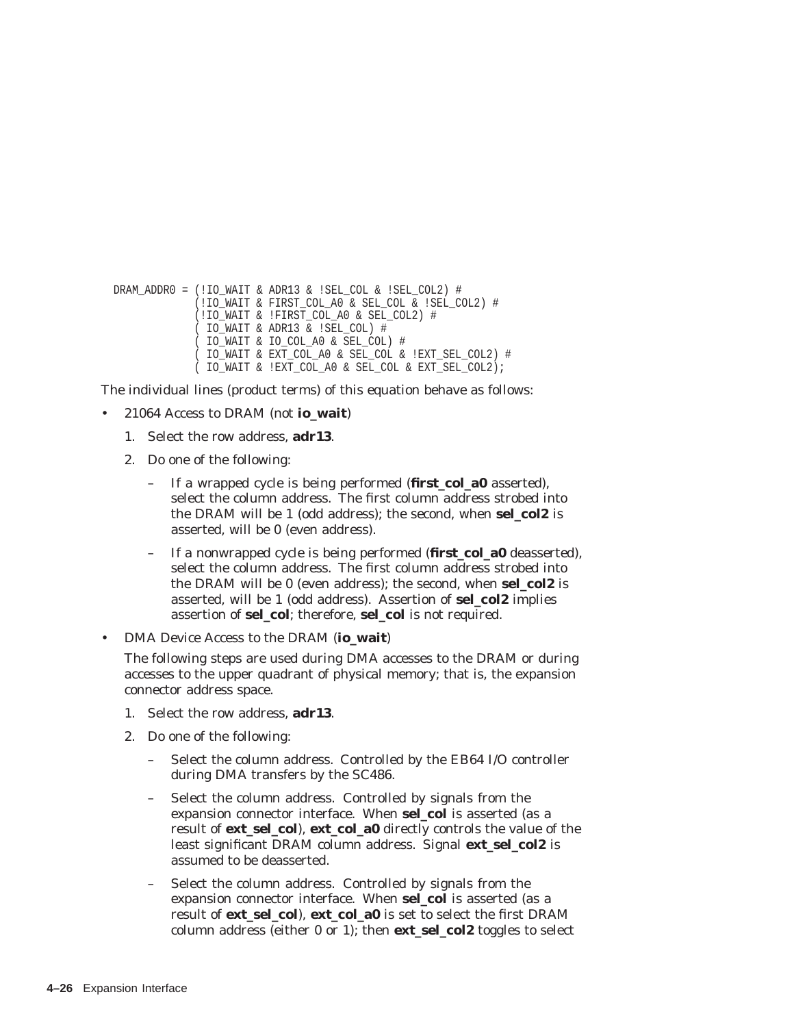```
DRAM_ADDR0 = (!IO_WAIT & ADR13 & !SEL_COL & !SEL_COL2) #
         (!IO_WAIT & FIRST_COL_A0 & SEL_COL & !SEL_COL2) #
         (!IO_WAIT & !FIRST_COL_A0 & SEL_COL2) #
          ( IO_WAIT & ADR13 & !SEL_COL) #
         ( IO_WAIT & IO_COL_A0 & SEL_COL) #
          ( IO_WAIT & EXT_COL_A0 & SEL_COL & !EXT_SEL_COL2) #
          ( IO_WAIT & !EXT_COL_A0 & SEL_COL & EXT_SEL_COL2);
```
The individual lines (product terms) of this equation behave as follows:

- 21064 Access to DRAM (not **io\_wait**)
	- 1. Select the row address, **adr13**.
	- 2. Do one of the following:
		- If a wrapped cycle is being performed (**first\_col\_a0** asserted), select the column address. The first column address strobed into the DRAM will be 1 (odd address); the second, when **sel\_col2** is asserted, will be 0 (even address).
		- If a nonwrapped cycle is being performed (**first\_col\_a0** deasserted), select the column address. The first column address strobed into the DRAM will be 0 (even address); the second, when **sel\_col2** is asserted, will be 1 (odd address). Assertion of **sel\_col2** implies assertion of **sel\_col**; therefore, **sel\_col** is not required.

• DMA Device Access to the DRAM (**io\_wait**)

The following steps are used during DMA accesses to the DRAM or during accesses to the upper quadrant of physical memory; that is, the expansion connector address space.

- 1. Select the row address, **adr13**.
- 2. Do one of the following:
	- Select the column address. Controlled by the EB64 I/O controller during DMA transfers by the SC486.
	- Select the column address. Controlled by signals from the expansion connector interface. When **sel\_col** is asserted (as a result of **ext** sel col), **ext col a0** directly controls the value of the least significant DRAM column address. Signal **ext\_sel\_col2** is assumed to be deasserted.
	- Select the column address. Controlled by signals from the expansion connector interface. When **sel\_col** is asserted (as a result of **ext\_sel\_col**), **ext\_col\_a0** is set to select the first DRAM column address (either 0 or 1); then **ext\_sel\_col2** toggles to select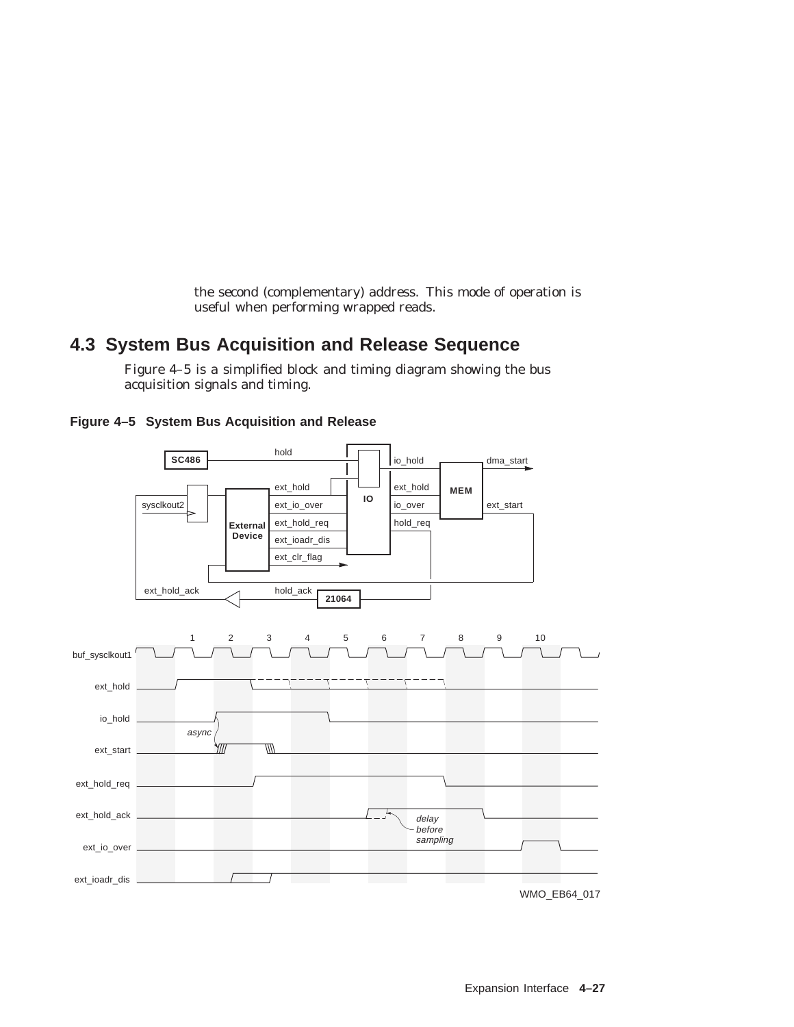the second (complementary) address. This mode of operation is useful when performing wrapped reads.

# **4.3 System Bus Acquisition and Release Sequence**

Figure 4–5 is a simplified block and timing diagram showing the bus acquisition signals and timing.



**Figure 4–5 System Bus Acquisition and Release**

WMO\_EB64\_017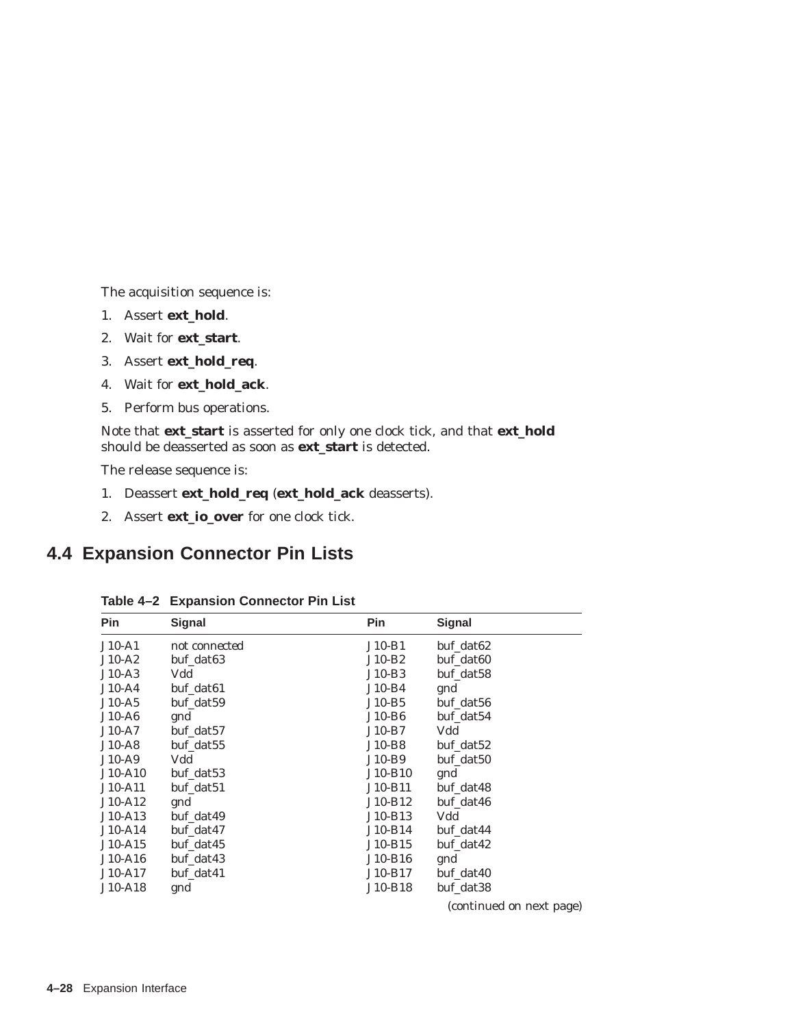The acquisition sequence is:

- 1. Assert **ext\_hold**.
- 2. Wait for **ext\_start**.
- 3. Assert **ext\_hold\_req**.
- 4. Wait for **ext\_hold\_ack**.
- 5. Perform bus operations.

Note that **ext\_start** is asserted for only one clock tick, and that **ext\_hold** should be deasserted as soon as **ext\_start** is detected.

The release sequence is:

- 1. Deassert **ext\_hold\_req** (**ext\_hold\_ack** deasserts).
- 2. Assert **ext\_io\_over** for one clock tick.

# **4.4 Expansion Connector Pin Lists**

| $J10-A1$<br>not connected | $J10-B1$  | buf_dat62             |
|---------------------------|-----------|-----------------------|
| $J10-A2$<br>buf_dat63     | $J10-B2$  | buf dat <sub>60</sub> |
| Vdd<br>$J10-A3$           | $J10-B3$  | buf dat58             |
| $J10-A4$<br>buf dat61     | $J10-B4$  | gnd                   |
| $J10-A5$<br>buf_dat59     | $J10-B5$  | buf_dat56             |
| $J10-A6$<br>gnd           | $J10-B6$  | buf_dat54             |
| $J10-A7$<br>buf_dat57     | $J10-B7$  | Vdd                   |
| $J10-A8$<br>buf_dat55     | $J10-B8$  | buf_dat52             |
| Vdd<br>$J10-A9$           | J10-B9    | buf dat50             |
| $J10-A10$<br>buf_dat53    | J10-B10   | gnd                   |
| buf dat51<br>J10-A11      | J10-B11   | buf dat48             |
| $J10-A12$<br>gnd          | J10-B12   | buf dat46             |
| $J10-A13$<br>buf_dat49    | J10-B13   | Vdd                   |
| $J10-A14$<br>buf_dat47    | $J10-B14$ | buf_dat44             |
| buf dat45<br>$J10-A15$    | J10-B15   | buf dat42             |
| $J10-A16$<br>buf dat43    | J10-B16   | gnd                   |
| J10-A17<br>buf_dat41      | J10-B17   | buf_dat40             |
| J10-A18<br>gnd            | J10-B18   | buf_dat38             |

**Table 4–2 Expansion Connector Pin List**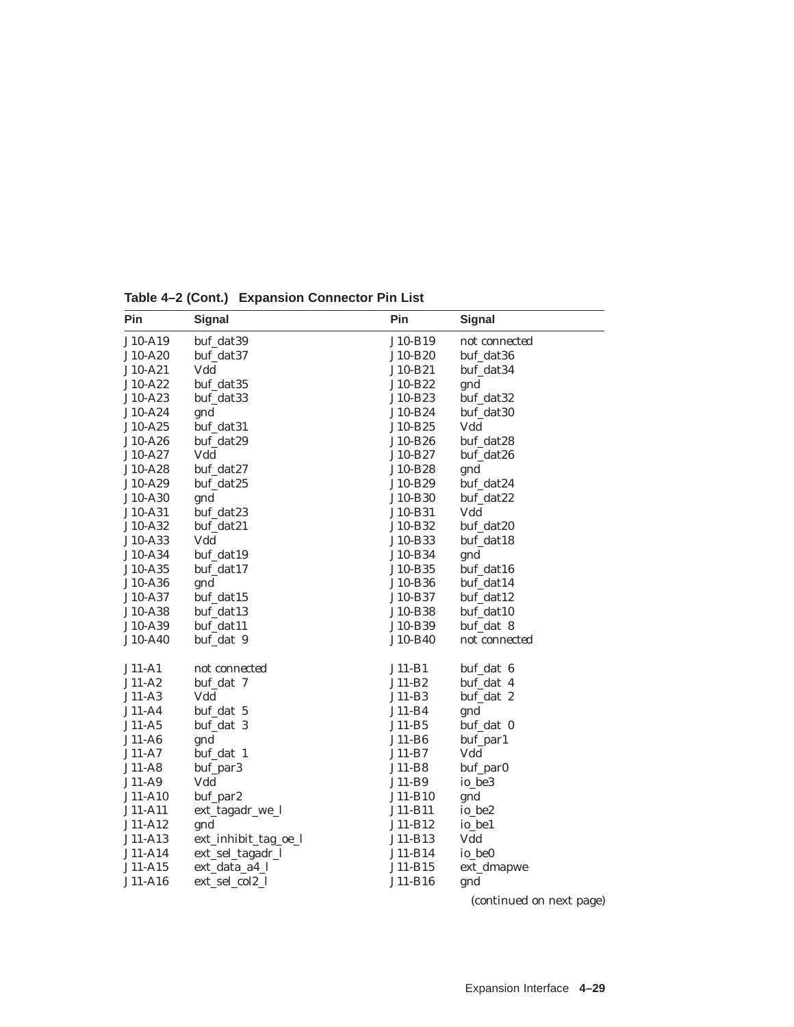| Pin                | <b>Signal</b>               | Pin                | <b>Signal</b>    |
|--------------------|-----------------------------|--------------------|------------------|
| J10-A19            | buf_dat39                   | J10-B19            | not connected    |
| J10-A20            | buf_dat37                   | J10-B20            | buf_dat36        |
| J10-A21            | Vdd                         | J10-B21            | buf_dat34        |
| J10-A22            | buf_dat35                   | J10-B22            | gnd              |
| J10-A23            | buf_dat33                   | J10-B23            | buf_dat32        |
| J10-A24            | gnd                         | J10-B24            | buf_dat30        |
| J10-A25            | buf_dat31                   | J10-B25            | Vdd              |
| J10-A26            | buf_dat29                   | J10-B26            | buf_dat28        |
| J10-A27            | Vdd                         | J10-B27            | buf_dat26        |
| J10-A28            | buf_dat27                   | J10-B28            | gnd              |
| J10-A29            | buf_dat25                   | J10-B29            | buf_dat24        |
| J10-A30            | gnd                         | J10-B30            | buf_dat22        |
| J10-A31            | buf_dat23                   | J10-B31            | Vdd              |
| J10-A32            | buf_dat21                   | J10-B32            | buf_dat20        |
| J10-A33            | Vdd                         | J10-B33            | buf_dat18        |
| J10-A34            | buf_dat19                   | J10-B34            | gnd              |
| J10-A35            | buf_dat17                   | J10-B35            | buf_dat16        |
| J10-A36            | gnd                         | J10-B36            | buf_dat14        |
| J10-A37            | buf_dat15                   | J10-B37            | buf_dat12        |
| J10-A38            | buf_dat13                   | J10-B38            | buf_dat10        |
| J10-A39            | buf_dat11                   | J10-B39            | buf_dat 8        |
| J10-A40            | buf_dat 9                   | J10-B40            | not connected    |
| $J11-A1$           | not connected               | $J11-B1$           | buf_dat 6        |
| $J11-A2$           |                             | $J11-B2$           | buf_dat 4        |
|                    | buf_dat 7<br>Vdd            |                    |                  |
| J11-A3<br>J11-A4   | buf_dat 5                   | J11-B3<br>$J11-B4$ | buf_dat 2        |
| J11-A5             | buf_dat 3                   | J11-B5             | gnd<br>buf_dat 0 |
| $J11-A6$           |                             | J11-B6             | buf_par1         |
| $J11-A7$           | gnd<br>buf_dat 1            | J11-B7             | Vdd              |
| $J11-A8$           | buf_par3                    | J11-B8             | buf_par0         |
| J11-A9             | Vdd                         | J11-B9             | io_be3           |
| J11-A10            | buf_par2                    | J11-B10            | gnd              |
| J11-A11            | ext_tagadr_we_l             | J11-B11            | io_be2           |
|                    |                             | J11-B12            |                  |
| J11-A12<br>J11-A13 | gnd<br>ext_inhibit_tag_oe_l | J11-B13            | io_be1<br>Vdd    |
| J11-A14            | ext_sel_tagadr_l            | J11-B14            | io_be0           |
| J11-A15            | ext_data_a4_l               | J11-B15            |                  |
|                    |                             |                    | ext_dmapwe       |
| J11-A16            | ext_sel_col2_l              | J11-B16            | gnd              |

**Table 4–2 (Cont.) Expansion Connector Pin List**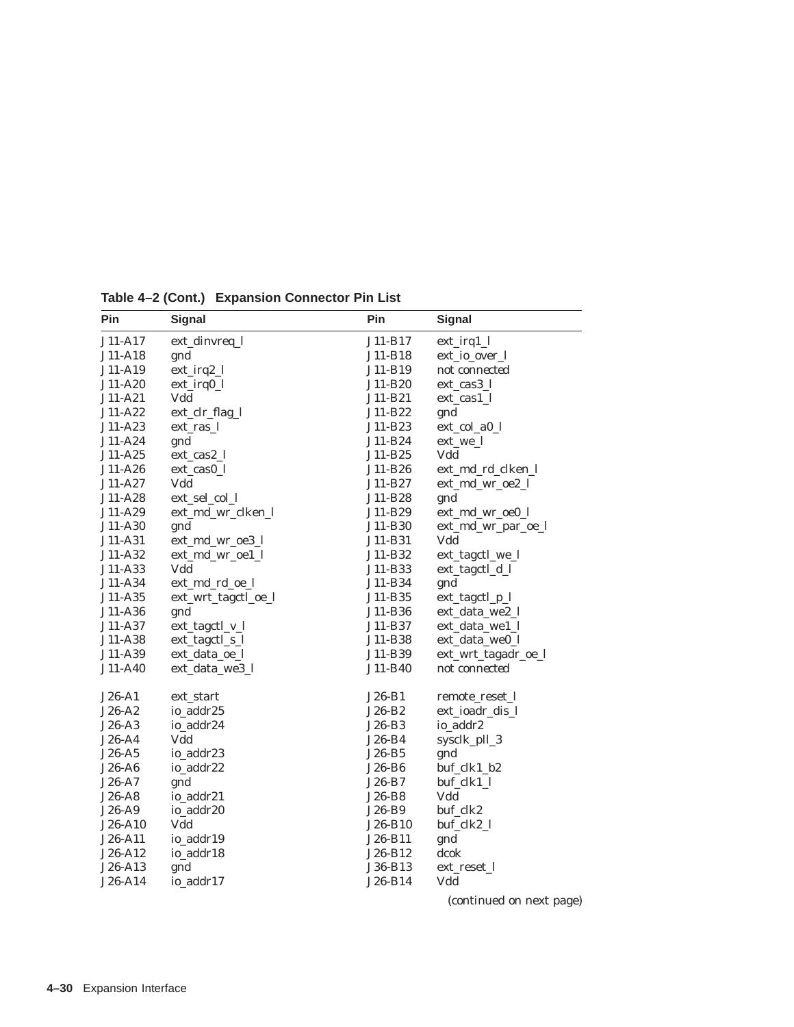| Pin       | <b>Signal</b>       | Pin      | <b>Signal</b>       |
|-----------|---------------------|----------|---------------------|
| J11-A17   | ext_dinvreq_l       | J11-B17  | $ext_{irq1_l}$      |
| J11-A18   | gnd                 | J11-B18  | ext_io_over_l       |
| J11-A19   | ext_irq2_l          | J11-B19  | not connected       |
| J11-A20   | ext_irq0_l          | J11-B20  | ext_cas3_l          |
| $J11-A21$ | Vdd                 | J11-B21  | ext_cas1_l          |
| J11-A22   | ext_clr_flag_l      | J11-B22  | gnd                 |
| J11-A23   | ext_ras_l           | J11-B23  | ext_col_a0_l        |
| J11-A24   | gnd                 | J11-B24  | ext_we_l            |
| $J11-A25$ | ext_cas2_l          | J11-B25  | Vdd                 |
| J11-A26   | ext_cas0_l          | J11-B26  | ext_md_rd_clken_l   |
| J11-A27   | Vdd                 | J11-B27  | ext_md_wr_oe2_l     |
| J11-A28   | ext_sel_col_l       | J11-B28  | gnd                 |
| J11-A29   | ext_md_wr_clken_l   | J11-B29  | ext_md_wr_oe0_l     |
| J11-A30   | gnd                 | J11-B30  | ext_md_wr_par_oe_l  |
| J11-A31   | ext_md_wr_oe3_l     | J11-B31  | Vdd                 |
| J11-A32   | ext_md_wr_oe1_l     | J11-B32  | ext_tagctl_we_l     |
| J11-A33   | Vdd                 | J11-B33  | ext_tagctl_d_l      |
| J11-A34   | ext_md_rd_oe_l      | J11-B34  | gnd                 |
| J11-A35   | ext_wrt_tagctl_oe_l | J11-B35  | ext_tagctl_p_l      |
| J11-A36   | gnd                 | J11-B36  | ext_data_we2_l      |
| J11-A37   | ext_tagctl_v_l      | J11-B37  | ext_data_we1_l      |
| J11-A38   | ext_tagctl_s_l      | J11-B38  | ext_data_we0_l      |
| J11-A39   | ext_data_oe_l       | J11-B39  | ext_wrt_tagadr_oe_l |
| J11-A40   | ext_data_we3_l      | J11-B40  | not connected       |
| $J26-A1$  | ext_start           | $J26-B1$ | remote_reset_l      |
| $J26-A2$  | io_addr25           | J26-B2   | ext_ioadr_dis_l     |
| $J26-A3$  | io_addr24           | $J26-B3$ | io_addr2            |
| $J26-A4$  | Vdd                 | $J26-B4$ | sysclk_pll_3        |
| $J26-A5$  | io_addr23           | $J26-B5$ | gnd                 |
| J26-A6    | io_addr22           | $J26-B6$ | buf_clk1_b2         |
| J26-A7    | gnd                 | J26-B7   | buf_clk1_l          |
| J26-A8    | io_addr21           | J26-B8   | Vdd                 |
| $J26-A9$  | io_addr20           | J26-B9   | buf_clk2            |
| J26-A10   | Vdd                 | J26-B10  | buf_clk2_l          |
| J26-A11   | io_addr19           | J26-B11  | gnd                 |
| J26-A12   | io_addr18           | J26-B12  | dcok                |
| J26-A13   | gnd                 | J36-B13  | ext_reset_l         |
| J26-A14   | io_addr17           | J26-B14  | Vdd                 |
|           |                     |          |                     |

**Table 4–2 (Cont.) Expansion Connector Pin List**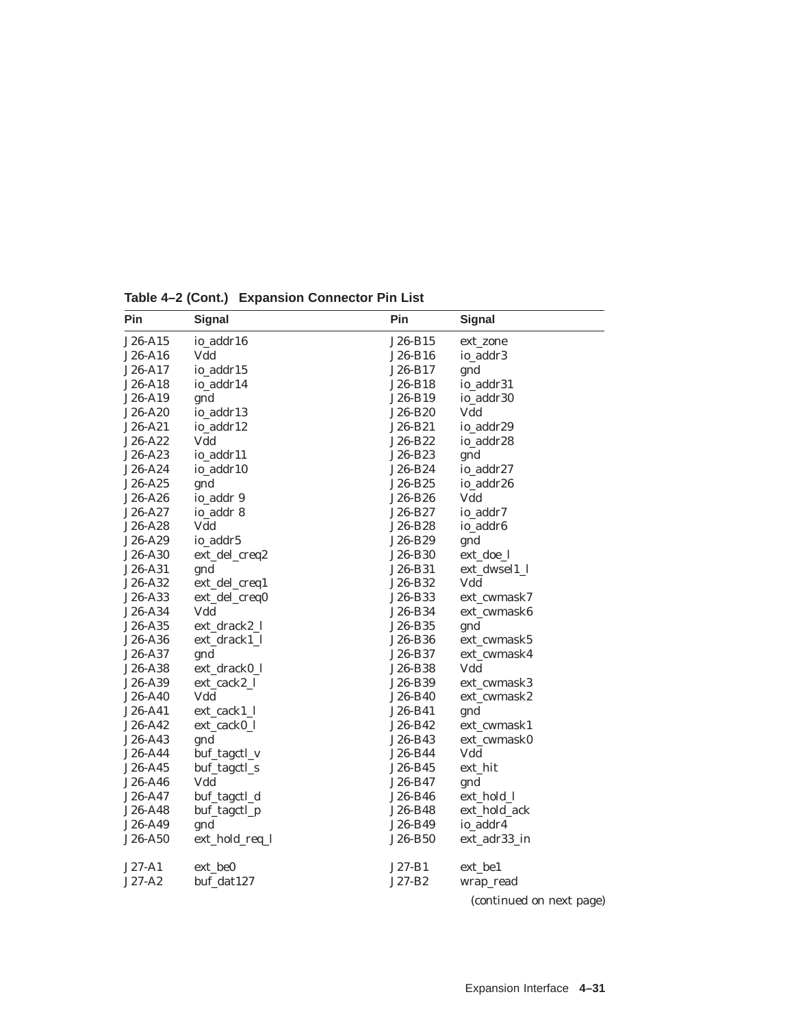| Pin       | <b>Signal</b>  | Pin      | Signal        |
|-----------|----------------|----------|---------------|
| J26-A15   | io_addr16      | J26-B15  | ext_zone      |
| J26-A16   | Vdd            | J26-B16  | io_addr3      |
| J26-A17   | io_addr15      | J26-B17  | gnd           |
| J26-A18   | io_addr14      | J26-B18  | io_addr31     |
| J26-A19   | gnd            | J26-B19  | io_addr30     |
| J26-A20   | io_addr13      | J26-B20  | Vdd           |
| $J26-A21$ | io_addr12      | J26-B21  | io_addr29     |
| J26-A22   | Vdd            | J26-B22  | io_addr28     |
| J26-A23   | io_addr11      | J26-B23  | gnd           |
| J26-A24   | io_addr10      | J26-B24  | io_addr27     |
| J26-A25   | gnd            | J26-B25  | io_addr26     |
| J26-A26   | io_addr 9      | J26-B26  | Vdd           |
| J26-A27   | io_addr 8      | J26-B27  | io_addr7      |
| J26-A28   | Vdd            | J26-B28  | io_addr6      |
| J26-A29   | io_addr5       | J26-B29  | gnd           |
| J26-A30   | ext_del_creq2  | J26-B30  | ext_doe_l     |
| J26-A31   | gnd            | J26-B31  | ext_dwsel1_l  |
| J26-A32   | ext_del_creq1  | J26-B32  | Vdd           |
| J26-A33   | ext_del_creq0  | J26-B33  | ext cwmask7   |
| J26-A34   | Vdd            | J26-B34  | ext cwmask6   |
| J26-A35   | ext_drack2_l   | J26-B35  | gnd           |
| J26-A36   | ext_drack1_l   | J26-B36  | ext_cwmask5   |
| J26-A37   | gnd            | J26-B37  | ext_cwmask4   |
| J26-A38   | ext_drack0_l   | J26-B38  | Vdd           |
| J26-A39   | ext_cack2_l    | J26-B39  | ext cwmask3   |
| J26-A40   | Vdd            | J26-B40  | ext_cwmask2   |
| J26-A41   | ext_cack1_l    | J26-B41  | gnd           |
| J26-A42   | ext_cack0_l    | J26-B42  | ext_cwmask1   |
| J26-A43   | gnd            | J26-B43  | ext_cwmask0   |
| J26-A44   | buf_tagctl_v   | J26-B44  | Vdd           |
| J26-A45   | buf_tagctl_s   | J26-B45  | ext hit       |
| J26-A46   | Vdd            | J26-B47  | gnd           |
| J26-A47   | buf_tagctl_d   | J26-B46  | ext_hold_l    |
| J26-A48   | buf_tagctl_p   | J26-B48  | ext_hold_ack  |
| J26-A49   | gnd            | J26-B49  | io_addr4      |
| J26-A50   | ext_hold_req_l | J26-B50  | ext_adr33_in  |
| $J27-A1$  | ext_be0        | J27-B1   | ext_be1       |
| $J27-A2$  | buf_dat127     | $J27-B2$ | wrap_read     |
|           |                |          | $\sim$ $\sim$ |

**Table 4–2 (Cont.) Expansion Connector Pin List**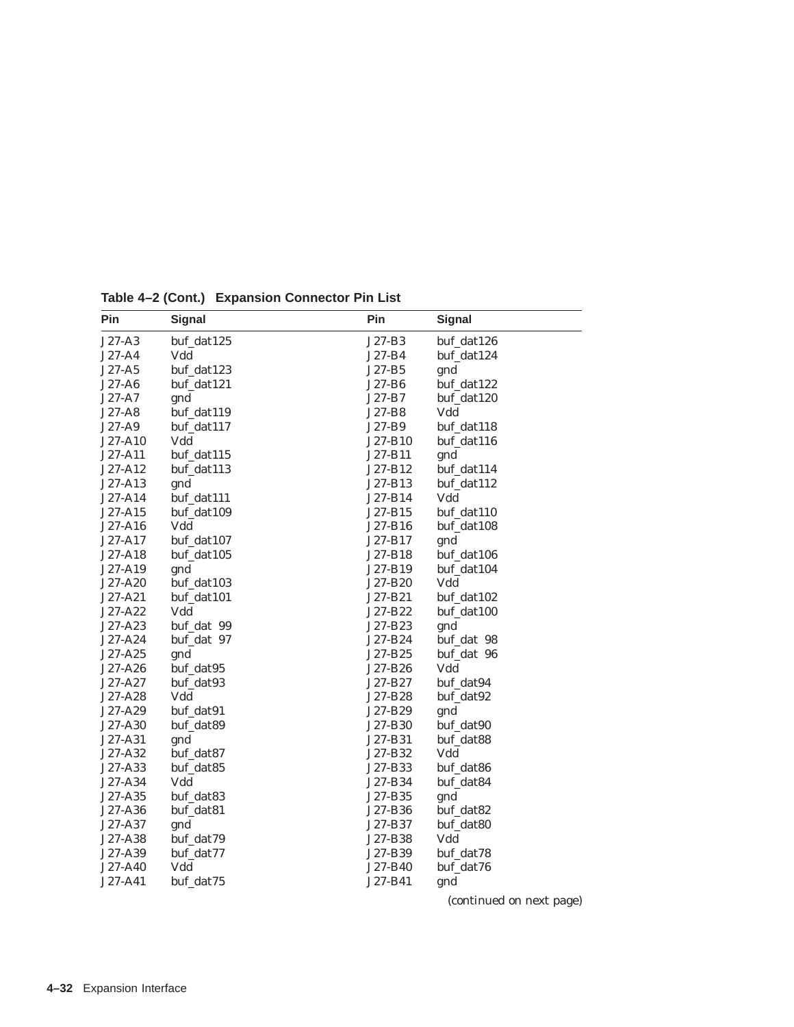| Pin      | <b>Signal</b> | Pin      | <b>Signal</b> |
|----------|---------------|----------|---------------|
| J27-A3   | buf_dat125    | $J27-B3$ | buf_dat126    |
| J27-A4   | Vdd           | J27-B4   | buf_dat124    |
| $J27-A5$ | buf_dat123    | $J27-B5$ | gnd           |
| J27-A6   | buf_dat121    | J27-B6   | buf_dat122    |
| $J27-A7$ | gnd           | J27-B7   | buf_dat120    |
| $J27-A8$ | buf_dat119    | J27-B8   | Vdd           |
| $J27-A9$ | buf_dat117    | J27-B9   | buf_dat118    |
| J27-A10  | Vdd           | J27-B10  | buf_dat116    |
| J27-A11  | buf_dat115    | J27-B11  | gnd           |
| J27-A12  | buf_dat113    | J27-B12  | buf_dat114    |
| J27-A13  | gnd           | J27-B13  | buf_dat112    |
| J27-A14  | buf_dat111    | J27-B14  | Vdd           |
| J27-A15  | buf_dat109    | J27-B15  | buf_dat110    |
| J27-A16  | Vdd           | J27-B16  | buf_dat108    |
| J27-A17  | buf_dat107    | J27-B17  | gnd           |
| J27-A18  | buf_dat105    | J27-B18  | buf_dat106    |
| J27-A19  | gnd           | J27-B19  | buf_dat104    |
| J27-A20  | buf_dat103    | J27-B20  | Vdd           |
| J27-A21  | buf_dat101    | J27-B21  | buf_dat102    |
| J27-A22  | Vdd           | J27-B22  | buf_dat100    |
| J27-A23  | buf_dat 99    | J27-B23  | gnd           |
| J27-A24  | buf_dat 97    | J27-B24  | buf_dat 98    |
| J27-A25  | gnd           | J27-B25  | buf_dat 96    |
| J27-A26  | buf_dat95     | J27-B26  | Vdd           |
| J27-A27  | buf_dat93     | J27-B27  | buf_dat94     |
| J27-A28  | Vdd           | J27-B28  | buf dat92     |
| J27-A29  | buf_dat91     | J27-B29  | gnd           |
| J27-A30  | buf_dat89     | J27-B30  | buf_dat90     |
| J27-A31  | gnd           | J27-B31  | buf_dat88     |
| J27-A32  | buf_dat87     | J27-B32  | Vdd           |
| J27-A33  | buf_dat85     | J27-B33  | buf_dat86     |
| J27-A34  | Vdd           | J27-B34  | buf_dat84     |
| J27-A35  | buf_dat83     | J27-B35  | gnd           |
| J27-A36  | buf_dat81     | J27-B36  | buf_dat82     |
| J27-A37  | gnd           | J27-B37  | buf_dat80     |
| J27-A38  | buf_dat79     | J27-B38  | Vdd           |
| J27-A39  | buf_dat77     | J27-B39  | buf_dat78     |
| J27-A40  | Vdd           | J27-B40  | buf_dat76     |
| J27-A41  | buf_dat75     | J27-B41  | gnd           |

**Table 4–2 (Cont.) Expansion Connector Pin List**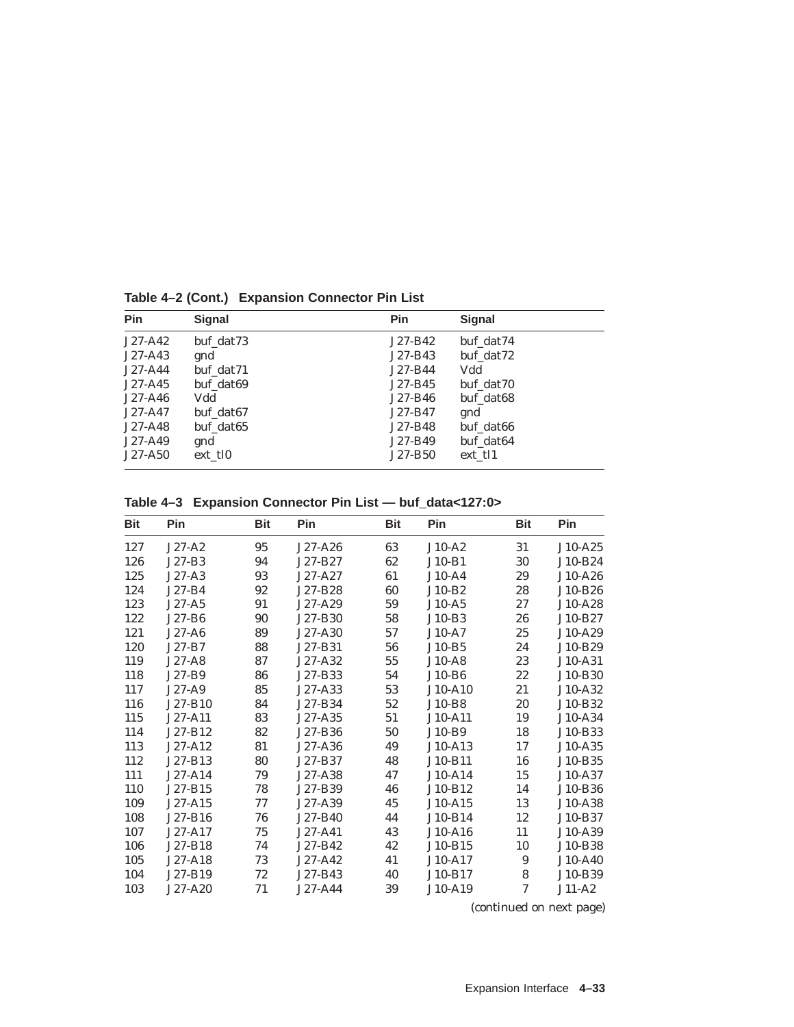| <b>Pin</b> | <b>Signal</b> | Pin       | <b>Signal</b> |
|------------|---------------|-----------|---------------|
| $J27-A42$  | buf dat73     | J27-B42   | buf dat74     |
| $J27-A43$  | gnd           | J27-B43   | buf dat72     |
| $J27-A44$  | buf dat71     | J27-B44   | Vdd           |
| $J27-A45$  | buf dat69     | $J27-B45$ | buf dat70     |
| $J27-A46$  | Vdd           | J27-B46   | buf dat68     |
| $J27-A47$  | buf dat67     | J27-B47   | gnd           |
| $J27-A48$  | buf dat65     | J27-B48   | buf dat66     |
| $J27-A49$  | gnd           | J27-B49   | buf_dat64     |
| $J27-A50$  | ext tl0       | J27-B50   | ext tl1       |

**Table 4–2 (Cont.) Expansion Connector Pin List**

**Table 4–3 Expansion Connector Pin List — buf\_data<127:0>**

| <b>Bit</b> | Pin       | <b>Bit</b> | Pin         | <b>Bit</b> | Pin       | <b>Bit</b> | Pin       |
|------------|-----------|------------|-------------|------------|-----------|------------|-----------|
| 127        | $J27-A2$  | 95         | J27-A26     | 63         | $J10-A2$  | 31         | $J10-A25$ |
| 126        | $J27-B3$  | 94         | J27-B27     | 62         | $J10-B1$  | 30         | J10-B24   |
| 125        | $J27-A3$  | 93         | J27-A27     | 61         | $J10-A4$  | 29         | J10-A26   |
| 124        | $J27-B4$  | 92         | J27-B28     | 60         | $J10-B2$  | 28         | J10-B26   |
| 123        | J27-A5    | 91         | J27-A29     | 59         | $J10-A5$  | 27         | J10-A28   |
| 122        | J27-B6    | 90         | J27-B30     | 58         | $J10-B3$  | 26         | J10-B27   |
| 121        | $J27-A6$  | 89         | J27-A30     | 57         | $J10-A7$  | 25         | J10-A29   |
| 120        | J27-B7    | 88         | J27-B31     | 56         | $J10-B5$  | 24         | J10-B29   |
| 119        | $J27-A8$  | 87         | J27-A32     | 55         | $J10-A8$  | 23         | J10-A31   |
| 118        | J27-B9    | 86         | J27-B33     | 54         | J10-B6    | 22         | J10-B30   |
| 117        | $J27-A9$  | 85         | J27-A33     | 53         | J10-A10   | 21         | J10-A32   |
| 116        | J27-B10   | 84         | J27-B34     | $52\,$     | $J10-B8$  | 20         | J10-B32   |
| 115        | J27-A11   | 83         | J27-A35     | 51         | J10-A11   | 19         | J10-A34   |
| 114        | J27-B12   | 82         | J27-B36     | 50         | $J10-B9$  | 18         | J10-B33   |
| 113        | J27-A12   | 81         | J27-A36     | 49         | $J10-A13$ | 17         | J10-A35   |
| 112        | J27-B13   | 80         | J27-B37     | 48         | J10-B11   | 16         | J10-B35   |
| 111        | J27-A14   | 79         | J27-A38     | 47         | $J10-A14$ | 15         | J10-A37   |
| 110        | J27-B15   | 78         | J27-B39     | 46         | J10-B12   | 14         | J10-B36   |
| 109        | $J27-A15$ | 77         | $J27 - A39$ | 45         | $J10-A15$ | 13         | J10-A38   |
| 108        | J27-B16   | 76         | J27-B40     | 44         | J10-B14   | 12         | J10-B37   |
| 107        | J27-A17   | 75         | J27-A41     | 43         | J10-A16   | 11         | J10-A39   |
| 106        | J27-B18   | 74         | J27-B42     | 42         | J10-B15   | 10         | J10-B38   |
| 105        | J27-A18   | 73         | J27-A42     | 41         | J10-A17   | 9          | J10-A40   |
| 104        | J27-B19   | 72         | J27-B43     | 40         | J10-B17   | $\bf 8$    | J10-B39   |
| 103        | J27-A20   | 71         | J27-A44     | 39         | J10-A19   | 7          | $J11-A2$  |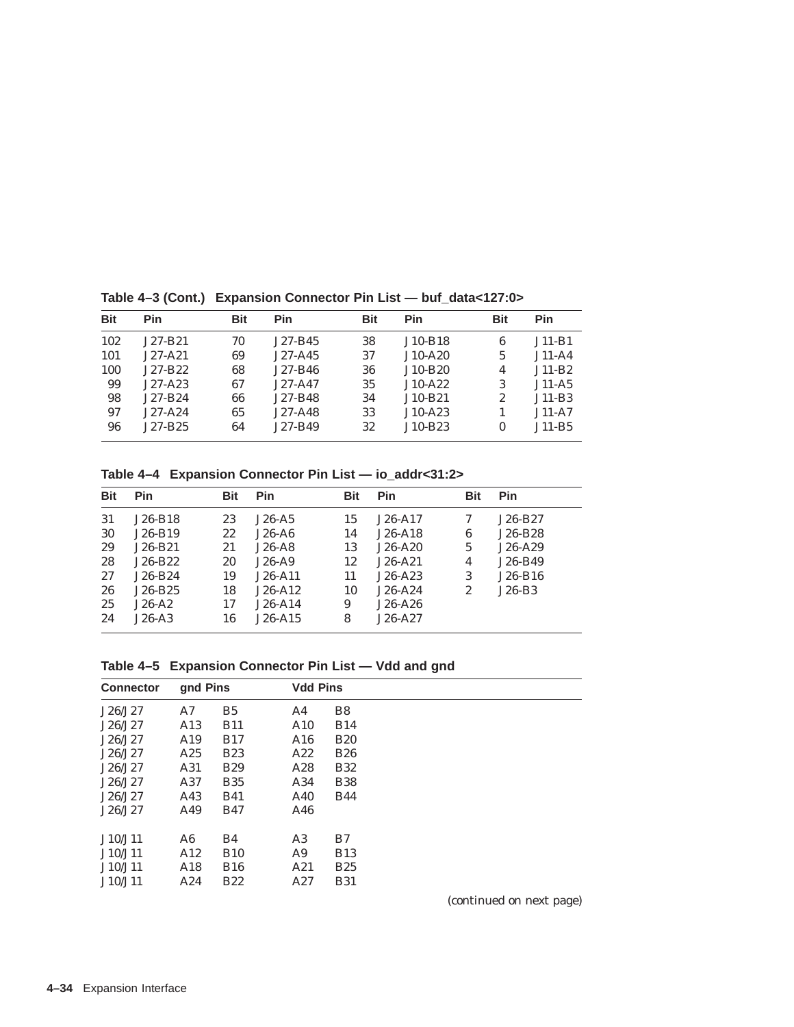| <b>Pin</b> | <b>Bit</b> | Pin         | <b>Bit</b> | Pin       | <b>Bit</b>     | Pin      |
|------------|------------|-------------|------------|-----------|----------------|----------|
| $J27-B21$  | 70         | $J27-B45$   | 38         | $J10-B18$ | 6              | $J11-B1$ |
| $J27-A21$  | 69         | $J27-A45$   | 37         | $J10-A20$ | $\overline{5}$ | $J11-A4$ |
| J27-B22    | 68         | $J27-B46$   | 36         | $J10-B20$ | 4              | $J11-B2$ |
| $J27-A23$  | 67         | $J27 - A47$ | 35         | $J10-A22$ | 3              | $J11-A5$ |
| $J27-B24$  | 66         | $J27-B48$   | 34         | $J10-B21$ | 2              | $J11-B3$ |
| $J27-A24$  | 65         | $J27-A48$   | 33         | $J10-A23$ |                | $J11-A7$ |
| $J27-B25$  | 64         | J27-B49     | 32         | $J10-B23$ | 0              | $J11-B5$ |
|            |            |             |            |           |                |          |

**Table 4–3 (Cont.) Expansion Connector Pin List — buf\_data<127:0>**

**Table 4–4 Expansion Connector Pin List — io\_addr<31:2>**

| <b>Bit</b> | Pin       | <b>Bit</b> | <b>Pin</b> | <b>Bit</b> | <b>Pin</b> | <b>Bit</b>     | Pin       |
|------------|-----------|------------|------------|------------|------------|----------------|-----------|
| 31         | $J26-B18$ | 23         | $J26-A5$   | 15         | $J26-A17$  | 7              | $J26-B27$ |
| 30         | $J26-B19$ | 22         | $J26-A6$   | 14         | $J26-A18$  | 6              | J26-B28   |
| 29         | $J26-B21$ | 21         | $J26-A8$   | 13         | $J26-A20$  | $\overline{5}$ | $J26-A29$ |
| 28         | $J26-B22$ | 20         | $J26-A9$   | 12         | $J26-A21$  | 4              | J26-B49   |
| 27         | $J26-B24$ | 19         | $J26-A11$  | 11         | $J26-A23$  | 3              | $J26-B16$ |
| 26         | $J26-B25$ | 18         | $J26-A12$  | 10         | $J26-A24$  | 2              | $J26-B3$  |
| 25         | $J26-A2$  | 17         | $J26-A14$  | 9          | $J26-A26$  |                |           |
| 24         | $J26-A3$  | 16         | $J26-A15$  | 8          | $J26-A27$  |                |           |

**Table 4–5 Expansion Connector Pin List — Vdd and gnd**

| <b>Connector</b> | gnd Pins        |                | <b>Vdd Pins</b> |                |  |
|------------------|-----------------|----------------|-----------------|----------------|--|
| J26/J27          | A7              | B <sub>5</sub> | A4              | B <sub>8</sub> |  |
| J26/J27          | A <sub>13</sub> | <b>B11</b>     | A10             | <b>B14</b>     |  |
| J26/J27          | A19             | <b>B17</b>     | A16             | <b>B20</b>     |  |
| J26/J27          | A25             | <b>B23</b>     | A22             | <b>B26</b>     |  |
| J26/J27          | A31             | <b>B29</b>     | A28             | <b>B32</b>     |  |
| J26/J27          | A37             | <b>B35</b>     | A34             | <b>B38</b>     |  |
| J26/J27          | A43             | <b>B41</b>     | A40             | <b>B44</b>     |  |
| J26/J27          | A49             | <b>B47</b>     | A46             |                |  |
| J10/J11          | A6              | B4             | A <sub>3</sub>  | B7             |  |
| J10/J11          | A12             | <b>B10</b>     | A9              | <b>B13</b>     |  |
| J10/J11          | A18             | <b>B16</b>     | A21             | <b>B25</b>     |  |
| J10/J11          | A24             | <b>B22</b>     | A27             | <b>B31</b>     |  |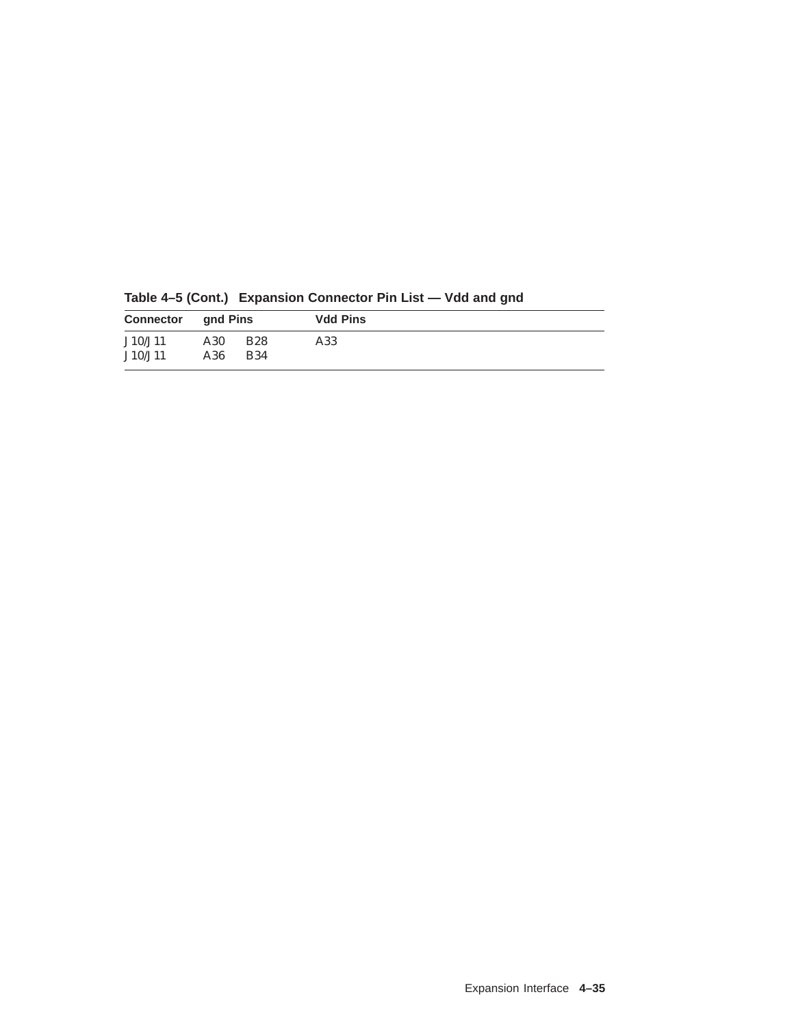| <b>Connector</b> and Pins |            |                          | <b>Vdd Pins</b> |  |
|---------------------------|------------|--------------------------|-----------------|--|
| J10/J11<br>J10/J11        | A30<br>A36 | <b>B28</b><br><b>B34</b> | A33             |  |

**Table 4–5 (Cont.) Expansion Connector Pin List — Vdd and gnd**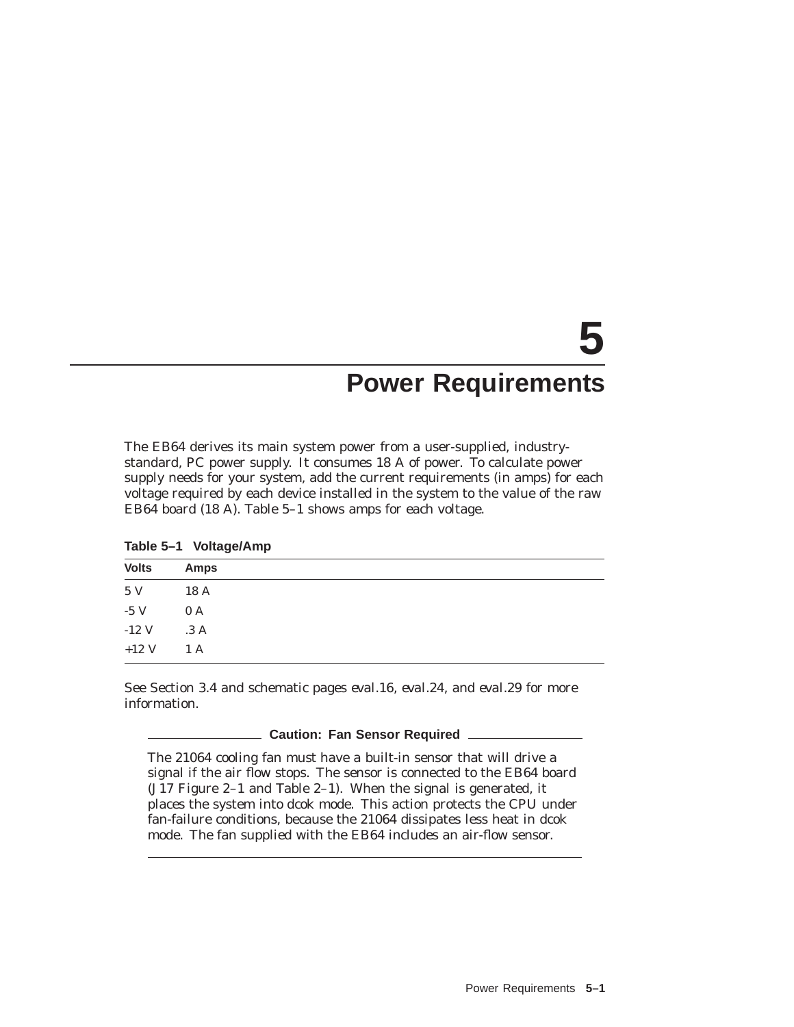# **5 Power Requirements**

The EB64 derives its main system power from a user-supplied, industrystandard, PC power supply. It consumes 18 A of power. To calculate power supply needs for your system, add the current requirements (in amps) for each voltage required by each device installed in the system to the value of the raw EB64 board (18 A). Table 5–1 shows amps for each voltage.

| Table 5-1 | <b>Voltage/Amp</b> |
|-----------|--------------------|
|           |                    |

| <b>Volts</b> | <b>Amps</b> |  |
|--------------|-------------|--|
| 5 V          | 18 A        |  |
| $-5$ V       | 0 A         |  |
| $-12$ V      | .3A         |  |
| $+12$ V      | 1 A         |  |

See Section 3.4 and schematic pages *eval.16, eval.24,* and *eval.29* for more information.

### **Caution: Fan Sensor Required**

The 21064 cooling fan *must* have a built-in sensor that will drive a signal if the air flow stops. The sensor is connected to the EB64 board (J17 Figure 2–1 and Table 2–1). When the signal is generated, it places the system into dcok mode. This action protects the CPU under fan-failure conditions, because the 21064 dissipates less heat in dcok mode. The fan supplied with the EB64 includes an air-flow sensor.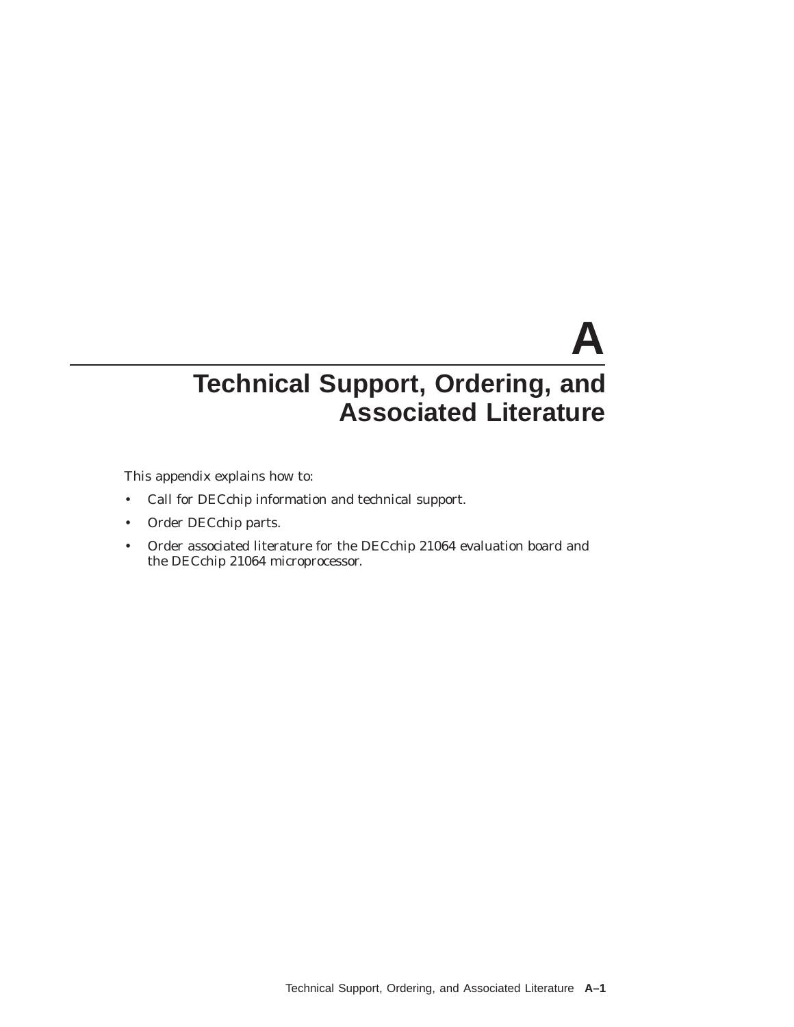# **A Technical Support, Ordering, and Associated Literature**

This appendix explains how to:

- Call for DECchip information and technical support.
- Order DECchip parts.
- Order associated literature for the DECchip 21064 evaluation board and the DECchip 21064 microprocessor.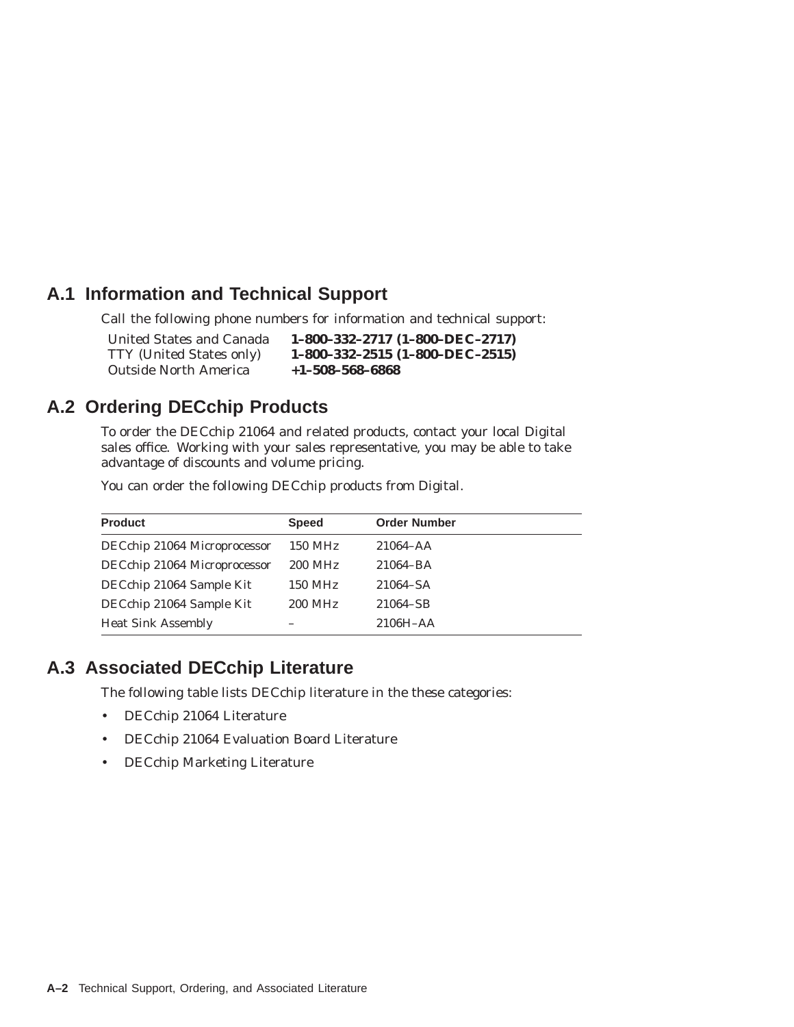# **A.1 Information and Technical Support**

Call the following phone numbers for information and technical support:

United States and Canada **1–800–332–2717 (1–800–DEC–2717)** TTY (United States only) **1–800–332–2515 (1–800–DEC–2515)** Outside North America **+1–508–568–6868**

# **A.2 Ordering DECchip Products**

To order the DECchip 21064 and related products, contact your local Digital sales office. Working with your sales representative, you may be able to take advantage of discounts and volume pricing.

You can order the following DECchip products from Digital.

| <b>Product</b>               | <b>Speed</b> | <b>Order Number</b> |
|------------------------------|--------------|---------------------|
| DECchip 21064 Microprocessor | 150 MHz      | $21064 - AA$        |
| DECchip 21064 Microprocessor | 200 MHz      | 21064-BA            |
| DECchip 21064 Sample Kit     | 150 MHz      | 21064-SA            |
| DECchip 21064 Sample Kit     | 200 MHz      | 21064-SB            |
| <b>Heat Sink Assembly</b>    |              | $2106H - AA$        |

# **A.3 Associated DECchip Literature**

The following table lists DECchip literature in the these categories:

- DECchip 21064 Literature
- DECchip 21064 Evaluation Board Literature
- DECchip Marketing Literature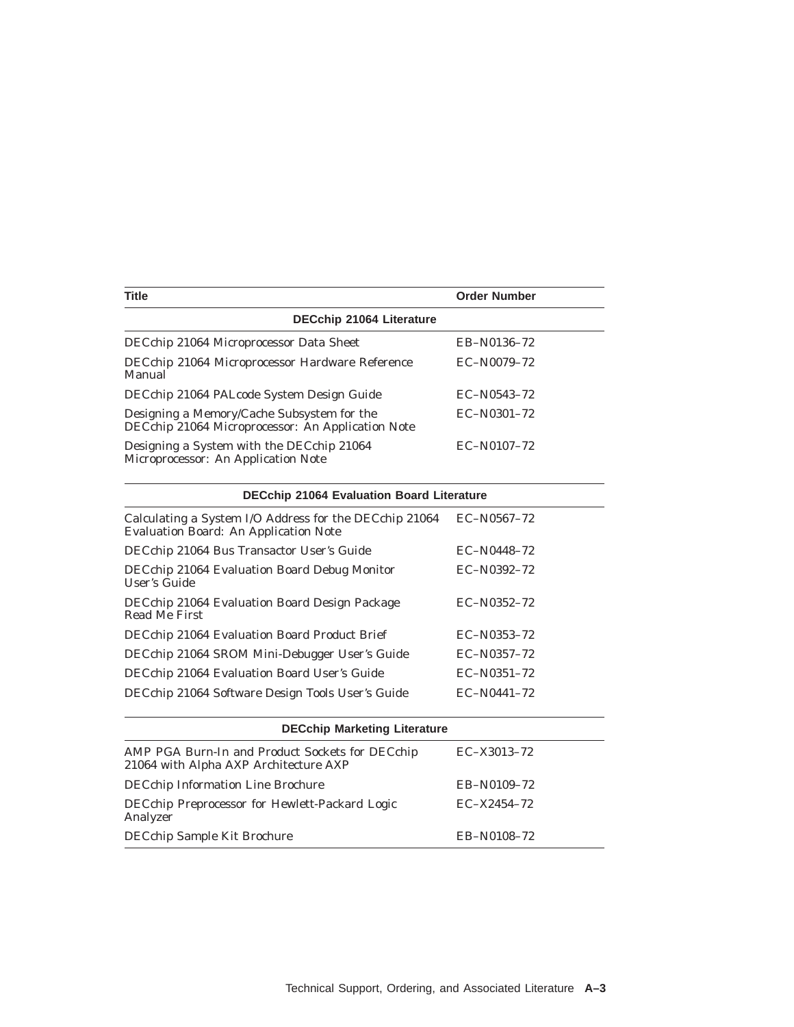| <b>Title</b>                                                                                    | <b>Order Number</b> |  |  |  |
|-------------------------------------------------------------------------------------------------|---------------------|--|--|--|
| <b>DECchip 21064 Literature</b>                                                                 |                     |  |  |  |
| DECchip 21064 Microprocessor Data Sheet                                                         | EB-N0136-72         |  |  |  |
| DECchip 21064 Microprocessor Hardware Reference<br>Manual                                       | $EC-N0079-72$       |  |  |  |
| DECchip 21064 PALcode System Design Guide                                                       | $EC-N0543-72$       |  |  |  |
| Designing a Memory/Cache Subsystem for the<br>DECchip 21064 Microprocessor: An Application Note | $EC-N0301-72$       |  |  |  |
| Designing a System with the DECchip 21064<br>Microprocessor: An Application Note                | $EC-N0107-72$       |  |  |  |

| <b>DECchip 21064 Evaluation Board Literature</b>                                                       |               |  |  |
|--------------------------------------------------------------------------------------------------------|---------------|--|--|
| Calculating a System I/O Address for the DECchip 21064<br><b>Evaluation Board: An Application Note</b> | $EC-N0567-72$ |  |  |
| DECchip 21064 Bus Transactor User's Guide                                                              | $EC-N0448-72$ |  |  |
| DECchip 21064 Evaluation Board Debug Monitor<br>User's Guide                                           | $EC-N0392-72$ |  |  |
| DECchip 21064 Evaluation Board Design Package<br>Read Me First                                         | $EC-N0352-72$ |  |  |
| DECchip 21064 Evaluation Board Product Brief                                                           | $EC-N0353-72$ |  |  |
| DECchip 21064 SROM Mini-Debugger User's Guide                                                          | $EC-N0357-72$ |  |  |
| DECchip 21064 Evaluation Board User's Guide                                                            | $EC-N0351-72$ |  |  |
| DECchip 21064 Software Design Tools User's Guide                                                       | $EC-N0441-72$ |  |  |
|                                                                                                        |               |  |  |

| <b>DECchip Marketing Literature</b>                                                      |               |  |  |  |
|------------------------------------------------------------------------------------------|---------------|--|--|--|
| AMP PGA Burn-In and Product Sockets for DECchip<br>21064 with Alpha AXP Architecture AXP | $EC-X3013-72$ |  |  |  |
| <b>DECchip Information Line Brochure</b>                                                 | EB-N0109-72   |  |  |  |
| DECchip Preprocessor for Hewlett-Packard Logic<br>Analyzer                               | $EC-X2454-72$ |  |  |  |
| DECchip Sample Kit Brochure                                                              | EB-N0108-72   |  |  |  |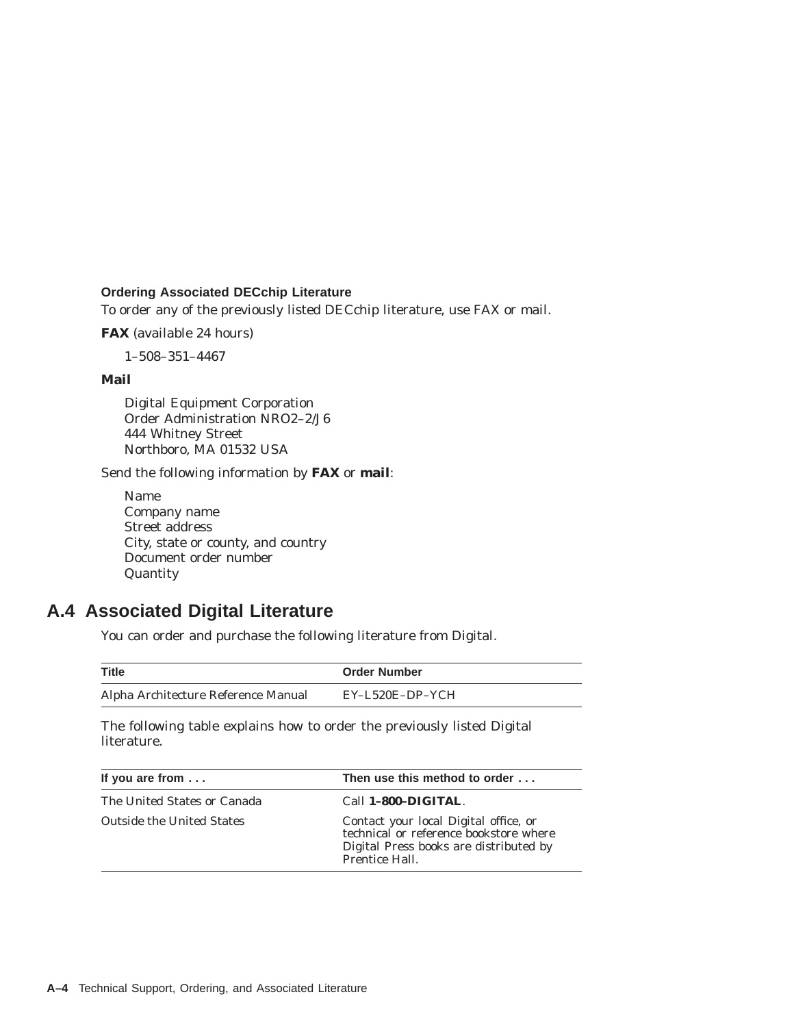### **Ordering Associated DECchip Literature**

To order any of the previously listed DECchip literature, use FAX or mail.

**FAX** (available 24 hours)

1–508–351–4467

### **Mail**

Digital Equipment Corporation Order Administration NRO2–2/J6 444 Whitney Street Northboro, MA 01532 USA

Send the following information by **FAX** or **mail**:

Name Company name Street address City, state or county, and country Document order number Quantity

# **A.4 Associated Digital Literature**

You can order and purchase the following literature from Digital.

| <b>Title</b>                        | <b>Order Number</b> |
|-------------------------------------|---------------------|
| Alpha Architecture Reference Manual | $EY-L520E-DP-YCH$   |

The following table explains how to order the previously listed Digital literature.

| If you are from $\dots$     | Then use this method to order                                                                                                              |
|-----------------------------|--------------------------------------------------------------------------------------------------------------------------------------------|
| The United States or Canada | Call 1-800-DIGITAL.                                                                                                                        |
| Outside the United States   | Contact your local Digital office, or<br>technical or reference bookstore where<br>Digital Press books are distributed by<br>Prentice Hall |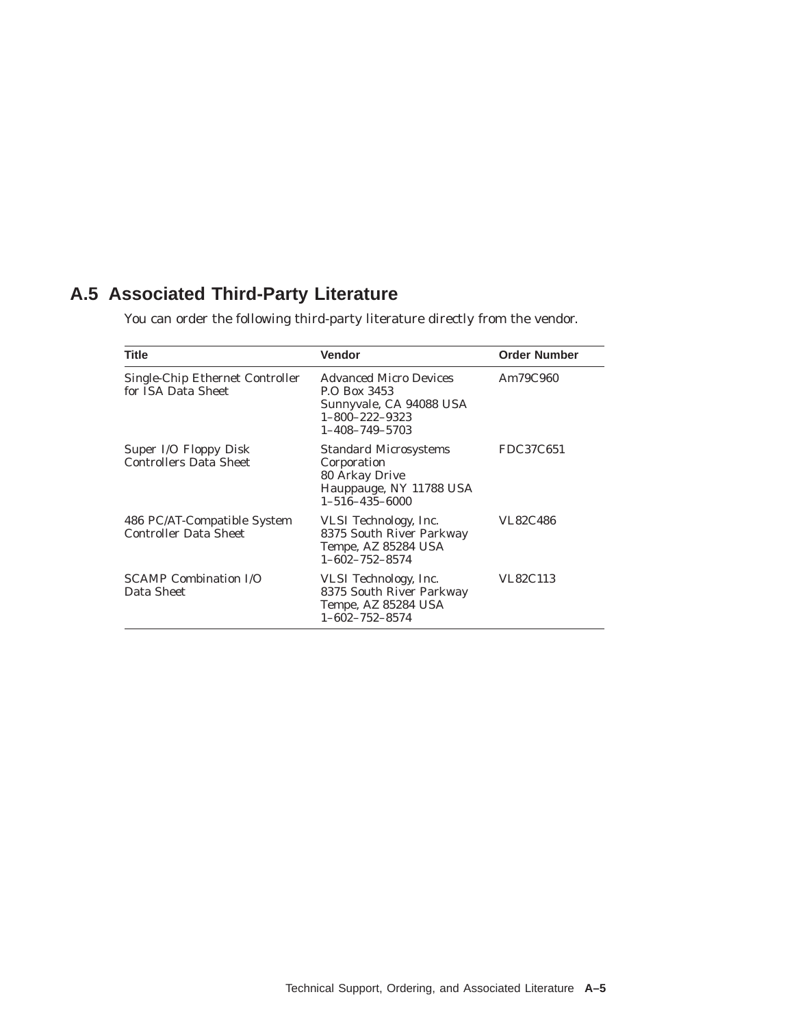# **A.5 Associated Third-Party Literature**

You can order the following third-party literature directly from the vendor.

| <b>Title</b>                                                | Vendor                                                                                                                        | <b>Order Number</b> |
|-------------------------------------------------------------|-------------------------------------------------------------------------------------------------------------------------------|---------------------|
| Single-Chip Ethernet Controller<br>for ISA Data Sheet       | <b>Advanced Micro Devices</b><br>P.O. Box 3453<br>Sunnyvale, CA 94088 USA<br>$1 - 800 - 222 - 9323$<br>$1 - 408 - 749 - 5703$ | Am79C960            |
| Super I/O Floppy Disk<br><b>Controllers Data Sheet</b>      | <b>Standard Microsystems</b><br>Corporation<br>80 Arkay Drive<br>Hauppauge, NY 11788 USA<br>$1 - 516 - 435 - 6000$            | FDC37C651           |
| 486 PC/AT-Compatible System<br><b>Controller Data Sheet</b> | VLSI Technology, Inc.<br>8375 South River Parkway<br>Tempe, AZ 85284 USA<br>$1 - 602 - 752 - 8574$                            | <b>VL82C486</b>     |
| <b>SCAMP Combination I/O</b><br>Data Sheet                  | VLSI Technology, Inc.<br>8375 South River Parkway<br>Tempe, AZ 85284 USA<br>$1 - 602 - 752 - 8574$                            | VL82C113            |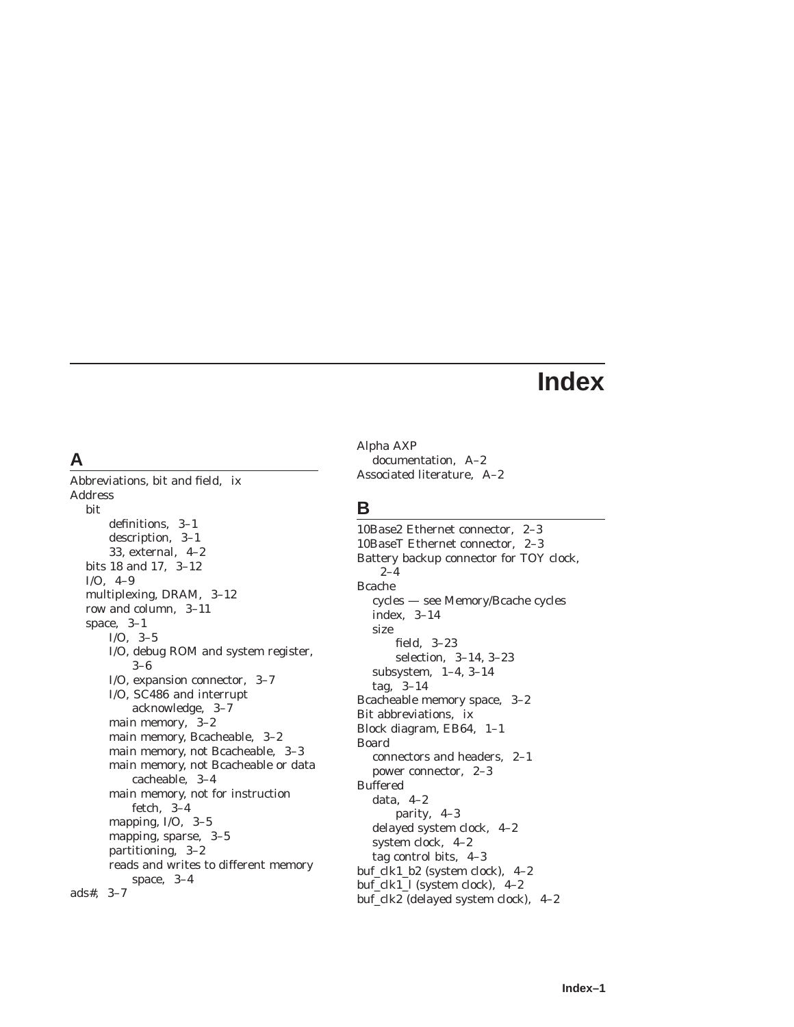# **Index**

# **A**

Abbreviations, bit and field, ix Address bit definitions, 3–1 description, 3–1 33, external, 4–2 bits 18 and 17, 3–12 I/O, 4–9 multiplexing, DRAM, 3–12 row and column, 3–11 space, 3–1 I/O, 3–5 I/O, debug ROM and system register, 3–6 I/O, expansion connector, 3–7 I/O, SC486 and interrupt acknowledge, 3–7 main memory, 3–2 main memory, Bcacheable, 3–2 main memory, not Bcacheable, 3–3 main memory, not Bcacheable or data cacheable, 3–4 main memory, not for instruction fetch, 3–4 mapping, I/O, 3–5 mapping, sparse, 3–5 partitioning, 3–2 reads and writes to different memory space, 3–4 ads#, 3–7

Alpha AXP documentation, A–2 Associated literature, A–2

# **B**

10Base2 Ethernet connector, 2–3 10BaseT Ethernet connector, 2–3 Battery backup connector for TOY clock, 2–4 Bcache cycles — see Memory/Bcache cycles index, 3–14 size field, 3–23 selection, 3–14, 3–23 subsystem, 1–4, 3–14 tag, 3–14 Bcacheable memory space, 3–2 Bit abbreviations, ix Block diagram, EB64, 1–1 Board connectors and headers, 2–1 power connector, 2–3 Buffered data, 4–2 parity, 4–3 delayed system clock, 4–2 system clock, 4–2 tag control bits, 4–3 buf\_clk1\_b2 (system clock), 4–2 buf\_clk1\_l (system clock), 4–2 buf\_clk2 (delayed system clock), 4–2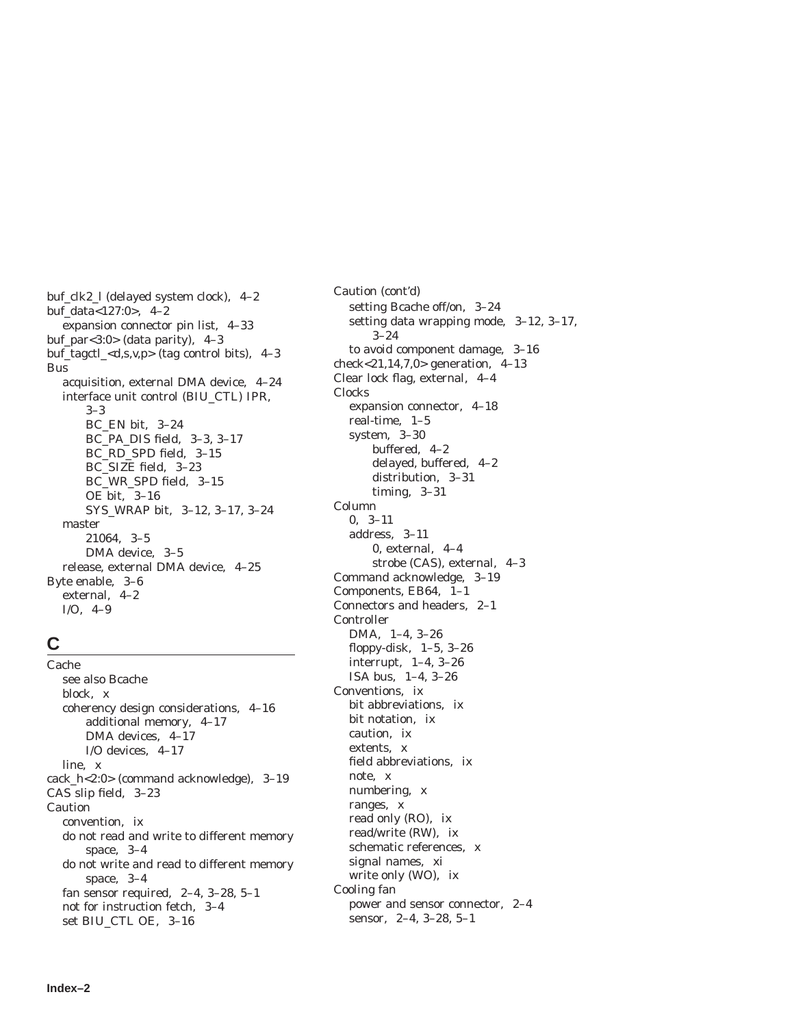buf\_clk2\_l (delayed system clock), 4–2 buf\_data<127:0>, 4–2 expansion connector pin list, 4–33 buf\_par<3:0> (data parity),  $4-3$ buf\_tagctl\_<d,s,v,p> (tag control bits), 4–3 Bus acquisition, external DMA device, 4–24 interface unit control (BIU\_CTL) IPR, 3–3 BC\_EN bit, 3–24 BC\_PA\_DIS field, 3–3, 3–17 BC\_RD\_SPD field, 3–15 BC\_SIZE field, 3–23 BC\_WR\_SPD field, 3–15 OE bit, 3–16 SYS\_WRAP bit, 3–12, 3–17, 3–24 master 21064, 3–5 DMA device, 3–5 release, external DMA device, 4–25 Byte enable, 3–6 external, 4–2 I/O, 4–9

### **C**

Cache see also Bcache block, x coherency design considerations, 4–16 additional memory, 4–17 DMA devices, 4–17 I/O devices, 4–17 line, x cack\_h<2:0> (command acknowledge), 3–19 CAS slip field, 3–23 Caution convention, ix do not read and write to different memory space, 3–4 do not write and read to different memory space, 3–4 fan sensor required, 2–4, 3–28, 5–1 not for instruction fetch, 3–4 set BIU\_CTL OE, 3–16

Caution (cont'd) setting Bcache off/on, 3–24 setting data wrapping mode, 3–12, 3–17, 3–24 to avoid component damage, 3–16 check<21,14,7,0> generation, 4–13 Clear lock flag, external, 4–4 Clocks expansion connector, 4–18 real-time, 1–5 system, 3–30 buffered, 4–2 delayed, buffered, 4–2 distribution, 3–31 timing, 3–31 Column 0, 3–11 address, 3–11 0, external, 4–4 strobe (CAS), external, 4–3 Command acknowledge, 3–19 Components, EB64, 1–1 Connectors and headers, 2–1 Controller DMA, 1–4, 3–26 floppy-disk, 1–5, 3–26 interrupt, 1–4, 3–26 ISA bus, 1–4, 3–26 Conventions, ix bit abbreviations, ix bit notation, ix caution, ix extents, x field abbreviations, ix note, x numbering, x ranges, x read only (RO), ix read/write (RW), ix schematic references, x signal names, xi write only (WO), ix Cooling fan power and sensor connector, 2–4 sensor, 2–4, 3–28, 5–1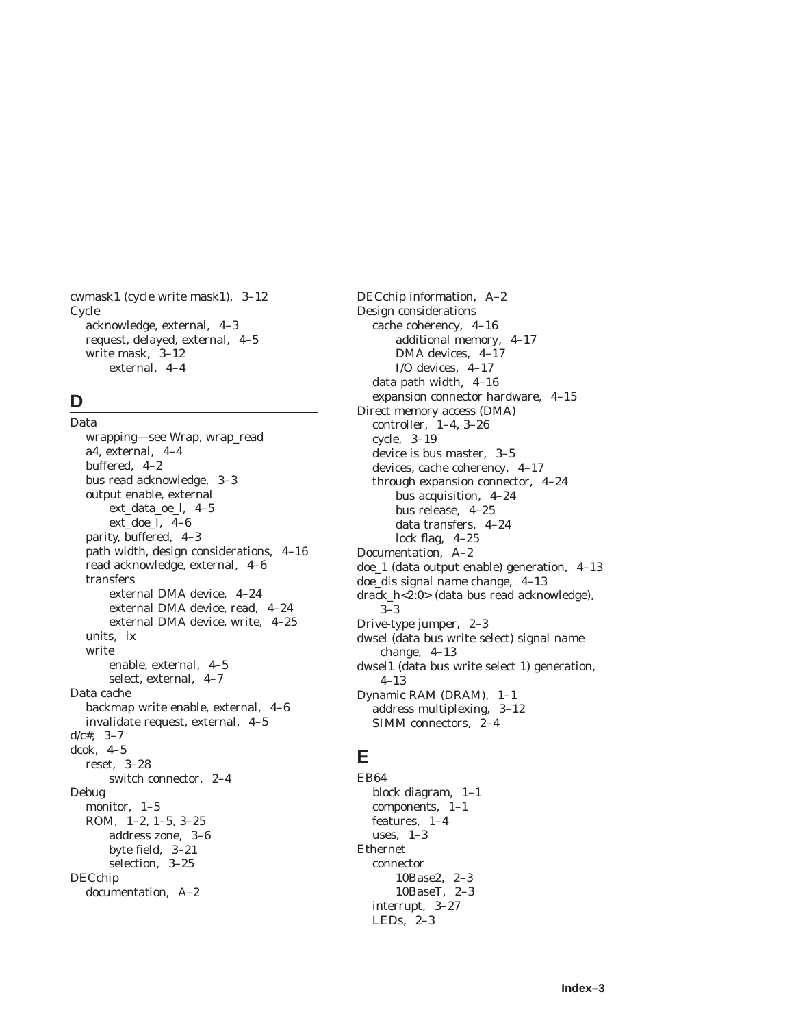cwmask1 (cycle write mask1), 3–12 Cycle acknowledge, external, 4–3 request, delayed, external, 4–5 write mask, 3–12 external, 4–4

# **D**

Data wrapping—see Wrap, wrap\_read a4, external, 4–4 buffered, 4–2 bus read acknowledge, 3–3 output enable, external ext\_data\_oe\_l, 4–5 ext\_doe\_l, 4–6 parity, buffered, 4–3 path width, design considerations, 4–16 read acknowledge, external, 4–6 transfers external DMA device, 4–24 external DMA device, read, 4–24 external DMA device, write, 4–25 units, ix write enable, external, 4–5 select, external, 4–7 Data cache backmap write enable, external, 4–6 invalidate request, external, 4–5  $d/c#$ , 3-7 dcok, 4–5 reset, 3–28 switch connector, 2–4 Debug monitor, 1–5 ROM, 1–2, 1–5, 3–25 address zone, 3–6 byte field, 3–21 selection, 3–25 DECchip documentation, A–2

DECchip information, A–2 Design considerations cache coherency, 4–16 additional memory, 4–17 DMA devices, 4–17 I/O devices, 4–17 data path width, 4–16 expansion connector hardware, 4–15 Direct memory access (DMA) controller, 1–4, 3–26 cycle, 3–19 device is bus master, 3–5 devices, cache coherency, 4–17 through expansion connector, 4–24 bus acquisition, 4–24 bus release, 4–25 data transfers, 4–24 lock flag, 4–25 Documentation, A–2 doe\_1 (data output enable) generation, 4–13 doe\_dis signal name change, 4–13 drack\_h<2:0> (data bus read acknowledge), 3–3 Drive-type jumper, 2–3 dwsel (data bus write select) signal name change, 4–13 dwsel1 (data bus write select 1) generation, 4–13 Dynamic RAM (DRAM), 1–1 address multiplexing, 3–12 SIMM connectors, 2–4

### **E**

EB64 block diagram, 1–1 components, 1–1 features, 1–4 uses, 1–3 Ethernet connector 10Base2, 2–3 10BaseT, 2–3 interrupt, 3–27 LEDs, 2–3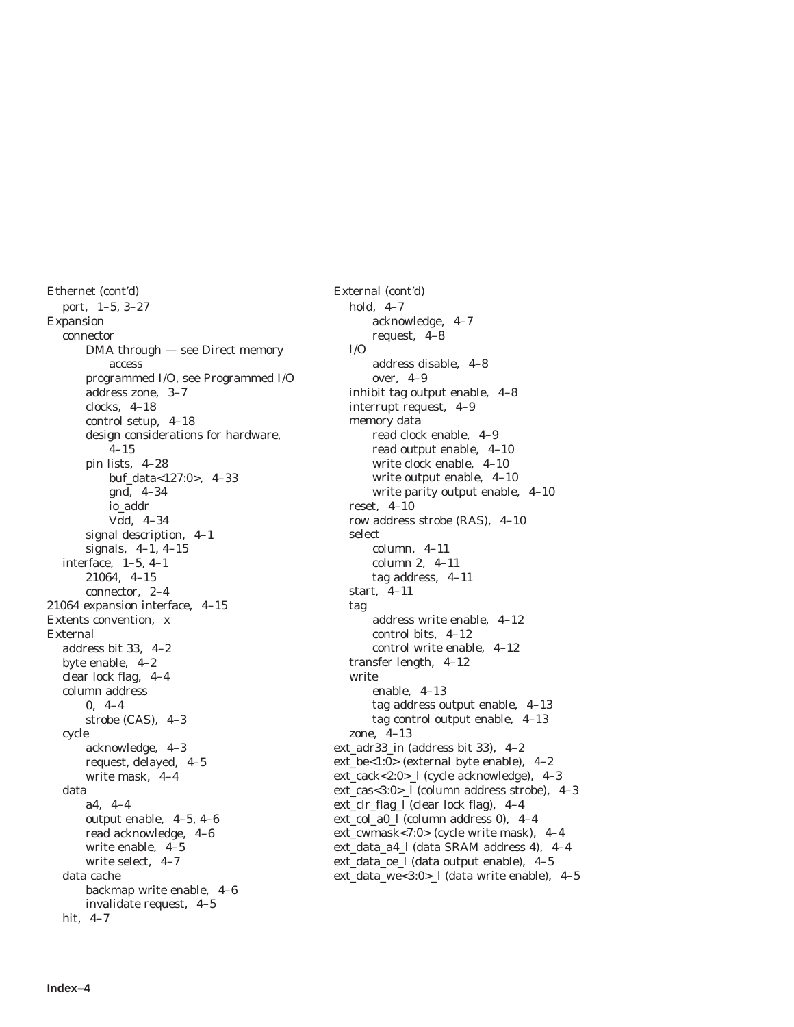Ethernet (cont'd) port, 1–5, 3–27 Expansion connector DMA through — see Direct memory access programmed I/O, see Programmed I/O address zone, 3–7 clocks, 4–18 control setup, 4–18 design considerations for hardware,  $4 - 15$ pin lists, 4–28 buf\_data<127:0>, 4–33 gnd, 4–34 io\_addr Vdd, 4–34 signal description, 4–1 signals, 4–1, 4–15 interface, 1–5, 4–1 21064, 4–15 connector, 2–4 21064 expansion interface, 4–15 Extents convention, x External address bit 33, 4–2 byte enable, 4–2 clear lock flag, 4–4 column address 0, 4–4 strobe (CAS), 4–3 cycle acknowledge, 4–3 request, delayed, 4–5 write mask, 4–4 data a4, 4–4 output enable, 4–5, 4–6 read acknowledge, 4–6 write enable, 4–5 write select, 4–7 data cache backmap write enable, 4–6 invalidate request, 4–5 hit, 4–7

External (cont'd) hold, 4–7 acknowledge, 4–7 request, 4–8 I/O address disable, 4–8 over, 4–9 inhibit tag output enable, 4–8 interrupt request, 4–9 memory data read clock enable, 4–9 read output enable, 4–10 write clock enable, 4–10 write output enable, 4–10 write parity output enable, 4–10 reset, 4–10 row address strobe (RAS), 4–10 select column, 4–11 column 2, 4–11 tag address, 4–11 start, 4–11 tag address write enable, 4–12 control bits, 4–12 control write enable, 4–12 transfer length, 4–12 write enable, 4–13 tag address output enable, 4–13 tag control output enable, 4–13 zone, 4–13 ext\_adr33\_in (address bit 33), 4–2 ext\_be<1:0> (external byte enable), 4–2 ext\_cack<2:0>\_l (cycle acknowledge), 4–3 ext\_cas<3:0>\_l (column address strobe), 4–3 ext\_clr\_flag\_l (clear lock flag), 4–4 ext\_col\_a0\_l (column address 0), 4–4 ext\_cwmask<7:0> (cycle write mask), 4–4 ext\_data\_a4\_l (data SRAM address 4), 4–4 ext\_data\_oe\_l (data output enable), 4–5 ext\_data\_we<3:0>\_l (data write enable), 4–5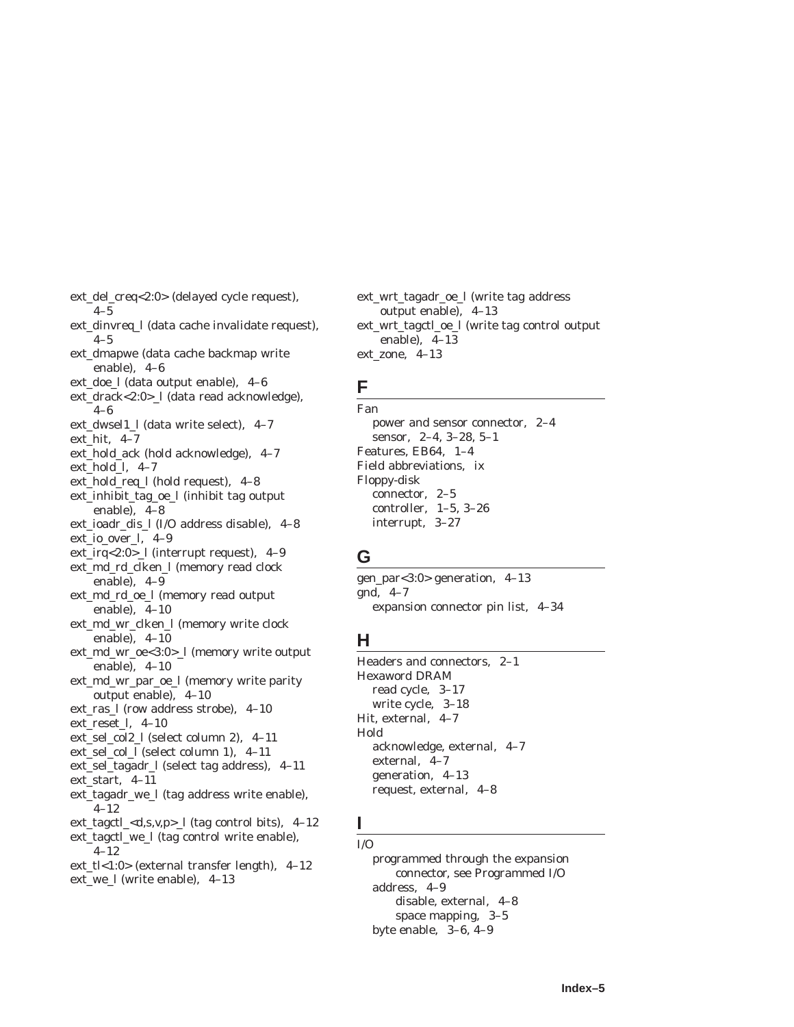- ext\_del\_creq<2:0> (delayed cycle request),  $4 - 5$
- ext\_dinvreq\_l (data cache invalidate request),  $4 - 5$
- ext\_dmapwe (data cache backmap write enable), 4–6
- ext\_doe\_l (data output enable), 4–6
- ext\_drack<2:0>\_l (data read acknowledge), 4–6
- ext\_dwsel1\_l (data write select), 4–7
- ext\_hit, 4–7
- ext\_hold\_ack (hold acknowledge), 4–7 ext\_hold\_l, 4–7
- ext\_hold\_req\_l (hold request), 4–8
- ext\_inhibit\_tag\_oe\_l (inhibit tag output enable), 4–8
- ext\_ioadr\_dis\_l (I/O address disable), 4–8
- ext\_io\_over\_l, 4–9
- ext\_irq<2:0>\_l (interrupt request), 4–9
- ext\_md\_rd\_clken\_l (memory read clock enable), 4–9
- ext\_md\_rd\_oe\_l (memory read output enable), 4–10
- ext\_md\_wr\_clken\_l (memory write clock enable), 4–10
- ext\_md\_wr\_oe<3:0>\_l (memory write output enable), 4–10
- ext\_md\_wr\_par\_oe\_l (memory write parity output enable), 4–10
- ext\_ras\_l (row address strobe), 4–10 ext\_reset\_l, 4–10
- ext\_sel\_col2\_l (select column 2), 4–11
- ext\_sel\_col\_l (select column 1), 4–11
- ext\_sel\_tagadr\_l (select tag address), 4–11
- ext\_start, 4–11
- ext\_tagadr\_we\_l (tag address write enable), 4–12
- ext\_tagctl\_<d,s,v,p>\_l (tag control bits), 4–12
- ext\_tagctl\_we\_l (tag control write enable), 4–12
- ext\_tl<1:0> (external transfer length), 4–12 ext\_we\_l (write enable), 4–13

ext\_wrt\_tagadr\_oe\_l (write tag address output enable), 4–13 ext\_wrt\_tagctl\_oe\_l (write tag control output enable), 4–13 ext\_zone, 4–13

### **F**

Fan power and sensor connector, 2–4 sensor, 2–4, 3–28, 5–1 Features, EB64, 1–4 Field abbreviations, ix Floppy-disk connector, 2–5 controller, 1–5, 3–26 interrupt, 3–27

# **G**

gen\_par<3:0> generation, 4–13 gnd, 4–7 expansion connector pin list, 4–34

# **H**

Headers and connectors, 2–1 Hexaword DRAM read cycle, 3–17 write cycle, 3–18 Hit, external, 4–7 Hold acknowledge, external, 4–7 external, 4–7 generation, 4–13 request, external, 4–8

### **I**  $I/O$

programmed through the expansion connector, see Programmed I/O address, 4–9 disable, external, 4–8 space mapping, 3–5 byte enable, 3–6, 4–9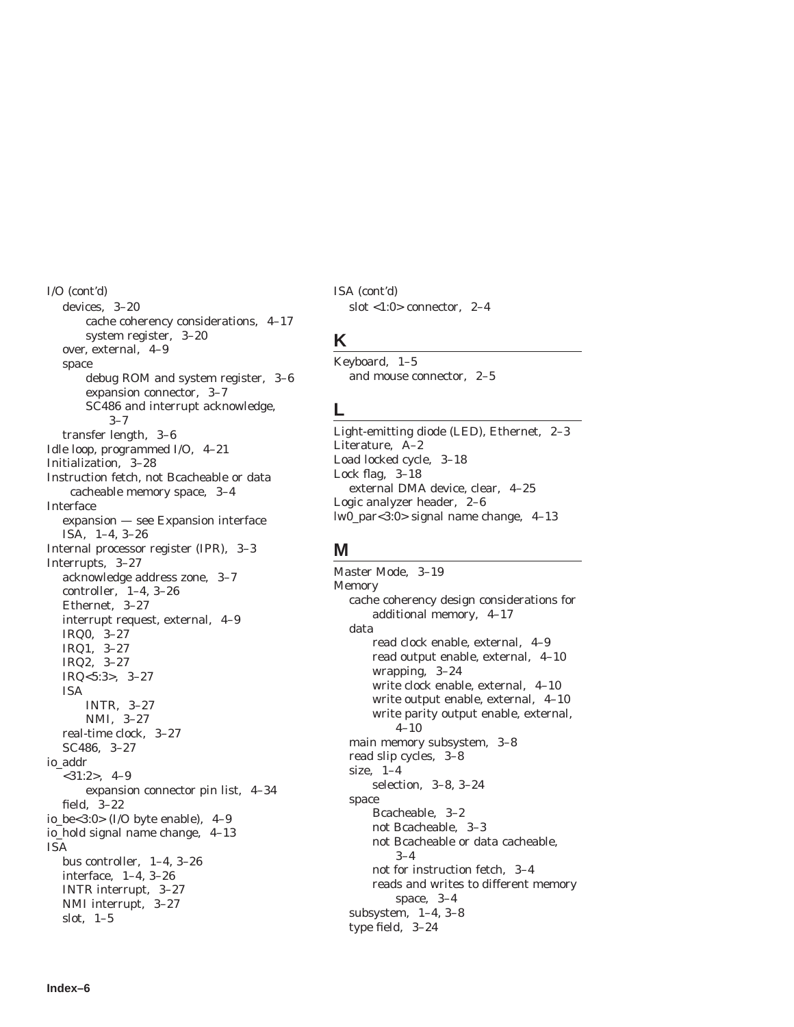I/O (cont'd) devices, 3–20 cache coherency considerations, 4–17 system register, 3–20 over, external, 4–9 space debug ROM and system register, 3–6 expansion connector, 3–7 SC486 and interrupt acknowledge, 3–7 transfer length, 3–6 Idle loop, programmed I/O, 4–21 Initialization, 3–28 Instruction fetch, not Bcacheable or data cacheable memory space, 3–4 Interface expansion — see Expansion interface ISA, 1–4, 3–26 Internal processor register (IPR), 3–3 Interrupts, 3–27 acknowledge address zone, 3–7 controller, 1–4, 3–26 Ethernet, 3–27 interrupt request, external, 4–9 IRQ0, 3–27 IRQ1, 3–27 IRQ2, 3–27 IRQ<5:3>, 3–27 ISA INTR, 3–27 NMI, 3–27 real-time clock, 3–27 SC486, 3–27 io\_addr <31:2>, 4–9 expansion connector pin list, 4–34 field, 3–22 io be<3:0> (I/O byte enable),  $4-9$ io\_hold signal name change, 4–13 ISA bus controller, 1–4, 3–26 interface, 1–4, 3–26 INTR interrupt, 3–27 NMI interrupt, 3–27 slot, 1–5

ISA (cont'd) slot <1:0> connector, 2–4

### **K**

Keyboard, 1–5 and mouse connector, 2–5

### **L**

Light-emitting diode (LED), Ethernet, 2–3 Literature, A–2 Load locked cycle, 3–18 Lock flag, 3–18 external DMA device, clear, 4–25 Logic analyzer header, 2–6 lw0\_par<3:0> signal name change, 4–13

# **M**

Master Mode, 3–19 Memory cache coherency design considerations for additional memory, 4–17 data read clock enable, external, 4–9 read output enable, external, 4–10 wrapping, 3–24 write clock enable, external, 4–10 write output enable, external, 4–10 write parity output enable, external, 4–10 main memory subsystem, 3–8 read slip cycles, 3–8 size, 1–4 selection, 3–8, 3–24 space Bcacheable, 3–2 not Bcacheable, 3–3 not Bcacheable or data cacheable, 3–4 not for instruction fetch, 3–4 reads and writes to different memory space, 3–4 subsystem, 1–4, 3–8 type field, 3–24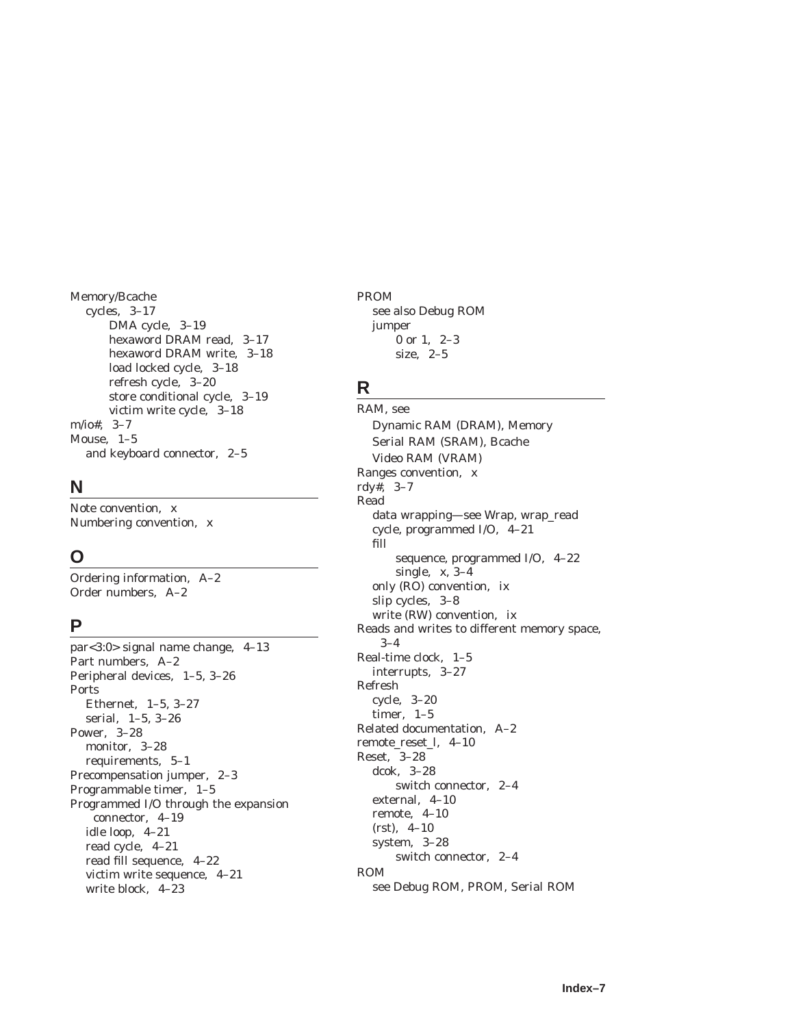Memory/Bcache cycles, 3–17 DMA cycle, 3–19 hexaword DRAM read, 3–17 hexaword DRAM write, 3–18 load locked cycle, 3–18 refresh cycle, 3–20 store conditional cycle, 3–19 victim write cycle, 3–18 m/io#, 3–7 Mouse, 1–5 and keyboard connector, 2–5

### **N**

Note convention, x Numbering convention, x

# **O**

Ordering information, A–2 Order numbers, A–2

# **P**

par<3:0> signal name change, 4–13 Part numbers, A–2 Peripheral devices, 1–5, 3–26 Ports Ethernet, 1–5, 3–27 serial, 1–5, 3–26 Power, 3–28 monitor, 3–28 requirements, 5–1 Precompensation jumper, 2–3 Programmable timer, 1–5 Programmed I/O through the expansion connector, 4–19 idle loop, 4–21 read cycle, 4–21 read fill sequence, 4–22 victim write sequence, 4–21 write block, 4–23

PROM see also Debug ROM jumper

0 or 1, 2–3 size, 2–5

### **R**

RAM, see Dynamic RAM (DRAM), Memory Serial RAM (SRAM), Bcache Video RAM (VRAM) Ranges convention, x rdy#, 3–7 Read data wrapping—see Wrap, wrap\_read cycle, programmed I/O, 4–21 fill sequence, programmed I/O, 4–22 single, x, 3–4 only (RO) convention, ix slip cycles, 3–8 write (RW) convention, ix Reads and writes to different memory space, 3–4 Real-time clock, 1–5 interrupts, 3–27 Refresh cycle, 3–20 timer, 1–5 Related documentation, A–2 remote\_reset\_l, 4–10 Reset, 3–28 dcok, 3–28 switch connector, 2–4 external, 4–10 remote, 4–10 (rst), 4–10 system, 3–28 switch connector, 2–4 ROM see Debug ROM, PROM, Serial ROM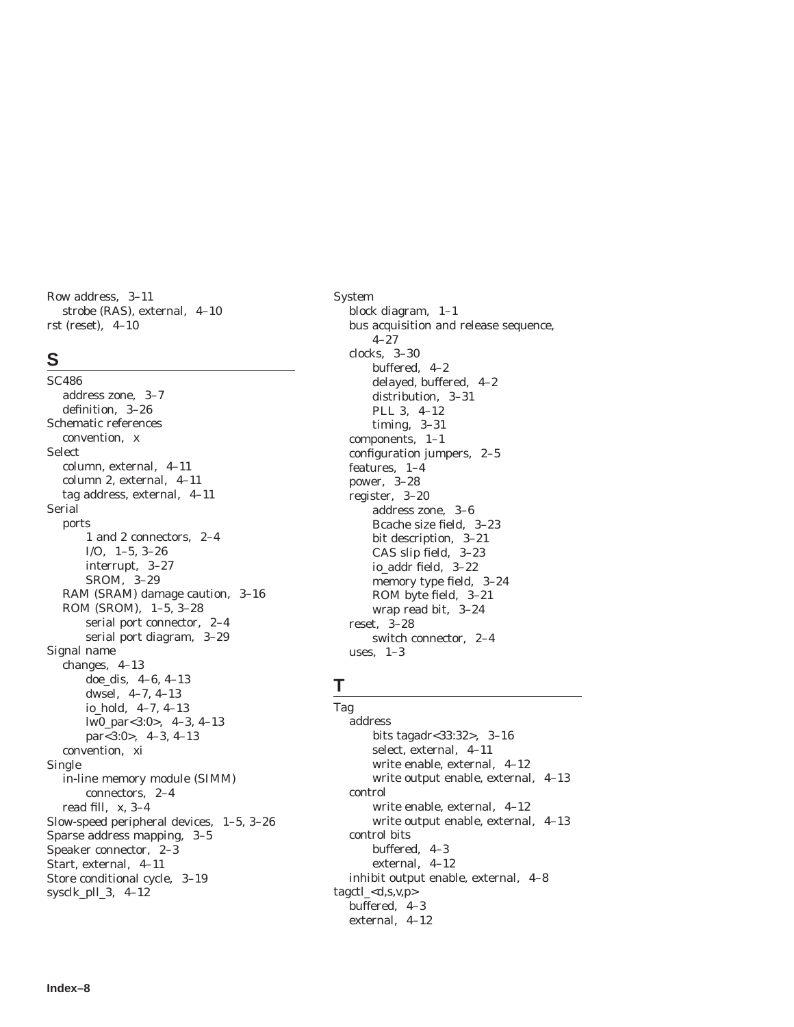Row address, 3–11 strobe (RAS), external, 4–10 rst (reset), 4–10

### **S**

SC486 address zone, 3–7 definition, 3–26 Schematic references convention, x Select column, external, 4–11 column 2, external, 4–11 tag address, external, 4–11 Serial ports 1 and 2 connectors, 2–4 I/O, 1–5, 3–26 interrupt, 3–27 SROM, 3–29 RAM (SRAM) damage caution, 3–16 ROM (SROM), 1–5, 3–28 serial port connector, 2–4 serial port diagram, 3–29 Signal name changes, 4–13 doe\_dis, 4–6, 4–13 dwsel, 4–7, 4–13 io\_hold, 4–7, 4–13 lw0\_par<3:0>, 4–3, 4–13 par<3:0>, 4–3, 4–13 convention, xi Single in-line memory module (SIMM) connectors, 2–4 read fill, x, 3–4 Slow-speed peripheral devices, 1–5, 3–26 Sparse address mapping, 3–5 Speaker connector, 2–3 Start, external, 4–11 Store conditional cycle, 3–19 sysclk\_pll\_3, 4–12

System block diagram, 1–1 bus acquisition and release sequence, 4–27 clocks, 3–30 buffered, 4–2 delayed, buffered, 4–2 distribution, 3–31 PLL 3, 4–12 timing, 3–31 components, 1–1 configuration jumpers, 2–5 features, 1–4 power, 3–28 register, 3–20 address zone, 3–6 Bcache size field, 3–23 bit description, 3–21 CAS slip field, 3–23 io\_addr field, 3–22 memory type field, 3–24 ROM byte field, 3–21 wrap read bit, 3–24 reset, 3–28 switch connector, 2–4 uses, 1–3

# **T**

Tag address bits tagadr<33:32>, 3–16 select, external, 4–11 write enable, external, 4–12 write output enable, external, 4–13 control write enable, external, 4–12 write output enable, external, 4–13 control bits buffered, 4–3 external, 4–12 inhibit output enable, external, 4–8  $tagct$ <sub>- $<$ </sub> $d,s,v,p$ buffered, 4–3 external, 4–12